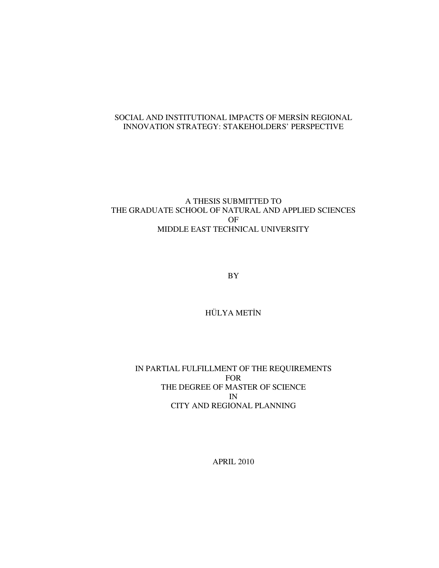## SOCIAL AND INSTITUTIONAL IMPACTS OF MERSİN REGIONAL INNOVATION STRATEGY: STAKEHOLDERS' PERSPECTIVE

## A THESIS SUBMITTED TO THE GRADUATE SCHOOL OF NATURAL AND APPLIED SCIENCES OF MIDDLE EAST TECHNICAL UNIVERSITY

BY

## HÜLYA METİN

## IN PARTIAL FULFILLMENT OF THE REQUIREMENTS FOR THE DEGREE OF MASTER OF SCIENCE IN CITY AND REGIONAL PLANNING

APRIL 2010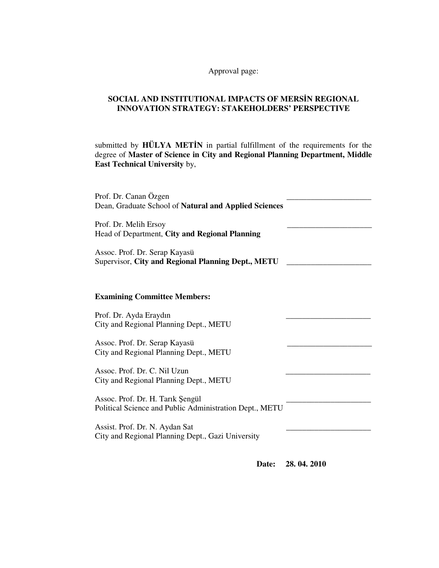Approval page:

## **SOCIAL AND INSTITUTIONAL IMPACTS OF MERS**İ**N REGIONAL INNOVATION STRATEGY: STAKEHOLDERS' PERSPECTIVE**

submitted by **HÜLYA MET**İ**N** in partial fulfillment of the requirements for the degree of **Master of Science in City and Regional Planning Department, Middle East Technical University** by,

| Prof. Dr. Canan Özgen<br>Dean, Graduate School of Natural and Applied Sciences              |  |
|---------------------------------------------------------------------------------------------|--|
| Prof. Dr. Melih Ersoy<br>Head of Department, City and Regional Planning                     |  |
| Assoc. Prof. Dr. Serap Kayasü<br>Supervisor, City and Regional Planning Dept., METU         |  |
| <b>Examining Committee Members:</b>                                                         |  |
| Prof. Dr. Ayda Eraydın<br>City and Regional Planning Dept., METU                            |  |
| Assoc. Prof. Dr. Serap Kayasü<br>City and Regional Planning Dept., METU                     |  |
| Assoc. Prof. Dr. C. Nil Uzun<br>City and Regional Planning Dept., METU                      |  |
| Assoc. Prof. Dr. H. Tarik Şengül<br>Political Science and Public Administration Dept., METU |  |
| Assist. Prof. Dr. N. Aydan Sat<br>City and Regional Planning Dept., Gazi University         |  |

 **Date: 28. 04. 2010**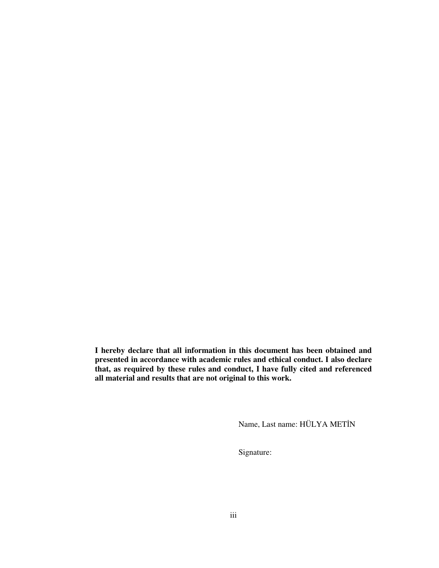**I hereby declare that all information in this document has been obtained and presented in accordance with academic rules and ethical conduct. I also declare that, as required by these rules and conduct, I have fully cited and referenced all material and results that are not original to this work.** 

Name, Last name: HÜLYA METİN

Signature: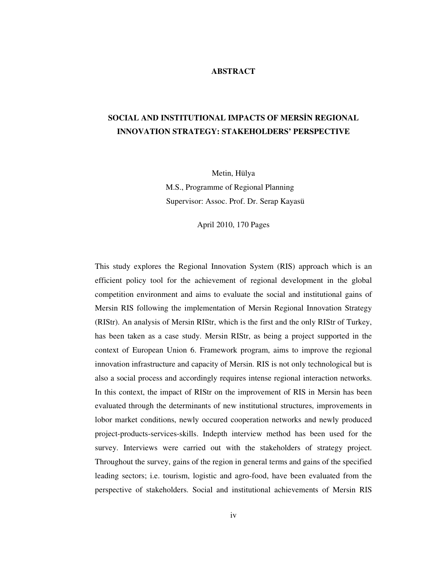### **ABSTRACT**

# **SOCIAL AND INSTITUTIONAL IMPACTS OF MERS**İ**N REGIONAL INNOVATION STRATEGY: STAKEHOLDERS' PERSPECTIVE**

Metin, Hülya M.S., Programme of Regional Planning Supervisor: Assoc. Prof. Dr. Serap Kayasü

April 2010, 170 Pages

This study explores the Regional Innovation System (RIS) approach which is an efficient policy tool for the achievement of regional development in the global competition environment and aims to evaluate the social and institutional gains of Mersin RIS following the implementation of Mersin Regional Innovation Strategy (RIStr). An analysis of Mersin RIStr, which is the first and the only RIStr of Turkey, has been taken as a case study. Mersin RIStr, as being a project supported in the context of European Union 6. Framework program, aims to improve the regional innovation infrastructure and capacity of Mersin. RIS is not only technological but is also a social process and accordingly requires intense regional interaction networks. In this context, the impact of RIStr on the improvement of RIS in Mersin has been evaluated through the determinants of new institutional structures, improvements in lobor market conditions, newly occured cooperation networks and newly produced project-products-services-skills. Indepth interview method has been used for the survey. Interviews were carried out with the stakeholders of strategy project. Throughout the survey, gains of the region in general terms and gains of the specified leading sectors; i.e. tourism, logistic and agro-food, have been evaluated from the perspective of stakeholders. Social and institutional achievements of Mersin RIS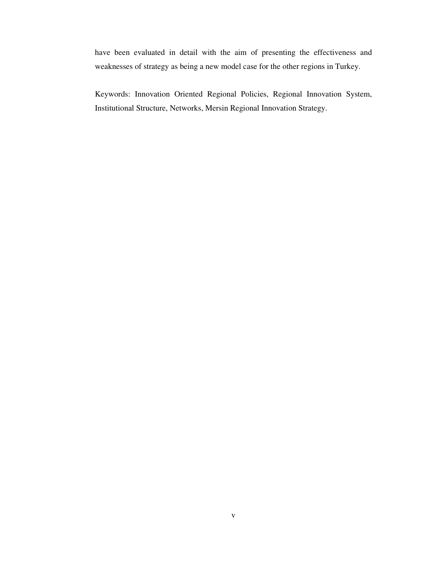have been evaluated in detail with the aim of presenting the effectiveness and weaknesses of strategy as being a new model case for the other regions in Turkey.

Keywords: Innovation Oriented Regional Policies, Regional Innovation System, Institutional Structure, Networks, Mersin Regional Innovation Strategy.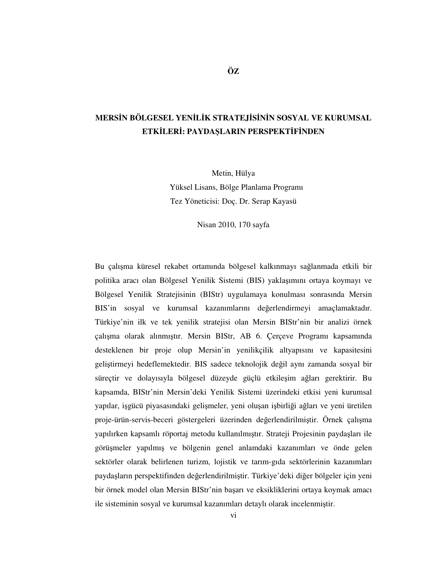# **MERS**İ**N BÖLGESEL YEN**İ**L**İ**K STRATEJ**İ**S**İ**N**İ**N SOSYAL VE KURUMSAL ETK**İ**LER**İ**: PAYDA**Ş**LARIN PERSPEKT**İ**F**İ**NDEN**

Metin, Hülya Yüksel Lisans, Bölge Planlama Programı Tez Yöneticisi: Doç. Dr. Serap Kayasü

Nisan 2010, 170 sayfa

Bu çalışma küresel rekabet ortamında bölgesel kalkınmayı sağlanmada etkili bir politika aracı olan Bölgesel Yenilik Sistemi (BIS) yaklaşımını ortaya koymayı ve Bölgesel Yenilik Stratejisinin (BIStr) uygulamaya konulması sonrasında Mersin BIS'in sosyal ve kurumsal kazanımlarını değerlendirmeyi amaçlamaktadır. Türkiye'nin ilk ve tek yenilik stratejisi olan Mersin BIStr'nin bir analizi örnek çalışma olarak alınmıştır. Mersin BIStr, AB 6. Çerçeve Programı kapsamında desteklenen bir proje olup Mersin'in yenilikçilik altyapısını ve kapasitesini geliştirmeyi hedeflemektedir. BIS sadece teknolojik değil aynı zamanda sosyal bir süreçtir ve dolayısıyla bölgesel düzeyde güçlü etkileşim ağları gerektirir. Bu kapsamda, BIStr'nin Mersin'deki Yenilik Sistemi üzerindeki etkisi yeni kurumsal yapılar, işgücü piyasasındaki gelişmeler, yeni oluşan işbirliği ağları ve yeni üretilen proje-ürün-servis-beceri göstergeleri üzerinden değerlendirilmiştir. Örnek çalışma yapılırken kapsamlı röportaj metodu kullanılmıştır. Strateji Projesinin paydaşları ile görüşmeler yapılmış ve bölgenin genel anlamdaki kazanımları ve önde gelen sektörler olarak belirlenen turizm, lojistik ve tarım-gıda sektörlerinin kazanımları paydaşların perspektifinden değerlendirilmiştir. Türkiye'deki diğer bölgeler için yeni bir örnek model olan Mersin BIStr'nin başarı ve eksikliklerini ortaya koymak amacı ile sisteminin sosyal ve kurumsal kazanımları detaylı olarak incelenmiştir.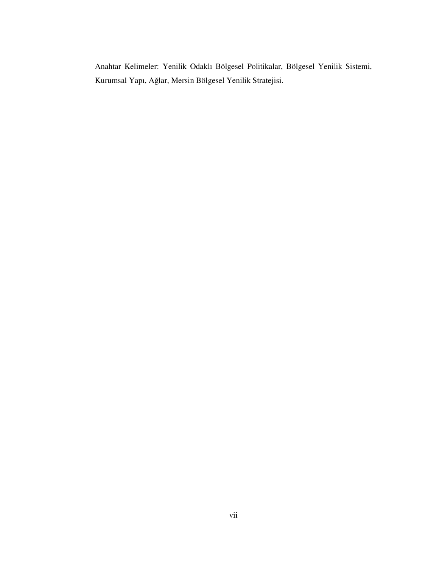Anahtar Kelimeler: Yenilik Odaklı Bölgesel Politikalar, Bölgesel Yenilik Sistemi, Kurumsal Yapı, Ağlar, Mersin Bölgesel Yenilik Stratejisi.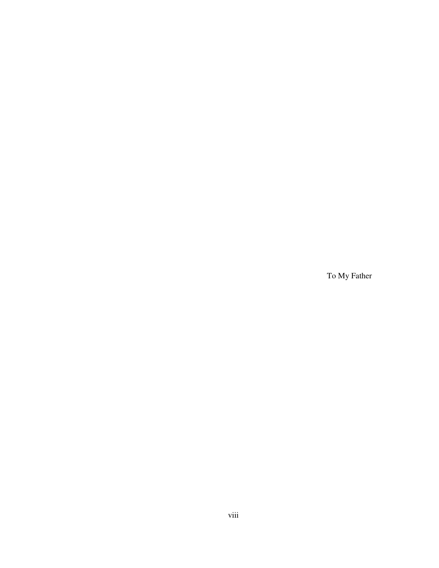To My Father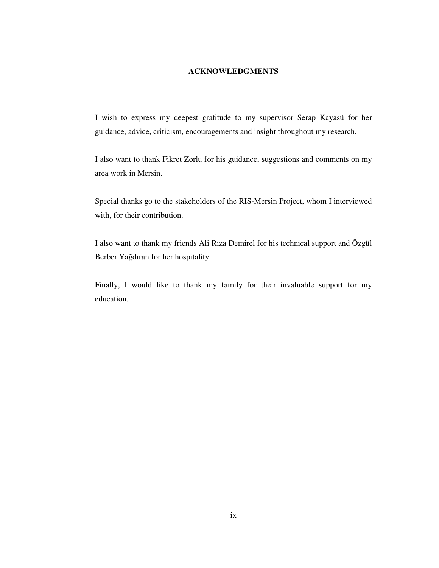## **ACKNOWLEDGMENTS**

I wish to express my deepest gratitude to my supervisor Serap Kayasü for her guidance, advice, criticism, encouragements and insight throughout my research.

I also want to thank Fikret Zorlu for his guidance, suggestions and comments on my area work in Mersin.

Special thanks go to the stakeholders of the RIS-Mersin Project, whom I interviewed with, for their contribution.

I also want to thank my friends Ali Rıza Demirel for his technical support and Özgül Berber Yağdıran for her hospitality.

Finally, I would like to thank my family for their invaluable support for my education.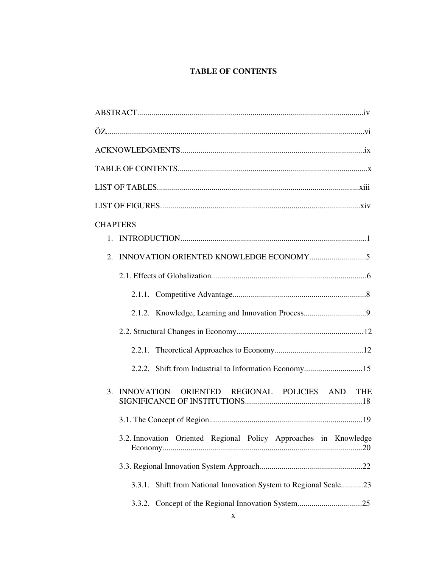## **TABLE OF CONTENTS**

| <b>CHAPTERS</b>                                                     |
|---------------------------------------------------------------------|
|                                                                     |
| 2.                                                                  |
|                                                                     |
|                                                                     |
|                                                                     |
|                                                                     |
|                                                                     |
| 2.2.2. Shift from Industrial to Information Economy15               |
| 3. INNOVATION ORIENTED REGIONAL POLICIES AND THE                    |
|                                                                     |
| 3.2. Innovation Oriented Regional Policy Approaches in Knowledge    |
|                                                                     |
| Shift from National Innovation System to Regional Scale23<br>3.3.1. |
|                                                                     |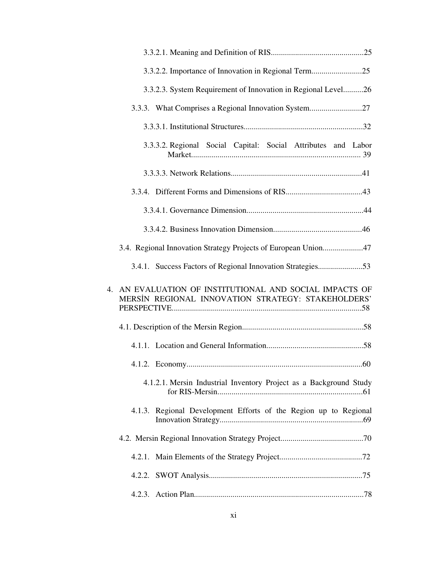| 3.3.2.3. System Requirement of Innovation in Regional Level26                                                 |
|---------------------------------------------------------------------------------------------------------------|
| 3.3.3. What Comprises a Regional Innovation System27                                                          |
|                                                                                                               |
| 3.3.3.2. Regional Social Capital: Social Attributes and Labor                                                 |
|                                                                                                               |
|                                                                                                               |
|                                                                                                               |
|                                                                                                               |
| 3.4. Regional Innovation Strategy Projects of European Union47                                                |
| 3.4.1. Success Factors of Regional Innovation Strategies53                                                    |
| 4. AN EVALUATION OF INSTITUTIONAL AND SOCIAL IMPACTS OF<br>MERSIN REGIONAL INNOVATION STRATEGY: STAKEHOLDERS' |
|                                                                                                               |
|                                                                                                               |
|                                                                                                               |
| 4.1.2.1. Mersin Industrial Inventory Project as a Background Study                                            |
| 4.1.3. Regional Development Efforts of the Region up to Regional                                              |
|                                                                                                               |
|                                                                                                               |
|                                                                                                               |
|                                                                                                               |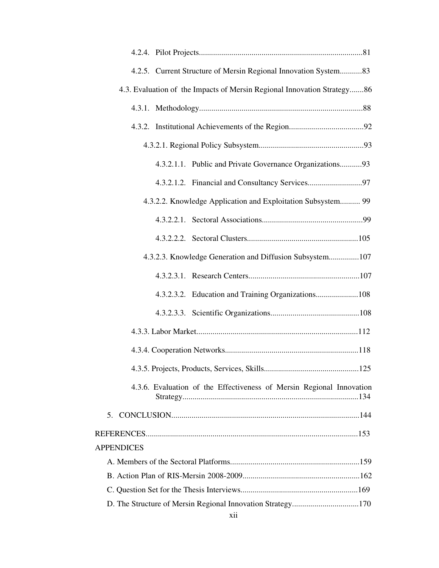| 4.2.5. Current Structure of Mersin Regional Innovation System83         |
|-------------------------------------------------------------------------|
| 4.3. Evaluation of the Impacts of Mersin Regional Innovation Strategy86 |
|                                                                         |
|                                                                         |
|                                                                         |
| 4.3.2.1.1. Public and Private Governance Organizations93                |
|                                                                         |
| 4.3.2.2. Knowledge Application and Exploitation Subsystem 99            |
|                                                                         |
|                                                                         |
| 4.3.2.3. Knowledge Generation and Diffusion Subsystem107                |
|                                                                         |
| 4.3.2.3.2. Education and Training Organizations108                      |
|                                                                         |
|                                                                         |
|                                                                         |
|                                                                         |
| 4.3.6. Evaluation of the Effectiveness of Mersin Regional Innovation    |
|                                                                         |
|                                                                         |
| <b>APPENDICES</b>                                                       |
|                                                                         |
|                                                                         |
|                                                                         |
|                                                                         |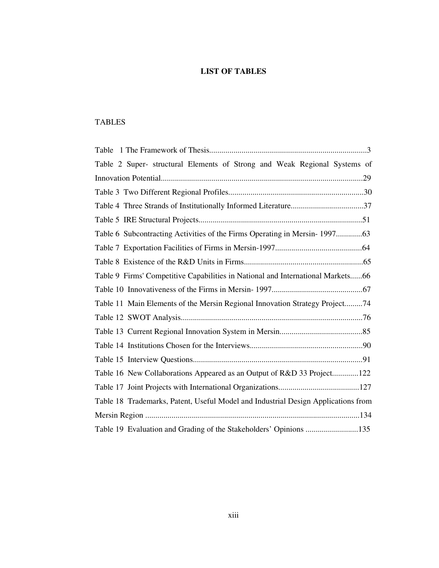## **LIST OF TABLES**

## TABLES

| Table 2 Super- structural Elements of Strong and Weak Regional Systems of         |
|-----------------------------------------------------------------------------------|
|                                                                                   |
|                                                                                   |
|                                                                                   |
|                                                                                   |
| Table 6 Subcontracting Activities of the Firms Operating in Mersin-199763         |
|                                                                                   |
|                                                                                   |
| Table 9 Firms' Competitive Capabilities in National and International Markets66   |
|                                                                                   |
| Table 11 Main Elements of the Mersin Regional Innovation Strategy Project74       |
|                                                                                   |
|                                                                                   |
|                                                                                   |
|                                                                                   |
| Table 16 New Collaborations Appeared as an Output of R&D 33 Project122            |
|                                                                                   |
| Table 18 Trademarks, Patent, Useful Model and Industrial Design Applications from |
|                                                                                   |
| Table 19 Evaluation and Grading of the Stakeholders' Opinions 135                 |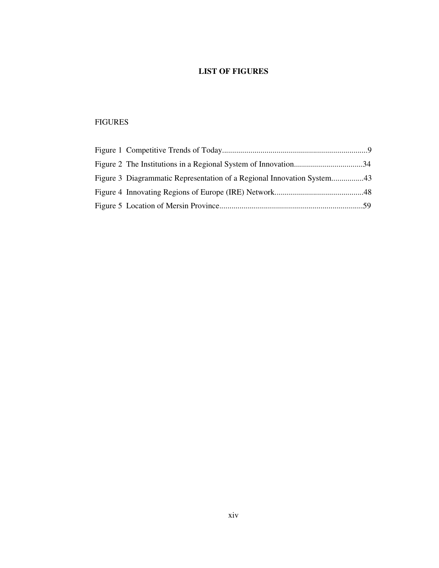## **LIST OF FIGURES**

## FIGURES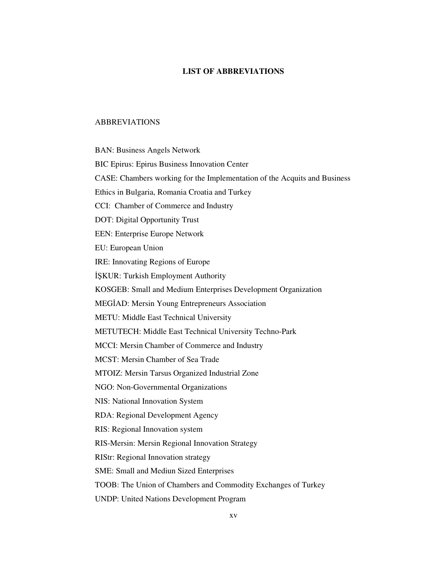## **LIST OF ABBREVIATIONS**

#### ABBREVIATIONS

BAN: Business Angels Network BIC Epirus: Epirus Business Innovation Center CASE: Chambers working for the Implementation of the Acquits and Business Ethics in Bulgaria, Romania Croatia and Turkey CCI: Chamber of Commerce and Industry DOT: Digital Opportunity Trust EEN: Enterprise Europe Network EU: European Union IRE: Innovating Regions of Europe İŞKUR: Turkish Employment Authority KOSGEB: Small and Medium Enterprises Development Organization MEGİAD: Mersin Young Entrepreneurs Association METU: Middle East Technical University METUTECH: Middle East Technical University Techno-Park MCCI: Mersin Chamber of Commerce and Industry MCST: Mersin Chamber of Sea Trade MTOIZ: Mersin Tarsus Organized Industrial Zone NGO: Non-Governmental Organizations NIS: National Innovation System RDA: Regional Development Agency RIS: Regional Innovation system RIS-Mersin: Mersin Regional Innovation Strategy RIStr: Regional Innovation strategy SME: Small and Mediun Sized Enterprises TOOB: The Union of Chambers and Commodity Exchanges of Turkey UNDP: United Nations Development Program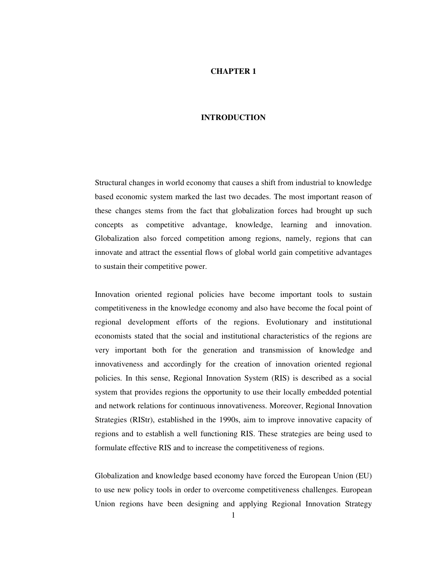#### **CHAPTER 1**

#### **INTRODUCTION**

Structural changes in world economy that causes a shift from industrial to knowledge based economic system marked the last two decades. The most important reason of these changes stems from the fact that globalization forces had brought up such concepts as competitive advantage, knowledge, learning and innovation. Globalization also forced competition among regions, namely, regions that can innovate and attract the essential flows of global world gain competitive advantages to sustain their competitive power.

Innovation oriented regional policies have become important tools to sustain competitiveness in the knowledge economy and also have become the focal point of regional development efforts of the regions. Evolutionary and institutional economists stated that the social and institutional characteristics of the regions are very important both for the generation and transmission of knowledge and innovativeness and accordingly for the creation of innovation oriented regional policies. In this sense, Regional Innovation System (RIS) is described as a social system that provides regions the opportunity to use their locally embedded potential and network relations for continuous innovativeness. Moreover, Regional Innovation Strategies (RIStr), established in the 1990s, aim to improve innovative capacity of regions and to establish a well functioning RIS. These strategies are being used to formulate effective RIS and to increase the competitiveness of regions.

Globalization and knowledge based economy have forced the European Union (EU) to use new policy tools in order to overcome competitiveness challenges. European Union regions have been designing and applying Regional Innovation Strategy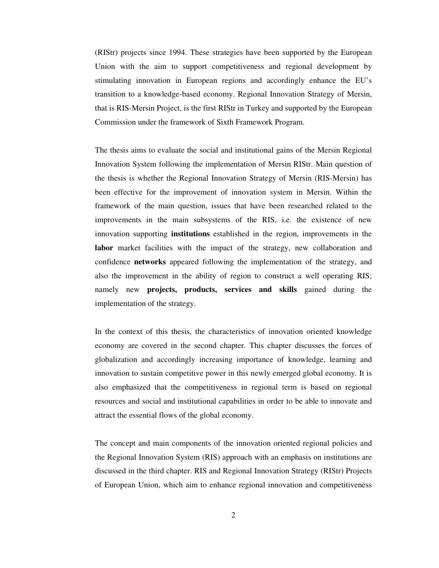(RIStr) projects since 1994. These strategies have been supported by the European Union with the aim to support competitiveness and regional development by stimulating innovation in European regions and accordingly enhance the EU's transition to a knowledge-based economy. Regional Innovation Strategy of Mersin, that is RIS-Mersin Project, is the first RIStr in Turkey and supported by the European Commission under the framework of Sixth Framework Program.

The thesis aims to evaluate the social and institutional gains of the Mersin Regional Innovation System following the implementation of Mersin RIStr. Main question of the thesis is whether the Regional Innovation Strategy of Mersin (RIS-Mersin) has been effective for the improvement of innovation system in Mersin. Within the framework of the main question, issues that have been researched related to the improvements in the main subsystems of the RIS, i.e. the existence of new innovation supporting **institutions** established in the region, improvements in the **labor** market facilities with the impact of the strategy, new collaboration and confidence **networks** appeared following the implementation of the strategy, and also the improvement in the ability of region to construct a well operating RIS; namely new **projects, products, services and skills** gained during the implementation of the strategy.

In the context of this thesis, the characteristics of innovation oriented knowledge economy are covered in the second chapter. This chapter discusses the forces of globalization and accordingly increasing importance of knowledge, learning and innovation to sustain competitive power in this newly emerged global economy. It is also emphasized that the competitiveness in regional term is based on regional resources and social and institutional capabilities in order to be able to innovate and attract the essential flows of the global economy.

The concept and main components of the innovation oriented regional policies and the Regional Innovation System (RIS) approach with an emphasis on institutions are discussed in the third chapter. RIS and Regional Innovation Strategy (RIStr) Projects of European Union, which aim to enhance regional innovation and competitiveness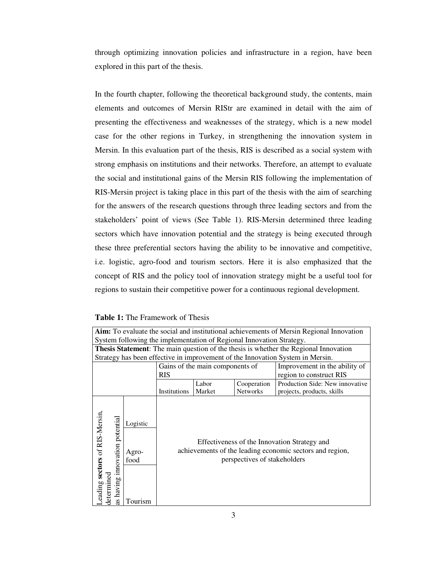through optimizing innovation policies and infrastructure in a region, have been explored in this part of the thesis.

In the fourth chapter, following the theoretical background study, the contents, main elements and outcomes of Mersin RIStr are examined in detail with the aim of presenting the effectiveness and weaknesses of the strategy, which is a new model case for the other regions in Turkey, in strengthening the innovation system in Mersin. In this evaluation part of the thesis, RIS is described as a social system with strong emphasis on institutions and their networks. Therefore, an attempt to evaluate the social and institutional gains of the Mersin RIS following the implementation of RIS-Mersin project is taking place in this part of the thesis with the aim of searching for the answers of the research questions through three leading sectors and from the stakeholders' point of views (See Table 1). RIS-Mersin determined three leading sectors which have innovation potential and the strategy is being executed through these three preferential sectors having the ability to be innovative and competitive, i.e. logistic, agro-food and tourism sectors. Here it is also emphasized that the concept of RIS and the policy tool of innovation strategy might be a useful tool for regions to sustain their competitive power for a continuous regional development.

|  |  | <b>Table 1:</b> The Framework of Thesis |  |
|--|--|-----------------------------------------|--|
|--|--|-----------------------------------------|--|

| Aim: To evaluate the social and institutional achievements of Mersin Regional Innovation |                                      |                                                                                                                                          |                                                                      |                 |                                                                                             |
|------------------------------------------------------------------------------------------|--------------------------------------|------------------------------------------------------------------------------------------------------------------------------------------|----------------------------------------------------------------------|-----------------|---------------------------------------------------------------------------------------------|
|                                                                                          |                                      |                                                                                                                                          | System following the implementation of Regional Innovation Strategy. |                 |                                                                                             |
|                                                                                          |                                      |                                                                                                                                          |                                                                      |                 | <b>Thesis Statement:</b> The main question of the thesis is whether the Regional Innovation |
|                                                                                          |                                      |                                                                                                                                          |                                                                      |                 | Strategy has been effective in improvement of the Innovation System in Mersin.              |
| Gains of the main components of                                                          |                                      |                                                                                                                                          | Improvement in the ability of                                        |                 |                                                                                             |
| <b>RIS</b>                                                                               |                                      | region to construct RIS                                                                                                                  |                                                                      |                 |                                                                                             |
|                                                                                          |                                      |                                                                                                                                          | Labor                                                                | Cooperation     | Production Side: New innovative                                                             |
|                                                                                          |                                      | Institutions                                                                                                                             | Market                                                               | <b>Networks</b> | projects, products, skills                                                                  |
| Leading sectors of RIS-Mersin,<br>innovation potential<br>determined<br>having<br>æ      | Logistic<br>Agro-<br>food<br>Tourism | Effectiveness of the Innovation Strategy and<br>achievements of the leading economic sectors and region,<br>perspectives of stakeholders |                                                                      |                 |                                                                                             |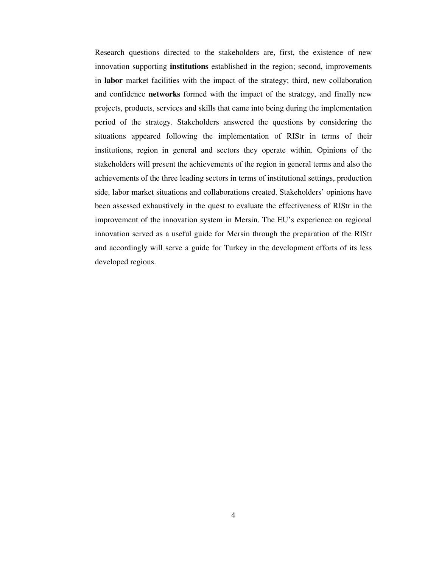Research questions directed to the stakeholders are, first, the existence of new innovation supporting **institutions** established in the region; second, improvements in **labor** market facilities with the impact of the strategy; third, new collaboration and confidence **networks** formed with the impact of the strategy, and finally new projects, products, services and skills that came into being during the implementation period of the strategy. Stakeholders answered the questions by considering the situations appeared following the implementation of RIStr in terms of their institutions, region in general and sectors they operate within. Opinions of the stakeholders will present the achievements of the region in general terms and also the achievements of the three leading sectors in terms of institutional settings, production side, labor market situations and collaborations created. Stakeholders' opinions have been assessed exhaustively in the quest to evaluate the effectiveness of RIStr in the improvement of the innovation system in Mersin. The EU's experience on regional innovation served as a useful guide for Mersin through the preparation of the RIStr and accordingly will serve a guide for Turkey in the development efforts of its less developed regions.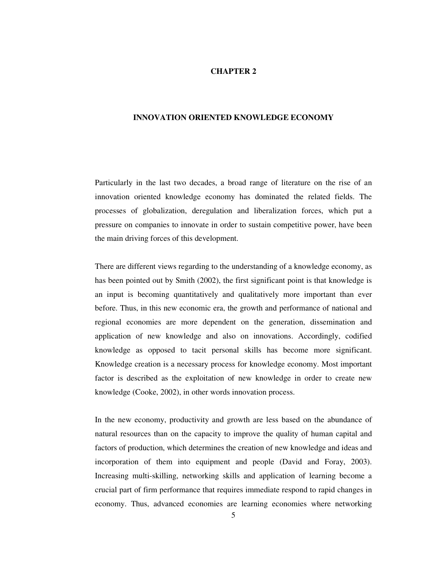#### **CHAPTER 2**

#### **INNOVATION ORIENTED KNOWLEDGE ECONOMY**

Particularly in the last two decades, a broad range of literature on the rise of an innovation oriented knowledge economy has dominated the related fields. The processes of globalization, deregulation and liberalization forces, which put a pressure on companies to innovate in order to sustain competitive power, have been the main driving forces of this development.

There are different views regarding to the understanding of a knowledge economy, as has been pointed out by Smith (2002), the first significant point is that knowledge is an input is becoming quantitatively and qualitatively more important than ever before. Thus, in this new economic era, the growth and performance of national and regional economies are more dependent on the generation, dissemination and application of new knowledge and also on innovations. Accordingly, codified knowledge as opposed to tacit personal skills has become more significant. Knowledge creation is a necessary process for knowledge economy. Most important factor is described as the exploitation of new knowledge in order to create new knowledge (Cooke, 2002), in other words innovation process.

In the new economy, productivity and growth are less based on the abundance of natural resources than on the capacity to improve the quality of human capital and factors of production, which determines the creation of new knowledge and ideas and incorporation of them into equipment and people (David and Foray, 2003). Increasing multi-skilling, networking skills and application of learning become a crucial part of firm performance that requires immediate respond to rapid changes in economy. Thus, advanced economies are learning economies where networking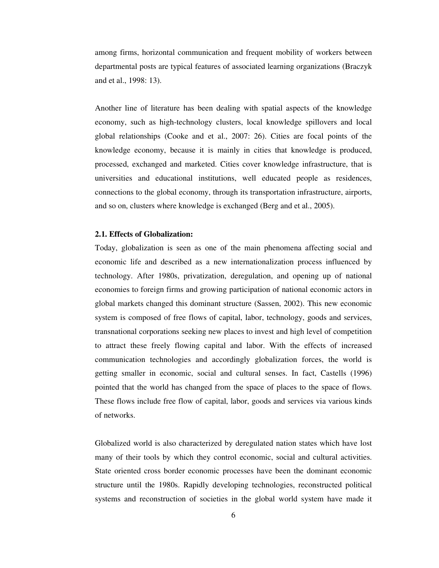among firms, horizontal communication and frequent mobility of workers between departmental posts are typical features of associated learning organizations (Braczyk and et al., 1998: 13).

Another line of literature has been dealing with spatial aspects of the knowledge economy, such as high-technology clusters, local knowledge spillovers and local global relationships (Cooke and et al., 2007: 26). Cities are focal points of the knowledge economy, because it is mainly in cities that knowledge is produced, processed, exchanged and marketed. Cities cover knowledge infrastructure, that is universities and educational institutions, well educated people as residences, connections to the global economy, through its transportation infrastructure, airports, and so on, clusters where knowledge is exchanged (Berg and et al., 2005).

#### **2.1. Effects of Globalization:**

Today, globalization is seen as one of the main phenomena affecting social and economic life and described as a new internationalization process influenced by technology. After 1980s, privatization, deregulation, and opening up of national economies to foreign firms and growing participation of national economic actors in global markets changed this dominant structure (Sassen, 2002). This new economic system is composed of free flows of capital, labor, technology, goods and services, transnational corporations seeking new places to invest and high level of competition to attract these freely flowing capital and labor. With the effects of increased communication technologies and accordingly globalization forces, the world is getting smaller in economic, social and cultural senses. In fact, Castells (1996) pointed that the world has changed from the space of places to the space of flows. These flows include free flow of capital, labor, goods and services via various kinds of networks.

Globalized world is also characterized by deregulated nation states which have lost many of their tools by which they control economic, social and cultural activities. State oriented cross border economic processes have been the dominant economic structure until the 1980s. Rapidly developing technologies, reconstructed political systems and reconstruction of societies in the global world system have made it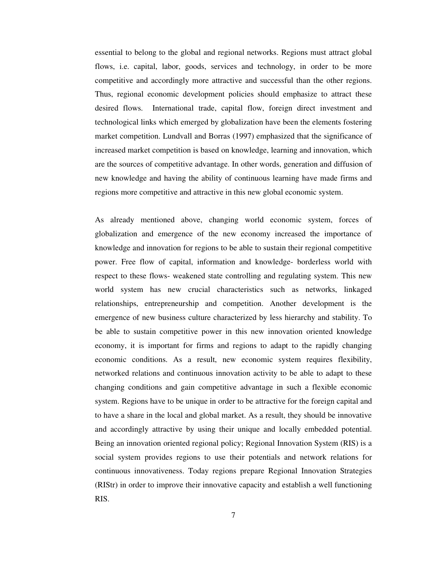essential to belong to the global and regional networks. Regions must attract global flows, i.e. capital, labor, goods, services and technology, in order to be more competitive and accordingly more attractive and successful than the other regions. Thus, regional economic development policies should emphasize to attract these desired flows. International trade, capital flow, foreign direct investment and technological links which emerged by globalization have been the elements fostering market competition. Lundvall and Borras (1997) emphasized that the significance of increased market competition is based on knowledge, learning and innovation, which are the sources of competitive advantage. In other words, generation and diffusion of new knowledge and having the ability of continuous learning have made firms and regions more competitive and attractive in this new global economic system.

As already mentioned above, changing world economic system, forces of globalization and emergence of the new economy increased the importance of knowledge and innovation for regions to be able to sustain their regional competitive power. Free flow of capital, information and knowledge- borderless world with respect to these flows- weakened state controlling and regulating system. This new world system has new crucial characteristics such as networks, linkaged relationships, entrepreneurship and competition. Another development is the emergence of new business culture characterized by less hierarchy and stability. To be able to sustain competitive power in this new innovation oriented knowledge economy, it is important for firms and regions to adapt to the rapidly changing economic conditions. As a result, new economic system requires flexibility, networked relations and continuous innovation activity to be able to adapt to these changing conditions and gain competitive advantage in such a flexible economic system. Regions have to be unique in order to be attractive for the foreign capital and to have a share in the local and global market. As a result, they should be innovative and accordingly attractive by using their unique and locally embedded potential. Being an innovation oriented regional policy; Regional Innovation System (RIS) is a social system provides regions to use their potentials and network relations for continuous innovativeness. Today regions prepare Regional Innovation Strategies (RIStr) in order to improve their innovative capacity and establish a well functioning RIS.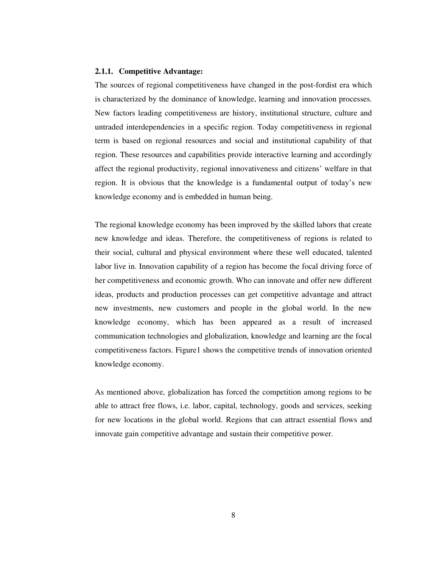#### **2.1.1. Competitive Advantage:**

The sources of regional competitiveness have changed in the post-fordist era which is characterized by the dominance of knowledge, learning and innovation processes. New factors leading competitiveness are history, institutional structure, culture and untraded interdependencies in a specific region. Today competitiveness in regional term is based on regional resources and social and institutional capability of that region. These resources and capabilities provide interactive learning and accordingly affect the regional productivity, regional innovativeness and citizens' welfare in that region. It is obvious that the knowledge is a fundamental output of today's new knowledge economy and is embedded in human being.

The regional knowledge economy has been improved by the skilled labors that create new knowledge and ideas. Therefore, the competitiveness of regions is related to their social, cultural and physical environment where these well educated, talented labor live in. Innovation capability of a region has become the focal driving force of her competitiveness and economic growth. Who can innovate and offer new different ideas, products and production processes can get competitive advantage and attract new investments, new customers and people in the global world. In the new knowledge economy, which has been appeared as a result of increased communication technologies and globalization, knowledge and learning are the focal competitiveness factors. Figure1 shows the competitive trends of innovation oriented knowledge economy.

As mentioned above, globalization has forced the competition among regions to be able to attract free flows, i.e. labor, capital, technology, goods and services, seeking for new locations in the global world. Regions that can attract essential flows and innovate gain competitive advantage and sustain their competitive power.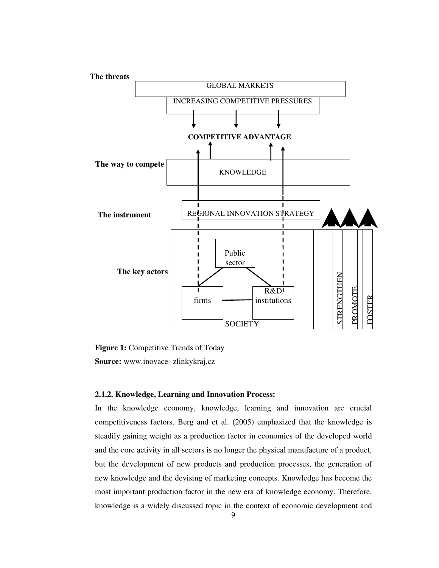

Figure 1: Competitive Trends of Today **Source:** www.inovace- zlinkykraj.cz

### **2.1.2. Knowledge, Learning and Innovation Process:**

In the knowledge economy, knowledge, learning and innovation are crucial competitiveness factors. Berg and et al. (2005) emphasized that the knowledge is steadily gaining weight as a production factor in economies of the developed world and the core activity in all sectors is no longer the physical manufacture of a product, but the development of new products and production processes, the generation of new knowledge and the devising of marketing concepts. Knowledge has become the most important production factor in the new era of knowledge economy. Therefore, knowledge is a widely discussed topic in the context of economic development and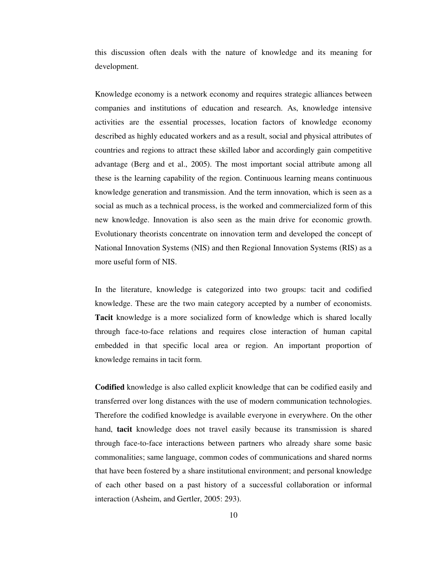this discussion often deals with the nature of knowledge and its meaning for development.

Knowledge economy is a network economy and requires strategic alliances between companies and institutions of education and research. As, knowledge intensive activities are the essential processes, location factors of knowledge economy described as highly educated workers and as a result, social and physical attributes of countries and regions to attract these skilled labor and accordingly gain competitive advantage (Berg and et al., 2005). The most important social attribute among all these is the learning capability of the region. Continuous learning means continuous knowledge generation and transmission. And the term innovation, which is seen as a social as much as a technical process, is the worked and commercialized form of this new knowledge. Innovation is also seen as the main drive for economic growth. Evolutionary theorists concentrate on innovation term and developed the concept of National Innovation Systems (NIS) and then Regional Innovation Systems (RIS) as a more useful form of NIS.

In the literature, knowledge is categorized into two groups: tacit and codified knowledge. These are the two main category accepted by a number of economists. **Tacit** knowledge is a more socialized form of knowledge which is shared locally through face-to-face relations and requires close interaction of human capital embedded in that specific local area or region. An important proportion of knowledge remains in tacit form.

**Codified** knowledge is also called explicit knowledge that can be codified easily and transferred over long distances with the use of modern communication technologies. Therefore the codified knowledge is available everyone in everywhere. On the other hand, **tacit** knowledge does not travel easily because its transmission is shared through face-to-face interactions between partners who already share some basic commonalities; same language, common codes of communications and shared norms that have been fostered by a share institutional environment; and personal knowledge of each other based on a past history of a successful collaboration or informal interaction (Asheim, and Gertler, 2005: 293).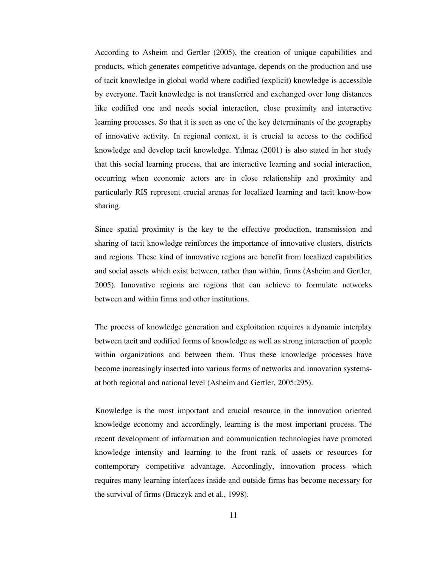According to Asheim and Gertler (2005), the creation of unique capabilities and products, which generates competitive advantage, depends on the production and use of tacit knowledge in global world where codified (explicit) knowledge is accessible by everyone. Tacit knowledge is not transferred and exchanged over long distances like codified one and needs social interaction, close proximity and interactive learning processes. So that it is seen as one of the key determinants of the geography of innovative activity. In regional context, it is crucial to access to the codified knowledge and develop tacit knowledge. Yılmaz (2001) is also stated in her study that this social learning process, that are interactive learning and social interaction, occurring when economic actors are in close relationship and proximity and particularly RIS represent crucial arenas for localized learning and tacit know-how sharing.

Since spatial proximity is the key to the effective production, transmission and sharing of tacit knowledge reinforces the importance of innovative clusters, districts and regions. These kind of innovative regions are benefit from localized capabilities and social assets which exist between, rather than within, firms (Asheim and Gertler, 2005). Innovative regions are regions that can achieve to formulate networks between and within firms and other institutions.

The process of knowledge generation and exploitation requires a dynamic interplay between tacit and codified forms of knowledge as well as strong interaction of people within organizations and between them. Thus these knowledge processes have become increasingly inserted into various forms of networks and innovation systemsat both regional and national level (Asheim and Gertler, 2005:295).

Knowledge is the most important and crucial resource in the innovation oriented knowledge economy and accordingly, learning is the most important process. The recent development of information and communication technologies have promoted knowledge intensity and learning to the front rank of assets or resources for contemporary competitive advantage. Accordingly, innovation process which requires many learning interfaces inside and outside firms has become necessary for the survival of firms (Braczyk and et al., 1998).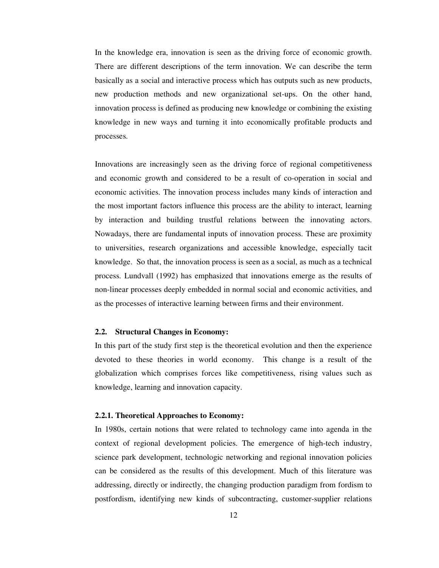In the knowledge era, innovation is seen as the driving force of economic growth. There are different descriptions of the term innovation. We can describe the term basically as a social and interactive process which has outputs such as new products, new production methods and new organizational set-ups. On the other hand, innovation process is defined as producing new knowledge or combining the existing knowledge in new ways and turning it into economically profitable products and processes.

Innovations are increasingly seen as the driving force of regional competitiveness and economic growth and considered to be a result of co-operation in social and economic activities. The innovation process includes many kinds of interaction and the most important factors influence this process are the ability to interact, learning by interaction and building trustful relations between the innovating actors. Nowadays, there are fundamental inputs of innovation process. These are proximity to universities, research organizations and accessible knowledge, especially tacit knowledge. So that, the innovation process is seen as a social, as much as a technical process. Lundvall (1992) has emphasized that innovations emerge as the results of non-linear processes deeply embedded in normal social and economic activities, and as the processes of interactive learning between firms and their environment.

#### **2.2. Structural Changes in Economy:**

In this part of the study first step is the theoretical evolution and then the experience devoted to these theories in world economy. This change is a result of the globalization which comprises forces like competitiveness, rising values such as knowledge, learning and innovation capacity.

#### **2.2.1. Theoretical Approaches to Economy:**

In 1980s, certain notions that were related to technology came into agenda in the context of regional development policies. The emergence of high-tech industry, science park development, technologic networking and regional innovation policies can be considered as the results of this development. Much of this literature was addressing, directly or indirectly, the changing production paradigm from fordism to postfordism, identifying new kinds of subcontracting, customer-supplier relations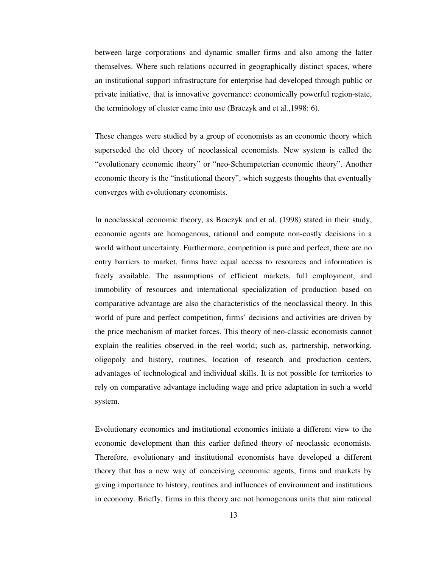between large corporations and dynamic smaller firms and also among the latter themselves. Where such relations occurred in geographically distinct spaces, where an institutional support infrastructure for enterprise had developed through public or private initiative, that is innovative governance: economically powerful region-state, the terminology of cluster came into use (Braczyk and et al.,1998: 6).

These changes were studied by a group of economists as an economic theory which superseded the old theory of neoclassical economists. New system is called the "evolutionary economic theory" or "neo-Schumpeterian economic theory". Another economic theory is the "institutional theory", which suggests thoughts that eventually converges with evolutionary economists.

In neoclassical economic theory, as Braczyk and et al. (1998) stated in their study, economic agents are homogenous, rational and compute non-costly decisions in a world without uncertainty. Furthermore, competition is pure and perfect, there are no entry barriers to market, firms have equal access to resources and information is freely available. The assumptions of efficient markets, full employment, and immobility of resources and international specialization of production based on comparative advantage are also the characteristics of the neoclassical theory. In this world of pure and perfect competition, firms' decisions and activities are driven by the price mechanism of market forces. This theory of neo-classic economists cannot explain the realities observed in the reel world; such as, partnership, networking, oligopoly and history, routines, location of research and production centers, advantages of technological and individual skills. It is not possible for territories to rely on comparative advantage including wage and price adaptation in such a world system.

Evolutionary economics and institutional economics initiate a different view to the economic development than this earlier defined theory of neoclassic economists. Therefore, evolutionary and institutional economists have developed a different theory that has a new way of conceiving economic agents, firms and markets by giving importance to history, routines and influences of environment and institutions in economy. Briefly, firms in this theory are not homogenous units that aim rational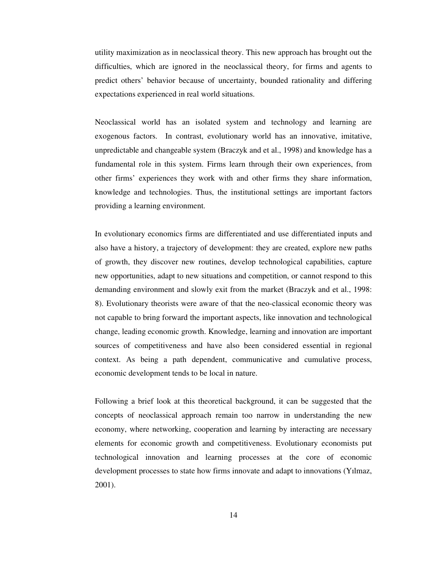utility maximization as in neoclassical theory. This new approach has brought out the difficulties, which are ignored in the neoclassical theory, for firms and agents to predict others' behavior because of uncertainty, bounded rationality and differing expectations experienced in real world situations.

Neoclassical world has an isolated system and technology and learning are exogenous factors. In contrast, evolutionary world has an innovative, imitative, unpredictable and changeable system (Braczyk and et al., 1998) and knowledge has a fundamental role in this system. Firms learn through their own experiences, from other firms' experiences they work with and other firms they share information, knowledge and technologies. Thus, the institutional settings are important factors providing a learning environment.

In evolutionary economics firms are differentiated and use differentiated inputs and also have a history, a trajectory of development: they are created, explore new paths of growth, they discover new routines, develop technological capabilities, capture new opportunities, adapt to new situations and competition, or cannot respond to this demanding environment and slowly exit from the market (Braczyk and et al., 1998: 8). Evolutionary theorists were aware of that the neo-classical economic theory was not capable to bring forward the important aspects, like innovation and technological change, leading economic growth. Knowledge, learning and innovation are important sources of competitiveness and have also been considered essential in regional context. As being a path dependent, communicative and cumulative process, economic development tends to be local in nature.

Following a brief look at this theoretical background, it can be suggested that the concepts of neoclassical approach remain too narrow in understanding the new economy, where networking, cooperation and learning by interacting are necessary elements for economic growth and competitiveness. Evolutionary economists put technological innovation and learning processes at the core of economic development processes to state how firms innovate and adapt to innovations (Yılmaz, 2001).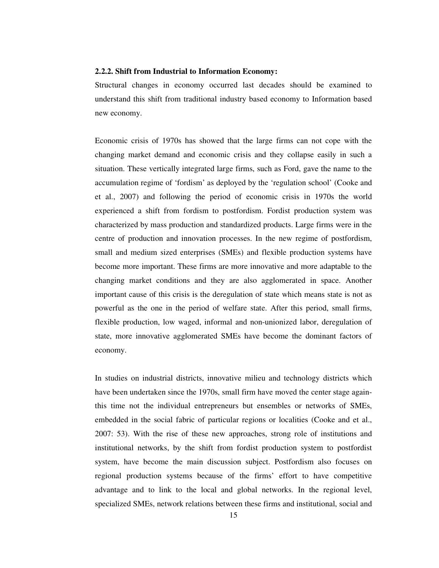#### **2.2.2. Shift from Industrial to Information Economy:**

Structural changes in economy occurred last decades should be examined to understand this shift from traditional industry based economy to Information based new economy.

Economic crisis of 1970s has showed that the large firms can not cope with the changing market demand and economic crisis and they collapse easily in such a situation. These vertically integrated large firms, such as Ford, gave the name to the accumulation regime of 'fordism' as deployed by the 'regulation school' (Cooke and et al., 2007) and following the period of economic crisis in 1970s the world experienced a shift from fordism to postfordism. Fordist production system was characterized by mass production and standardized products. Large firms were in the centre of production and innovation processes. In the new regime of postfordism, small and medium sized enterprises (SMEs) and flexible production systems have become more important. These firms are more innovative and more adaptable to the changing market conditions and they are also agglomerated in space. Another important cause of this crisis is the deregulation of state which means state is not as powerful as the one in the period of welfare state. After this period, small firms, flexible production, low waged, informal and non-unionized labor, deregulation of state, more innovative agglomerated SMEs have become the dominant factors of economy.

In studies on industrial districts, innovative milieu and technology districts which have been undertaken since the 1970s, small firm have moved the center stage againthis time not the individual entrepreneurs but ensembles or networks of SMEs, embedded in the social fabric of particular regions or localities (Cooke and et al., 2007: 53). With the rise of these new approaches, strong role of institutions and institutional networks, by the shift from fordist production system to postfordist system, have become the main discussion subject. Postfordism also focuses on regional production systems because of the firms' effort to have competitive advantage and to link to the local and global networks. In the regional level, specialized SMEs, network relations between these firms and institutional, social and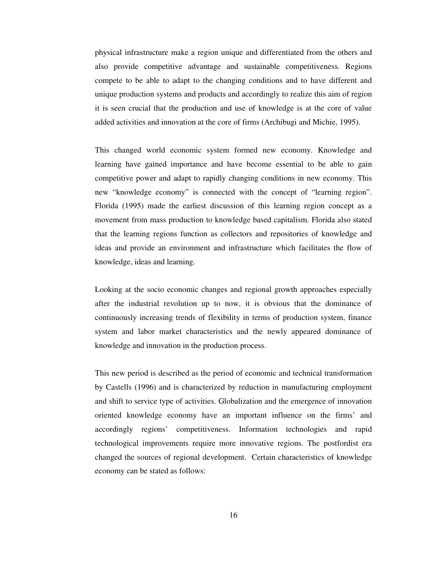physical infrastructure make a region unique and differentiated from the others and also provide competitive advantage and sustainable competitiveness. Regions compete to be able to adapt to the changing conditions and to have different and unique production systems and products and accordingly to realize this aim of region it is seen crucial that the production and use of knowledge is at the core of value added activities and innovation at the core of firms (Archibugi and Michie, 1995).

This changed world economic system formed new economy. Knowledge and learning have gained importance and have become essential to be able to gain competitive power and adapt to rapidly changing conditions in new economy. This new "knowledge economy" is connected with the concept of "learning region". Florida (1995) made the earliest discussion of this learning region concept as a movement from mass production to knowledge based capitalism. Florida also stated that the learning regions function as collectors and repositories of knowledge and ideas and provide an environment and infrastructure which facilitates the flow of knowledge, ideas and learning.

Looking at the socio economic changes and regional growth approaches especially after the industrial revolution up to now, it is obvious that the dominance of continuously increasing trends of flexibility in terms of production system, finance system and labor market characteristics and the newly appeared dominance of knowledge and innovation in the production process.

This new period is described as the period of economic and technical transformation by Castells (1996) and is characterized by reduction in manufacturing employment and shift to service type of activities. Globalization and the emergence of innovation oriented knowledge economy have an important influence on the firms' and accordingly regions' competitiveness. Information technologies and rapid technological improvements require more innovative regions. The postfordist era changed the sources of regional development. Certain characteristics of knowledge economy can be stated as follows: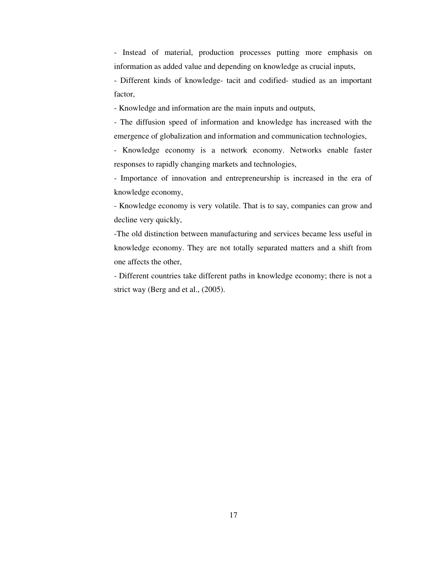- Instead of material, production processes putting more emphasis on information as added value and depending on knowledge as crucial inputs,

- Different kinds of knowledge- tacit and codified- studied as an important factor,

- Knowledge and information are the main inputs and outputs,

- The diffusion speed of information and knowledge has increased with the emergence of globalization and information and communication technologies,

- Knowledge economy is a network economy. Networks enable faster responses to rapidly changing markets and technologies,

- Importance of innovation and entrepreneurship is increased in the era of knowledge economy,

- Knowledge economy is very volatile. That is to say, companies can grow and decline very quickly,

-The old distinction between manufacturing and services became less useful in knowledge economy. They are not totally separated matters and a shift from one affects the other,

- Different countries take different paths in knowledge economy; there is not a strict way (Berg and et al., (2005).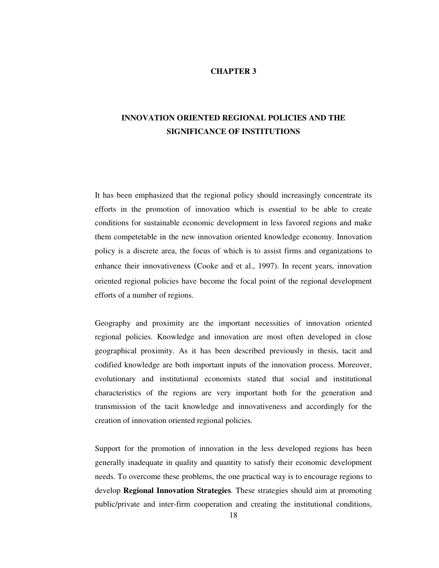### **CHAPTER 3**

# **INNOVATION ORIENTED REGIONAL POLICIES AND THE SIGNIFICANCE OF INSTITUTIONS**

It has been emphasized that the regional policy should increasingly concentrate its efforts in the promotion of innovation which is essential to be able to create conditions for sustainable economic development in less favored regions and make them competetable in the new innovation oriented knowledge economy. Innovation policy is a discrete area, the focus of which is to assist firms and organizations to enhance their innovativeness (Cooke and et al., 1997). In recent years, innovation oriented regional policies have become the focal point of the regional development efforts of a number of regions.

Geography and proximity are the important necessities of innovation oriented regional policies. Knowledge and innovation are most often developed in close geographical proximity. As it has been described previously in thesis, tacit and codified knowledge are both important inputs of the innovation process. Moreover, evolutionary and institutional economists stated that social and institutional characteristics of the regions are very important both for the generation and transmission of the tacit knowledge and innovativeness and accordingly for the creation of innovation oriented regional policies.

Support for the promotion of innovation in the less developed regions has been generally inadequate in quality and quantity to satisfy their economic development needs. To overcome these problems, the one practical way is to encourage regions to develop **Regional Innovation Strategies**. These strategies should aim at promoting public/private and inter-firm cooperation and creating the institutional conditions,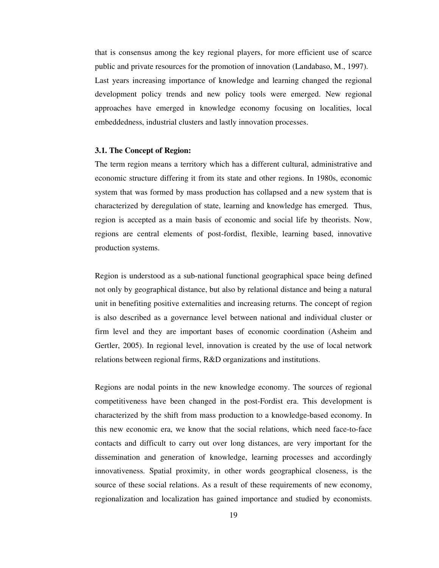that is consensus among the key regional players, for more efficient use of scarce public and private resources for the promotion of innovation (Landabaso, M., 1997). Last years increasing importance of knowledge and learning changed the regional development policy trends and new policy tools were emerged. New regional approaches have emerged in knowledge economy focusing on localities, local embeddedness, industrial clusters and lastly innovation processes.

#### **3.1. The Concept of Region:**

The term region means a territory which has a different cultural, administrative and economic structure differing it from its state and other regions. In 1980s, economic system that was formed by mass production has collapsed and a new system that is characterized by deregulation of state, learning and knowledge has emerged. Thus, region is accepted as a main basis of economic and social life by theorists. Now, regions are central elements of post-fordist, flexible, learning based, innovative production systems.

Region is understood as a sub-national functional geographical space being defined not only by geographical distance, but also by relational distance and being a natural unit in benefiting positive externalities and increasing returns. The concept of region is also described as a governance level between national and individual cluster or firm level and they are important bases of economic coordination (Asheim and Gertler, 2005). In regional level, innovation is created by the use of local network relations between regional firms, R&D organizations and institutions.

Regions are nodal points in the new knowledge economy. The sources of regional competitiveness have been changed in the post-Fordist era. This development is characterized by the shift from mass production to a knowledge-based economy. In this new economic era, we know that the social relations, which need face-to-face contacts and difficult to carry out over long distances, are very important for the dissemination and generation of knowledge, learning processes and accordingly innovativeness. Spatial proximity, in other words geographical closeness, is the source of these social relations. As a result of these requirements of new economy, regionalization and localization has gained importance and studied by economists.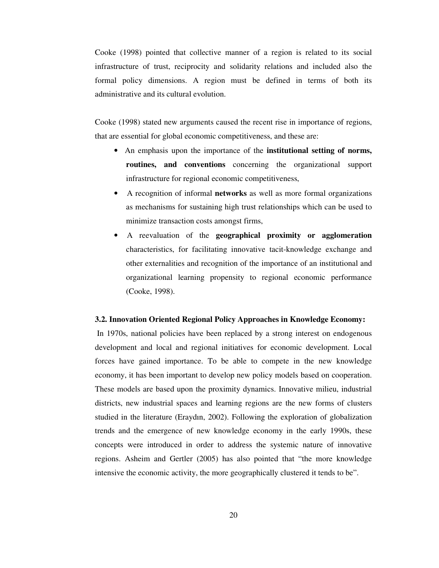Cooke (1998) pointed that collective manner of a region is related to its social infrastructure of trust, reciprocity and solidarity relations and included also the formal policy dimensions. A region must be defined in terms of both its administrative and its cultural evolution.

Cooke (1998) stated new arguments caused the recent rise in importance of regions, that are essential for global economic competitiveness, and these are:

- An emphasis upon the importance of the **institutional setting of norms, routines, and conventions** concerning the organizational support infrastructure for regional economic competitiveness,
- A recognition of informal **networks** as well as more formal organizations as mechanisms for sustaining high trust relationships which can be used to minimize transaction costs amongst firms,
- A reevaluation of the **geographical proximity or agglomeration** characteristics, for facilitating innovative tacit-knowledge exchange and other externalities and recognition of the importance of an institutional and organizational learning propensity to regional economic performance (Cooke, 1998).

#### **3.2. Innovation Oriented Regional Policy Approaches in Knowledge Economy:**

 In 1970s, national policies have been replaced by a strong interest on endogenous development and local and regional initiatives for economic development. Local forces have gained importance. To be able to compete in the new knowledge economy, it has been important to develop new policy models based on cooperation. These models are based upon the proximity dynamics. Innovative milieu, industrial districts, new industrial spaces and learning regions are the new forms of clusters studied in the literature (Eraydın, 2002). Following the exploration of globalization trends and the emergence of new knowledge economy in the early 1990s, these concepts were introduced in order to address the systemic nature of innovative regions. Asheim and Gertler (2005) has also pointed that "the more knowledge intensive the economic activity, the more geographically clustered it tends to be".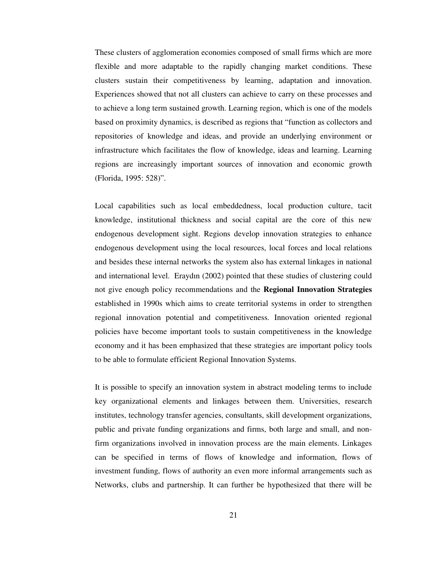These clusters of agglomeration economies composed of small firms which are more flexible and more adaptable to the rapidly changing market conditions. These clusters sustain their competitiveness by learning, adaptation and innovation. Experiences showed that not all clusters can achieve to carry on these processes and to achieve a long term sustained growth. Learning region, which is one of the models based on proximity dynamics, is described as regions that "function as collectors and repositories of knowledge and ideas, and provide an underlying environment or infrastructure which facilitates the flow of knowledge, ideas and learning. Learning regions are increasingly important sources of innovation and economic growth (Florida, 1995: 528)".

Local capabilities such as local embeddedness, local production culture, tacit knowledge, institutional thickness and social capital are the core of this new endogenous development sight. Regions develop innovation strategies to enhance endogenous development using the local resources, local forces and local relations and besides these internal networks the system also has external linkages in national and international level. Eraydın (2002) pointed that these studies of clustering could not give enough policy recommendations and the **Regional Innovation Strategies** established in 1990s which aims to create territorial systems in order to strengthen regional innovation potential and competitiveness. Innovation oriented regional policies have become important tools to sustain competitiveness in the knowledge economy and it has been emphasized that these strategies are important policy tools to be able to formulate efficient Regional Innovation Systems.

It is possible to specify an innovation system in abstract modeling terms to include key organizational elements and linkages between them. Universities, research institutes, technology transfer agencies, consultants, skill development organizations, public and private funding organizations and firms, both large and small, and nonfirm organizations involved in innovation process are the main elements. Linkages can be specified in terms of flows of knowledge and information, flows of investment funding, flows of authority an even more informal arrangements such as Networks, clubs and partnership. It can further be hypothesized that there will be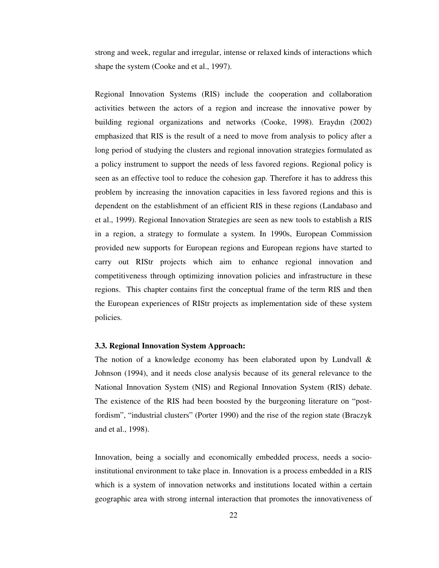strong and week, regular and irregular, intense or relaxed kinds of interactions which shape the system (Cooke and et al., 1997).

Regional Innovation Systems (RIS) include the cooperation and collaboration activities between the actors of a region and increase the innovative power by building regional organizations and networks (Cooke, 1998). Eraydın (2002) emphasized that RIS is the result of a need to move from analysis to policy after a long period of studying the clusters and regional innovation strategies formulated as a policy instrument to support the needs of less favored regions. Regional policy is seen as an effective tool to reduce the cohesion gap. Therefore it has to address this problem by increasing the innovation capacities in less favored regions and this is dependent on the establishment of an efficient RIS in these regions (Landabaso and et al., 1999). Regional Innovation Strategies are seen as new tools to establish a RIS in a region, a strategy to formulate a system. In 1990s, European Commission provided new supports for European regions and European regions have started to carry out RIStr projects which aim to enhance regional innovation and competitiveness through optimizing innovation policies and infrastructure in these regions. This chapter contains first the conceptual frame of the term RIS and then the European experiences of RIStr projects as implementation side of these system policies.

## **3.3. Regional Innovation System Approach:**

The notion of a knowledge economy has been elaborated upon by Lundvall  $\&$ Johnson (1994), and it needs close analysis because of its general relevance to the National Innovation System (NIS) and Regional Innovation System (RIS) debate. The existence of the RIS had been boosted by the burgeoning literature on "postfordism", "industrial clusters" (Porter 1990) and the rise of the region state (Braczyk and et al., 1998).

Innovation, being a socially and economically embedded process, needs a socioinstitutional environment to take place in. Innovation is a process embedded in a RIS which is a system of innovation networks and institutions located within a certain geographic area with strong internal interaction that promotes the innovativeness of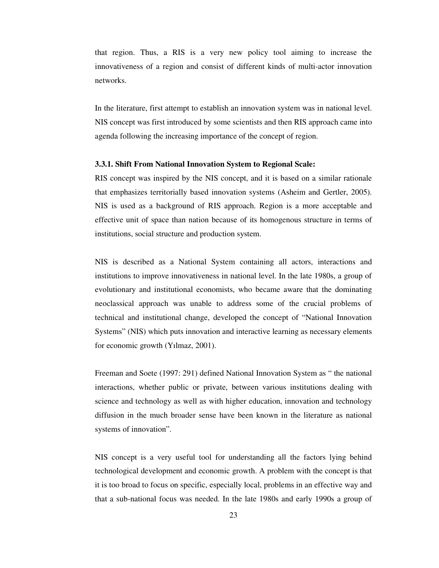that region. Thus, a RIS is a very new policy tool aiming to increase the innovativeness of a region and consist of different kinds of multi-actor innovation networks.

In the literature, first attempt to establish an innovation system was in national level. NIS concept was first introduced by some scientists and then RIS approach came into agenda following the increasing importance of the concept of region.

## **3.3.1. Shift From National Innovation System to Regional Scale:**

RIS concept was inspired by the NIS concept, and it is based on a similar rationale that emphasizes territorially based innovation systems (Asheim and Gertler, 2005). NIS is used as a background of RIS approach. Region is a more acceptable and effective unit of space than nation because of its homogenous structure in terms of institutions, social structure and production system.

NIS is described as a National System containing all actors, interactions and institutions to improve innovativeness in national level. In the late 1980s, a group of evolutionary and institutional economists, who became aware that the dominating neoclassical approach was unable to address some of the crucial problems of technical and institutional change, developed the concept of "National Innovation Systems" (NIS) which puts innovation and interactive learning as necessary elements for economic growth (Yılmaz, 2001).

Freeman and Soete (1997: 291) defined National Innovation System as " the national interactions, whether public or private, between various institutions dealing with science and technology as well as with higher education, innovation and technology diffusion in the much broader sense have been known in the literature as national systems of innovation".

NIS concept is a very useful tool for understanding all the factors lying behind technological development and economic growth. A problem with the concept is that it is too broad to focus on specific, especially local, problems in an effective way and that a sub-national focus was needed. In the late 1980s and early 1990s a group of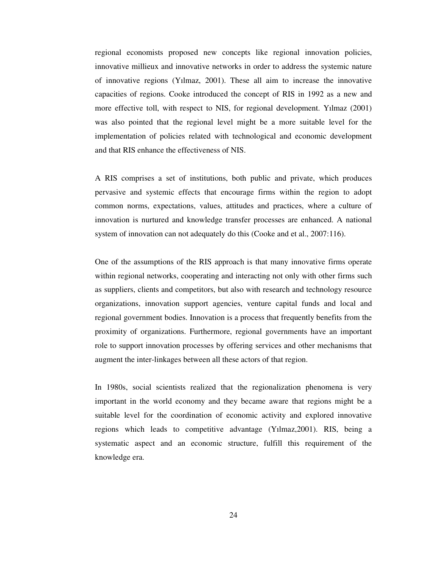regional economists proposed new concepts like regional innovation policies, innovative millieux and innovative networks in order to address the systemic nature of innovative regions (Yılmaz, 2001). These all aim to increase the innovative capacities of regions. Cooke introduced the concept of RIS in 1992 as a new and more effective toll, with respect to NIS, for regional development. Yılmaz (2001) was also pointed that the regional level might be a more suitable level for the implementation of policies related with technological and economic development and that RIS enhance the effectiveness of NIS.

A RIS comprises a set of institutions, both public and private, which produces pervasive and systemic effects that encourage firms within the region to adopt common norms, expectations, values, attitudes and practices, where a culture of innovation is nurtured and knowledge transfer processes are enhanced. A national system of innovation can not adequately do this (Cooke and et al., 2007:116).

One of the assumptions of the RIS approach is that many innovative firms operate within regional networks, cooperating and interacting not only with other firms such as suppliers, clients and competitors, but also with research and technology resource organizations, innovation support agencies, venture capital funds and local and regional government bodies. Innovation is a process that frequently benefits from the proximity of organizations. Furthermore, regional governments have an important role to support innovation processes by offering services and other mechanisms that augment the inter-linkages between all these actors of that region.

In 1980s, social scientists realized that the regionalization phenomena is very important in the world economy and they became aware that regions might be a suitable level for the coordination of economic activity and explored innovative regions which leads to competitive advantage (Yılmaz,2001). RIS, being a systematic aspect and an economic structure, fulfill this requirement of the knowledge era.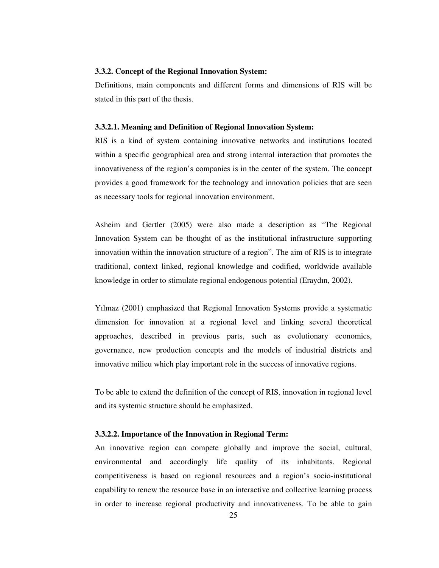## **3.3.2. Concept of the Regional Innovation System:**

Definitions, main components and different forms and dimensions of RIS will be stated in this part of the thesis.

### **3.3.2.1. Meaning and Definition of Regional Innovation System:**

RIS is a kind of system containing innovative networks and institutions located within a specific geographical area and strong internal interaction that promotes the innovativeness of the region's companies is in the center of the system. The concept provides a good framework for the technology and innovation policies that are seen as necessary tools for regional innovation environment.

Asheim and Gertler (2005) were also made a description as "The Regional Innovation System can be thought of as the institutional infrastructure supporting innovation within the innovation structure of a region". The aim of RIS is to integrate traditional, context linked, regional knowledge and codified, worldwide available knowledge in order to stimulate regional endogenous potential (Eraydın, 2002).

Yılmaz (2001) emphasized that Regional Innovation Systems provide a systematic dimension for innovation at a regional level and linking several theoretical approaches, described in previous parts, such as evolutionary economics, governance, new production concepts and the models of industrial districts and innovative milieu which play important role in the success of innovative regions.

To be able to extend the definition of the concept of RIS, innovation in regional level and its systemic structure should be emphasized.

## **3.3.2.2. Importance of the Innovation in Regional Term:**

An innovative region can compete globally and improve the social, cultural, environmental and accordingly life quality of its inhabitants. Regional competitiveness is based on regional resources and a region's socio-institutional capability to renew the resource base in an interactive and collective learning process in order to increase regional productivity and innovativeness. To be able to gain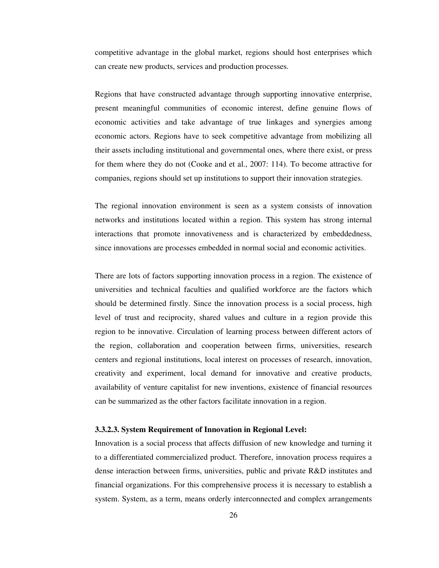competitive advantage in the global market, regions should host enterprises which can create new products, services and production processes.

Regions that have constructed advantage through supporting innovative enterprise, present meaningful communities of economic interest, define genuine flows of economic activities and take advantage of true linkages and synergies among economic actors. Regions have to seek competitive advantage from mobilizing all their assets including institutional and governmental ones, where there exist, or press for them where they do not (Cooke and et al., 2007: 114). To become attractive for companies, regions should set up institutions to support their innovation strategies.

The regional innovation environment is seen as a system consists of innovation networks and institutions located within a region. This system has strong internal interactions that promote innovativeness and is characterized by embeddedness, since innovations are processes embedded in normal social and economic activities.

There are lots of factors supporting innovation process in a region. The existence of universities and technical faculties and qualified workforce are the factors which should be determined firstly. Since the innovation process is a social process, high level of trust and reciprocity, shared values and culture in a region provide this region to be innovative. Circulation of learning process between different actors of the region, collaboration and cooperation between firms, universities, research centers and regional institutions, local interest on processes of research, innovation, creativity and experiment, local demand for innovative and creative products, availability of venture capitalist for new inventions, existence of financial resources can be summarized as the other factors facilitate innovation in a region.

## **3.3.2.3. System Requirement of Innovation in Regional Level:**

Innovation is a social process that affects diffusion of new knowledge and turning it to a differentiated commercialized product. Therefore, innovation process requires a dense interaction between firms, universities, public and private R&D institutes and financial organizations. For this comprehensive process it is necessary to establish a system. System, as a term, means orderly interconnected and complex arrangements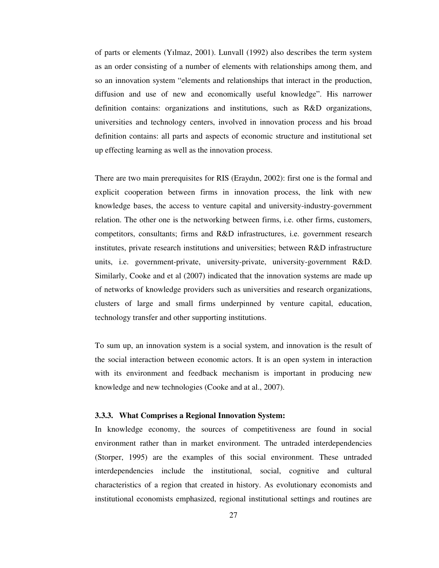of parts or elements (Yılmaz, 2001). Lunvall (1992) also describes the term system as an order consisting of a number of elements with relationships among them, and so an innovation system "elements and relationships that interact in the production, diffusion and use of new and economically useful knowledge". His narrower definition contains: organizations and institutions, such as R&D organizations, universities and technology centers, involved in innovation process and his broad definition contains: all parts and aspects of economic structure and institutional set up effecting learning as well as the innovation process.

There are two main prerequisites for RIS (Eraydın, 2002): first one is the formal and explicit cooperation between firms in innovation process, the link with new knowledge bases, the access to venture capital and university-industry-government relation. The other one is the networking between firms, i.e. other firms, customers, competitors, consultants; firms and R&D infrastructures, i.e. government research institutes, private research institutions and universities; between R&D infrastructure units, i.e. government-private, university-private, university-government R&D. Similarly, Cooke and et al (2007) indicated that the innovation systems are made up of networks of knowledge providers such as universities and research organizations, clusters of large and small firms underpinned by venture capital, education, technology transfer and other supporting institutions.

To sum up, an innovation system is a social system, and innovation is the result of the social interaction between economic actors. It is an open system in interaction with its environment and feedback mechanism is important in producing new knowledge and new technologies (Cooke and at al., 2007).

### **3.3.3. What Comprises a Regional Innovation System:**

In knowledge economy, the sources of competitiveness are found in social environment rather than in market environment. The untraded interdependencies (Storper, 1995) are the examples of this social environment. These untraded interdependencies include the institutional, social, cognitive and cultural characteristics of a region that created in history. As evolutionary economists and institutional economists emphasized, regional institutional settings and routines are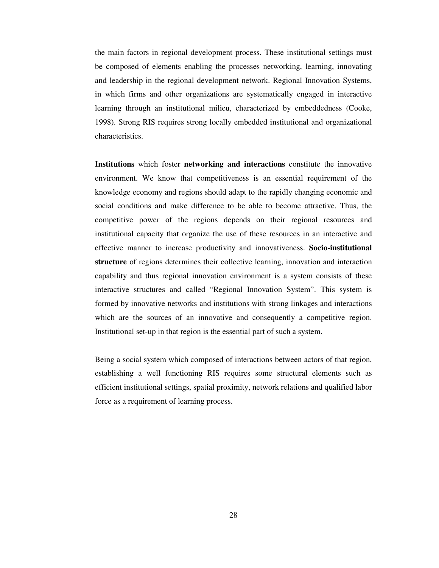the main factors in regional development process. These institutional settings must be composed of elements enabling the processes networking, learning, innovating and leadership in the regional development network. Regional Innovation Systems, in which firms and other organizations are systematically engaged in interactive learning through an institutional milieu, characterized by embeddedness (Cooke, 1998). Strong RIS requires strong locally embedded institutional and organizational characteristics.

**Institutions** which foster **networking and interactions** constitute the innovative environment. We know that competitiveness is an essential requirement of the knowledge economy and regions should adapt to the rapidly changing economic and social conditions and make difference to be able to become attractive. Thus, the competitive power of the regions depends on their regional resources and institutional capacity that organize the use of these resources in an interactive and effective manner to increase productivity and innovativeness. **Socio-institutional structure** of regions determines their collective learning, innovation and interaction capability and thus regional innovation environment is a system consists of these interactive structures and called "Regional Innovation System". This system is formed by innovative networks and institutions with strong linkages and interactions which are the sources of an innovative and consequently a competitive region. Institutional set-up in that region is the essential part of such a system.

Being a social system which composed of interactions between actors of that region, establishing a well functioning RIS requires some structural elements such as efficient institutional settings, spatial proximity, network relations and qualified labor force as a requirement of learning process.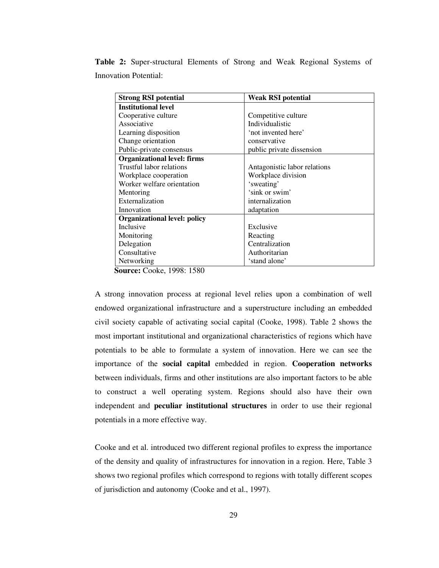**Table 2:** Super-structural Elements of Strong and Weak Regional Systems of Innovation Potential:

| <b>Strong RSI potential</b>         | <b>Weak RSI potential</b>    |
|-------------------------------------|------------------------------|
| <b>Institutional level</b>          |                              |
| Cooperative culture                 | Competitive culture          |
| Associative                         | Individualistic              |
| Learning disposition                | 'not invented here'          |
| Change orientation                  | conservative                 |
| Public-private consensus            | public private dissension    |
| <b>Organizational level: firms</b>  |                              |
| Trustful labor relations            | Antagonistic labor relations |
| Workplace cooperation               | Workplace division           |
| Worker welfare orientation          | 'sweating'                   |
| Mentoring                           | 'sink or swim'               |
| Externalization                     | internalization              |
| Innovation                          | adaptation                   |
| <b>Organizational level: policy</b> |                              |
| Inclusive                           | Exclusive                    |
| Monitoring                          | Reacting                     |
| Delegation                          | Centralization               |
| Consultative                        | Authoritarian                |
| Networking                          | 'stand alone'                |

**Source:** Cooke, 1998: 1580

A strong innovation process at regional level relies upon a combination of well endowed organizational infrastructure and a superstructure including an embedded civil society capable of activating social capital (Cooke, 1998). Table 2 shows the most important institutional and organizational characteristics of regions which have potentials to be able to formulate a system of innovation. Here we can see the importance of the **social capital** embedded in region. **Cooperation networks** between individuals, firms and other institutions are also important factors to be able to construct a well operating system. Regions should also have their own independent and **peculiar institutional structures** in order to use their regional potentials in a more effective way.

Cooke and et al. introduced two different regional profiles to express the importance of the density and quality of infrastructures for innovation in a region. Here, Table 3 shows two regional profiles which correspond to regions with totally different scopes of jurisdiction and autonomy (Cooke and et al., 1997).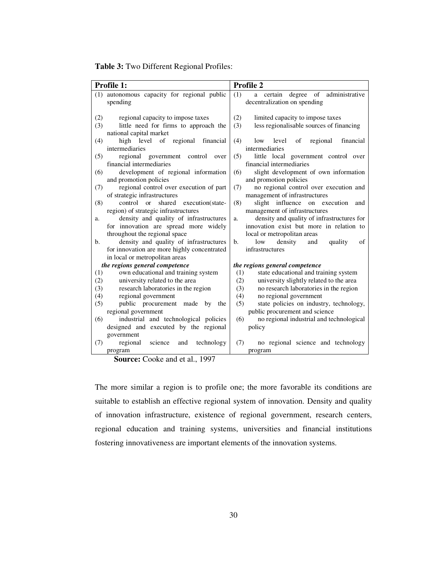**Table 3:** Two Different Regional Profiles:

| Profile 2<br><b>Profile 1:</b>                                                                                                               |                |
|----------------------------------------------------------------------------------------------------------------------------------------------|----------------|
| (1) autonomous capacity for regional public<br>(1)<br>a certain degree of                                                                    | administrative |
| spending<br>decentralization on spending                                                                                                     |                |
|                                                                                                                                              |                |
| (2)<br>(2)<br>limited capacity to impose taxes<br>regional capacity to impose taxes                                                          |                |
| little need for firms to approach the<br>less regionalisable sources of financing<br>(3)<br>(3)                                              |                |
| national capital market                                                                                                                      |                |
| high level of regional<br>(4)<br>(4)<br>financial<br>low level<br>of<br>regional                                                             | financial      |
| intermediaries<br>intermediaries                                                                                                             |                |
| regional government<br>(5)<br>little local government control over<br>(5)<br>control<br>over                                                 |                |
| financial intermediaries<br>financial intermediaries                                                                                         |                |
| development of regional information<br>slight development of own information<br>(6)<br>(6)                                                   |                |
| and promotion policies<br>and promotion policies                                                                                             |                |
| regional control over execution of part<br>no regional control over execution and<br>(7)<br>(7)                                              |                |
| of strategic infrastructures<br>management of infrastructures                                                                                |                |
| (8)<br>control or<br>shared execution(state-<br>(8)<br>slight influence on execution                                                         | and            |
| region) of strategic infrastructures<br>management of infrastructures                                                                        |                |
| density and quality of infrastructures<br>density and quality of infrastructures for<br>a.<br>a.                                             |                |
| innovation exist but more in relation to<br>for innovation are spread more widely                                                            |                |
| throughout the regional space<br>local or metropolitan areas                                                                                 |                |
| density and quality of infrastructures<br>density<br>quality<br>$\mathbf{b}$ .<br>$\mathbf{b}$ .<br>low<br>and                               | of             |
| for innovation are more highly concentrated<br>infrastructures                                                                               |                |
| in local or metropolitan areas                                                                                                               |                |
| the regions general competence<br>the regions general competence                                                                             |                |
| own educational and training system<br>state educational and training system<br>(1)<br>(1)                                                   |                |
| university related to the area<br>university slightly related to the area<br>(2)<br>(2)                                                      |                |
| research laboratories in the region<br>(3)<br>no research laboratories in the region<br>(3)<br>regional government<br>no regional government |                |
| (4)<br>(4)<br>state policies on industry, technology,<br>public procurement<br>(5)<br>made by the<br>(5)                                     |                |
| regional government<br>public procurement and science                                                                                        |                |
| industrial and technological policies<br>no regional industrial and technological<br>(6)<br>(6)                                              |                |
| designed and executed by the regional<br>policy                                                                                              |                |
| government                                                                                                                                   |                |
| regional<br>science<br>technology<br>(7)<br>no regional science and technology<br>(7)<br>and                                                 |                |
| program<br>program                                                                                                                           |                |

**Source:** Cooke and et al., 1997

The more similar a region is to profile one; the more favorable its conditions are suitable to establish an effective regional system of innovation. Density and quality of innovation infrastructure, existence of regional government, research centers, regional education and training systems, universities and financial institutions fostering innovativeness are important elements of the innovation systems.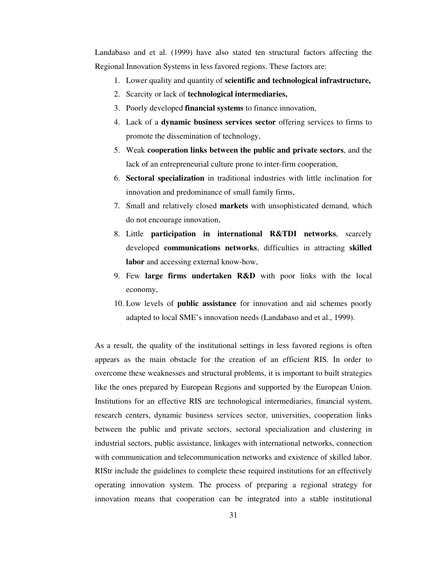Landabaso and et al. (1999) have also stated ten structural factors affecting the Regional Innovation Systems in less favored regions. These factors are:

- 1. Lower quality and quantity of **scientific and technological infrastructure,**
- 2. Scarcity or lack of **technological intermediaries,**
- 3. Poorly developed **financial systems** to finance innovation,
- 4. Lack of a **dynamic business services sector** offering services to firms to promote the dissemination of technology,
- 5. Weak **cooperation links between the public and private sectors**, and the lack of an entrepreneurial culture prone to inter-firm cooperation,
- 6. **Sectoral specialization** in traditional industries with little inclination for innovation and predominance of small family firms,
- 7. Small and relatively closed **markets** with unsophisticated demand, which do not encourage innovation,
- 8. Little **participation in international R&TDI networks**, scarcely developed **communications networks**, difficulties in attracting **skilled labor** and accessing external know-how,
- 9. Few **large firms undertaken R&D** with poor links with the local economy,
- 10. Low levels of **public assistance** for innovation and aid schemes poorly adapted to local SME's innovation needs (Landabaso and et al., 1999).

As a result, the quality of the institutional settings in less favored regions is often appears as the main obstacle for the creation of an efficient RIS. In order to overcome these weaknesses and structural problems, it is important to built strategies like the ones prepared by European Regions and supported by the European Union. Institutions for an effective RIS are technological intermediaries, financial system, research centers, dynamic business services sector, universities, cooperation links between the public and private sectors, sectoral specialization and clustering in industrial sectors, public assistance, linkages with international networks, connection with communication and telecommunication networks and existence of skilled labor. RIStr include the guidelines to complete these required institutions for an effectively operating innovation system. The process of preparing a regional strategy for innovation means that cooperation can be integrated into a stable institutional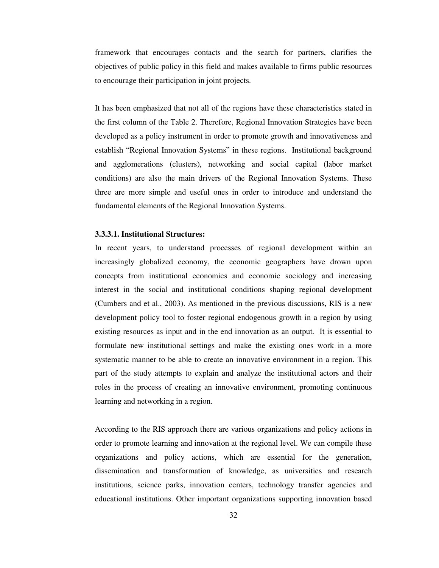framework that encourages contacts and the search for partners, clarifies the objectives of public policy in this field and makes available to firms public resources to encourage their participation in joint projects.

It has been emphasized that not all of the regions have these characteristics stated in the first column of the Table 2. Therefore, Regional Innovation Strategies have been developed as a policy instrument in order to promote growth and innovativeness and establish "Regional Innovation Systems" in these regions. Institutional background and agglomerations (clusters), networking and social capital (labor market conditions) are also the main drivers of the Regional Innovation Systems. These three are more simple and useful ones in order to introduce and understand the fundamental elements of the Regional Innovation Systems.

# **3.3.3.1. Institutional Structures:**

In recent years, to understand processes of regional development within an increasingly globalized economy, the economic geographers have drown upon concepts from institutional economics and economic sociology and increasing interest in the social and institutional conditions shaping regional development (Cumbers and et al., 2003). As mentioned in the previous discussions, RIS is a new development policy tool to foster regional endogenous growth in a region by using existing resources as input and in the end innovation as an output. It is essential to formulate new institutional settings and make the existing ones work in a more systematic manner to be able to create an innovative environment in a region. This part of the study attempts to explain and analyze the institutional actors and their roles in the process of creating an innovative environment, promoting continuous learning and networking in a region.

According to the RIS approach there are various organizations and policy actions in order to promote learning and innovation at the regional level. We can compile these organizations and policy actions, which are essential for the generation, dissemination and transformation of knowledge, as universities and research institutions, science parks, innovation centers, technology transfer agencies and educational institutions. Other important organizations supporting innovation based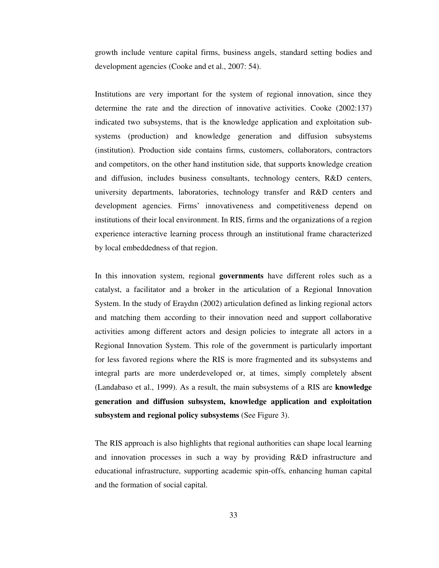growth include venture capital firms, business angels, standard setting bodies and development agencies (Cooke and et al., 2007: 54).

Institutions are very important for the system of regional innovation, since they determine the rate and the direction of innovative activities. Cooke (2002:137) indicated two subsystems, that is the knowledge application and exploitation subsystems (production) and knowledge generation and diffusion subsystems (institution). Production side contains firms, customers, collaborators, contractors and competitors, on the other hand institution side, that supports knowledge creation and diffusion, includes business consultants, technology centers, R&D centers, university departments, laboratories, technology transfer and R&D centers and development agencies. Firms' innovativeness and competitiveness depend on institutions of their local environment. In RIS, firms and the organizations of a region experience interactive learning process through an institutional frame characterized by local embeddedness of that region.

In this innovation system, regional **governments** have different roles such as a catalyst, a facilitator and a broker in the articulation of a Regional Innovation System. In the study of Eraydın (2002) articulation defined as linking regional actors and matching them according to their innovation need and support collaborative activities among different actors and design policies to integrate all actors in a Regional Innovation System. This role of the government is particularly important for less favored regions where the RIS is more fragmented and its subsystems and integral parts are more underdeveloped or, at times, simply completely absent (Landabaso et al., 1999). As a result, the main subsystems of a RIS are **knowledge generation and diffusion subsystem, knowledge application and exploitation subsystem and regional policy subsystems** (See Figure 3).

The RIS approach is also highlights that regional authorities can shape local learning and innovation processes in such a way by providing R&D infrastructure and educational infrastructure, supporting academic spin-offs, enhancing human capital and the formation of social capital.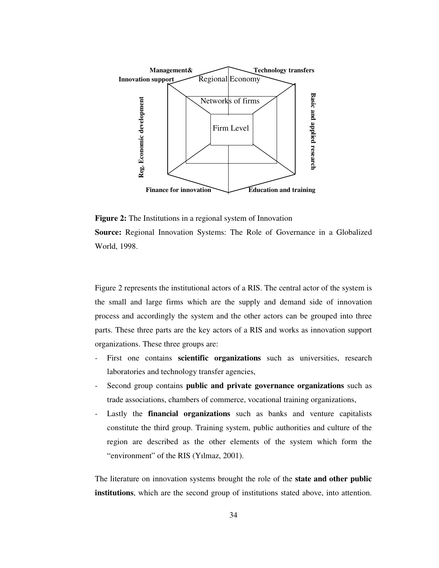

**Figure 2:** The Institutions in a regional system of Innovation **Source:** Regional Innovation Systems: The Role of Governance in a Globalized World, 1998.

Figure 2 represents the institutional actors of a RIS. The central actor of the system is the small and large firms which are the supply and demand side of innovation process and accordingly the system and the other actors can be grouped into three parts. These three parts are the key actors of a RIS and works as innovation support organizations. These three groups are:

- First one contains **scientific organizations** such as universities, research laboratories and technology transfer agencies,
- Second group contains **public and private governance organizations** such as trade associations, chambers of commerce, vocational training organizations,
- Lastly the **financial organizations** such as banks and venture capitalists constitute the third group. Training system, public authorities and culture of the region are described as the other elements of the system which form the "environment" of the RIS (Yılmaz, 2001).

The literature on innovation systems brought the role of the **state and other public**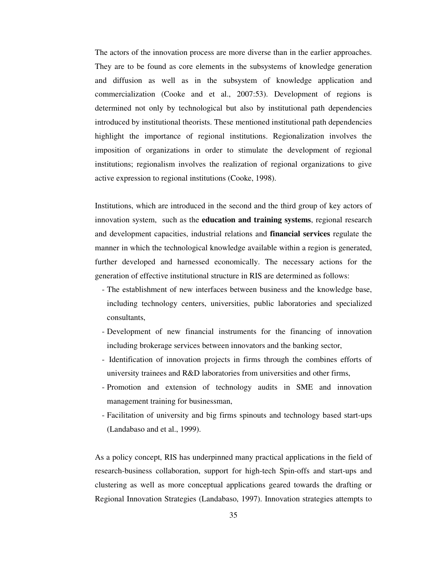The actors of the innovation process are more diverse than in the earlier approaches. They are to be found as core elements in the subsystems of knowledge generation and diffusion as well as in the subsystem of knowledge application and commercialization (Cooke and et al., 2007:53). Development of regions is determined not only by technological but also by institutional path dependencies introduced by institutional theorists. These mentioned institutional path dependencies highlight the importance of regional institutions. Regionalization involves the imposition of organizations in order to stimulate the development of regional institutions; regionalism involves the realization of regional organizations to give active expression to regional institutions (Cooke, 1998).

Institutions, which are introduced in the second and the third group of key actors of innovation system, such as the **education and training systems**, regional research and development capacities, industrial relations and **financial services** regulate the manner in which the technological knowledge available within a region is generated, further developed and harnessed economically. The necessary actions for the generation of effective institutional structure in RIS are determined as follows:

- The establishment of new interfaces between business and the knowledge base, including technology centers, universities, public laboratories and specialized consultants,
- Development of new financial instruments for the financing of innovation including brokerage services between innovators and the banking sector,
- Identification of innovation projects in firms through the combines efforts of university trainees and R&D laboratories from universities and other firms,
- Promotion and extension of technology audits in SME and innovation management training for businessman,
- Facilitation of university and big firms spinouts and technology based start-ups (Landabaso and et al., 1999).

As a policy concept, RIS has underpinned many practical applications in the field of research-business collaboration, support for high-tech Spin-offs and start-ups and clustering as well as more conceptual applications geared towards the drafting or Regional Innovation Strategies (Landabaso, 1997). Innovation strategies attempts to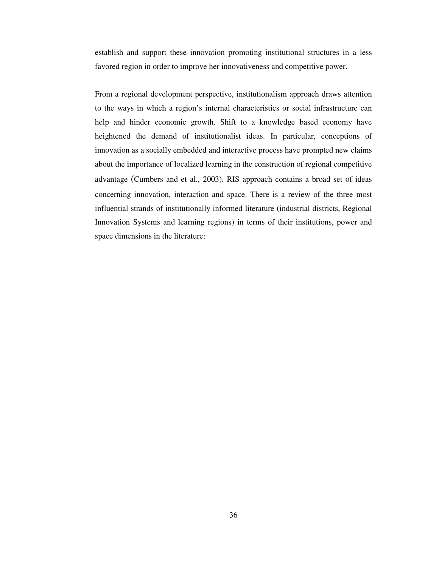establish and support these innovation promoting institutional structures in a less favored region in order to improve her innovativeness and competitive power.

From a regional development perspective, institutionalism approach draws attention to the ways in which a region's internal characteristics or social infrastructure can help and hinder economic growth. Shift to a knowledge based economy have heightened the demand of institutionalist ideas. In particular, conceptions of innovation as a socially embedded and interactive process have prompted new claims about the importance of localized learning in the construction of regional competitive advantage (Cumbers and et al., 2003). RIS approach contains a broad set of ideas concerning innovation, interaction and space. There is a review of the three most influential strands of institutionally informed literature (industrial districts, Regional Innovation Systems and learning regions) in terms of their institutions, power and space dimensions in the literature: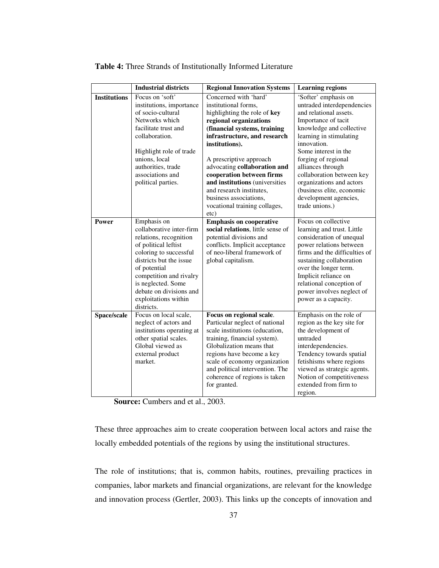|                     | <b>Industrial districts</b>                                                                                                                                                                                                                                                      | <b>Regional Innovation Systems</b>                                                                                                                                                                                                                                                                                                                                                                                 | <b>Learning regions</b>                                                                                                                                                                                                                                                                                                                                                        |
|---------------------|----------------------------------------------------------------------------------------------------------------------------------------------------------------------------------------------------------------------------------------------------------------------------------|--------------------------------------------------------------------------------------------------------------------------------------------------------------------------------------------------------------------------------------------------------------------------------------------------------------------------------------------------------------------------------------------------------------------|--------------------------------------------------------------------------------------------------------------------------------------------------------------------------------------------------------------------------------------------------------------------------------------------------------------------------------------------------------------------------------|
| <b>Institutions</b> | Focus on 'soft'<br>institutions, importance<br>of socio-cultural<br>Networks which<br>facilitate trust and<br>collaboration.<br>Highlight role of trade<br>unions, local<br>authorities, trade<br>associations and<br>political parties.                                         | Concerned with 'hard'<br>institutional forms,<br>highlighting the role of key<br>regional organizations<br>(financial systems, training<br>infrastructure, and research<br>institutions).<br>A prescriptive approach<br>advocating collaboration and<br>cooperation between firms<br>and institutions (universities<br>and research institutes.<br>business associations,<br>vocational training collages,<br>etc) | 'Softer' emphasis on<br>untraded interdependencies<br>and relational assets.<br>Importance of tacit<br>knowledge and collective<br>learning in stimulating<br>innovation.<br>Some interest in the<br>forging of regional<br>alliances through<br>collaboration between key<br>organizations and actors<br>(business elite, economic<br>development agencies,<br>trade unions.) |
| Power               | Emphasis on<br>collaborative inter-firm<br>relations, recognition<br>of political leftist<br>coloring to successful<br>districts but the issue<br>of potential<br>competition and rivalry<br>is neglected. Some<br>debate on divisions and<br>exploitations within<br>districts. | <b>Emphasis on cooperative</b><br>social relations, little sense of<br>potential divisions and<br>conflicts. Implicit acceptance<br>of neo-liberal framework of<br>global capitalism.                                                                                                                                                                                                                              | Focus on collective<br>learning and trust. Little<br>consideration of unequal<br>power relations between<br>firms and the difficulties of<br>sustaining collaboration<br>over the longer term.<br>Implicit reliance on<br>relational conception of<br>power involves neglect of<br>power as a capacity.                                                                        |
| Space/scale         | Focus on local scale,<br>neglect of actors and<br>institutions operating at<br>other spatial scales.<br>Global viewed as<br>external product<br>market.                                                                                                                          | Focus on regional scale.<br>Particular neglect of national<br>scale institutions (education,<br>training, financial system).<br>Globalization means that<br>regions have become a key<br>scale of economy organization<br>and political intervention. The<br>coherence of regions is taken<br>for granted.                                                                                                         | Emphasis on the role of<br>region as the key site for<br>the development of<br>untraded<br>interdependencies.<br>Tendency towards spatial<br>fetishisms where regions<br>viewed as strategic agents.<br>Notion of competitiveness<br>extended from firm to<br>region.                                                                                                          |

**Table 4:** Three Strands of Institutionally Informed Literature

**Source:** Cumbers and et al., 2003.

These three approaches aim to create cooperation between local actors and raise the locally embedded potentials of the regions by using the institutional structures.

The role of institutions; that is, common habits, routines, prevailing practices in companies, labor markets and financial organizations, are relevant for the knowledge and innovation process (Gertler, 2003). This links up the concepts of innovation and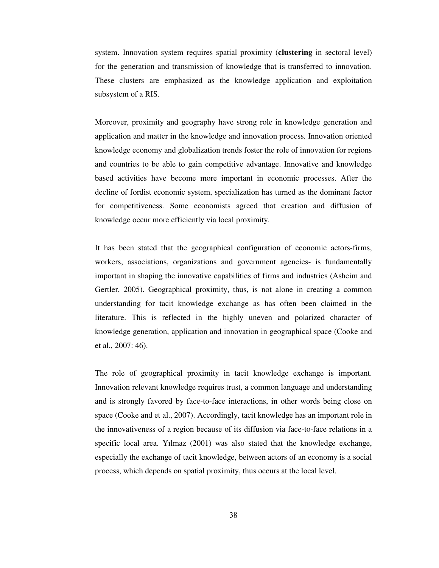system. Innovation system requires spatial proximity (**clustering** in sectoral level) for the generation and transmission of knowledge that is transferred to innovation. These clusters are emphasized as the knowledge application and exploitation subsystem of a RIS.

Moreover, proximity and geography have strong role in knowledge generation and application and matter in the knowledge and innovation process. Innovation oriented knowledge economy and globalization trends foster the role of innovation for regions and countries to be able to gain competitive advantage. Innovative and knowledge based activities have become more important in economic processes. After the decline of fordist economic system, specialization has turned as the dominant factor for competitiveness. Some economists agreed that creation and diffusion of knowledge occur more efficiently via local proximity.

It has been stated that the geographical configuration of economic actors-firms, workers, associations, organizations and government agencies- is fundamentally important in shaping the innovative capabilities of firms and industries (Asheim and Gertler, 2005). Geographical proximity, thus, is not alone in creating a common understanding for tacit knowledge exchange as has often been claimed in the literature. This is reflected in the highly uneven and polarized character of knowledge generation, application and innovation in geographical space (Cooke and et al., 2007: 46).

The role of geographical proximity in tacit knowledge exchange is important. Innovation relevant knowledge requires trust, a common language and understanding and is strongly favored by face-to-face interactions, in other words being close on space (Cooke and et al., 2007). Accordingly, tacit knowledge has an important role in the innovativeness of a region because of its diffusion via face-to-face relations in a specific local area. Yılmaz (2001) was also stated that the knowledge exchange, especially the exchange of tacit knowledge, between actors of an economy is a social process, which depends on spatial proximity, thus occurs at the local level.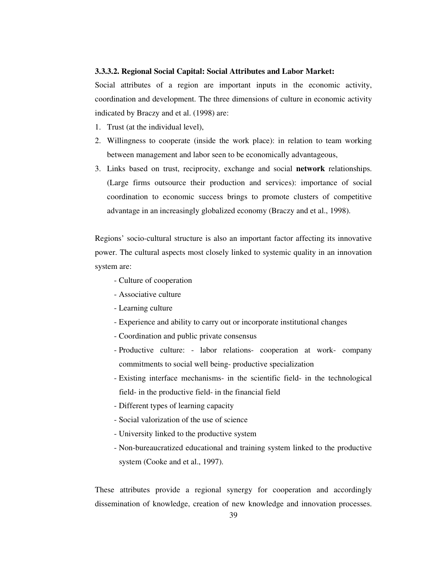## **3.3.3.2. Regional Social Capital: Social Attributes and Labor Market:**

Social attributes of a region are important inputs in the economic activity, coordination and development. The three dimensions of culture in economic activity indicated by Braczy and et al. (1998) are:

- 1. Trust (at the individual level),
- 2. Willingness to cooperate (inside the work place): in relation to team working between management and labor seen to be economically advantageous,
- 3. Links based on trust, reciprocity, exchange and social **network** relationships. (Large firms outsource their production and services): importance of social coordination to economic success brings to promote clusters of competitive advantage in an increasingly globalized economy (Braczy and et al., 1998).

Regions' socio-cultural structure is also an important factor affecting its innovative power. The cultural aspects most closely linked to systemic quality in an innovation system are:

- Culture of cooperation
- Associative culture
- Learning culture
- Experience and ability to carry out or incorporate institutional changes
- Coordination and public private consensus
- Productive culture: labor relations- cooperation at work- company commitments to social well being- productive specialization
- Existing interface mechanisms- in the scientific field- in the technological field- in the productive field- in the financial field
- Different types of learning capacity
- Social valorization of the use of science
- University linked to the productive system
- Non-bureaucratized educational and training system linked to the productive system (Cooke and et al., 1997).

These attributes provide a regional synergy for cooperation and accordingly dissemination of knowledge, creation of new knowledge and innovation processes.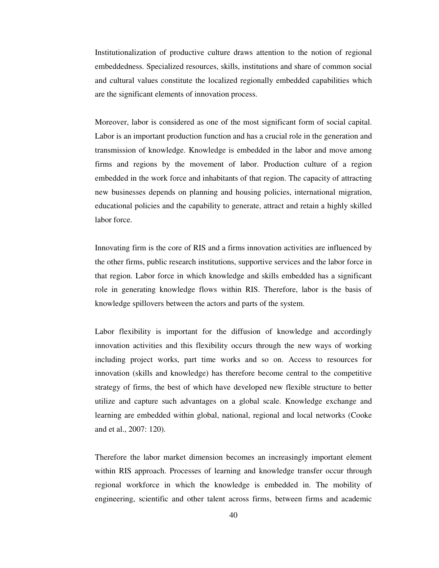Institutionalization of productive culture draws attention to the notion of regional embeddedness. Specialized resources, skills, institutions and share of common social and cultural values constitute the localized regionally embedded capabilities which are the significant elements of innovation process.

Moreover, labor is considered as one of the most significant form of social capital. Labor is an important production function and has a crucial role in the generation and transmission of knowledge. Knowledge is embedded in the labor and move among firms and regions by the movement of labor. Production culture of a region embedded in the work force and inhabitants of that region. The capacity of attracting new businesses depends on planning and housing policies, international migration, educational policies and the capability to generate, attract and retain a highly skilled labor force.

Innovating firm is the core of RIS and a firms innovation activities are influenced by the other firms, public research institutions, supportive services and the labor force in that region. Labor force in which knowledge and skills embedded has a significant role in generating knowledge flows within RIS. Therefore, labor is the basis of knowledge spillovers between the actors and parts of the system.

Labor flexibility is important for the diffusion of knowledge and accordingly innovation activities and this flexibility occurs through the new ways of working including project works, part time works and so on. Access to resources for innovation (skills and knowledge) has therefore become central to the competitive strategy of firms, the best of which have developed new flexible structure to better utilize and capture such advantages on a global scale. Knowledge exchange and learning are embedded within global, national, regional and local networks (Cooke and et al., 2007: 120).

Therefore the labor market dimension becomes an increasingly important element within RIS approach. Processes of learning and knowledge transfer occur through regional workforce in which the knowledge is embedded in. The mobility of engineering, scientific and other talent across firms, between firms and academic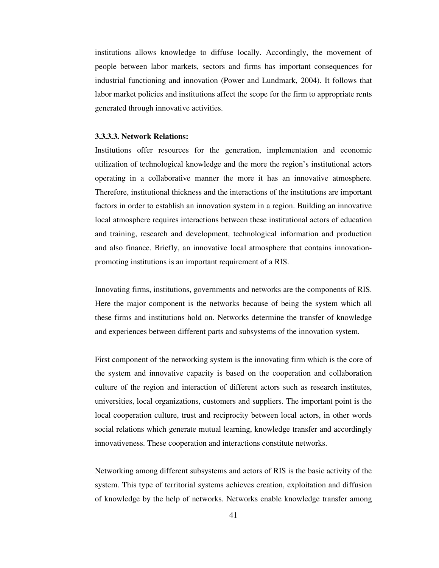institutions allows knowledge to diffuse locally. Accordingly, the movement of people between labor markets, sectors and firms has important consequences for industrial functioning and innovation (Power and Lundmark, 2004). It follows that labor market policies and institutions affect the scope for the firm to appropriate rents generated through innovative activities.

#### **3.3.3.3. Network Relations:**

Institutions offer resources for the generation, implementation and economic utilization of technological knowledge and the more the region's institutional actors operating in a collaborative manner the more it has an innovative atmosphere. Therefore, institutional thickness and the interactions of the institutions are important factors in order to establish an innovation system in a region. Building an innovative local atmosphere requires interactions between these institutional actors of education and training, research and development, technological information and production and also finance. Briefly, an innovative local atmosphere that contains innovationpromoting institutions is an important requirement of a RIS.

Innovating firms, institutions, governments and networks are the components of RIS. Here the major component is the networks because of being the system which all these firms and institutions hold on. Networks determine the transfer of knowledge and experiences between different parts and subsystems of the innovation system.

First component of the networking system is the innovating firm which is the core of the system and innovative capacity is based on the cooperation and collaboration culture of the region and interaction of different actors such as research institutes, universities, local organizations, customers and suppliers. The important point is the local cooperation culture, trust and reciprocity between local actors, in other words social relations which generate mutual learning, knowledge transfer and accordingly innovativeness. These cooperation and interactions constitute networks.

Networking among different subsystems and actors of RIS is the basic activity of the system. This type of territorial systems achieves creation, exploitation and diffusion of knowledge by the help of networks. Networks enable knowledge transfer among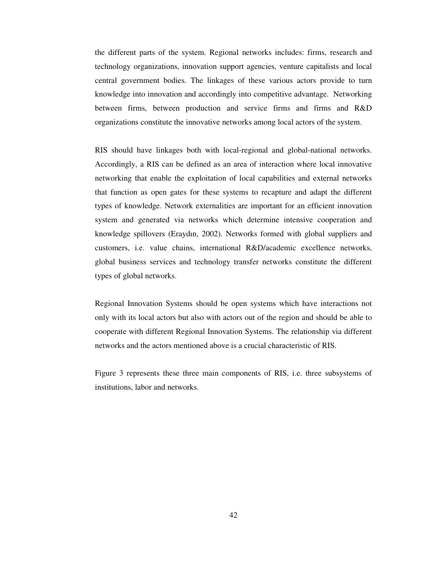the different parts of the system. Regional networks includes: firms, research and technology organizations, innovation support agencies, venture capitalists and local central government bodies. The linkages of these various actors provide to turn knowledge into innovation and accordingly into competitive advantage. Networking between firms, between production and service firms and firms and R&D organizations constitute the innovative networks among local actors of the system.

RIS should have linkages both with local-regional and global-national networks. Accordingly, a RIS can be defined as an area of interaction where local innovative networking that enable the exploitation of local capabilities and external networks that function as open gates for these systems to recapture and adapt the different types of knowledge. Network externalities are important for an efficient innovation system and generated via networks which determine intensive cooperation and knowledge spillovers (Eraydın, 2002). Networks formed with global suppliers and customers, i.e. value chains, international R&D/academic excellence networks, global business services and technology transfer networks constitute the different types of global networks.

Regional Innovation Systems should be open systems which have interactions not only with its local actors but also with actors out of the region and should be able to cooperate with different Regional Innovation Systems. The relationship via different networks and the actors mentioned above is a crucial characteristic of RIS.

Figure 3 represents these three main components of RIS, i.e. three subsystems of institutions, labor and networks.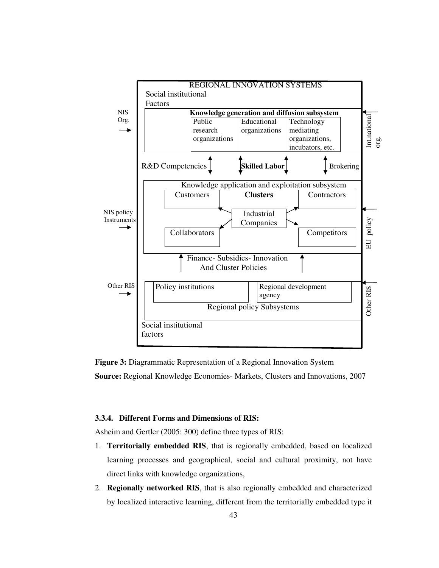

**Figure 3:** Diagrammatic Representation of a Regional Innovation System **Source:** Regional Knowledge Economies- Markets, Clusters and Innovations, 2007

# **3.3.4. Different Forms and Dimensions of RIS:**

Asheim and Gertler (2005: 300) define three types of RIS:

- 1. **Territorially embedded RIS**, that is regionally embedded, based on localized learning processes and geographical, social and cultural proximity, not have direct links with knowledge organizations,
- 2. **Regionally networked RIS**, that is also regionally embedded and characterized by localized interactive learning, different from the territorially embedded type it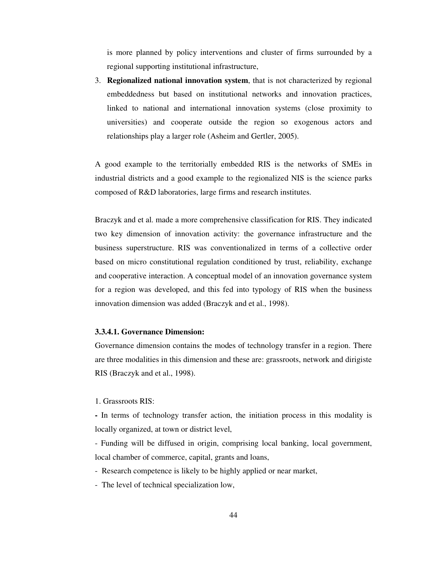is more planned by policy interventions and cluster of firms surrounded by a regional supporting institutional infrastructure,

3. **Regionalized national innovation system**, that is not characterized by regional embeddedness but based on institutional networks and innovation practices, linked to national and international innovation systems (close proximity to universities) and cooperate outside the region so exogenous actors and relationships play a larger role (Asheim and Gertler, 2005).

A good example to the territorially embedded RIS is the networks of SMEs in industrial districts and a good example to the regionalized NIS is the science parks composed of R&D laboratories, large firms and research institutes.

Braczyk and et al. made a more comprehensive classification for RIS. They indicated two key dimension of innovation activity: the governance infrastructure and the business superstructure. RIS was conventionalized in terms of a collective order based on micro constitutional regulation conditioned by trust, reliability, exchange and cooperative interaction. A conceptual model of an innovation governance system for a region was developed, and this fed into typology of RIS when the business innovation dimension was added (Braczyk and et al., 1998).

#### **3.3.4.1. Governance Dimension:**

Governance dimension contains the modes of technology transfer in a region. There are three modalities in this dimension and these are: grassroots, network and dirigiste RIS (Braczyk and et al., 1998).

## 1. Grassroots RIS:

**-** In terms of technology transfer action, the initiation process in this modality is locally organized, at town or district level,

- Funding will be diffused in origin, comprising local banking, local government, local chamber of commerce, capital, grants and loans,

- Research competence is likely to be highly applied or near market,
- The level of technical specialization low,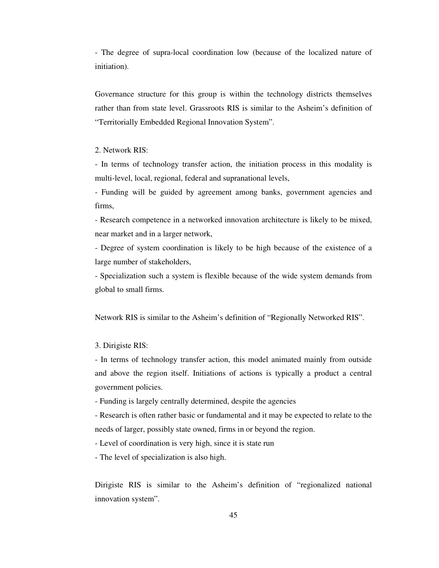- The degree of supra-local coordination low (because of the localized nature of initiation).

Governance structure for this group is within the technology districts themselves rather than from state level. Grassroots RIS is similar to the Asheim's definition of "Territorially Embedded Regional Innovation System".

# 2. Network RIS:

- In terms of technology transfer action, the initiation process in this modality is multi-level, local, regional, federal and supranational levels,

- Funding will be guided by agreement among banks, government agencies and firms,

- Research competence in a networked innovation architecture is likely to be mixed, near market and in a larger network,

- Degree of system coordination is likely to be high because of the existence of a large number of stakeholders,

- Specialization such a system is flexible because of the wide system demands from global to small firms.

Network RIS is similar to the Asheim's definition of "Regionally Networked RIS".

## 3. Dirigiste RIS:

- In terms of technology transfer action, this model animated mainly from outside and above the region itself. Initiations of actions is typically a product a central government policies.

- Funding is largely centrally determined, despite the agencies

- Research is often rather basic or fundamental and it may be expected to relate to the needs of larger, possibly state owned, firms in or beyond the region.

- Level of coordination is very high, since it is state run

- The level of specialization is also high.

Dirigiste RIS is similar to the Asheim's definition of "regionalized national innovation system".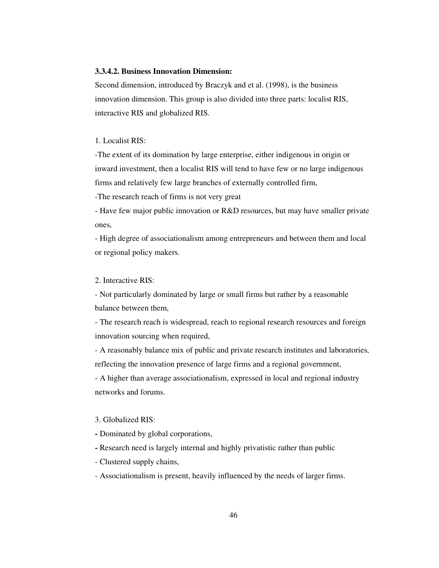# **3.3.4.2. Business Innovation Dimension:**

Second dimension, introduced by Braczyk and et al. (1998), is the business innovation dimension. This group is also divided into three parts: localist RIS, interactive RIS and globalized RIS.

#### 1. Localist RIS:

-The extent of its domination by large enterprise, either indigenous in origin or inward investment, then a localist RIS will tend to have few or no large indigenous firms and relatively few large branches of externally controlled firm,

-The research reach of firms is not very great

- Have few major public innovation or R&D resources, but may have smaller private ones,

- High degree of associationalism among entrepreneurs and between them and local or regional policy makers.

## 2. Interactive RIS:

- Not particularly dominated by large or small firms but rather by a reasonable balance between them,

- The research reach is widespread, reach to regional research resources and foreign innovation sourcing when required,

- A reasonably balance mix of public and private research institutes and laboratories, reflecting the innovation presence of large firms and a regional government,

- A higher than average associationalism, expressed in local and regional industry networks and forums.

#### 3. Globalized RIS:

- Dominated by global corporations,
- Research need is largely internal and highly privatistic rather than public
- Clustered supply chains,
- Associationalism is present, heavily influenced by the needs of larger firms.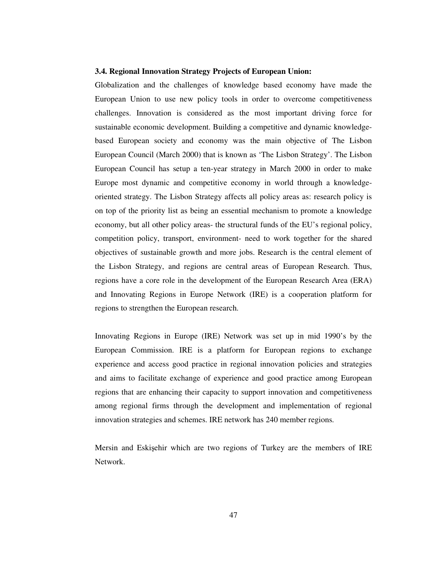## **3.4. Regional Innovation Strategy Projects of European Union:**

Globalization and the challenges of knowledge based economy have made the European Union to use new policy tools in order to overcome competitiveness challenges. Innovation is considered as the most important driving force for sustainable economic development. Building a competitive and dynamic knowledgebased European society and economy was the main objective of The Lisbon European Council (March 2000) that is known as 'The Lisbon Strategy'. The Lisbon European Council has setup a ten-year strategy in March 2000 in order to make Europe most dynamic and competitive economy in world through a knowledgeoriented strategy. The Lisbon Strategy affects all policy areas as: research policy is on top of the priority list as being an essential mechanism to promote a knowledge economy, but all other policy areas- the structural funds of the EU's regional policy, competition policy, transport, environment- need to work together for the shared objectives of sustainable growth and more jobs. Research is the central element of the Lisbon Strategy, and regions are central areas of European Research. Thus, regions have a core role in the development of the European Research Area (ERA) and Innovating Regions in Europe Network (IRE) is a cooperation platform for regions to strengthen the European research.

Innovating Regions in Europe (IRE) Network was set up in mid 1990's by the European Commission. IRE is a platform for European regions to exchange experience and access good practice in regional innovation policies and strategies and aims to facilitate exchange of experience and good practice among European regions that are enhancing their capacity to support innovation and competitiveness among regional firms through the development and implementation of regional innovation strategies and schemes. IRE network has 240 member regions.

Mersin and Eskişehir which are two regions of Turkey are the members of IRE Network.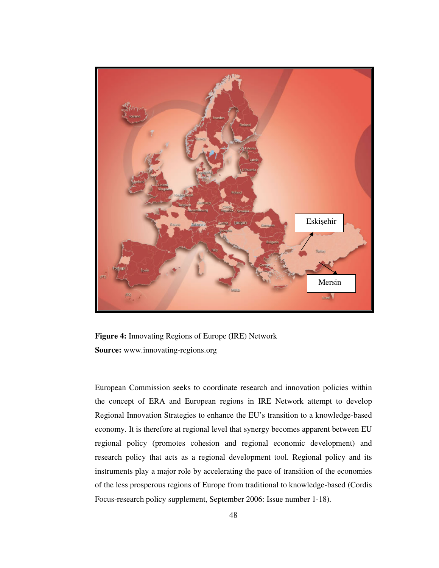

**Figure 4:** Innovating Regions of Europe (IRE) Network **Source:** www.innovating-regions.org

European Commission seeks to coordinate research and innovation policies within the concept of ERA and European regions in IRE Network attempt to develop Regional Innovation Strategies to enhance the EU's transition to a knowledge-based economy. It is therefore at regional level that synergy becomes apparent between EU regional policy (promotes cohesion and regional economic development) and research policy that acts as a regional development tool. Regional policy and its instruments play a major role by accelerating the pace of transition of the economies of the less prosperous regions of Europe from traditional to knowledge-based (Cordis Focus-research policy supplement, September 2006: Issue number 1-18).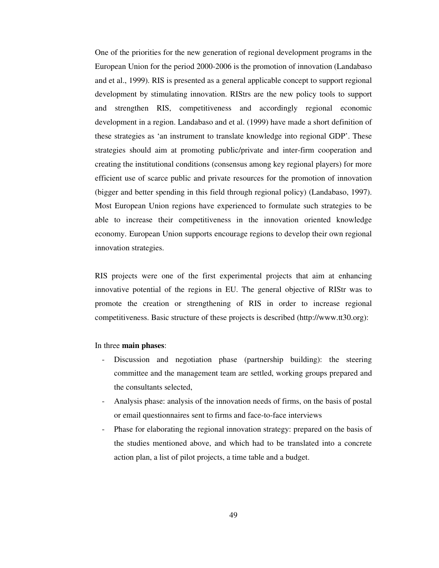One of the priorities for the new generation of regional development programs in the European Union for the period 2000-2006 is the promotion of innovation (Landabaso and et al., 1999). RIS is presented as a general applicable concept to support regional development by stimulating innovation. RIStrs are the new policy tools to support and strengthen RIS, competitiveness and accordingly regional economic development in a region. Landabaso and et al. (1999) have made a short definition of these strategies as 'an instrument to translate knowledge into regional GDP'. These strategies should aim at promoting public/private and inter-firm cooperation and creating the institutional conditions (consensus among key regional players) for more efficient use of scarce public and private resources for the promotion of innovation (bigger and better spending in this field through regional policy) (Landabaso, 1997). Most European Union regions have experienced to formulate such strategies to be able to increase their competitiveness in the innovation oriented knowledge economy. European Union supports encourage regions to develop their own regional innovation strategies.

RIS projects were one of the first experimental projects that aim at enhancing innovative potential of the regions in EU. The general objective of RIStr was to promote the creation or strengthening of RIS in order to increase regional competitiveness. Basic structure of these projects is described (http://www.tt30.org):

### In three **main phases**:

- Discussion and negotiation phase (partnership building): the steering committee and the management team are settled, working groups prepared and the consultants selected,
- Analysis phase: analysis of the innovation needs of firms, on the basis of postal or email questionnaires sent to firms and face-to-face interviews
- Phase for elaborating the regional innovation strategy: prepared on the basis of the studies mentioned above, and which had to be translated into a concrete action plan, a list of pilot projects, a time table and a budget.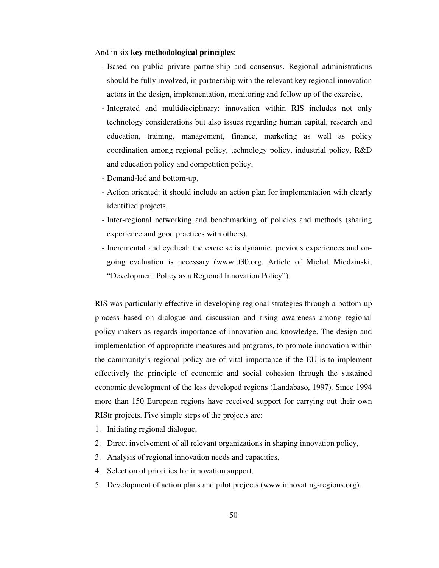And in six **key methodological principles**:

- Based on public private partnership and consensus. Regional administrations should be fully involved, in partnership with the relevant key regional innovation actors in the design, implementation, monitoring and follow up of the exercise,
- Integrated and multidisciplinary: innovation within RIS includes not only technology considerations but also issues regarding human capital, research and education, training, management, finance, marketing as well as policy coordination among regional policy, technology policy, industrial policy, R&D and education policy and competition policy,
- Demand-led and bottom-up,
- Action oriented: it should include an action plan for implementation with clearly identified projects,
- Inter-regional networking and benchmarking of policies and methods (sharing experience and good practices with others),
- Incremental and cyclical: the exercise is dynamic, previous experiences and ongoing evaluation is necessary (www.tt30.org, Article of Michal Miedzinski, "Development Policy as a Regional Innovation Policy").

RIS was particularly effective in developing regional strategies through a bottom-up process based on dialogue and discussion and rising awareness among regional policy makers as regards importance of innovation and knowledge. The design and implementation of appropriate measures and programs, to promote innovation within the community's regional policy are of vital importance if the EU is to implement effectively the principle of economic and social cohesion through the sustained economic development of the less developed regions (Landabaso, 1997). Since 1994 more than 150 European regions have received support for carrying out their own RIStr projects. Five simple steps of the projects are:

- 1. Initiating regional dialogue,
- 2. Direct involvement of all relevant organizations in shaping innovation policy,
- 3. Analysis of regional innovation needs and capacities,
- 4. Selection of priorities for innovation support,
- 5. Development of action plans and pilot projects (www.innovating-regions.org).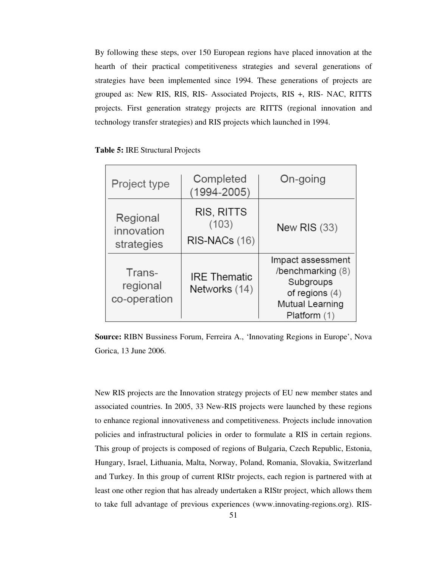By following these steps, over 150 European regions have placed innovation at the hearth of their practical competitiveness strategies and several generations of strategies have been implemented since 1994. These generations of projects are grouped as: New RIS, RIS, RIS- Associated Projects, RIS +, RIS- NAC, RITTS projects. First generation strategy projects are RITTS (regional innovation and technology transfer strategies) and RIS projects which launched in 1994.

|  | <b>Table 5: IRE Structural Projects</b> |  |
|--|-----------------------------------------|--|
|  |                                         |  |

| Project type                         | Completed<br>$(1994 - 2005)$         | On-going                                                                                                   |
|--------------------------------------|--------------------------------------|------------------------------------------------------------------------------------------------------------|
| Regional<br>innovation<br>strategies | RIS, RITTS<br>(103)<br>RIS-NACs (16) | <b>New RIS (33)</b>                                                                                        |
| Trans-<br>regional<br>co-operation   | <b>IRE Thematic</b><br>Networks (14) | Impact assessment<br>/benchmarking (8)<br>Subgroups<br>of regions $(4)$<br>Mutual Learning<br>Platform (1) |

**Source:** RIBN Bussiness Forum, Ferreira A., 'Innovating Regions in Europe', Nova Gorica, 13 June 2006.

New RIS projects are the Innovation strategy projects of EU new member states and associated countries. In 2005, 33 New-RIS projects were launched by these regions to enhance regional innovativeness and competitiveness. Projects include innovation policies and infrastructural policies in order to formulate a RIS in certain regions. This group of projects is composed of regions of Bulgaria, Czech Republic, Estonia, Hungary, Israel, Lithuania, Malta, Norway, Poland, Romania, Slovakia, Switzerland and Turkey. In this group of current RIStr projects, each region is partnered with at least one other region that has already undertaken a RIStr project, which allows them to take full advantage of previous experiences (www.innovating-regions.org). RIS-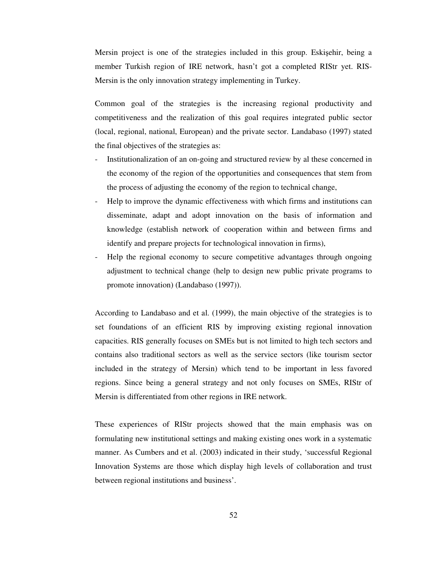Mersin project is one of the strategies included in this group. Eskişehir, being a member Turkish region of IRE network, hasn't got a completed RIStr yet. RIS-Mersin is the only innovation strategy implementing in Turkey.

Common goal of the strategies is the increasing regional productivity and competitiveness and the realization of this goal requires integrated public sector (local, regional, national, European) and the private sector. Landabaso (1997) stated the final objectives of the strategies as:

- Institutionalization of an on-going and structured review by al these concerned in the economy of the region of the opportunities and consequences that stem from the process of adjusting the economy of the region to technical change,
- Help to improve the dynamic effectiveness with which firms and institutions can disseminate, adapt and adopt innovation on the basis of information and knowledge (establish network of cooperation within and between firms and identify and prepare projects for technological innovation in firms),
- Help the regional economy to secure competitive advantages through ongoing adjustment to technical change (help to design new public private programs to promote innovation) (Landabaso (1997)).

According to Landabaso and et al. (1999), the main objective of the strategies is to set foundations of an efficient RIS by improving existing regional innovation capacities. RIS generally focuses on SMEs but is not limited to high tech sectors and contains also traditional sectors as well as the service sectors (like tourism sector included in the strategy of Mersin) which tend to be important in less favored regions. Since being a general strategy and not only focuses on SMEs, RIStr of Mersin is differentiated from other regions in IRE network.

These experiences of RIStr projects showed that the main emphasis was on formulating new institutional settings and making existing ones work in a systematic manner. As Cumbers and et al. (2003) indicated in their study, 'successful Regional Innovation Systems are those which display high levels of collaboration and trust between regional institutions and business'.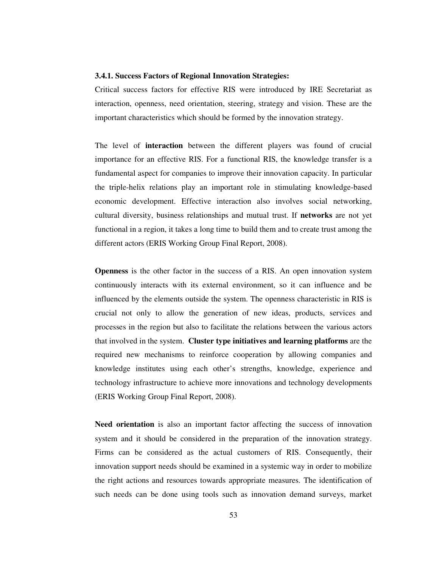#### **3.4.1. Success Factors of Regional Innovation Strategies:**

Critical success factors for effective RIS were introduced by IRE Secretariat as interaction, openness, need orientation, steering, strategy and vision. These are the important characteristics which should be formed by the innovation strategy.

The level of **interaction** between the different players was found of crucial importance for an effective RIS. For a functional RIS, the knowledge transfer is a fundamental aspect for companies to improve their innovation capacity. In particular the triple-helix relations play an important role in stimulating knowledge-based economic development. Effective interaction also involves social networking, cultural diversity, business relationships and mutual trust. If **networks** are not yet functional in a region, it takes a long time to build them and to create trust among the different actors (ERIS Working Group Final Report, 2008).

**Openness** is the other factor in the success of a RIS. An open innovation system continuously interacts with its external environment, so it can influence and be influenced by the elements outside the system. The openness characteristic in RIS is crucial not only to allow the generation of new ideas, products, services and processes in the region but also to facilitate the relations between the various actors that involved in the system. **Cluster type initiatives and learning platforms** are the required new mechanisms to reinforce cooperation by allowing companies and knowledge institutes using each other's strengths, knowledge, experience and technology infrastructure to achieve more innovations and technology developments (ERIS Working Group Final Report, 2008).

**Need orientation** is also an important factor affecting the success of innovation system and it should be considered in the preparation of the innovation strategy. Firms can be considered as the actual customers of RIS. Consequently, their innovation support needs should be examined in a systemic way in order to mobilize the right actions and resources towards appropriate measures. The identification of such needs can be done using tools such as innovation demand surveys, market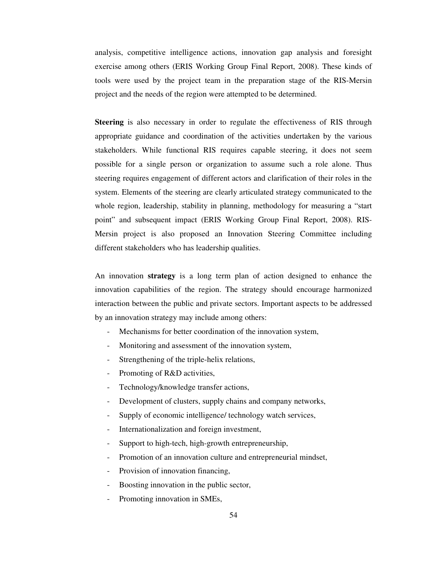analysis, competitive intelligence actions, innovation gap analysis and foresight exercise among others (ERIS Working Group Final Report, 2008). These kinds of tools were used by the project team in the preparation stage of the RIS-Mersin project and the needs of the region were attempted to be determined.

**Steering** is also necessary in order to regulate the effectiveness of RIS through appropriate guidance and coordination of the activities undertaken by the various stakeholders. While functional RIS requires capable steering, it does not seem possible for a single person or organization to assume such a role alone. Thus steering requires engagement of different actors and clarification of their roles in the system. Elements of the steering are clearly articulated strategy communicated to the whole region, leadership, stability in planning, methodology for measuring a "start point" and subsequent impact (ERIS Working Group Final Report, 2008). RIS-Mersin project is also proposed an Innovation Steering Committee including different stakeholders who has leadership qualities.

An innovation **strategy** is a long term plan of action designed to enhance the innovation capabilities of the region. The strategy should encourage harmonized interaction between the public and private sectors. Important aspects to be addressed by an innovation strategy may include among others:

- Mechanisms for better coordination of the innovation system,
- Monitoring and assessment of the innovation system,
- Strengthening of the triple-helix relations,
- Promoting of R&D activities,
- Technology/knowledge transfer actions,
- Development of clusters, supply chains and company networks,
- Supply of economic intelligence/ technology watch services,
- Internationalization and foreign investment,
- Support to high-tech, high-growth entrepreneurship,
- Promotion of an innovation culture and entrepreneurial mindset,
- Provision of innovation financing,
- Boosting innovation in the public sector,
- Promoting innovation in SMEs,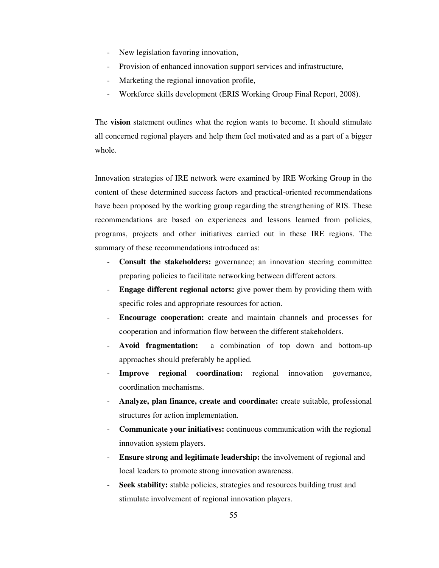- New legislation favoring innovation,
- Provision of enhanced innovation support services and infrastructure,
- Marketing the regional innovation profile,
- Workforce skills development (ERIS Working Group Final Report, 2008).

The **vision** statement outlines what the region wants to become. It should stimulate all concerned regional players and help them feel motivated and as a part of a bigger whole.

Innovation strategies of IRE network were examined by IRE Working Group in the content of these determined success factors and practical-oriented recommendations have been proposed by the working group regarding the strengthening of RIS. These recommendations are based on experiences and lessons learned from policies, programs, projects and other initiatives carried out in these IRE regions. The summary of these recommendations introduced as:

- **Consult the stakeholders:** governance; an innovation steering committee preparing policies to facilitate networking between different actors.
- **Engage different regional actors:** give power them by providing them with specific roles and appropriate resources for action.
- **Encourage cooperation:** create and maintain channels and processes for cooperation and information flow between the different stakeholders.
- **Avoid fragmentation:** a combination of top down and bottom-up approaches should preferably be applied.
- **Improve regional coordination:** regional innovation governance, coordination mechanisms.
- **Analyze, plan finance, create and coordinate:** create suitable, professional structures for action implementation.
- **Communicate your initiatives:** continuous communication with the regional innovation system players.
- **Ensure strong and legitimate leadership:** the involvement of regional and local leaders to promote strong innovation awareness.
- Seek stability: stable policies, strategies and resources building trust and stimulate involvement of regional innovation players.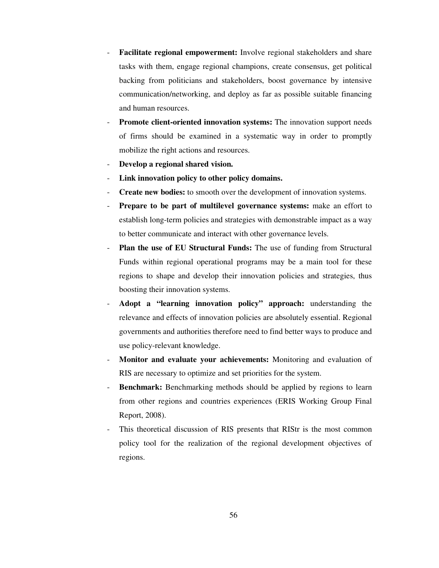- Facilitate regional empowerment: Involve regional stakeholders and share tasks with them, engage regional champions, create consensus, get political backing from politicians and stakeholders, boost governance by intensive communication/networking, and deploy as far as possible suitable financing and human resources.
- **Promote client-oriented innovation systems:** The innovation support needs of firms should be examined in a systematic way in order to promptly mobilize the right actions and resources.
- **Develop a regional shared vision.**
- Link innovation policy to other policy domains.
- **Create new bodies:** to smooth over the development of innovation systems.
- **Prepare to be part of multilevel governance systems:** make an effort to establish long-term policies and strategies with demonstrable impact as a way to better communicate and interact with other governance levels.
- **Plan the use of EU Structural Funds:** The use of funding from Structural Funds within regional operational programs may be a main tool for these regions to shape and develop their innovation policies and strategies, thus boosting their innovation systems.
- **Adopt a "learning innovation policy" approach:** understanding the relevance and effects of innovation policies are absolutely essential. Regional governments and authorities therefore need to find better ways to produce and use policy-relevant knowledge.
- **Monitor and evaluate your achievements:** Monitoring and evaluation of RIS are necessary to optimize and set priorities for the system.
- Benchmark: Benchmarking methods should be applied by regions to learn from other regions and countries experiences (ERIS Working Group Final Report, 2008).
- This theoretical discussion of RIS presents that RIStr is the most common policy tool for the realization of the regional development objectives of regions.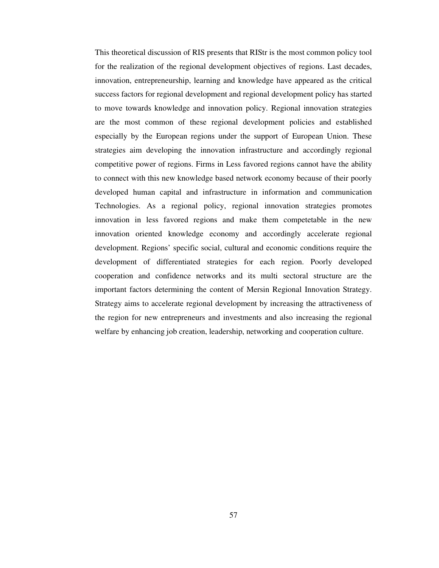This theoretical discussion of RIS presents that RIStr is the most common policy tool for the realization of the regional development objectives of regions. Last decades, innovation, entrepreneurship, learning and knowledge have appeared as the critical success factors for regional development and regional development policy has started to move towards knowledge and innovation policy. Regional innovation strategies are the most common of these regional development policies and established especially by the European regions under the support of European Union. These strategies aim developing the innovation infrastructure and accordingly regional competitive power of regions. Firms in Less favored regions cannot have the ability to connect with this new knowledge based network economy because of their poorly developed human capital and infrastructure in information and communication Technologies. As a regional policy, regional innovation strategies promotes innovation in less favored regions and make them competetable in the new innovation oriented knowledge economy and accordingly accelerate regional development. Regions' specific social, cultural and economic conditions require the development of differentiated strategies for each region. Poorly developed cooperation and confidence networks and its multi sectoral structure are the important factors determining the content of Mersin Regional Innovation Strategy. Strategy aims to accelerate regional development by increasing the attractiveness of the region for new entrepreneurs and investments and also increasing the regional welfare by enhancing job creation, leadership, networking and cooperation culture.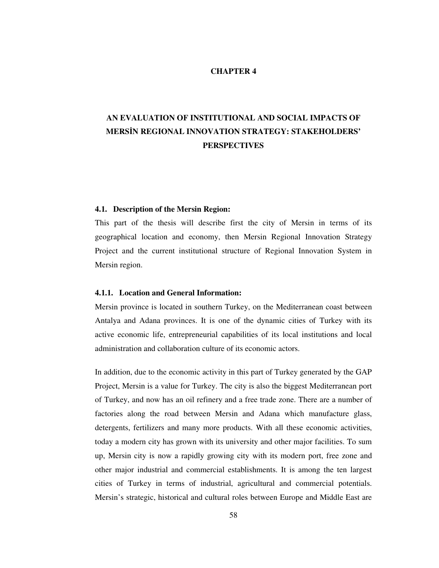# **CHAPTER 4**

# **AN EVALUATION OF INSTITUTIONAL AND SOCIAL IMPACTS OF MERS**İ**N REGIONAL INNOVATION STRATEGY: STAKEHOLDERS' PERSPECTIVES**

### **4.1. Description of the Mersin Region:**

This part of the thesis will describe first the city of Mersin in terms of its geographical location and economy, then Mersin Regional Innovation Strategy Project and the current institutional structure of Regional Innovation System in Mersin region.

#### **4.1.1. Location and General Information:**

Mersin province is located in southern Turkey, on the Mediterranean coast between Antalya and Adana provinces. It is one of the dynamic cities of Turkey with its active economic life, entrepreneurial capabilities of its local institutions and local administration and collaboration culture of its economic actors.

In addition, due to the economic activity in this part of Turkey generated by the GAP Project, Mersin is a value for Turkey. The city is also the biggest Mediterranean port of Turkey, and now has an oil refinery and a free trade zone. There are a number of factories along the road between Mersin and Adana which manufacture glass, detergents, fertilizers and many more products. With all these economic activities, today a modern city has grown with its university and other major facilities. To sum up, Mersin city is now a rapidly growing city with its modern port, free zone and other major industrial and commercial establishments. It is among the ten largest cities of Turkey in terms of industrial, agricultural and commercial potentials. Mersin's strategic, historical and cultural roles between Europe and Middle East are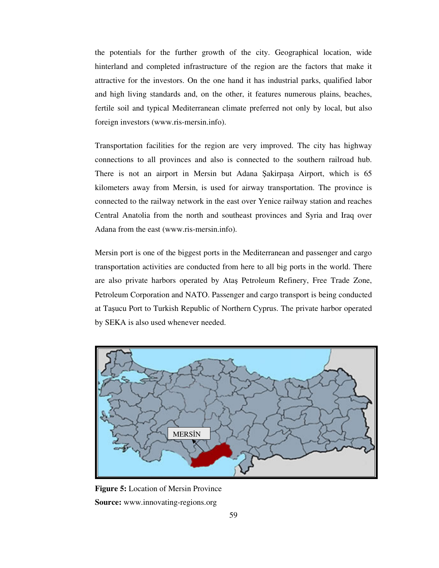the potentials for the further growth of the city. Geographical location, wide hinterland and completed infrastructure of the region are the factors that make it attractive for the investors. On the one hand it has industrial parks, qualified labor and high living standards and, on the other, it features numerous plains, beaches, fertile soil and typical Mediterranean climate preferred not only by local, but also foreign investors (www.ris-mersin.info).

Transportation facilities for the region are very improved. The city has highway connections to all provinces and also is connected to the southern railroad hub. There is not an airport in Mersin but Adana Şakirpaşa Airport, which is 65 kilometers away from Mersin, is used for airway transportation. The province is connected to the railway network in the east over Yenice railway station and reaches Central Anatolia from the north and southeast provinces and Syria and Iraq over Adana from the east (www.ris-mersin.info).

Mersin port is one of the biggest ports in the Mediterranean and passenger and cargo transportation activities are conducted from here to all big ports in the world. There are also private harbors operated by Ataş Petroleum Refinery, Free Trade Zone, Petroleum Corporation and NATO. Passenger and cargo transport is being conducted at Taşucu Port to Turkish Republic of Northern Cyprus. The private harbor operated by SEKA is also used whenever needed.



**Figure 5:** Location of Mersin Province **Source:** www.innovating-regions.org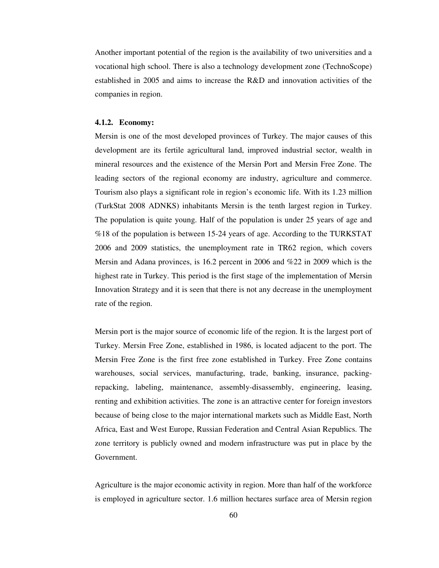Another important potential of the region is the availability of two universities and a vocational high school. There is also a technology development zone (TechnoScope) established in 2005 and aims to increase the R&D and innovation activities of the companies in region.

#### **4.1.2. Economy:**

Mersin is one of the most developed provinces of Turkey. The major causes of this development are its fertile agricultural land, improved industrial sector, wealth in mineral resources and the existence of the Mersin Port and Mersin Free Zone. The leading sectors of the regional economy are industry, agriculture and commerce. Tourism also plays a significant role in region's economic life. With its 1.23 million (TurkStat 2008 ADNKS) inhabitants Mersin is the tenth largest region in Turkey. The population is quite young. Half of the population is under 25 years of age and %18 of the population is between 15-24 years of age. According to the TURKSTAT 2006 and 2009 statistics, the unemployment rate in TR62 region, which covers Mersin and Adana provinces, is 16.2 percent in 2006 and %22 in 2009 which is the highest rate in Turkey. This period is the first stage of the implementation of Mersin Innovation Strategy and it is seen that there is not any decrease in the unemployment rate of the region.

Mersin port is the major source of economic life of the region. It is the largest port of Turkey. Mersin Free Zone, established in 1986, is located adjacent to the port. The Mersin Free Zone is the first free zone established in Turkey. Free Zone contains warehouses, social services, manufacturing, trade, banking, insurance, packingrepacking, labeling, maintenance, assembly-disassembly, engineering, leasing, renting and exhibition activities. The zone is an attractive center for foreign investors because of being close to the major international markets such as Middle East, North Africa, East and West Europe, Russian Federation and Central Asian Republics. The zone territory is publicly owned and modern infrastructure was put in place by the Government.

Agriculture is the major economic activity in region. More than half of the workforce is employed in agriculture sector. 1.6 million hectares surface area of Mersin region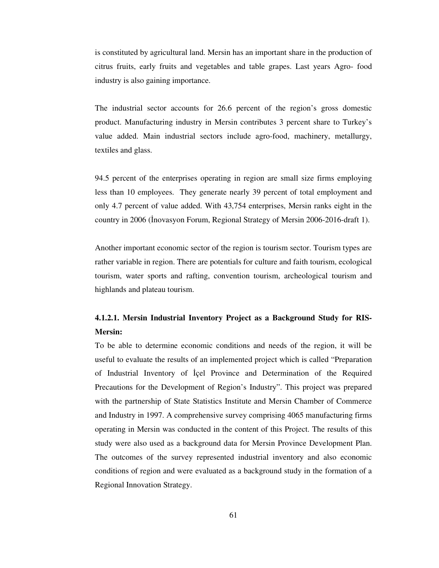is constituted by agricultural land. Mersin has an important share in the production of citrus fruits, early fruits and vegetables and table grapes. Last years Agro- food industry is also gaining importance.

The industrial sector accounts for 26.6 percent of the region's gross domestic product. Manufacturing industry in Mersin contributes 3 percent share to Turkey's value added. Main industrial sectors include agro-food, machinery, metallurgy, textiles and glass.

94.5 percent of the enterprises operating in region are small size firms employing less than 10 employees. They generate nearly 39 percent of total employment and only 4.7 percent of value added. With 43,754 enterprises, Mersin ranks eight in the country in 2006 (İnovasyon Forum, Regional Strategy of Mersin 2006-2016-draft 1).

Another important economic sector of the region is tourism sector. Tourism types are rather variable in region. There are potentials for culture and faith tourism, ecological tourism, water sports and rafting, convention tourism, archeological tourism and highlands and plateau tourism.

# **4.1.2.1. Mersin Industrial Inventory Project as a Background Study for RIS-Mersin:**

To be able to determine economic conditions and needs of the region, it will be useful to evaluate the results of an implemented project which is called "Preparation of Industrial Inventory of İçel Province and Determination of the Required Precautions for the Development of Region's Industry". This project was prepared with the partnership of State Statistics Institute and Mersin Chamber of Commerce and Industry in 1997. A comprehensive survey comprising 4065 manufacturing firms operating in Mersin was conducted in the content of this Project. The results of this study were also used as a background data for Mersin Province Development Plan. The outcomes of the survey represented industrial inventory and also economic conditions of region and were evaluated as a background study in the formation of a Regional Innovation Strategy.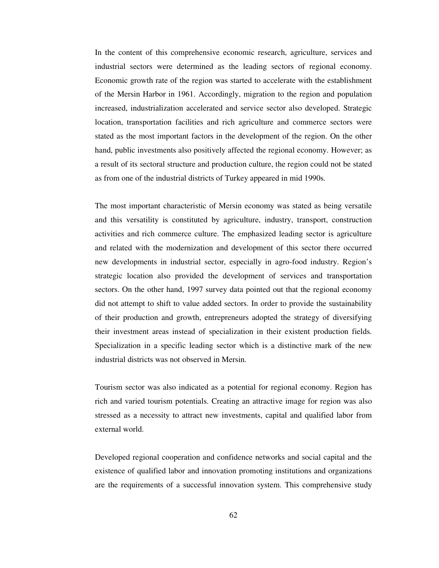In the content of this comprehensive economic research, agriculture, services and industrial sectors were determined as the leading sectors of regional economy. Economic growth rate of the region was started to accelerate with the establishment of the Mersin Harbor in 1961. Accordingly, migration to the region and population increased, industrialization accelerated and service sector also developed. Strategic location, transportation facilities and rich agriculture and commerce sectors were stated as the most important factors in the development of the region. On the other hand, public investments also positively affected the regional economy. However; as a result of its sectoral structure and production culture, the region could not be stated as from one of the industrial districts of Turkey appeared in mid 1990s.

The most important characteristic of Mersin economy was stated as being versatile and this versatility is constituted by agriculture, industry, transport, construction activities and rich commerce culture. The emphasized leading sector is agriculture and related with the modernization and development of this sector there occurred new developments in industrial sector, especially in agro-food industry. Region's strategic location also provided the development of services and transportation sectors. On the other hand, 1997 survey data pointed out that the regional economy did not attempt to shift to value added sectors. In order to provide the sustainability of their production and growth, entrepreneurs adopted the strategy of diversifying their investment areas instead of specialization in their existent production fields. Specialization in a specific leading sector which is a distinctive mark of the new industrial districts was not observed in Mersin.

Tourism sector was also indicated as a potential for regional economy. Region has rich and varied tourism potentials. Creating an attractive image for region was also stressed as a necessity to attract new investments, capital and qualified labor from external world.

Developed regional cooperation and confidence networks and social capital and the existence of qualified labor and innovation promoting institutions and organizations are the requirements of a successful innovation system. This comprehensive study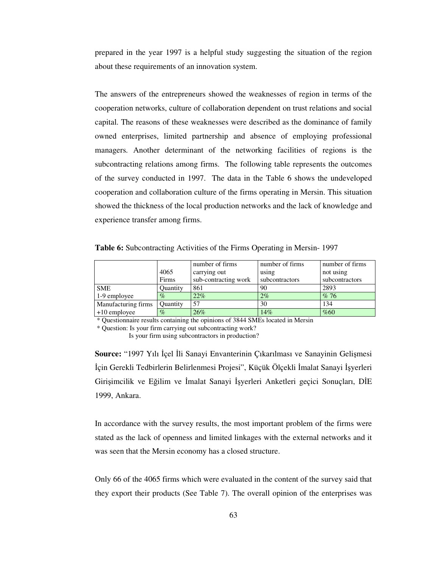prepared in the year 1997 is a helpful study suggesting the situation of the region about these requirements of an innovation system.

The answers of the entrepreneurs showed the weaknesses of region in terms of the cooperation networks, culture of collaboration dependent on trust relations and social capital. The reasons of these weaknesses were described as the dominance of family owned enterprises, limited partnership and absence of employing professional managers. Another determinant of the networking facilities of regions is the subcontracting relations among firms. The following table represents the outcomes of the survey conducted in 1997. The data in the Table 6 shows the undeveloped cooperation and collaboration culture of the firms operating in Mersin. This situation showed the thickness of the local production networks and the lack of knowledge and experience transfer among firms.

**Table 6:** Subcontracting Activities of the Firms Operating in Mersin- 1997

|                     |                 | number of firms      | number of firms | number of firms |
|---------------------|-----------------|----------------------|-----------------|-----------------|
|                     | 4065            | carrying out         | using           | not using       |
|                     | Firms           | sub-contracting work | subcontractors  | subcontractors  |
| <b>SME</b>          | <b>Ouantity</b> | 861                  | 90              | 2893            |
| 1-9 employee        | $\%$            | 22%                  | 2%              | %76             |
| Manufacturing firms | <b>Quantity</b> | 57                   | 30              | 134             |
| $+10$ employee      | $\%$            | 26%                  | 14%             | %60             |

\* Questionnaire results containing the opinions of 3844 SMEs located in Mersin

\* Question: Is your firm carrying out subcontracting work?

Is your firm using subcontractors in production?

**Source:** "1997 Yılı İçel İli Sanayi Envanterinin Çıkarılması ve Sanayinin Gelişmesi İçin Gerekli Tedbirlerin Belirlenmesi Projesi", Küçük Ölçekli İmalat Sanayi İşyerleri Girişimcilik ve Eğilim ve İmalat Sanayi İşyerleri Anketleri geçici Sonuçları, DİE 1999, Ankara.

In accordance with the survey results, the most important problem of the firms were stated as the lack of openness and limited linkages with the external networks and it was seen that the Mersin economy has a closed structure.

Only 66 of the 4065 firms which were evaluated in the content of the survey said that they export their products (See Table 7). The overall opinion of the enterprises was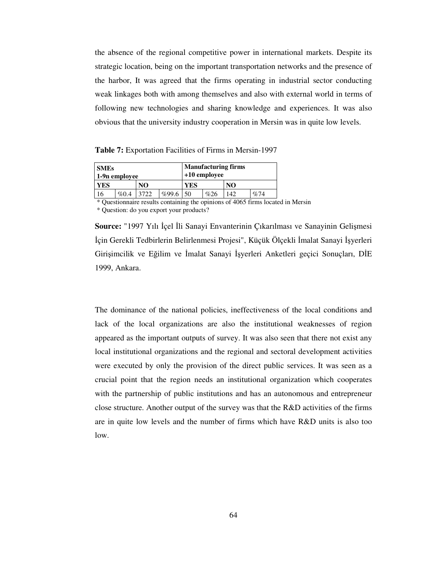the absence of the regional competitive power in international markets. Despite its strategic location, being on the important transportation networks and the presence of the harbor, It was agreed that the firms operating in industrial sector conducting weak linkages both with among themselves and also with external world in terms of following new technologies and sharing knowledge and experiences. It was also obvious that the university industry cooperation in Mersin was in quite low levels.

**Table 7:** Exportation Facilities of Firms in Mersin-1997

| <b>SMEs</b><br>1-9n employee |      |      |       |     | +10 employee | <b>Manufacturing firms</b> |     |
|------------------------------|------|------|-------|-----|--------------|----------------------------|-----|
| <b>YES</b>                   |      | NO   |       | YES |              | N <sub>O</sub>             |     |
| 16                           | %0.4 | 3722 | %99.6 | 50  | %26          | 142                        | %74 |

\* Questionnaire results containing the opinions of 4065 firms located in Mersin \* Question: do you export your products?

**Source:** "1997 Yılı İçel İli Sanayi Envanterinin Çıkarılması ve Sanayinin Gelişmesi İçin Gerekli Tedbirlerin Belirlenmesi Projesi", Küçük Ölçekli İmalat Sanayi İşyerleri Girişimcilik ve Eğilim ve İmalat Sanayi İşyerleri Anketleri geçici Sonuçları, DİE 1999, Ankara.

The dominance of the national policies, ineffectiveness of the local conditions and lack of the local organizations are also the institutional weaknesses of region appeared as the important outputs of survey. It was also seen that there not exist any local institutional organizations and the regional and sectoral development activities were executed by only the provision of the direct public services. It was seen as a crucial point that the region needs an institutional organization which cooperates with the partnership of public institutions and has an autonomous and entrepreneur close structure. Another output of the survey was that the R&D activities of the firms are in quite low levels and the number of firms which have R&D units is also too low.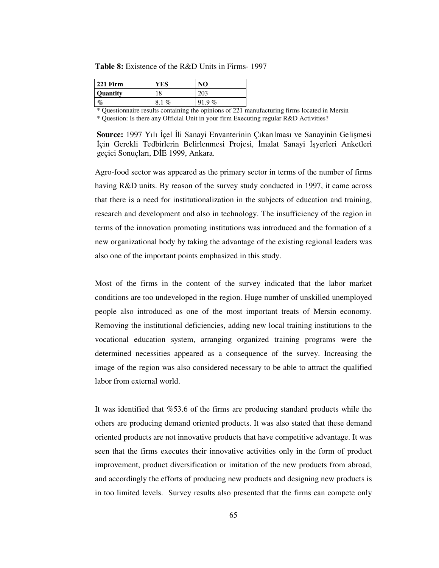**Table 8:** Existence of the R&D Units in Firms- 1997

| $221$ Firm      | YES         | NΟ    |
|-----------------|-------------|-------|
| <b>Quantity</b> | 18          |       |
| $\mathcal{G}_0$ | 8.1<br>$\%$ | 91.9% |

\* Questionnaire results containing the opinions of 221 manufacturing firms located in Mersin \* Question: Is there any Official Unit in your firm Executing regular R&D Activities?

Agro-food sector was appeared as the primary sector in terms of the number of firms having R&D units. By reason of the survey study conducted in 1997, it came across that there is a need for institutionalization in the subjects of education and training, research and development and also in technology. The insufficiency of the region in terms of the innovation promoting institutions was introduced and the formation of a new organizational body by taking the advantage of the existing regional leaders was also one of the important points emphasized in this study.

Most of the firms in the content of the survey indicated that the labor market conditions are too undeveloped in the region. Huge number of unskilled unemployed people also introduced as one of the most important treats of Mersin economy. Removing the institutional deficiencies, adding new local training institutions to the vocational education system, arranging organized training programs were the determined necessities appeared as a consequence of the survey. Increasing the image of the region was also considered necessary to be able to attract the qualified labor from external world.

It was identified that %53.6 of the firms are producing standard products while the others are producing demand oriented products. It was also stated that these demand oriented products are not innovative products that have competitive advantage. It was seen that the firms executes their innovative activities only in the form of product improvement, product diversification or imitation of the new products from abroad, and accordingly the efforts of producing new products and designing new products is in too limited levels. Survey results also presented that the firms can compete only

**Source:** 1997 Yılı İçel İli Sanayi Envanterinin Çıkarılması ve Sanayinin Gelişmesi İçin Gerekli Tedbirlerin Belirlenmesi Projesi, İmalat Sanayi İşyerleri Anketleri geçici Sonuçları, DİE 1999, Ankara.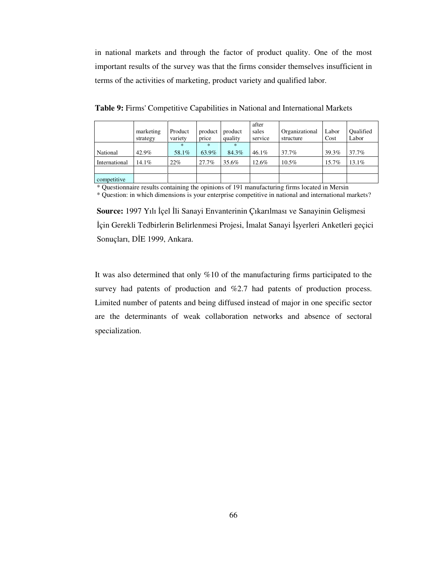in national markets and through the factor of product quality. One of the most important results of the survey was that the firms consider themselves insufficient in terms of the activities of marketing, product variety and qualified labor.

|               | marketing<br>strategy | Product<br>variety | product<br>price | product<br>quality | after<br>sales<br>service | Organizational<br>structure | Labor<br>Cost | Oualified<br>Labor |
|---------------|-----------------------|--------------------|------------------|--------------------|---------------------------|-----------------------------|---------------|--------------------|
| National      | 42.9%                 | $\ast$<br>58.1%    | $\ast$<br>63.9%  | $\ast$<br>84.3%    | $46.1\%$                  | $37.7\%$                    | 39.3%         | $37.7\%$           |
| International | 14.1%                 | $22\%$             | 27.7%            | 35.6%              | 12.6%                     | $10.5\%$                    | 15.7%         | 13.1%              |
|               |                       |                    |                  |                    |                           |                             |               |                    |
| competitive   |                       |                    |                  |                    |                           |                             |               |                    |

**Table 9:** Firms' Competitive Capabilities in National and International Markets

\* Questionnaire results containing the opinions of 191 manufacturing firms located in Mersin

\* Question: in which dimensions is your enterprise competitive in national and international markets?

**Source:** 1997 Yılı İçel İli Sanayi Envanterinin Çıkarılması ve Sanayinin Gelişmesi İçin Gerekli Tedbirlerin Belirlenmesi Projesi, İmalat Sanayi İşyerleri Anketleri geçici Sonuçları, DİE 1999, Ankara.

It was also determined that only %10 of the manufacturing firms participated to the survey had patents of production and %2.7 had patents of production process. Limited number of patents and being diffused instead of major in one specific sector are the determinants of weak collaboration networks and absence of sectoral specialization.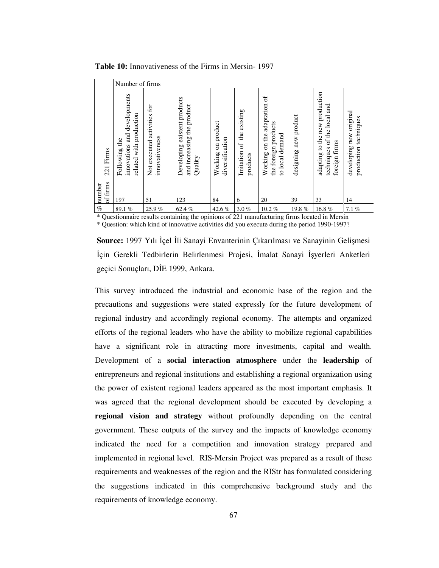|                    | Number of firms                                                                      |                                                  |                                                                       |                                          |                                             |                                                                                                 |                       |                                                                                         |                                                  |
|--------------------|--------------------------------------------------------------------------------------|--------------------------------------------------|-----------------------------------------------------------------------|------------------------------------------|---------------------------------------------|-------------------------------------------------------------------------------------------------|-----------------------|-----------------------------------------------------------------------------------------|--------------------------------------------------|
| Firms<br>221       | innovations and developments<br>related with production<br>$\mathbf{d}$<br>Following | activities for<br>innovativeness<br>Not executed | Developing existent products<br>and increasing the product<br>Quality | product<br>diversification<br>Working on | existing<br>the<br>Imitation of<br>products | Working on the adaptation of<br>the foreign products<br>local demand<br>$\overline{\mathbf{e}}$ | designing new product | adapting to the new production<br>and<br>of the local<br>firms<br>techniques<br>foreign | developing new original<br>production techniques |
| of firms<br>number | 197                                                                                  | 51                                               | 123                                                                   | 84                                       | 6                                           | 20                                                                                              | 39                    | 33                                                                                      | 14                                               |
| $\%$               | 89.1%                                                                                | 25.9%                                            | 62.4%                                                                 | 42.6%                                    | $3.0 \%$                                    | $10.2 \%$                                                                                       | 19.8%                 | 16.8%                                                                                   | 7.1%                                             |

**Table 10:** Innovativeness of the Firms in Mersin- 1997

\* Questionnaire results containing the opinions of 221 manufacturing firms located in Mersin \* Question: which kind of innovative activities did you execute during the period 1990-1997?

**Source:** 1997 Yılı İçel İli Sanayi Envanterinin Çıkarılması ve Sanayinin Gelişmesi İçin Gerekli Tedbirlerin Belirlenmesi Projesi, İmalat Sanayi İşyerleri Anketleri geçici Sonuçları, DİE 1999, Ankara.

This survey introduced the industrial and economic base of the region and the precautions and suggestions were stated expressly for the future development of regional industry and accordingly regional economy. The attempts and organized efforts of the regional leaders who have the ability to mobilize regional capabilities have a significant role in attracting more investments, capital and wealth. Development of a **social interaction atmosphere** under the **leadership** of entrepreneurs and regional institutions and establishing a regional organization using the power of existent regional leaders appeared as the most important emphasis. It was agreed that the regional development should be executed by developing a **regional vision and strategy** without profoundly depending on the central government. These outputs of the survey and the impacts of knowledge economy indicated the need for a competition and innovation strategy prepared and implemented in regional level. RIS-Mersin Project was prepared as a result of these requirements and weaknesses of the region and the RIStr has formulated considering the suggestions indicated in this comprehensive background study and the requirements of knowledge economy.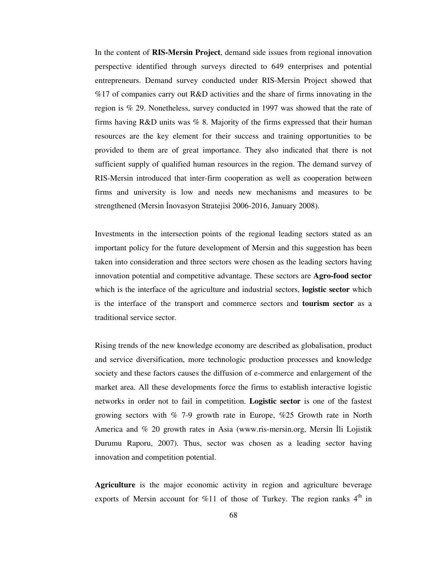In the content of **RIS-Mersin Project**, demand side issues from regional innovation perspective identified through surveys directed to 649 enterprises and potential entrepreneurs. Demand survey conducted under RIS-Mersin Project showed that %17 of companies carry out R&D activities and the share of firms innovating in the region is % 29. Nonetheless, survey conducted in 1997 was showed that the rate of firms having R&D units was % 8. Majority of the firms expressed that their human resources are the key element for their success and training opportunities to be provided to them are of great importance. They also indicated that there is not sufficient supply of qualified human resources in the region. The demand survey of RIS-Mersin introduced that inter-firm cooperation as well as cooperation between firms and university is low and needs new mechanisms and measures to be strengthened (Mersin İnovasyon Stratejisi 2006-2016, January 2008).

Investments in the intersection points of the regional leading sectors stated as an important policy for the future development of Mersin and this suggestion has been taken into consideration and three sectors were chosen as the leading sectors having innovation potential and competitive advantage. These sectors are **Agro-food sector** which is the interface of the agriculture and industrial sectors, **logistic sector** which is the interface of the transport and commerce sectors and **tourism sector** as a traditional service sector.

Rising trends of the new knowledge economy are described as globalisation, product and service diversification, more technologic production processes and knowledge society and these factors causes the diffusion of e-commerce and enlargement of the market area. All these developments force the firms to establish interactive logistic networks in order not to fail in competition. **Logistic sector** is one of the fastest growing sectors with % 7-9 growth rate in Europe, %25 Growth rate in North America and % 20 growth rates in Asia (www.ris-mersin.org, Mersin İli Lojistik Durumu Raporu, 2007). Thus, sector was chosen as a leading sector having innovation and competition potential.

**Agriculture** is the major economic activity in region and agriculture beverage exports of Mersin account for %11 of those of Turkey. The region ranks  $4<sup>th</sup>$  in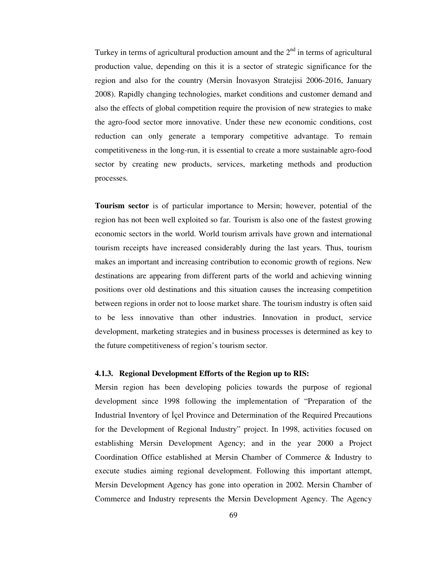Turkey in terms of agricultural production amount and the  $2<sup>nd</sup>$  in terms of agricultural production value, depending on this it is a sector of strategic significance for the region and also for the country (Mersin İnovasyon Stratejisi 2006-2016, January 2008). Rapidly changing technologies, market conditions and customer demand and also the effects of global competition require the provision of new strategies to make the agro-food sector more innovative. Under these new economic conditions, cost reduction can only generate a temporary competitive advantage. To remain competitiveness in the long-run, it is essential to create a more sustainable agro-food sector by creating new products, services, marketing methods and production processes.

**Tourism sector** is of particular importance to Mersin; however, potential of the region has not been well exploited so far. Tourism is also one of the fastest growing economic sectors in the world. World tourism arrivals have grown and international tourism receipts have increased considerably during the last years. Thus, tourism makes an important and increasing contribution to economic growth of regions. New destinations are appearing from different parts of the world and achieving winning positions over old destinations and this situation causes the increasing competition between regions in order not to loose market share. The tourism industry is often said to be less innovative than other industries. Innovation in product, service development, marketing strategies and in business processes is determined as key to the future competitiveness of region's tourism sector.

#### **4.1.3. Regional Development Efforts of the Region up to RIS:**

Mersin region has been developing policies towards the purpose of regional development since 1998 following the implementation of "Preparation of the Industrial Inventory of İçel Province and Determination of the Required Precautions for the Development of Regional Industry" project. In 1998, activities focused on establishing Mersin Development Agency; and in the year 2000 a Project Coordination Office established at Mersin Chamber of Commerce & Industry to execute studies aiming regional development. Following this important attempt, Mersin Development Agency has gone into operation in 2002. Mersin Chamber of Commerce and Industry represents the Mersin Development Agency. The Agency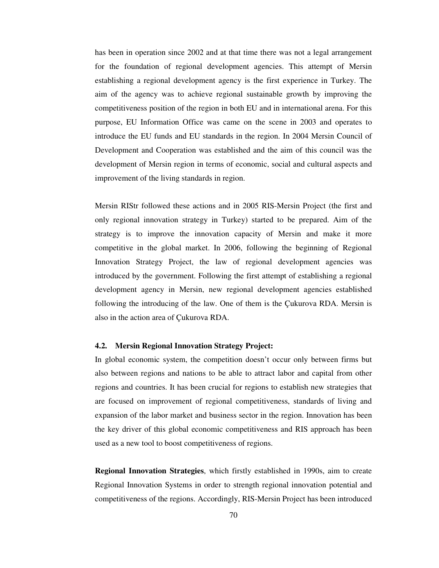has been in operation since 2002 and at that time there was not a legal arrangement for the foundation of regional development agencies. This attempt of Mersin establishing a regional development agency is the first experience in Turkey. The aim of the agency was to achieve regional sustainable growth by improving the competitiveness position of the region in both EU and in international arena. For this purpose, EU Information Office was came on the scene in 2003 and operates to introduce the EU funds and EU standards in the region. In 2004 Mersin Council of Development and Cooperation was established and the aim of this council was the development of Mersin region in terms of economic, social and cultural aspects and improvement of the living standards in region.

Mersin RIStr followed these actions and in 2005 RIS-Mersin Project (the first and only regional innovation strategy in Turkey) started to be prepared. Aim of the strategy is to improve the innovation capacity of Mersin and make it more competitive in the global market. In 2006, following the beginning of Regional Innovation Strategy Project, the law of regional development agencies was introduced by the government. Following the first attempt of establishing a regional development agency in Mersin, new regional development agencies established following the introducing of the law. One of them is the Çukurova RDA. Mersin is also in the action area of Çukurova RDA.

#### **4.2. Mersin Regional Innovation Strategy Project:**

In global economic system, the competition doesn't occur only between firms but also between regions and nations to be able to attract labor and capital from other regions and countries. It has been crucial for regions to establish new strategies that are focused on improvement of regional competitiveness, standards of living and expansion of the labor market and business sector in the region. Innovation has been the key driver of this global economic competitiveness and RIS approach has been used as a new tool to boost competitiveness of regions.

**Regional Innovation Strategies**, which firstly established in 1990s, aim to create Regional Innovation Systems in order to strength regional innovation potential and competitiveness of the regions. Accordingly, RIS-Mersin Project has been introduced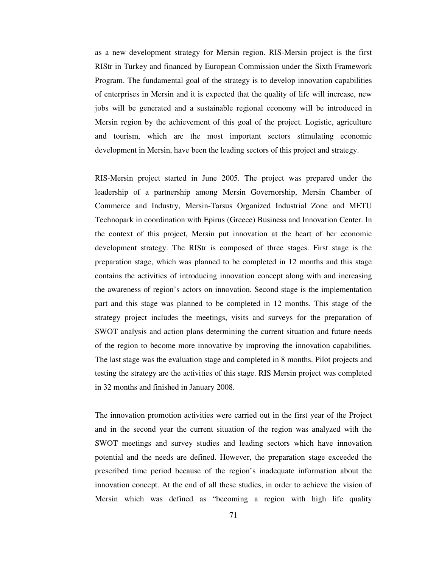as a new development strategy for Mersin region. RIS-Mersin project is the first RIStr in Turkey and financed by European Commission under the Sixth Framework Program. The fundamental goal of the strategy is to develop innovation capabilities of enterprises in Mersin and it is expected that the quality of life will increase, new jobs will be generated and a sustainable regional economy will be introduced in Mersin region by the achievement of this goal of the project. Logistic, agriculture and tourism, which are the most important sectors stimulating economic development in Mersin, have been the leading sectors of this project and strategy.

RIS-Mersin project started in June 2005. The project was prepared under the leadership of a partnership among Mersin Governorship, Mersin Chamber of Commerce and Industry, Mersin-Tarsus Organized Industrial Zone and METU Technopark in coordination with Epirus (Greece) Business and Innovation Center. In the context of this project, Mersin put innovation at the heart of her economic development strategy. The RIStr is composed of three stages. First stage is the preparation stage, which was planned to be completed in 12 months and this stage contains the activities of introducing innovation concept along with and increasing the awareness of region's actors on innovation. Second stage is the implementation part and this stage was planned to be completed in 12 months. This stage of the strategy project includes the meetings, visits and surveys for the preparation of SWOT analysis and action plans determining the current situation and future needs of the region to become more innovative by improving the innovation capabilities. The last stage was the evaluation stage and completed in 8 months. Pilot projects and testing the strategy are the activities of this stage. RIS Mersin project was completed in 32 months and finished in January 2008.

The innovation promotion activities were carried out in the first year of the Project and in the second year the current situation of the region was analyzed with the SWOT meetings and survey studies and leading sectors which have innovation potential and the needs are defined. However, the preparation stage exceeded the prescribed time period because of the region's inadequate information about the innovation concept. At the end of all these studies, in order to achieve the vision of Mersin which was defined as "becoming a region with high life quality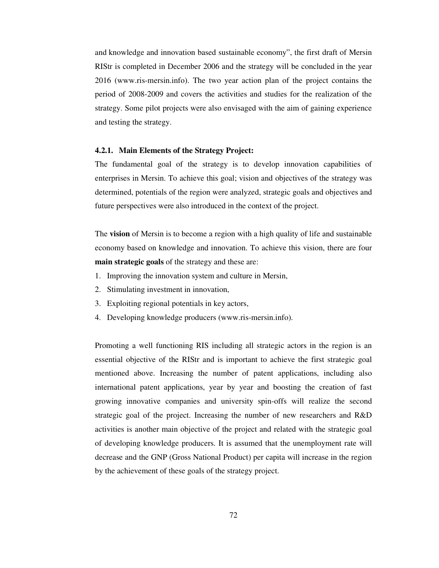and knowledge and innovation based sustainable economy", the first draft of Mersin RIStr is completed in December 2006 and the strategy will be concluded in the year 2016 (www.ris-mersin.info). The two year action plan of the project contains the period of 2008-2009 and covers the activities and studies for the realization of the strategy. Some pilot projects were also envisaged with the aim of gaining experience and testing the strategy.

#### **4.2.1. Main Elements of the Strategy Project:**

The fundamental goal of the strategy is to develop innovation capabilities of enterprises in Mersin. To achieve this goal; vision and objectives of the strategy was determined, potentials of the region were analyzed, strategic goals and objectives and future perspectives were also introduced in the context of the project.

The **vision** of Mersin is to become a region with a high quality of life and sustainable economy based on knowledge and innovation. To achieve this vision, there are four **main strategic goals** of the strategy and these are:

- 1. Improving the innovation system and culture in Mersin,
- 2. Stimulating investment in innovation,
- 3. Exploiting regional potentials in key actors,
- 4. Developing knowledge producers (www.ris-mersin.info).

Promoting a well functioning RIS including all strategic actors in the region is an essential objective of the RIStr and is important to achieve the first strategic goal mentioned above. Increasing the number of patent applications, including also international patent applications, year by year and boosting the creation of fast growing innovative companies and university spin-offs will realize the second strategic goal of the project. Increasing the number of new researchers and R&D activities is another main objective of the project and related with the strategic goal of developing knowledge producers. It is assumed that the unemployment rate will decrease and the GNP (Gross National Product) per capita will increase in the region by the achievement of these goals of the strategy project.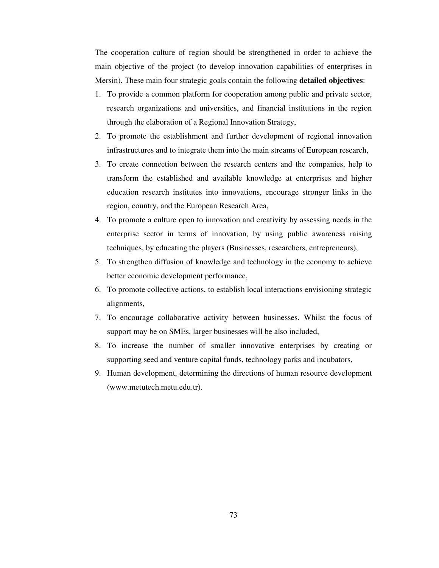The cooperation culture of region should be strengthened in order to achieve the main objective of the project (to develop innovation capabilities of enterprises in Mersin). These main four strategic goals contain the following **detailed objectives**:

- 1. To provide a common platform for cooperation among public and private sector, research organizations and universities, and financial institutions in the region through the elaboration of a Regional Innovation Strategy,
- 2. To promote the establishment and further development of regional innovation infrastructures and to integrate them into the main streams of European research,
- 3. To create connection between the research centers and the companies, help to transform the established and available knowledge at enterprises and higher education research institutes into innovations, encourage stronger links in the region, country, and the European Research Area,
- 4. To promote a culture open to innovation and creativity by assessing needs in the enterprise sector in terms of innovation, by using public awareness raising techniques, by educating the players (Businesses, researchers, entrepreneurs),
- 5. To strengthen diffusion of knowledge and technology in the economy to achieve better economic development performance,
- 6. To promote collective actions, to establish local interactions envisioning strategic alignments,
- 7. To encourage collaborative activity between businesses. Whilst the focus of support may be on SMEs, larger businesses will be also included,
- 8. To increase the number of smaller innovative enterprises by creating or supporting seed and venture capital funds, technology parks and incubators,
- 9. Human development, determining the directions of human resource development (www.metutech.metu.edu.tr).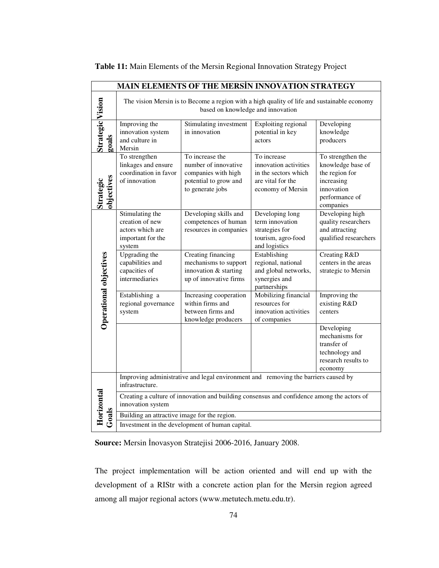|                           | <b>MAIN ELEMENTS OF THE MERSIN INNOVATION STRATEGY</b>                                                                           |                                                                                                             |                                                                                                        |                                                                                                                     |  |  |  |  |
|---------------------------|----------------------------------------------------------------------------------------------------------------------------------|-------------------------------------------------------------------------------------------------------------|--------------------------------------------------------------------------------------------------------|---------------------------------------------------------------------------------------------------------------------|--|--|--|--|
|                           | The vision Mersin is to Become a region with a high quality of life and sustainable economy<br>based on knowledge and innovation |                                                                                                             |                                                                                                        |                                                                                                                     |  |  |  |  |
| Strategic Vision<br>goals | Improving the<br>innovation system<br>and culture in<br>Mersin                                                                   | Stimulating investment<br>in innovation                                                                     | Exploiting regional<br>potential in key<br>actors                                                      | Developing<br>knowledge<br>producers                                                                                |  |  |  |  |
| Strategic<br>objectives   | To strengthen<br>linkages and ensure<br>coordination in favor<br>of innovation                                                   | To increase the<br>number of innovative<br>companies with high<br>potential to grow and<br>to generate jobs | To increase<br>innovation activities<br>in the sectors which<br>are vital for the<br>economy of Mersin | To strengthen the<br>knowledge base of<br>the region for<br>increasing<br>innovation<br>performance of<br>companies |  |  |  |  |
|                           | Stimulating the<br>creation of new<br>actors which are<br>important for the<br>system                                            | Developing skills and<br>competences of human<br>resources in companies                                     | Developing long<br>term innovation<br>strategies for<br>tourism, agro-food<br>and logistics            | Developing high<br>quality researchers<br>and attracting<br>qualified researchers                                   |  |  |  |  |
| Operational objectives    | Upgrading the<br>capabilities and<br>capacities of<br>intermediaries                                                             | Creating financing<br>mechanisms to support<br>innovation & starting<br>up of innovative firms              | Establishing<br>regional, national<br>and global networks,<br>synergies and<br>partnerships            | Creating R&D<br>centers in the areas<br>strategic to Mersin                                                         |  |  |  |  |
|                           | Establishing a<br>regional governance<br>system                                                                                  | Increasing cooperation<br>within firms and<br>between firms and<br>knowledge producers                      | Mobilizing financial<br>resources for<br>innovation activities<br>of companies                         | Improving the<br>existing R&D<br>centers                                                                            |  |  |  |  |
|                           |                                                                                                                                  |                                                                                                             |                                                                                                        | Developing<br>mechanisms for<br>transfer of<br>technology and<br>research results to<br>economy                     |  |  |  |  |
|                           | Improving administrative and legal environment and removing the barriers caused by<br>infrastructure.                            |                                                                                                             |                                                                                                        |                                                                                                                     |  |  |  |  |
| Horizontal                | innovation system                                                                                                                | Creating a culture of innovation and building consensus and confidence among the actors of                  |                                                                                                        |                                                                                                                     |  |  |  |  |
| Goals                     | Building an attractive image for the region.                                                                                     | Investment in the development of human capital.                                                             |                                                                                                        |                                                                                                                     |  |  |  |  |

**Table 11:** Main Elements of the Mersin Regional Innovation Strategy Project

**Source:** Mersin İnovasyon Stratejisi 2006-2016, January 2008.

The project implementation will be action oriented and will end up with the development of a RIStr with a concrete action plan for the Mersin region agreed among all major regional actors (www.metutech.metu.edu.tr).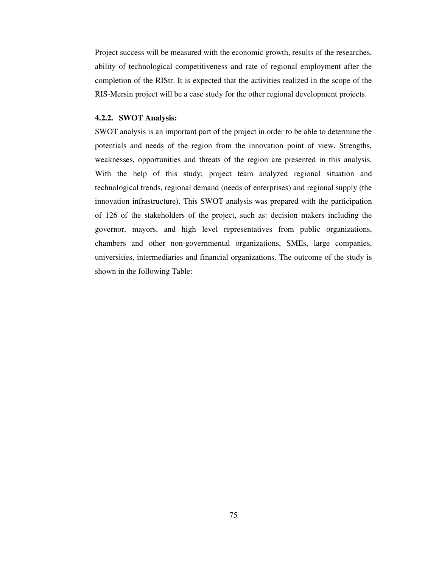Project success will be measured with the economic growth, results of the researches, ability of technological competitiveness and rate of regional employment after the completion of the RIStr. It is expected that the activities realized in the scope of the RIS-Mersin project will be a case study for the other regional development projects.

# **4.2.2. SWOT Analysis:**

SWOT analysis is an important part of the project in order to be able to determine the potentials and needs of the region from the innovation point of view. Strengths, weaknesses, opportunities and threats of the region are presented in this analysis. With the help of this study; project team analyzed regional situation and technological trends, regional demand (needs of enterprises) and regional supply (the innovation infrastructure). This SWOT analysis was prepared with the participation of 126 of the stakeholders of the project, such as: decision makers including the governor, mayors, and high level representatives from public organizations, chambers and other non-governmental organizations, SMEs, large companies, universities, intermediaries and financial organizations. The outcome of the study is shown in the following Table: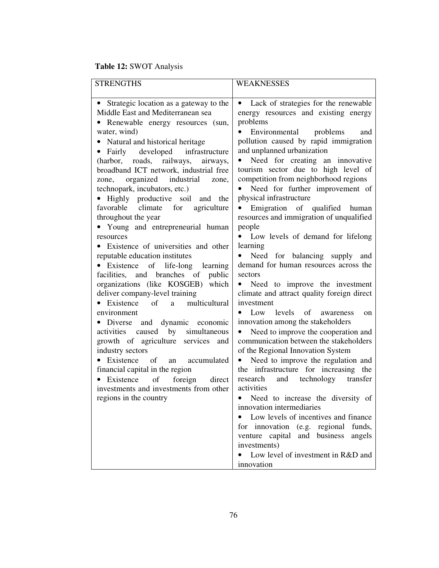# **Table 12:** SWOT Analysis

| <b>STRENGTHS</b>                               | <b>WEAKNESSES</b>                                  |
|------------------------------------------------|----------------------------------------------------|
|                                                |                                                    |
| Strategic location as a gateway to the         | Lack of strategies for the renewable<br>$\bullet$  |
| Middle East and Mediterranean sea              | energy resources and existing energy               |
| Renewable energy resources (sun,<br>$\bullet$  | problems                                           |
| water, wind)                                   | Environmental problems<br>and                      |
| • Natural and historical heritage              | pollution caused by rapid immigration              |
| • Fairly developed infrastructure              | and unplanned urbanization                         |
| (harbor, roads, railways, airways,             | Need for creating an innovative<br>$\bullet$       |
| broadband ICT network, industrial free         | tourism sector due to high level of                |
| zone, organized industrial zone,               | competition from neighborhood regions              |
| technopark, incubators, etc.)                  | Need for further improvement of                    |
| • Highly productive soil and the               | physical infrastructure                            |
| favorable climate for<br>agriculture           | Emigration of qualified human<br>$\bullet$         |
| throughout the year                            | resources and immigration of unqualified<br>people |
| • Young and entrepreneurial human<br>resources | Low levels of demand for lifelong                  |
| • Existence of universities and other          | learning                                           |
| reputable education institutes                 | Need for balancing supply and<br>$\bullet$         |
| • Existence of life-long learning              | demand for human resources across the              |
| facilities, and branches of<br>public          | sectors                                            |
| organizations (like KOSGEB) which              | • Need to improve the investment                   |
| deliver company-level training                 | climate and attract quality foreign direct         |
| • Existence of a multicultural                 | investment                                         |
| environment                                    | Low levels of awareness<br>$\bullet$<br>on         |
| · Diverse and dynamic economic                 | innovation among the stakeholders                  |
| activities caused by simultaneous              | Need to improve the cooperation and<br>$\bullet$   |
| growth of agriculture services and             | communication between the stakeholders             |
| industry sectors                               | of the Regional Innovation System                  |
| • Existence of an accumulated                  | • Need to improve the regulation and               |
| financial capital in the region                | the infrastructure for increasing the              |
| Existence<br>foreign<br>of<br>direct           | research and technology transfer                   |
| investments and investments from other         | activities                                         |
| regions in the country                         | • Need to increase the diversity of                |
|                                                | innovation intermediaries                          |
|                                                | Low levels of incentives and finance               |
|                                                | for innovation (e.g. regional<br>funds,            |
|                                                | venture capital and business<br>angels             |
|                                                | investments)                                       |
|                                                | Low level of investment in R&D and                 |
|                                                | innovation                                         |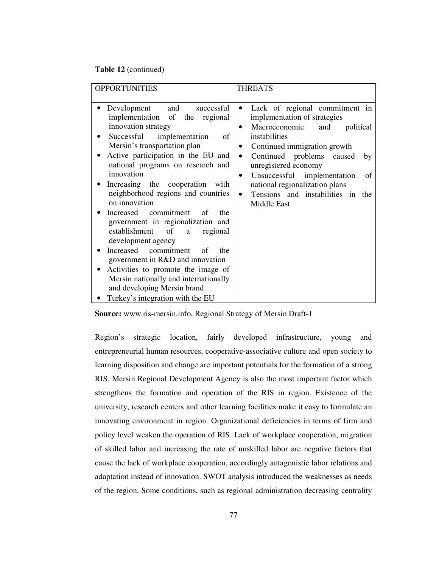#### **Table 12** (continued)

| <b>OPPORTUNITIES</b>                                                                                                                                                                                                                                                                                                                                                                                                                                                                                                                                                                                                                                                                                                     | <b>THREATS</b>                                                                                                                                                                                                                                                                                                                                                          |
|--------------------------------------------------------------------------------------------------------------------------------------------------------------------------------------------------------------------------------------------------------------------------------------------------------------------------------------------------------------------------------------------------------------------------------------------------------------------------------------------------------------------------------------------------------------------------------------------------------------------------------------------------------------------------------------------------------------------------|-------------------------------------------------------------------------------------------------------------------------------------------------------------------------------------------------------------------------------------------------------------------------------------------------------------------------------------------------------------------------|
| and<br>Development<br>successful<br>implementation of the regional<br>innovation strategy<br>Successful<br>implementation<br>of<br>Mersin's transportation plan<br>Active participation in the EU and<br>national programs on research and<br>innovation<br>Increasing the cooperation<br>with<br>neighborhood regions and countries<br>on innovation<br>Increased commitment of<br>the<br>government in regionalization and<br>establishment<br>of<br>regional<br>a<br>development agency<br>commitment<br>Increased<br>of<br>the<br>government in R&D and innovation<br>Activities to promote the image of<br>Mersin nationally and internationally<br>and developing Mersin brand<br>Turkey's integration with the EU | Lack of regional commitment in<br>$\bullet$<br>implementation of strategies<br>Macroeconomic<br>political<br>and<br>instabilities<br>Continued immigration growth<br>Continued problems caused<br>$\bullet$<br>by<br>unregistered economy<br>Unsuccessful implementation<br>of<br>national regionalization plans<br>Tensions and instabilities in<br>the<br>Middle East |

**Source:** www.ris-mersin.info, Regional Strategy of Mersin Draft-1

Region's strategic location, fairly developed infrastructure, young and entrepreneurial human resources, cooperative-associative culture and open society to learning disposition and change are important potentials for the formation of a strong RIS. Mersin Regional Development Agency is also the most important factor which strengthens the formation and operation of the RIS in region. Existence of the university, research centers and other learning facilities make it easy to formulate an innovating environment in region. Organizational deficiencies in terms of firm and policy level weaken the operation of RIS. Lack of workplace cooperation, migration of skilled labor and increasing the rate of unskilled labor are negative factors that cause the lack of workplace cooperation, accordingly antagonistic labor relations and adaptation instead of innovation. SWOT analysis introduced the weaknesses as needs of the region. Some conditions, such as regional administration decreasing centrality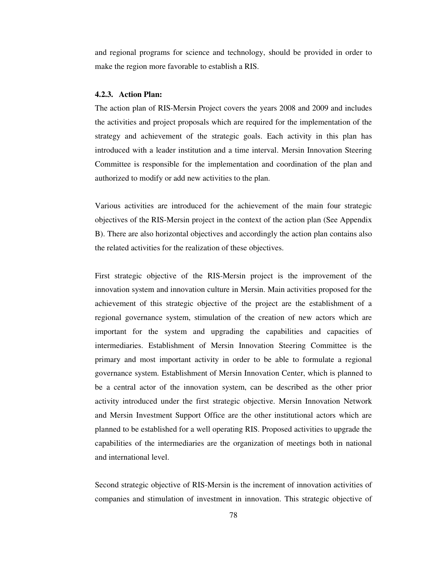and regional programs for science and technology, should be provided in order to make the region more favorable to establish a RIS.

#### **4.2.3. Action Plan:**

The action plan of RIS-Mersin Project covers the years 2008 and 2009 and includes the activities and project proposals which are required for the implementation of the strategy and achievement of the strategic goals. Each activity in this plan has introduced with a leader institution and a time interval. Mersin Innovation Steering Committee is responsible for the implementation and coordination of the plan and authorized to modify or add new activities to the plan.

Various activities are introduced for the achievement of the main four strategic objectives of the RIS-Mersin project in the context of the action plan (See Appendix B). There are also horizontal objectives and accordingly the action plan contains also the related activities for the realization of these objectives.

First strategic objective of the RIS-Mersin project is the improvement of the innovation system and innovation culture in Mersin. Main activities proposed for the achievement of this strategic objective of the project are the establishment of a regional governance system, stimulation of the creation of new actors which are important for the system and upgrading the capabilities and capacities of intermediaries. Establishment of Mersin Innovation Steering Committee is the primary and most important activity in order to be able to formulate a regional governance system. Establishment of Mersin Innovation Center, which is planned to be a central actor of the innovation system, can be described as the other prior activity introduced under the first strategic objective. Mersin Innovation Network and Mersin Investment Support Office are the other institutional actors which are planned to be established for a well operating RIS. Proposed activities to upgrade the capabilities of the intermediaries are the organization of meetings both in national and international level.

Second strategic objective of RIS-Mersin is the increment of innovation activities of companies and stimulation of investment in innovation. This strategic objective of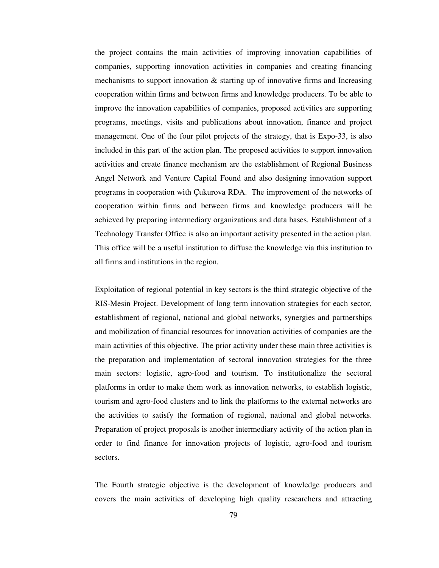the project contains the main activities of improving innovation capabilities of companies, supporting innovation activities in companies and creating financing mechanisms to support innovation  $\&$  starting up of innovative firms and Increasing cooperation within firms and between firms and knowledge producers. To be able to improve the innovation capabilities of companies, proposed activities are supporting programs, meetings, visits and publications about innovation, finance and project management. One of the four pilot projects of the strategy, that is Expo-33, is also included in this part of the action plan. The proposed activities to support innovation activities and create finance mechanism are the establishment of Regional Business Angel Network and Venture Capital Found and also designing innovation support programs in cooperation with Çukurova RDA. The improvement of the networks of cooperation within firms and between firms and knowledge producers will be achieved by preparing intermediary organizations and data bases. Establishment of a Technology Transfer Office is also an important activity presented in the action plan. This office will be a useful institution to diffuse the knowledge via this institution to all firms and institutions in the region.

Exploitation of regional potential in key sectors is the third strategic objective of the RIS-Mesin Project. Development of long term innovation strategies for each sector, establishment of regional, national and global networks, synergies and partnerships and mobilization of financial resources for innovation activities of companies are the main activities of this objective. The prior activity under these main three activities is the preparation and implementation of sectoral innovation strategies for the three main sectors: logistic, agro-food and tourism. To institutionalize the sectoral platforms in order to make them work as innovation networks, to establish logistic, tourism and agro-food clusters and to link the platforms to the external networks are the activities to satisfy the formation of regional, national and global networks. Preparation of project proposals is another intermediary activity of the action plan in order to find finance for innovation projects of logistic, agro-food and tourism sectors.

The Fourth strategic objective is the development of knowledge producers and covers the main activities of developing high quality researchers and attracting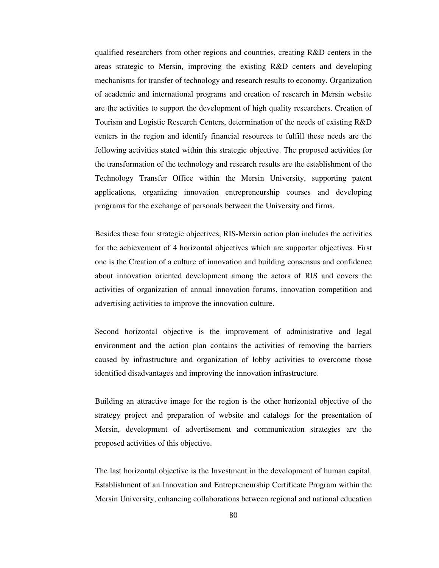qualified researchers from other regions and countries, creating R&D centers in the areas strategic to Mersin, improving the existing R&D centers and developing mechanisms for transfer of technology and research results to economy. Organization of academic and international programs and creation of research in Mersin website are the activities to support the development of high quality researchers. Creation of Tourism and Logistic Research Centers, determination of the needs of existing R&D centers in the region and identify financial resources to fulfill these needs are the following activities stated within this strategic objective. The proposed activities for the transformation of the technology and research results are the establishment of the Technology Transfer Office within the Mersin University, supporting patent applications, organizing innovation entrepreneurship courses and developing programs for the exchange of personals between the University and firms.

Besides these four strategic objectives, RIS-Mersin action plan includes the activities for the achievement of 4 horizontal objectives which are supporter objectives. First one is the Creation of a culture of innovation and building consensus and confidence about innovation oriented development among the actors of RIS and covers the activities of organization of annual innovation forums, innovation competition and advertising activities to improve the innovation culture.

Second horizontal objective is the improvement of administrative and legal environment and the action plan contains the activities of removing the barriers caused by infrastructure and organization of lobby activities to overcome those identified disadvantages and improving the innovation infrastructure.

Building an attractive image for the region is the other horizontal objective of the strategy project and preparation of website and catalogs for the presentation of Mersin, development of advertisement and communication strategies are the proposed activities of this objective.

The last horizontal objective is the Investment in the development of human capital. Establishment of an Innovation and Entrepreneurship Certificate Program within the Mersin University, enhancing collaborations between regional and national education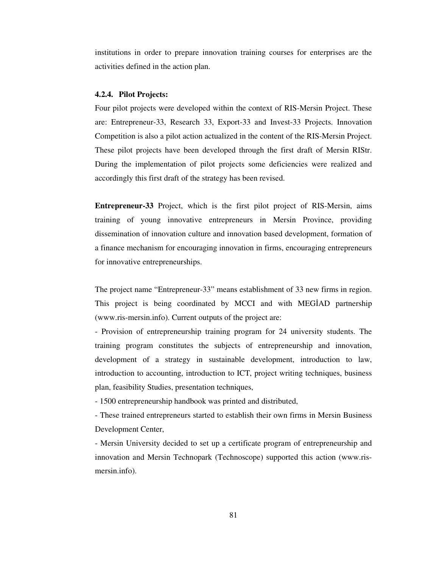institutions in order to prepare innovation training courses for enterprises are the activities defined in the action plan.

#### **4.2.4. Pilot Projects:**

Four pilot projects were developed within the context of RIS-Mersin Project. These are: Entrepreneur-33, Research 33, Export-33 and Invest-33 Projects. Innovation Competition is also a pilot action actualized in the content of the RIS-Mersin Project. These pilot projects have been developed through the first draft of Mersin RIStr. During the implementation of pilot projects some deficiencies were realized and accordingly this first draft of the strategy has been revised.

**Entrepreneur-33** Project, which is the first pilot project of RIS-Mersin, aims training of young innovative entrepreneurs in Mersin Province, providing dissemination of innovation culture and innovation based development, formation of a finance mechanism for encouraging innovation in firms, encouraging entrepreneurs for innovative entrepreneurships.

The project name "Entrepreneur-33" means establishment of 33 new firms in region. This project is being coordinated by MCCI and with MEGİAD partnership (www.ris-mersin.info). Current outputs of the project are:

- Provision of entrepreneurship training program for 24 university students. The training program constitutes the subjects of entrepreneurship and innovation, development of a strategy in sustainable development, introduction to law, introduction to accounting, introduction to ICT, project writing techniques, business plan, feasibility Studies, presentation techniques,

- 1500 entrepreneurship handbook was printed and distributed,

- These trained entrepreneurs started to establish their own firms in Mersin Business Development Center,

- Mersin University decided to set up a certificate program of entrepreneurship and innovation and Mersin Technopark (Technoscope) supported this action (www.rismersin.info).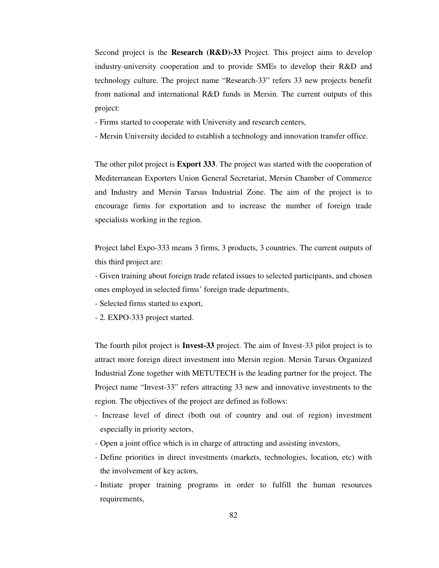Second project is the **Research (R&D)-33** Project. This project aims to develop industry-university cooperation and to provide SMEs to develop their R&D and technology culture. The project name "Research-33" refers 33 new projects benefit from national and international R&D funds in Mersin. The current outputs of this project:

- Firms started to cooperate with University and research centers,
- Mersin University decided to establish a technology and innovation transfer office.

The other pilot project is **Export 333**. The project was started with the cooperation of Mediterranean Exporters Union General Secretariat, Mersin Chamber of Commerce and Industry and Mersin Tarsus Industrial Zone. The aim of the project is to encourage firms for exportation and to increase the number of foreign trade specialists working in the region.

Project label Expo-333 means 3 firms, 3 products, 3 countries. The current outputs of this third project are:

- Given training about foreign trade related issues to selected participants, and chosen ones employed in selected firms' foreign trade departments,

- Selected firms started to export,

- 2. EXPO-333 project started.

The fourth pilot project is **Invest-33** project. The aim of Invest-33 pilot project is to attract more foreign direct investment into Mersin region. Mersin Tarsus Organized Industrial Zone together with METUTECH is the leading partner for the project. The Project name "Invest-33" refers attracting 33 new and innovative investments to the region. The objectives of the project are defined as follows:

- Increase level of direct (both out of country and out of region) investment especially in priority sectors,
- Open a joint office which is in charge of attracting and assisting investors,
- Define priorities in direct investments (markets, technologies, location, etc) with the involvement of key actors,
- Initiate proper training programs in order to fulfill the human resources requirements,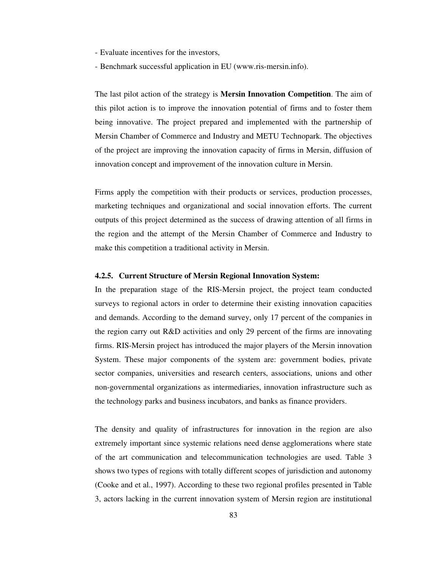- Evaluate incentives for the investors,
- Benchmark successful application in EU (www.ris-mersin.info).

The last pilot action of the strategy is **Mersin Innovation Competition**. The aim of this pilot action is to improve the innovation potential of firms and to foster them being innovative. The project prepared and implemented with the partnership of Mersin Chamber of Commerce and Industry and METU Technopark. The objectives of the project are improving the innovation capacity of firms in Mersin, diffusion of innovation concept and improvement of the innovation culture in Mersin.

Firms apply the competition with their products or services, production processes, marketing techniques and organizational and social innovation efforts. The current outputs of this project determined as the success of drawing attention of all firms in the region and the attempt of the Mersin Chamber of Commerce and Industry to make this competition a traditional activity in Mersin.

# **4.2.5. Current Structure of Mersin Regional Innovation System:**

In the preparation stage of the RIS-Mersin project, the project team conducted surveys to regional actors in order to determine their existing innovation capacities and demands. According to the demand survey, only 17 percent of the companies in the region carry out R&D activities and only 29 percent of the firms are innovating firms. RIS-Mersin project has introduced the major players of the Mersin innovation System. These major components of the system are: government bodies, private sector companies, universities and research centers, associations, unions and other non-governmental organizations as intermediaries, innovation infrastructure such as the technology parks and business incubators, and banks as finance providers.

The density and quality of infrastructures for innovation in the region are also extremely important since systemic relations need dense agglomerations where state of the art communication and telecommunication technologies are used. Table 3 shows two types of regions with totally different scopes of jurisdiction and autonomy (Cooke and et al., 1997). According to these two regional profiles presented in Table 3, actors lacking in the current innovation system of Mersin region are institutional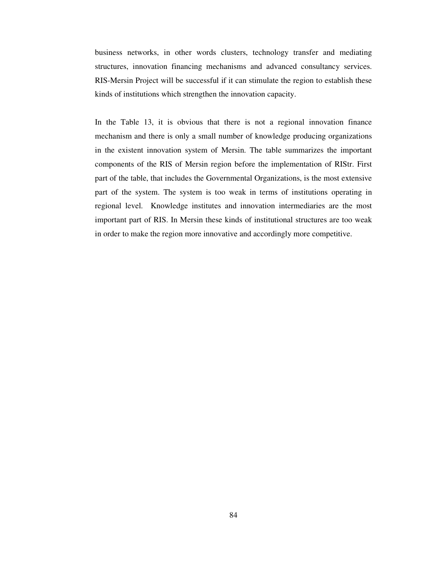business networks, in other words clusters, technology transfer and mediating structures, innovation financing mechanisms and advanced consultancy services. RIS-Mersin Project will be successful if it can stimulate the region to establish these kinds of institutions which strengthen the innovation capacity.

In the Table 13, it is obvious that there is not a regional innovation finance mechanism and there is only a small number of knowledge producing organizations in the existent innovation system of Mersin. The table summarizes the important components of the RIS of Mersin region before the implementation of RIStr. First part of the table, that includes the Governmental Organizations, is the most extensive part of the system. The system is too weak in terms of institutions operating in regional level. Knowledge institutes and innovation intermediaries are the most important part of RIS. In Mersin these kinds of institutional structures are too weak in order to make the region more innovative and accordingly more competitive.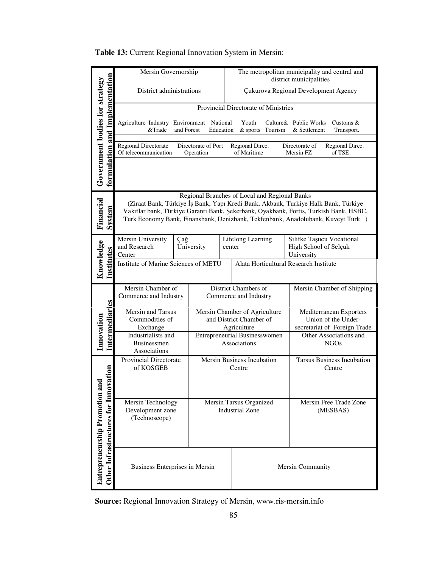| Table 13: Current Regional Innovation System in Mersin: |  |
|---------------------------------------------------------|--|
|---------------------------------------------------------|--|

|                                                                       | Mersin Governorship                                                                                                                                                                                                                                                                                              |                     |                                                                                            | The metropolitan municipality and central and<br>district municipalities |         |                                                                                |  |
|-----------------------------------------------------------------------|------------------------------------------------------------------------------------------------------------------------------------------------------------------------------------------------------------------------------------------------------------------------------------------------------------------|---------------------|--------------------------------------------------------------------------------------------|--------------------------------------------------------------------------|---------|--------------------------------------------------------------------------------|--|
|                                                                       | District administrations                                                                                                                                                                                                                                                                                         |                     |                                                                                            | <b>Çukurova Regional Development Agency</b>                              |         |                                                                                |  |
|                                                                       |                                                                                                                                                                                                                                                                                                                  |                     |                                                                                            | Provincial Directorate of Ministries                                     |         |                                                                                |  |
|                                                                       | Agriculture Industry Environment National<br>&Trade<br>and Forest<br>Education                                                                                                                                                                                                                                   |                     |                                                                                            | Youth<br>$&$ sports                                                      | Tourism | Culture & Public Works<br>Customs &<br>& Settlement<br>Transport.              |  |
|                                                                       | Regional Directorate<br>Of telecommunication                                                                                                                                                                                                                                                                     | Directorate of Port | Directorate of<br>Regional Direc.<br>Regional Direc.<br>of Maritime<br>Mersin FZ<br>of TSE |                                                                          |         |                                                                                |  |
| formulation and Implementation<br>Government bodies for strategy      | Operation                                                                                                                                                                                                                                                                                                        |                     |                                                                                            |                                                                          |         |                                                                                |  |
| Financial<br><b>System</b>                                            | Regional Branches of Local and Regional Banks<br>(Ziraat Bank, Türkiye İş Bank, Yapı Kredi Bank, Akbank, Turkiye Halk Bank, Türkiye<br>Vakıflar bank, Türkiye Garanti Bank, Şekerbank, Oyakbank, Fortis, Turkish Bank, HSBC,<br>Turk Economy Bank, Finansbank, Denizbank, Tekfenbank, Anadolubank, Kuveyt Turk ) |                     |                                                                                            |                                                                          |         |                                                                                |  |
|                                                                       | Mersin University<br>and Research<br>Center                                                                                                                                                                                                                                                                      | Çağ<br>University   |                                                                                            | Lifelong Learning<br>center                                              |         | Silifke Taşucu Vocational<br>High School of Selçuk<br>University               |  |
| Knowledge<br>Institutes                                               | Institute of Marine Sciences of METU                                                                                                                                                                                                                                                                             |                     |                                                                                            |                                                                          |         | Alata Horticultural Research Institute                                         |  |
|                                                                       | Mersin Chamber of<br>Commerce and Industry                                                                                                                                                                                                                                                                       |                     |                                                                                            | District Chambers of<br>Commerce and Industry                            |         | Mersin Chamber of Shipping                                                     |  |
| Intermediaries                                                        | Mersin and Tarsus<br>Commodities of<br>Exchange                                                                                                                                                                                                                                                                  |                     |                                                                                            | Mersin Chamber of Agriculture<br>and District Chamber of<br>Agriculture  |         | Mediterranean Exporters<br>Union of the Under-<br>secretariat of Foreign Trade |  |
| Innovation                                                            | Industrialists and<br><b>Businessmen</b><br>Associations                                                                                                                                                                                                                                                         |                     |                                                                                            | <b>Entrepreneurial Businesswomen</b><br>Associations                     |         | Other Associations and<br><b>NGOs</b>                                          |  |
| noitavo                                                               | Provincial Directorate<br>of KOSGEB                                                                                                                                                                                                                                                                              |                     | Mersin Business Incubation<br>Centre                                                       |                                                                          |         | <b>Tarsus Business Incubation</b><br>Centre                                    |  |
| <b>Entrepreneurship Promotion a</b><br>Other Infrastructures for Inno | Mersin Technology<br>Development zone<br>(Technoscope)                                                                                                                                                                                                                                                           |                     |                                                                                            | Mersin Tarsus Organized<br><b>Industrial Zone</b>                        |         | Mersin Free Trade Zone<br>(MESBAS)                                             |  |
|                                                                       | Business Enterprises in Mersin                                                                                                                                                                                                                                                                                   |                     |                                                                                            |                                                                          |         | Mersin Community                                                               |  |

**Source:** Regional Innovation Strategy of Mersin, www.ris-mersin.info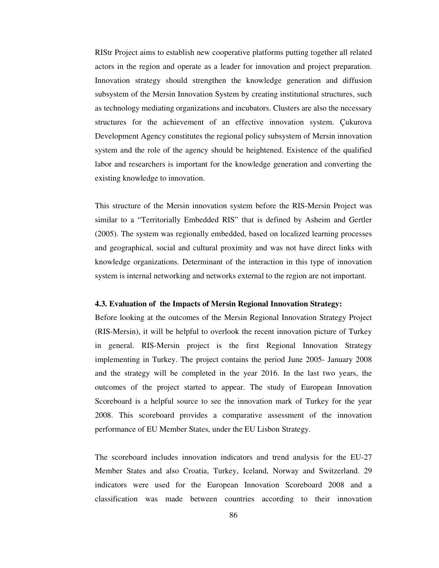RIStr Project aims to establish new cooperative platforms putting together all related actors in the region and operate as a leader for innovation and project preparation. Innovation strategy should strengthen the knowledge generation and diffusion subsystem of the Mersin Innovation System by creating institutional structures, such as technology mediating organizations and incubators. Clusters are also the necessary structures for the achievement of an effective innovation system. Çukurova Development Agency constitutes the regional policy subsystem of Mersin innovation system and the role of the agency should be heightened. Existence of the qualified labor and researchers is important for the knowledge generation and converting the existing knowledge to innovation.

This structure of the Mersin innovation system before the RIS-Mersin Project was similar to a "Territorially Embedded RIS" that is defined by Asheim and Gertler (2005). The system was regionally embedded, based on localized learning processes and geographical, social and cultural proximity and was not have direct links with knowledge organizations. Determinant of the interaction in this type of innovation system is internal networking and networks external to the region are not important.

# **4.3. Evaluation of the Impacts of Mersin Regional Innovation Strategy:**

Before looking at the outcomes of the Mersin Regional Innovation Strategy Project (RIS-Mersin), it will be helpful to overlook the recent innovation picture of Turkey in general. RIS-Mersin project is the first Regional Innovation Strategy implementing in Turkey. The project contains the period June 2005- January 2008 and the strategy will be completed in the year 2016. In the last two years, the outcomes of the project started to appear. The study of European Innovation Scoreboard is a helpful source to see the innovation mark of Turkey for the year 2008. This scoreboard provides a comparative assessment of the innovation performance of EU Member States, under the EU Lisbon Strategy.

The scoreboard includes innovation indicators and trend analysis for the EU-27 Member States and also Croatia, Turkey, Iceland, Norway and Switzerland. 29 indicators were used for the European Innovation Scoreboard 2008 and a classification was made between countries according to their innovation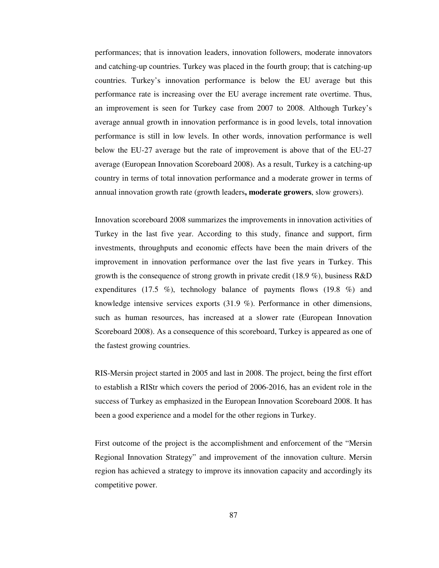performances; that is innovation leaders, innovation followers, moderate innovators and catching-up countries. Turkey was placed in the fourth group; that is catching-up countries. Turkey's innovation performance is below the EU average but this performance rate is increasing over the EU average increment rate overtime. Thus, an improvement is seen for Turkey case from 2007 to 2008. Although Turkey's average annual growth in innovation performance is in good levels, total innovation performance is still in low levels. In other words, innovation performance is well below the EU-27 average but the rate of improvement is above that of the EU-27 average (European Innovation Scoreboard 2008). As a result, Turkey is a catching-up country in terms of total innovation performance and a moderate grower in terms of annual innovation growth rate (growth leaders**, moderate growers**, slow growers).

Innovation scoreboard 2008 summarizes the improvements in innovation activities of Turkey in the last five year. According to this study, finance and support, firm investments, throughputs and economic effects have been the main drivers of the improvement in innovation performance over the last five years in Turkey. This growth is the consequence of strong growth in private credit (18.9 %), business R&D expenditures (17.5 %), technology balance of payments flows (19.8 %) and knowledge intensive services exports (31.9 %). Performance in other dimensions, such as human resources, has increased at a slower rate (European Innovation Scoreboard 2008). As a consequence of this scoreboard, Turkey is appeared as one of the fastest growing countries.

RIS-Mersin project started in 2005 and last in 2008. The project, being the first effort to establish a RIStr which covers the period of 2006-2016, has an evident role in the success of Turkey as emphasized in the European Innovation Scoreboard 2008. It has been a good experience and a model for the other regions in Turkey.

First outcome of the project is the accomplishment and enforcement of the "Mersin Regional Innovation Strategy" and improvement of the innovation culture. Mersin region has achieved a strategy to improve its innovation capacity and accordingly its competitive power.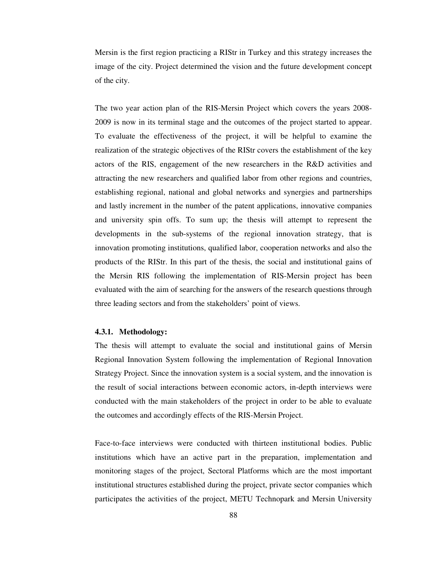Mersin is the first region practicing a RIStr in Turkey and this strategy increases the image of the city. Project determined the vision and the future development concept of the city.

The two year action plan of the RIS-Mersin Project which covers the years 2008- 2009 is now in its terminal stage and the outcomes of the project started to appear. To evaluate the effectiveness of the project, it will be helpful to examine the realization of the strategic objectives of the RIStr covers the establishment of the key actors of the RIS, engagement of the new researchers in the R&D activities and attracting the new researchers and qualified labor from other regions and countries, establishing regional, national and global networks and synergies and partnerships and lastly increment in the number of the patent applications, innovative companies and university spin offs. To sum up; the thesis will attempt to represent the developments in the sub-systems of the regional innovation strategy, that is innovation promoting institutions, qualified labor, cooperation networks and also the products of the RIStr. In this part of the thesis, the social and institutional gains of the Mersin RIS following the implementation of RIS-Mersin project has been evaluated with the aim of searching for the answers of the research questions through three leading sectors and from the stakeholders' point of views.

#### **4.3.1. Methodology:**

The thesis will attempt to evaluate the social and institutional gains of Mersin Regional Innovation System following the implementation of Regional Innovation Strategy Project. Since the innovation system is a social system, and the innovation is the result of social interactions between economic actors, in-depth interviews were conducted with the main stakeholders of the project in order to be able to evaluate the outcomes and accordingly effects of the RIS-Mersin Project.

Face-to-face interviews were conducted with thirteen institutional bodies. Public institutions which have an active part in the preparation, implementation and monitoring stages of the project, Sectoral Platforms which are the most important institutional structures established during the project, private sector companies which participates the activities of the project, METU Technopark and Mersin University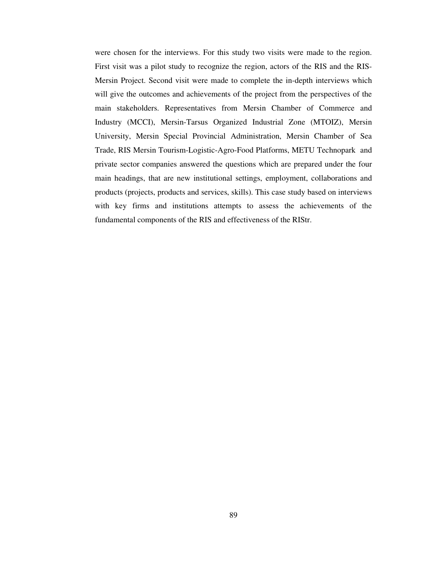were chosen for the interviews. For this study two visits were made to the region. First visit was a pilot study to recognize the region, actors of the RIS and the RIS-Mersin Project. Second visit were made to complete the in-depth interviews which will give the outcomes and achievements of the project from the perspectives of the main stakeholders. Representatives from Mersin Chamber of Commerce and Industry (MCCI), Mersin-Tarsus Organized Industrial Zone (MTOIZ), Mersin University, Mersin Special Provincial Administration, Mersin Chamber of Sea Trade, RIS Mersin Tourism-Logistic-Agro-Food Platforms, METU Technopark and private sector companies answered the questions which are prepared under the four main headings, that are new institutional settings, employment, collaborations and products (projects, products and services, skills). This case study based on interviews with key firms and institutions attempts to assess the achievements of the fundamental components of the RIS and effectiveness of the RIStr.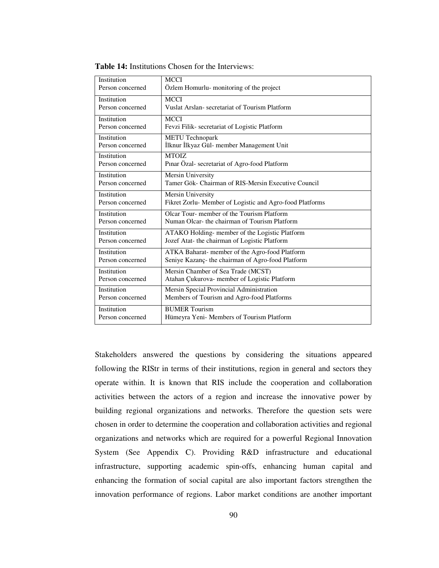| Institution      | <b>MCCI</b>                                              |
|------------------|----------------------------------------------------------|
| Person concerned | Özlem Homurlu- monitoring of the project                 |
| Institution      | <b>MCCI</b>                                              |
| Person concerned | Vuslat Arslan-secretariat of Tourism Platform            |
| Institution      | <b>MCCI</b>                                              |
| Person concerned | Fevzi Filik-secretariat of Logistic Platform             |
| Institution      | <b>METU</b> Technopark                                   |
| Person concerned | İlknur İlkyaz Gül- member Management Unit                |
| Institution      | <b>MTOIZ</b>                                             |
| Person concerned | Pinar Özal- secretariat of Agro-food Platform            |
| Institution      | Mersin University                                        |
| Person concerned | Tamer Gök- Chairman of RIS-Mersin Executive Council      |
| Institution      | Mersin University                                        |
| Person concerned | Fikret Zorlu- Member of Logistic and Agro-food Platforms |
| Institution      | Olcar Tour- member of the Tourism Platform               |
| Person concerned | Numan Olcar- the chairman of Tourism Platform            |
| Institution      | ATAKO Holding- member of the Logistic Platform           |
| Person concerned | Jozef Atat- the chairman of Logistic Platform            |
| Institution      | ATKA Baharat- member of the Agro-food Platform           |
| Person concerned | Seniye Kazanç- the chairman of Agro-food Platform        |
| Institution      | Mersin Chamber of Sea Trade (MCST)                       |
| Person concerned | Atahan Çukurova- member of Logistic Platform             |
| Institution      | Mersin Special Provincial Administration                 |
| Person concerned | Members of Tourism and Agro-food Platforms               |
| Institution      | <b>BUMER Tourism</b>                                     |
| Person concerned | Hümeyra Yeni- Members of Tourism Platform                |

**Table 14:** Institutions Chosen for the Interviews:

Stakeholders answered the questions by considering the situations appeared following the RIStr in terms of their institutions, region in general and sectors they operate within. It is known that RIS include the cooperation and collaboration activities between the actors of a region and increase the innovative power by building regional organizations and networks. Therefore the question sets were chosen in order to determine the cooperation and collaboration activities and regional organizations and networks which are required for a powerful Regional Innovation System (See Appendix C). Providing R&D infrastructure and educational infrastructure, supporting academic spin-offs, enhancing human capital and enhancing the formation of social capital are also important factors strengthen the innovation performance of regions. Labor market conditions are another important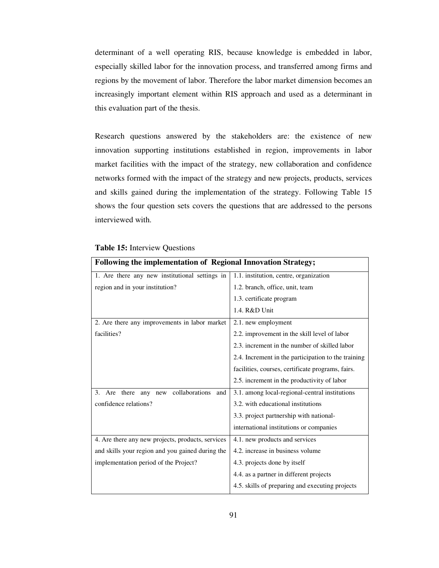determinant of a well operating RIS, because knowledge is embedded in labor, especially skilled labor for the innovation process, and transferred among firms and regions by the movement of labor. Therefore the labor market dimension becomes an increasingly important element within RIS approach and used as a determinant in this evaluation part of the thesis.

Research questions answered by the stakeholders are: the existence of new innovation supporting institutions established in region, improvements in labor market facilities with the impact of the strategy, new collaboration and confidence networks formed with the impact of the strategy and new projects, products, services and skills gained during the implementation of the strategy. Following Table 15 shows the four question sets covers the questions that are addressed to the persons interviewed with.

| <b>Following the implementation of Regional Innovation Strategy;</b> |                                                     |
|----------------------------------------------------------------------|-----------------------------------------------------|
| 1. Are there any new institutional settings in                       | 1.1. institution, centre, organization              |
| region and in your institution?                                      | 1.2. branch, office, unit, team                     |
|                                                                      | 1.3. certificate program                            |
|                                                                      | 1.4. R&D Unit                                       |
| 2. Are there any improvements in labor market                        | 2.1. new employment                                 |
| facilities?                                                          | 2.2. improvement in the skill level of labor        |
|                                                                      | 2.3. increment in the number of skilled labor       |
|                                                                      | 2.4. Increment in the participation to the training |
|                                                                      | facilities, courses, certificate programs, fairs.   |
|                                                                      | 2.5. increment in the productivity of labor         |
| collaborations<br>there<br>and<br>3.<br>Are<br>any<br>new            | 3.1. among local-regional-central institutions      |
| confidence relations?                                                | 3.2. with educational institutions                  |
|                                                                      | 3.3. project partnership with national-             |
|                                                                      | international institutions or companies             |
| 4. Are there any new projects, products, services                    | 4.1. new products and services                      |
| and skills your region and you gained during the                     | 4.2. increase in business volume                    |
| implementation period of the Project?                                | 4.3. projects done by itself                        |
|                                                                      | 4.4. as a partner in different projects             |
|                                                                      | 4.5. skills of preparing and executing projects     |

# **Table 15:** Interview Questions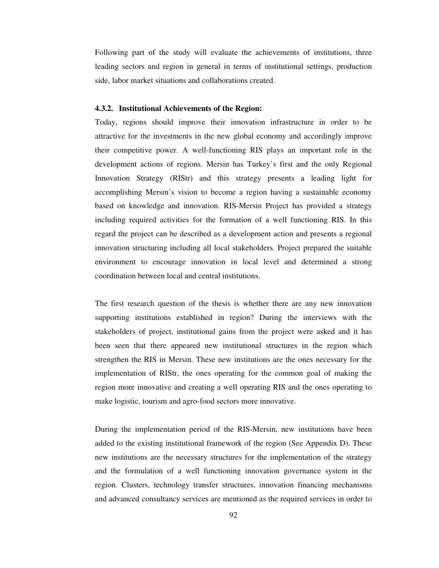Following part of the study will evaluate the achievements of institutions, three leading sectors and region in general in terms of institutional settings, production side, labor market situations and collaborations created.

#### **4.3.2. Institutional Achievements of the Region:**

Today, regions should improve their innovation infrastructure in order to be attractive for the investments in the new global economy and accordingly improve their competitive power. A well-functioning RIS plays an important role in the development actions of regions. Mersin has Turkey's first and the only Regional Innovation Strategy (RIStr) and this strategy presents a leading light for accomplishing Mersin's vision to become a region having a sustainable economy based on knowledge and innovation. RIS-Mersin Project has provided a strategy including required activities for the formation of a well functioning RIS. In this regard the project can be described as a development action and presents a regional innovation structuring including all local stakeholders. Project prepared the suitable environment to encourage innovation in local level and determined a strong coordination between local and central institutions.

The first research question of the thesis is whether there are any new innovation supporting institutions established in region? During the interviews with the stakeholders of project, institutional gains from the project were asked and it has been seen that there appeared new institutional structures in the region which strengthen the RIS in Mersin. These new institutions are the ones necessary for the implementation of RIStr, the ones operating for the common goal of making the region more innovative and creating a well operating RIS and the ones operating to make logistic, tourism and agro-food sectors more innovative.

During the implementation period of the RIS-Mersin, new institutions have been added to the existing institutional framework of the region (See Appendix D). These new institutions are the necessary structures for the implementation of the strategy and the formulation of a well functioning innovation governance system in the region. Clusters, technology transfer structures, innovation financing mechanisms and advanced consultancy services are mentioned as the required services in order to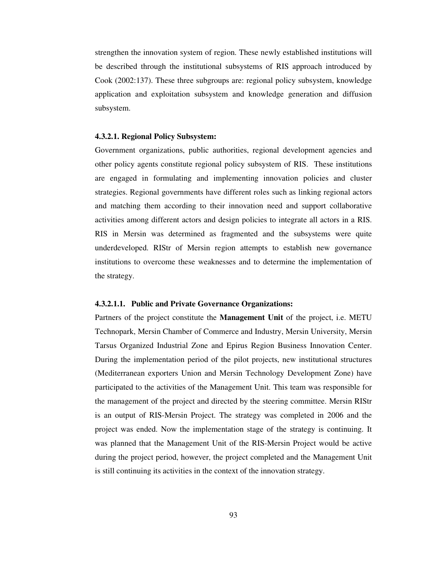strengthen the innovation system of region. These newly established institutions will be described through the institutional subsystems of RIS approach introduced by Cook (2002:137). These three subgroups are: regional policy subsystem, knowledge application and exploitation subsystem and knowledge generation and diffusion subsystem.

#### **4.3.2.1. Regional Policy Subsystem:**

Government organizations, public authorities, regional development agencies and other policy agents constitute regional policy subsystem of RIS. These institutions are engaged in formulating and implementing innovation policies and cluster strategies. Regional governments have different roles such as linking regional actors and matching them according to their innovation need and support collaborative activities among different actors and design policies to integrate all actors in a RIS. RIS in Mersin was determined as fragmented and the subsystems were quite underdeveloped. RIStr of Mersin region attempts to establish new governance institutions to overcome these weaknesses and to determine the implementation of the strategy.

#### **4.3.2.1.1. Public and Private Governance Organizations:**

Partners of the project constitute the **Management Unit** of the project, i.e. METU Technopark, Mersin Chamber of Commerce and Industry, Mersin University, Mersin Tarsus Organized Industrial Zone and Epirus Region Business Innovation Center. During the implementation period of the pilot projects, new institutional structures (Mediterranean exporters Union and Mersin Technology Development Zone) have participated to the activities of the Management Unit. This team was responsible for the management of the project and directed by the steering committee. Mersin RIStr is an output of RIS-Mersin Project. The strategy was completed in 2006 and the project was ended. Now the implementation stage of the strategy is continuing. It was planned that the Management Unit of the RIS-Mersin Project would be active during the project period, however, the project completed and the Management Unit is still continuing its activities in the context of the innovation strategy.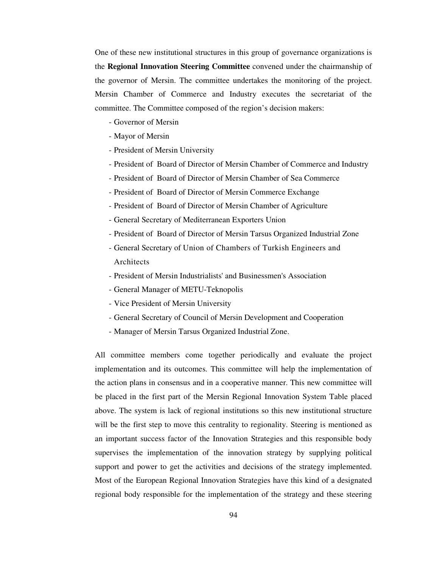One of these new institutional structures in this group of governance organizations is the **Regional Innovation Steering Committee** convened under the chairmanship of the governor of Mersin. The committee undertakes the monitoring of the project. Mersin Chamber of Commerce and Industry executes the secretariat of the committee. The Committee composed of the region's decision makers:

- Governor of Mersin
- Mayor of Mersin
- President of Mersin University
- President of Board of Director of Mersin Chamber of Commerce and Industry
- President of Board of Director of Mersin Chamber of Sea Commerce
- President of Board of Director of Mersin Commerce Exchange
- President of Board of Director of Mersin Chamber of Agriculture
- General Secretary of Mediterranean Exporters Union
- President of Board of Director of Mersin Tarsus Organized Industrial Zone
- General Secretary of Union of Chambers of Turkish Engineers and Architects
- President of Mersin Industrialists' and Businessmen's Association
- General Manager of METU-Teknopolis
- Vice President of Mersin University
- General Secretary of Council of Mersin Development and Cooperation
- Manager of Mersin Tarsus Organized Industrial Zone.

All committee members come together periodically and evaluate the project implementation and its outcomes. This committee will help the implementation of the action plans in consensus and in a cooperative manner. This new committee will be placed in the first part of the Mersin Regional Innovation System Table placed above. The system is lack of regional institutions so this new institutional structure will be the first step to move this centrality to regionality. Steering is mentioned as an important success factor of the Innovation Strategies and this responsible body supervises the implementation of the innovation strategy by supplying political support and power to get the activities and decisions of the strategy implemented. Most of the European Regional Innovation Strategies have this kind of a designated regional body responsible for the implementation of the strategy and these steering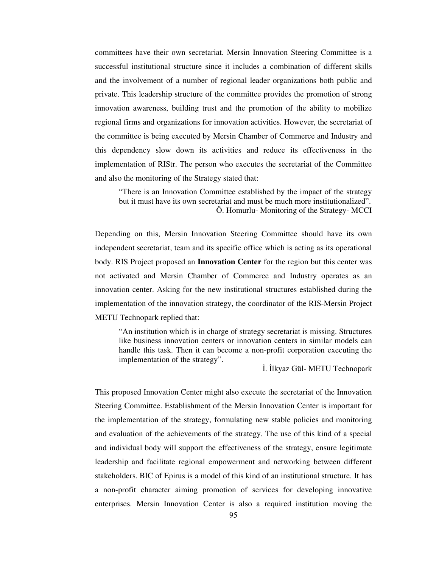committees have their own secretariat. Mersin Innovation Steering Committee is a successful institutional structure since it includes a combination of different skills and the involvement of a number of regional leader organizations both public and private. This leadership structure of the committee provides the promotion of strong innovation awareness, building trust and the promotion of the ability to mobilize regional firms and organizations for innovation activities. However, the secretariat of the committee is being executed by Mersin Chamber of Commerce and Industry and this dependency slow down its activities and reduce its effectiveness in the implementation of RIStr. The person who executes the secretariat of the Committee and also the monitoring of the Strategy stated that:

"There is an Innovation Committee established by the impact of the strategy but it must have its own secretariat and must be much more institutionalized". Ö. Homurlu- Monitoring of the Strategy- MCCI

Depending on this, Mersin Innovation Steering Committee should have its own independent secretariat, team and its specific office which is acting as its operational body. RIS Project proposed an **Innovation Center** for the region but this center was not activated and Mersin Chamber of Commerce and Industry operates as an innovation center. Asking for the new institutional structures established during the implementation of the innovation strategy, the coordinator of the RIS-Mersin Project METU Technopark replied that:

"An institution which is in charge of strategy secretariat is missing. Structures like business innovation centers or innovation centers in similar models can handle this task. Then it can become a non-profit corporation executing the implementation of the strategy".

İ. İlkyaz Gül- METU Technopark

This proposed Innovation Center might also execute the secretariat of the Innovation Steering Committee. Establishment of the Mersin Innovation Center is important for the implementation of the strategy, formulating new stable policies and monitoring and evaluation of the achievements of the strategy. The use of this kind of a special and individual body will support the effectiveness of the strategy, ensure legitimate leadership and facilitate regional empowerment and networking between different stakeholders. BIC of Epirus is a model of this kind of an institutional structure. It has a non-profit character aiming promotion of services for developing innovative enterprises. Mersin Innovation Center is also a required institution moving the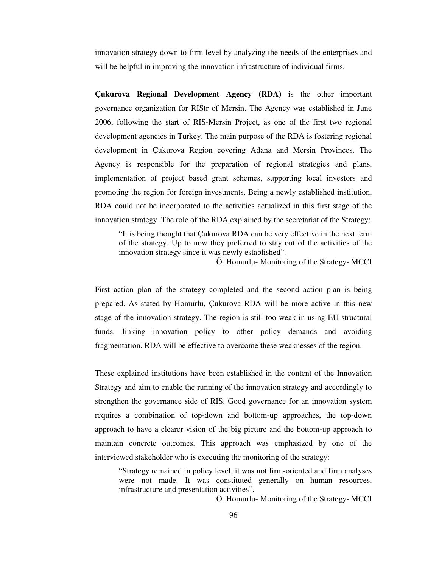innovation strategy down to firm level by analyzing the needs of the enterprises and will be helpful in improving the innovation infrastructure of individual firms.

**Çukurova Regional Development Agency (RDA)** is the other important governance organization for RIStr of Mersin. The Agency was established in June 2006, following the start of RIS-Mersin Project, as one of the first two regional development agencies in Turkey. The main purpose of the RDA is fostering regional development in Çukurova Region covering Adana and Mersin Provinces. The Agency is responsible for the preparation of regional strategies and plans, implementation of project based grant schemes, supporting local investors and promoting the region for foreign investments. Being a newly established institution, RDA could not be incorporated to the activities actualized in this first stage of the innovation strategy. The role of the RDA explained by the secretariat of the Strategy:

"It is being thought that Çukurova RDA can be very effective in the next term of the strategy. Up to now they preferred to stay out of the activities of the innovation strategy since it was newly established".

Ö. Homurlu- Monitoring of the Strategy- MCCI

First action plan of the strategy completed and the second action plan is being prepared. As stated by Homurlu, Çukurova RDA will be more active in this new stage of the innovation strategy. The region is still too weak in using EU structural funds, linking innovation policy to other policy demands and avoiding fragmentation. RDA will be effective to overcome these weaknesses of the region.

These explained institutions have been established in the content of the Innovation Strategy and aim to enable the running of the innovation strategy and accordingly to strengthen the governance side of RIS. Good governance for an innovation system requires a combination of top-down and bottom-up approaches, the top-down approach to have a clearer vision of the big picture and the bottom-up approach to maintain concrete outcomes. This approach was emphasized by one of the interviewed stakeholder who is executing the monitoring of the strategy:

"Strategy remained in policy level, it was not firm-oriented and firm analyses were not made. It was constituted generally on human resources, infrastructure and presentation activities".

Ö. Homurlu- Monitoring of the Strategy- MCCI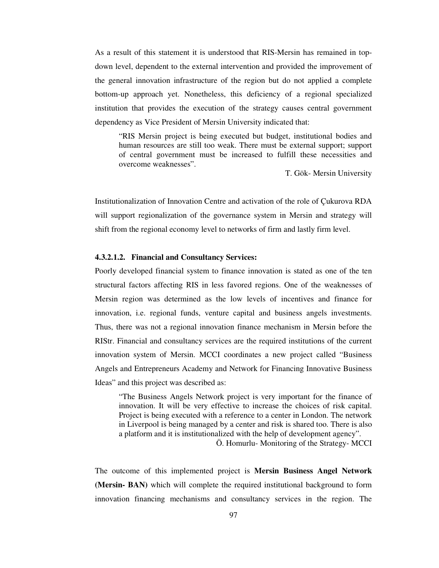As a result of this statement it is understood that RIS-Mersin has remained in topdown level, dependent to the external intervention and provided the improvement of the general innovation infrastructure of the region but do not applied a complete bottom-up approach yet. Nonetheless, this deficiency of a regional specialized institution that provides the execution of the strategy causes central government dependency as Vice President of Mersin University indicated that:

"RIS Mersin project is being executed but budget, institutional bodies and human resources are still too weak. There must be external support; support of central government must be increased to fulfill these necessities and overcome weaknesses".

T. Gök- Mersin University

Institutionalization of Innovation Centre and activation of the role of Çukurova RDA will support regionalization of the governance system in Mersin and strategy will shift from the regional economy level to networks of firm and lastly firm level.

#### **4.3.2.1.2. Financial and Consultancy Services:**

Poorly developed financial system to finance innovation is stated as one of the ten structural factors affecting RIS in less favored regions. One of the weaknesses of Mersin region was determined as the low levels of incentives and finance for innovation, i.e. regional funds, venture capital and business angels investments. Thus, there was not a regional innovation finance mechanism in Mersin before the RIStr. Financial and consultancy services are the required institutions of the current innovation system of Mersin. MCCI coordinates a new project called "Business Angels and Entrepreneurs Academy and Network for Financing Innovative Business Ideas" and this project was described as:

"The Business Angels Network project is very important for the finance of innovation. It will be very effective to increase the choices of risk capital. Project is being executed with a reference to a center in London. The network in Liverpool is being managed by a center and risk is shared too. There is also a platform and it is institutionalized with the help of development agency".

Ö. Homurlu- Monitoring of the Strategy- MCCI

The outcome of this implemented project is **Mersin Business Angel Network (Mersin- BAN)** which will complete the required institutional background to form innovation financing mechanisms and consultancy services in the region. The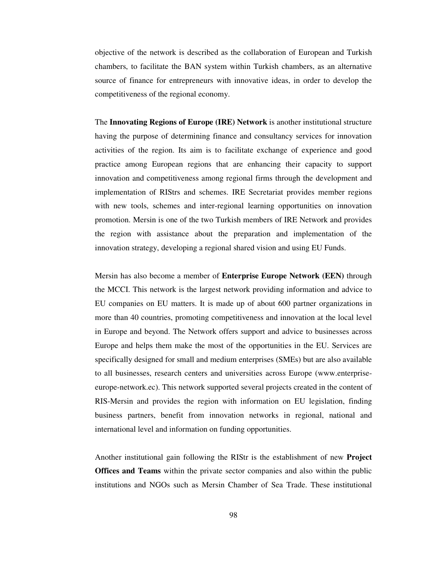objective of the network is described as the collaboration of European and Turkish chambers, to facilitate the BAN system within Turkish chambers, as an alternative source of finance for entrepreneurs with innovative ideas, in order to develop the competitiveness of the regional economy.

The **Innovating Regions of Europe (IRE) Network** is another institutional structure having the purpose of determining finance and consultancy services for innovation activities of the region. Its aim is to facilitate exchange of experience and good practice among European regions that are enhancing their capacity to support innovation and competitiveness among regional firms through the development and implementation of RIStrs and schemes. IRE Secretariat provides member regions with new tools, schemes and inter-regional learning opportunities on innovation promotion. Mersin is one of the two Turkish members of IRE Network and provides the region with assistance about the preparation and implementation of the innovation strategy, developing a regional shared vision and using EU Funds.

Mersin has also become a member of **Enterprise Europe Network (EEN)** through the MCCI. This network is the largest network providing information and advice to EU companies on EU matters. It is made up of about 600 partner organizations in more than 40 countries, promoting competitiveness and innovation at the local level in Europe and beyond. The Network offers support and advice to businesses across Europe and helps them make the most of the opportunities in the EU. Services are specifically designed for small and medium enterprises (SMEs) but are also available to all businesses, research centers and universities across Europe (www.enterpriseeurope-network.ec). This network supported several projects created in the content of RIS-Mersin and provides the region with information on EU legislation, finding business partners, benefit from innovation networks in regional, national and international level and information on funding opportunities.

Another institutional gain following the RIStr is the establishment of new **Project Offices and Teams** within the private sector companies and also within the public institutions and NGOs such as Mersin Chamber of Sea Trade. These institutional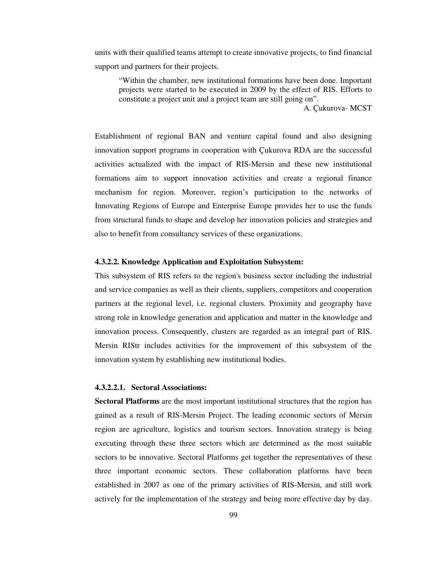units with their qualified teams attempt to create innovative projects, to find financial support and partners for their projects.

"Within the chamber, new institutional formations have been done. Important projects were started to be executed in 2009 by the effect of RIS. Efforts to constitute a project unit and a project team are still going on".

A. Çukurova- MCST

Establishment of regional BAN and venture capital found and also designing innovation support programs in cooperation with Çukurova RDA are the successful activities actualized with the impact of RIS-Mersin and these new institutional formations aim to support innovation activities and create a regional finance mechanism for region. Moreover, region's participation to the networks of Innovating Regions of Europe and Enterprise Europe provides her to use the funds from structural funds to shape and develop her innovation policies and strategies and also to benefit from consultancy services of these organizations.

#### **4.3.2.2. Knowledge Application and Exploitation Subsystem:**

This subsystem of RIS refers to the region's business sector including the industrial and service companies as well as their clients, suppliers, competitors and cooperation partners at the regional level, i.e. regional clusters. Proximity and geography have strong role in knowledge generation and application and matter in the knowledge and innovation process. Consequently, clusters are regarded as an integral part of RIS. Mersin RIStr includes activities for the improvement of this subsystem of the innovation system by establishing new institutional bodies.

#### **4.3.2.2.1. Sectoral Associations:**

**Sectoral Platforms** are the most important institutional structures that the region has gained as a result of RIS-Mersin Project. The leading economic sectors of Mersin region are agriculture, logistics and tourism sectors. Innovation strategy is being executing through these three sectors which are determined as the most suitable sectors to be innovative. Sectoral Platforms get together the representatives of these three important economic sectors. These collaboration platforms have been established in 2007 as one of the primary activities of RIS-Mersin, and still work actively for the implementation of the strategy and being more effective day by day.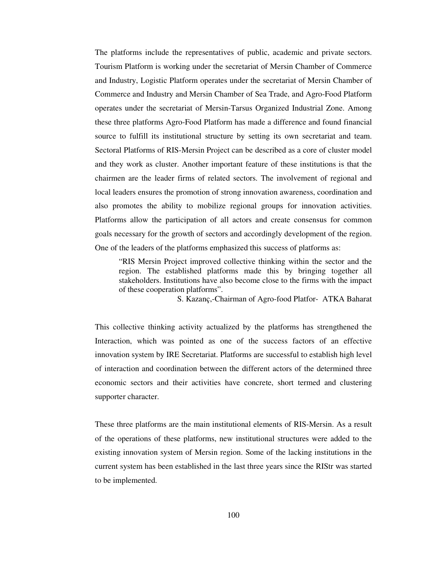The platforms include the representatives of public, academic and private sectors. Tourism Platform is working under the secretariat of Mersin Chamber of Commerce and Industry, Logistic Platform operates under the secretariat of Mersin Chamber of Commerce and Industry and Mersin Chamber of Sea Trade, and Agro-Food Platform operates under the secretariat of Mersin-Tarsus Organized Industrial Zone. Among these three platforms Agro-Food Platform has made a difference and found financial source to fulfill its institutional structure by setting its own secretariat and team. Sectoral Platforms of RIS-Mersin Project can be described as a core of cluster model and they work as cluster. Another important feature of these institutions is that the chairmen are the leader firms of related sectors. The involvement of regional and local leaders ensures the promotion of strong innovation awareness, coordination and also promotes the ability to mobilize regional groups for innovation activities. Platforms allow the participation of all actors and create consensus for common goals necessary for the growth of sectors and accordingly development of the region. One of the leaders of the platforms emphasized this success of platforms as:

"RIS Mersin Project improved collective thinking within the sector and the region. The established platforms made this by bringing together all stakeholders. Institutions have also become close to the firms with the impact of these cooperation platforms".

S. Kazanç,-Chairman of Agro-food Platfor- ATKA Baharat

This collective thinking activity actualized by the platforms has strengthened the Interaction, which was pointed as one of the success factors of an effective innovation system by IRE Secretariat. Platforms are successful to establish high level of interaction and coordination between the different actors of the determined three economic sectors and their activities have concrete, short termed and clustering supporter character.

These three platforms are the main institutional elements of RIS-Mersin. As a result of the operations of these platforms, new institutional structures were added to the existing innovation system of Mersin region. Some of the lacking institutions in the current system has been established in the last three years since the RIStr was started to be implemented.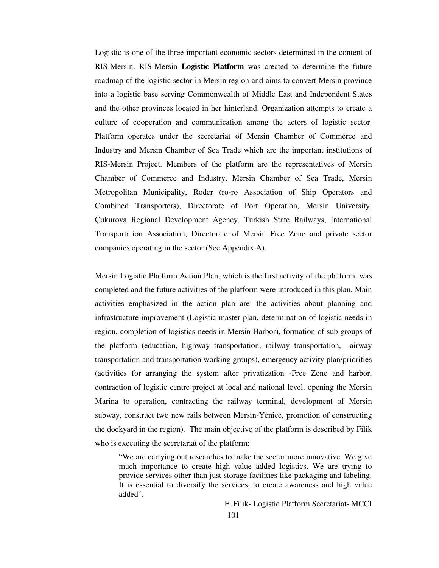Logistic is one of the three important economic sectors determined in the content of RIS-Mersin. RIS-Mersin **Logistic Platform** was created to determine the future roadmap of the logistic sector in Mersin region and aims to convert Mersin province into a logistic base serving Commonwealth of Middle East and Independent States and the other provinces located in her hinterland. Organization attempts to create a culture of cooperation and communication among the actors of logistic sector. Platform operates under the secretariat of Mersin Chamber of Commerce and Industry and Mersin Chamber of Sea Trade which are the important institutions of RIS-Mersin Project. Members of the platform are the representatives of Mersin Chamber of Commerce and Industry, Mersin Chamber of Sea Trade, Mersin Metropolitan Municipality, Roder (ro-ro Association of Ship Operators and Combined Transporters), Directorate of Port Operation, Mersin University, Çukurova Regional Development Agency, Turkish State Railways, International Transportation Association, Directorate of Mersin Free Zone and private sector companies operating in the sector (See Appendix A).

Mersin Logistic Platform Action Plan, which is the first activity of the platform, was completed and the future activities of the platform were introduced in this plan. Main activities emphasized in the action plan are: the activities about planning and infrastructure improvement (Logistic master plan, determination of logistic needs in region, completion of logistics needs in Mersin Harbor), formation of sub-groups of the platform (education, highway transportation, railway transportation, airway transportation and transportation working groups), emergency activity plan/priorities (activities for arranging the system after privatization -Free Zone and harbor, contraction of logistic centre project at local and national level, opening the Mersin Marina to operation, contracting the railway terminal, development of Mersin subway, construct two new rails between Mersin-Yenice, promotion of constructing the dockyard in the region). The main objective of the platform is described by Filik who is executing the secretariat of the platform:

"We are carrying out researches to make the sector more innovative. We give much importance to create high value added logistics. We are trying to provide services other than just storage facilities like packaging and labeling. It is essential to diversify the services, to create awareness and high value added".

F. Filik- Logistic Platform Secretariat- MCCI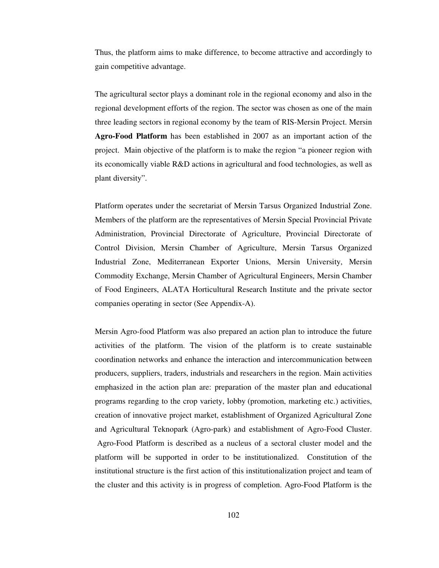Thus, the platform aims to make difference, to become attractive and accordingly to gain competitive advantage.

The agricultural sector plays a dominant role in the regional economy and also in the regional development efforts of the region. The sector was chosen as one of the main three leading sectors in regional economy by the team of RIS-Mersin Project. Mersin **Agro-Food Platform** has been established in 2007 as an important action of the project. Main objective of the platform is to make the region "a pioneer region with its economically viable R&D actions in agricultural and food technologies, as well as plant diversity".

Platform operates under the secretariat of Mersin Tarsus Organized Industrial Zone. Members of the platform are the representatives of Mersin Special Provincial Private Administration, Provincial Directorate of Agriculture, Provincial Directorate of Control Division, Mersin Chamber of Agriculture, Mersin Tarsus Organized Industrial Zone, Mediterranean Exporter Unions, Mersin University, Mersin Commodity Exchange, Mersin Chamber of Agricultural Engineers, Mersin Chamber of Food Engineers, ALATA Horticultural Research Institute and the private sector companies operating in sector (See Appendix-A).

Mersin Agro-food Platform was also prepared an action plan to introduce the future activities of the platform. The vision of the platform is to create sustainable coordination networks and enhance the interaction and intercommunication between producers, suppliers, traders, industrials and researchers in the region. Main activities emphasized in the action plan are: preparation of the master plan and educational programs regarding to the crop variety, lobby (promotion, marketing etc.) activities, creation of innovative project market, establishment of Organized Agricultural Zone and Agricultural Teknopark (Agro-park) and establishment of Agro-Food Cluster. Agro-Food Platform is described as a nucleus of a sectoral cluster model and the platform will be supported in order to be institutionalized. Constitution of the institutional structure is the first action of this institutionalization project and team of the cluster and this activity is in progress of completion. Agro-Food Platform is the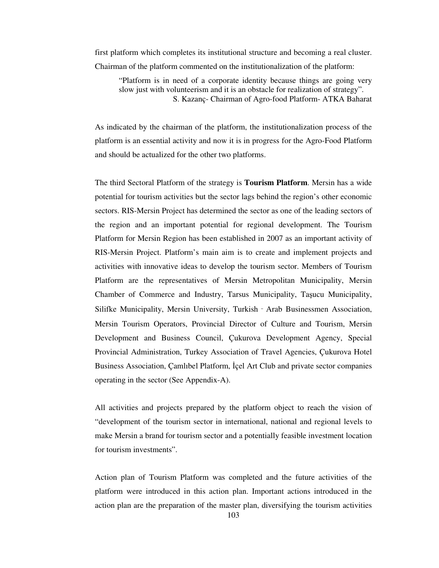first platform which completes its institutional structure and becoming a real cluster. Chairman of the platform commented on the institutionalization of the platform:

"Platform is in need of a corporate identity because things are going very slow just with volunteerism and it is an obstacle for realization of strategy". S. Kazanç- Chairman of Agro-food Platform- ATKA Baharat

As indicated by the chairman of the platform, the institutionalization process of the platform is an essential activity and now it is in progress for the Agro-Food Platform and should be actualized for the other two platforms.

The third Sectoral Platform of the strategy is **Tourism Platform**. Mersin has a wide potential for tourism activities but the sector lags behind the region's other economic sectors. RIS-Mersin Project has determined the sector as one of the leading sectors of the region and an important potential for regional development. The Tourism Platform for Mersin Region has been established in 2007 as an important activity of RIS-Mersin Project. Platform's main aim is to create and implement projects and activities with innovative ideas to develop the tourism sector. Members of Tourism Platform are the representatives of Mersin Metropolitan Municipality, Mersin Chamber of Commerce and Industry, Tarsus Municipality, Taşucu Municipality, Silifke Municipality, Mersin University, Turkish‐Arab Businessmen Association, Mersin Tourism Operators, Provincial Director of Culture and Tourism, Mersin Development and Business Council, Çukurova Development Agency, Special Provincial Administration, Turkey Association of Travel Agencies, Çukurova Hotel Business Association, Çamlıbel Platform, İçel Art Club and private sector companies operating in the sector (See Appendix-A).

All activities and projects prepared by the platform object to reach the vision of "development of the tourism sector in international, national and regional levels to make Mersin a brand for tourism sector and a potentially feasible investment location for tourism investments".

Action plan of Tourism Platform was completed and the future activities of the platform were introduced in this action plan. Important actions introduced in the action plan are the preparation of the master plan, diversifying the tourism activities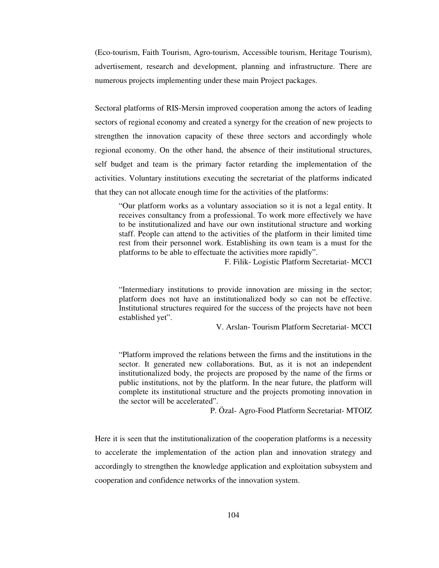(Eco-tourism, Faith Tourism, Agro-tourism, Accessible tourism, Heritage Tourism), advertisement, research and development, planning and infrastructure. There are numerous projects implementing under these main Project packages.

Sectoral platforms of RIS-Mersin improved cooperation among the actors of leading sectors of regional economy and created a synergy for the creation of new projects to strengthen the innovation capacity of these three sectors and accordingly whole regional economy. On the other hand, the absence of their institutional structures, self budget and team is the primary factor retarding the implementation of the activities. Voluntary institutions executing the secretariat of the platforms indicated that they can not allocate enough time for the activities of the platforms:

"Our platform works as a voluntary association so it is not a legal entity. It receives consultancy from a professional. To work more effectively we have to be institutionalized and have our own institutional structure and working staff. People can attend to the activities of the platform in their limited time rest from their personnel work. Establishing its own team is a must for the platforms to be able to effectuate the activities more rapidly".

F. Filik- Logistic Platform Secretariat- MCCI

"Intermediary institutions to provide innovation are missing in the sector; platform does not have an institutionalized body so can not be effective. Institutional structures required for the success of the projects have not been established yet".

V. Arslan- Tourism Platform Secretariat- MCCI

"Platform improved the relations between the firms and the institutions in the sector. It generated new collaborations. But, as it is not an independent institutionalized body, the projects are proposed by the name of the firms or public institutions, not by the platform. In the near future, the platform will complete its institutional structure and the projects promoting innovation in the sector will be accelerated".

P. Özal- Agro-Food Platform Secretariat- MTOIZ

Here it is seen that the institutionalization of the cooperation platforms is a necessity to accelerate the implementation of the action plan and innovation strategy and accordingly to strengthen the knowledge application and exploitation subsystem and cooperation and confidence networks of the innovation system.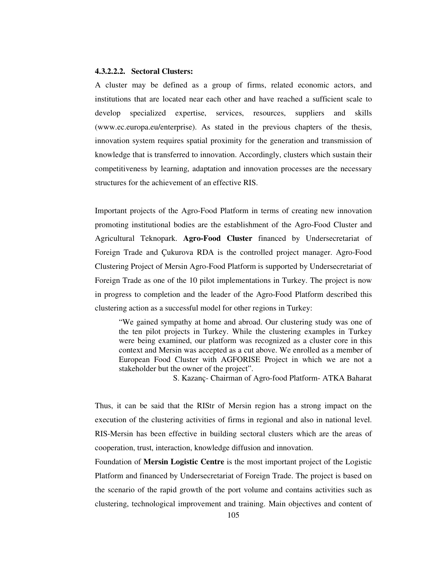# **4.3.2.2.2. Sectoral Clusters:**

A cluster may be defined as a group of firms, related economic actors, and institutions that are located near each other and have reached a sufficient scale to develop specialized expertise, services, resources, suppliers and skills (www.ec.europa.eu/enterprise). As stated in the previous chapters of the thesis, innovation system requires spatial proximity for the generation and transmission of knowledge that is transferred to innovation. Accordingly, clusters which sustain their competitiveness by learning, adaptation and innovation processes are the necessary structures for the achievement of an effective RIS.

Important projects of the Agro-Food Platform in terms of creating new innovation promoting institutional bodies are the establishment of the Agro-Food Cluster and Agricultural Teknopark. **Agro-Food Cluster** financed by Undersecretariat of Foreign Trade and Çukurova RDA is the controlled project manager. Agro-Food Clustering Project of Mersin Agro-Food Platform is supported by Undersecretariat of Foreign Trade as one of the 10 pilot implementations in Turkey. The project is now in progress to completion and the leader of the Agro-Food Platform described this clustering action as a successful model for other regions in Turkey:

"We gained sympathy at home and abroad. Our clustering study was one of the ten pilot projects in Turkey. While the clustering examples in Turkey were being examined, our platform was recognized as a cluster core in this context and Mersin was accepted as a cut above. We enrolled as a member of European Food Cluster with AGFORISE Project in which we are not a stakeholder but the owner of the project".

S. Kazanç- Chairman of Agro-food Platform- ATKA Baharat

Thus, it can be said that the RIStr of Mersin region has a strong impact on the execution of the clustering activities of firms in regional and also in national level. RIS-Mersin has been effective in building sectoral clusters which are the areas of cooperation, trust, interaction, knowledge diffusion and innovation.

Foundation of **Mersin Logistic Centre** is the most important project of the Logistic Platform and financed by Undersecretariat of Foreign Trade. The project is based on the scenario of the rapid growth of the port volume and contains activities such as clustering, technological improvement and training. Main objectives and content of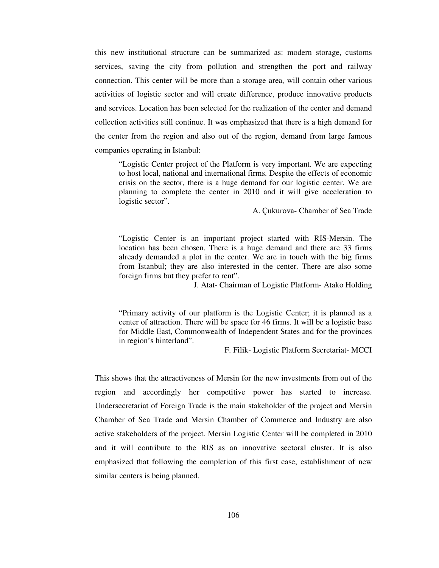this new institutional structure can be summarized as: modern storage, customs services, saving the city from pollution and strengthen the port and railway connection. This center will be more than a storage area, will contain other various activities of logistic sector and will create difference, produce innovative products and services. Location has been selected for the realization of the center and demand collection activities still continue. It was emphasized that there is a high demand for the center from the region and also out of the region, demand from large famous companies operating in Istanbul:

"Logistic Center project of the Platform is very important. We are expecting to host local, national and international firms. Despite the effects of economic crisis on the sector, there is a huge demand for our logistic center. We are planning to complete the center in 2010 and it will give acceleration to logistic sector".

A. Çukurova- Chamber of Sea Trade

"Logistic Center is an important project started with RIS-Mersin. The location has been chosen. There is a huge demand and there are 33 firms already demanded a plot in the center. We are in touch with the big firms from Istanbul; they are also interested in the center. There are also some foreign firms but they prefer to rent".

J. Atat- Chairman of Logistic Platform- Atako Holding

"Primary activity of our platform is the Logistic Center; it is planned as a center of attraction. There will be space for 46 firms. It will be a logistic base for Middle East, Commonwealth of Independent States and for the provinces in region's hinterland".

F. Filik- Logistic Platform Secretariat- MCCI

This shows that the attractiveness of Mersin for the new investments from out of the region and accordingly her competitive power has started to increase. Undersecretariat of Foreign Trade is the main stakeholder of the project and Mersin Chamber of Sea Trade and Mersin Chamber of Commerce and Industry are also active stakeholders of the project. Mersin Logistic Center will be completed in 2010 and it will contribute to the RIS as an innovative sectoral cluster. It is also emphasized that following the completion of this first case, establishment of new similar centers is being planned.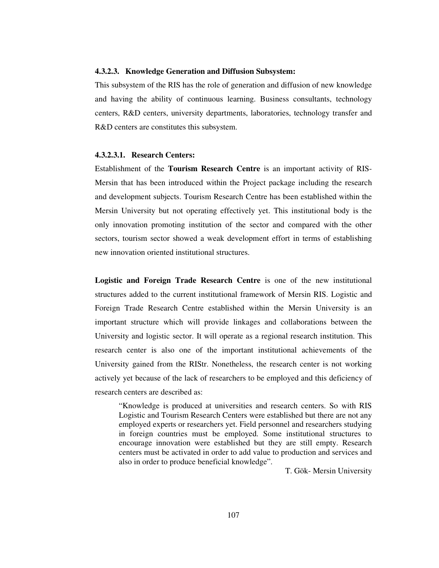# **4.3.2.3. Knowledge Generation and Diffusion Subsystem:**

This subsystem of the RIS has the role of generation and diffusion of new knowledge and having the ability of continuous learning. Business consultants, technology centers, R&D centers, university departments, laboratories, technology transfer and R&D centers are constitutes this subsystem.

# **4.3.2.3.1. Research Centers:**

Establishment of the **Tourism Research Centre** is an important activity of RIS-Mersin that has been introduced within the Project package including the research and development subjects. Tourism Research Centre has been established within the Mersin University but not operating effectively yet. This institutional body is the only innovation promoting institution of the sector and compared with the other sectors, tourism sector showed a weak development effort in terms of establishing new innovation oriented institutional structures.

**Logistic and Foreign Trade Research Centre** is one of the new institutional structures added to the current institutional framework of Mersin RIS. Logistic and Foreign Trade Research Centre established within the Mersin University is an important structure which will provide linkages and collaborations between the University and logistic sector. It will operate as a regional research institution. This research center is also one of the important institutional achievements of the University gained from the RIStr. Nonetheless, the research center is not working actively yet because of the lack of researchers to be employed and this deficiency of research centers are described as:

"Knowledge is produced at universities and research centers. So with RIS Logistic and Tourism Research Centers were established but there are not any employed experts or researchers yet. Field personnel and researchers studying in foreign countries must be employed. Some institutional structures to encourage innovation were established but they are still empty. Research centers must be activated in order to add value to production and services and also in order to produce beneficial knowledge".

T. Gök- Mersin University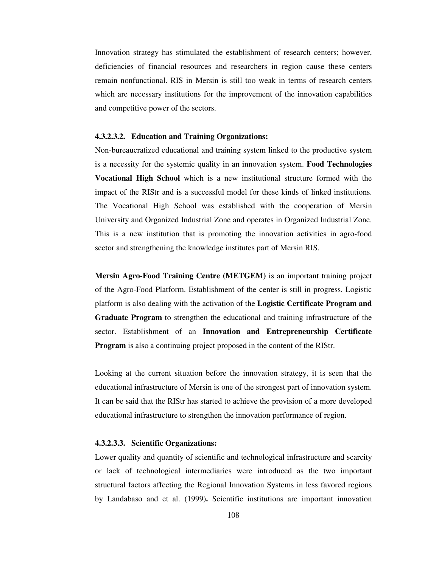Innovation strategy has stimulated the establishment of research centers; however, deficiencies of financial resources and researchers in region cause these centers remain nonfunctional. RIS in Mersin is still too weak in terms of research centers which are necessary institutions for the improvement of the innovation capabilities and competitive power of the sectors.

#### **4.3.2.3.2. Education and Training Organizations:**

Non-bureaucratized educational and training system linked to the productive system is a necessity for the systemic quality in an innovation system. **Food Technologies Vocational High School** which is a new institutional structure formed with the impact of the RIStr and is a successful model for these kinds of linked institutions. The Vocational High School was established with the cooperation of Mersin University and Organized Industrial Zone and operates in Organized Industrial Zone. This is a new institution that is promoting the innovation activities in agro-food sector and strengthening the knowledge institutes part of Mersin RIS.

**Mersin Agro-Food Training Centre (METGEM)** is an important training project of the Agro-Food Platform. Establishment of the center is still in progress. Logistic platform is also dealing with the activation of the **Logistic Certificate Program and Graduate Program** to strengthen the educational and training infrastructure of the sector. Establishment of an **Innovation and Entrepreneurship Certificate Program** is also a continuing project proposed in the content of the RIStr.

Looking at the current situation before the innovation strategy, it is seen that the educational infrastructure of Mersin is one of the strongest part of innovation system. It can be said that the RIStr has started to achieve the provision of a more developed educational infrastructure to strengthen the innovation performance of region.

## **4.3.2.3.3. Scientific Organizations:**

Lower quality and quantity of scientific and technological infrastructure and scarcity or lack of technological intermediaries were introduced as the two important structural factors affecting the Regional Innovation Systems in less favored regions by Landabaso and et al. (1999)**.** Scientific institutions are important innovation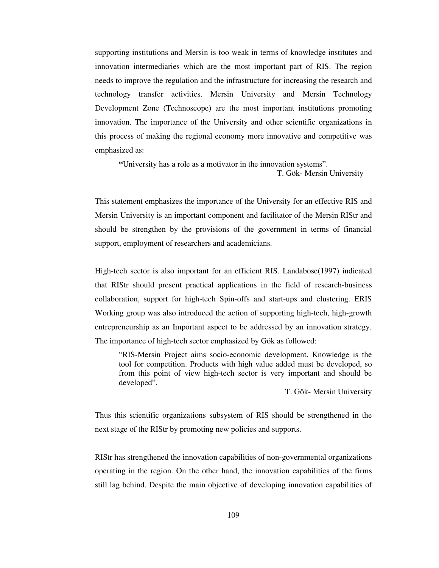supporting institutions and Mersin is too weak in terms of knowledge institutes and innovation intermediaries which are the most important part of RIS. The region needs to improve the regulation and the infrastructure for increasing the research and technology transfer activities. Mersin University and Mersin Technology Development Zone (Technoscope) are the most important institutions promoting innovation. The importance of the University and other scientific organizations in this process of making the regional economy more innovative and competitive was emphasized as:

**"**University has a role as a motivator in the innovation systems". T. Gök- Mersin University

This statement emphasizes the importance of the University for an effective RIS and Mersin University is an important component and facilitator of the Mersin RIStr and should be strengthen by the provisions of the government in terms of financial support, employment of researchers and academicians.

High-tech sector is also important for an efficient RIS. Landabose(1997) indicated that RIStr should present practical applications in the field of research-business collaboration, support for high-tech Spin-offs and start-ups and clustering. ERIS Working group was also introduced the action of supporting high-tech, high-growth entrepreneurship as an Important aspect to be addressed by an innovation strategy. The importance of high-tech sector emphasized by Gök as followed:

"RIS-Mersin Project aims socio-economic development. Knowledge is the tool for competition. Products with high value added must be developed, so from this point of view high-tech sector is very important and should be developed".

T. Gök- Mersin University

Thus this scientific organizations subsystem of RIS should be strengthened in the next stage of the RIStr by promoting new policies and supports.

RIStr has strengthened the innovation capabilities of non-governmental organizations operating in the region. On the other hand, the innovation capabilities of the firms still lag behind. Despite the main objective of developing innovation capabilities of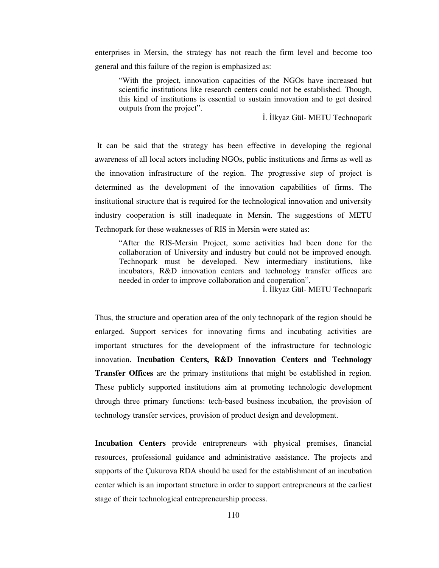enterprises in Mersin, the strategy has not reach the firm level and become too general and this failure of the region is emphasized as:

"With the project, innovation capacities of the NGOs have increased but scientific institutions like research centers could not be established. Though, this kind of institutions is essential to sustain innovation and to get desired outputs from the project".

İ. İlkyaz Gül- METU Technopark

 It can be said that the strategy has been effective in developing the regional awareness of all local actors including NGOs, public institutions and firms as well as the innovation infrastructure of the region. The progressive step of project is determined as the development of the innovation capabilities of firms. The institutional structure that is required for the technological innovation and university industry cooperation is still inadequate in Mersin. The suggestions of METU Technopark for these weaknesses of RIS in Mersin were stated as:

"After the RIS-Mersin Project, some activities had been done for the collaboration of University and industry but could not be improved enough. Technopark must be developed. New intermediary institutions, like incubators, R&D innovation centers and technology transfer offices are needed in order to improve collaboration and cooperation".

İ. İlkyaz Gül- METU Technopark

Thus, the structure and operation area of the only technopark of the region should be enlarged. Support services for innovating firms and incubating activities are important structures for the development of the infrastructure for technologic innovation. **Incubation Centers, R&D Innovation Centers and Technology Transfer Offices** are the primary institutions that might be established in region. These publicly supported institutions aim at promoting technologic development through three primary functions: tech-based business incubation, the provision of technology transfer services, provision of product design and development.

**Incubation Centers** provide entrepreneurs with physical premises, financial resources, professional guidance and administrative assistance. The projects and supports of the Çukurova RDA should be used for the establishment of an incubation center which is an important structure in order to support entrepreneurs at the earliest stage of their technological entrepreneurship process.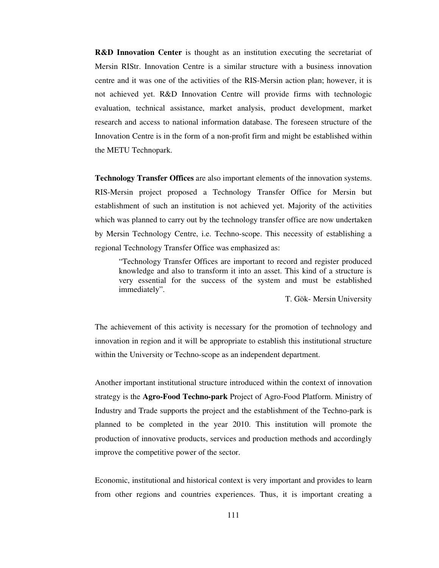**R&D Innovation Center** is thought as an institution executing the secretariat of Mersin RIStr. Innovation Centre is a similar structure with a business innovation centre and it was one of the activities of the RIS-Mersin action plan; however, it is not achieved yet. R&D Innovation Centre will provide firms with technologic evaluation, technical assistance, market analysis, product development, market research and access to national information database. The foreseen structure of the Innovation Centre is in the form of a non-profit firm and might be established within the METU Technopark.

**Technology Transfer Offices** are also important elements of the innovation systems. RIS-Mersin project proposed a Technology Transfer Office for Mersin but establishment of such an institution is not achieved yet. Majority of the activities which was planned to carry out by the technology transfer office are now undertaken by Mersin Technology Centre, i.e. Techno-scope. This necessity of establishing a regional Technology Transfer Office was emphasized as:

"Technology Transfer Offices are important to record and register produced knowledge and also to transform it into an asset. This kind of a structure is very essential for the success of the system and must be established immediately".

T. Gök- Mersin University

The achievement of this activity is necessary for the promotion of technology and innovation in region and it will be appropriate to establish this institutional structure within the University or Techno-scope as an independent department.

Another important institutional structure introduced within the context of innovation strategy is the **Agro-Food Techno-park** Project of Agro-Food Platform. Ministry of Industry and Trade supports the project and the establishment of the Techno-park is planned to be completed in the year 2010. This institution will promote the production of innovative products, services and production methods and accordingly improve the competitive power of the sector.

Economic, institutional and historical context is very important and provides to learn from other regions and countries experiences. Thus, it is important creating a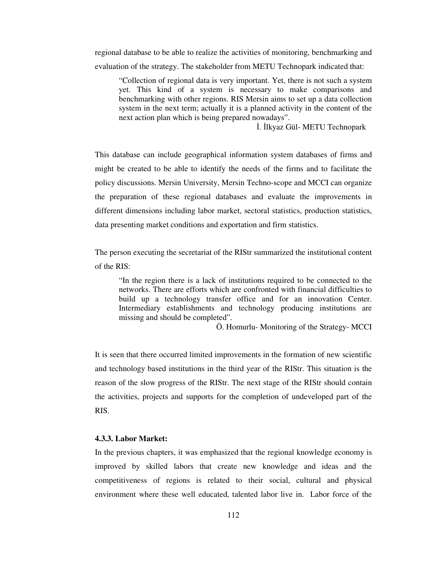regional database to be able to realize the activities of monitoring, benchmarking and evaluation of the strategy. The stakeholder from METU Technopark indicated that:

"Collection of regional data is very important. Yet, there is not such a system yet. This kind of a system is necessary to make comparisons and benchmarking with other regions. RIS Mersin aims to set up a data collection system in the next term; actually it is a planned activity in the content of the next action plan which is being prepared nowadays".

İ. İlkyaz Gül- METU Technopark

This database can include geographical information system databases of firms and might be created to be able to identify the needs of the firms and to facilitate the policy discussions. Mersin University, Mersin Techno-scope and MCCI can organize the preparation of these regional databases and evaluate the improvements in different dimensions including labor market, sectoral statistics, production statistics, data presenting market conditions and exportation and firm statistics.

The person executing the secretariat of the RIStr summarized the institutional content of the RIS:

"In the region there is a lack of institutions required to be connected to the networks. There are efforts which are confronted with financial difficulties to build up a technology transfer office and for an innovation Center. Intermediary establishments and technology producing institutions are missing and should be completed".

Ö. Homurlu- Monitoring of the Strategy- MCCI

It is seen that there occurred limited improvements in the formation of new scientific and technology based institutions in the third year of the RIStr. This situation is the reason of the slow progress of the RIStr. The next stage of the RIStr should contain the activities, projects and supports for the completion of undeveloped part of the RIS.

## **4.3.3. Labor Market:**

In the previous chapters, it was emphasized that the regional knowledge economy is improved by skilled labors that create new knowledge and ideas and the competitiveness of regions is related to their social, cultural and physical environment where these well educated, talented labor live in. Labor force of the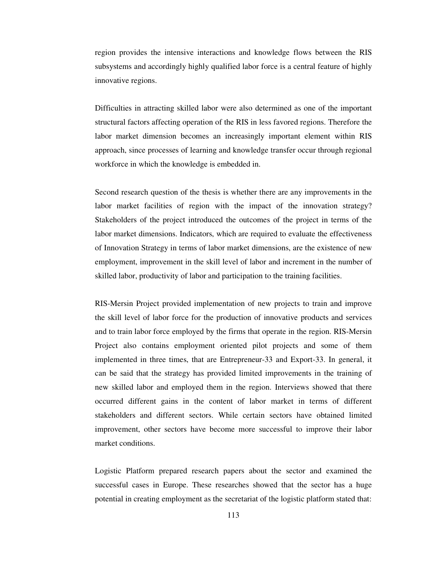region provides the intensive interactions and knowledge flows between the RIS subsystems and accordingly highly qualified labor force is a central feature of highly innovative regions.

Difficulties in attracting skilled labor were also determined as one of the important structural factors affecting operation of the RIS in less favored regions. Therefore the labor market dimension becomes an increasingly important element within RIS approach, since processes of learning and knowledge transfer occur through regional workforce in which the knowledge is embedded in.

Second research question of the thesis is whether there are any improvements in the labor market facilities of region with the impact of the innovation strategy? Stakeholders of the project introduced the outcomes of the project in terms of the labor market dimensions. Indicators, which are required to evaluate the effectiveness of Innovation Strategy in terms of labor market dimensions, are the existence of new employment, improvement in the skill level of labor and increment in the number of skilled labor, productivity of labor and participation to the training facilities.

RIS-Mersin Project provided implementation of new projects to train and improve the skill level of labor force for the production of innovative products and services and to train labor force employed by the firms that operate in the region. RIS-Mersin Project also contains employment oriented pilot projects and some of them implemented in three times, that are Entrepreneur-33 and Export-33. In general, it can be said that the strategy has provided limited improvements in the training of new skilled labor and employed them in the region. Interviews showed that there occurred different gains in the content of labor market in terms of different stakeholders and different sectors. While certain sectors have obtained limited improvement, other sectors have become more successful to improve their labor market conditions.

Logistic Platform prepared research papers about the sector and examined the successful cases in Europe. These researches showed that the sector has a huge potential in creating employment as the secretariat of the logistic platform stated that: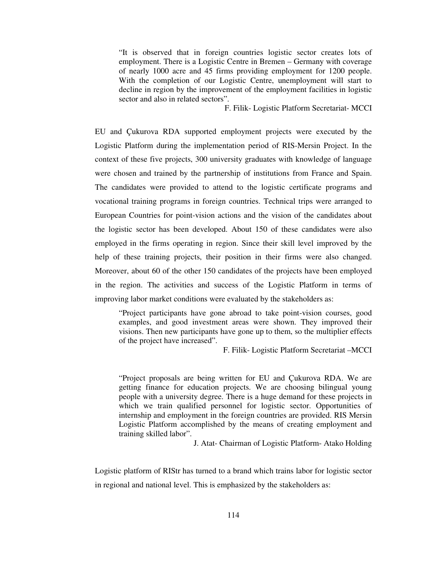"It is observed that in foreign countries logistic sector creates lots of employment. There is a Logistic Centre in Bremen – Germany with coverage of nearly 1000 acre and 45 firms providing employment for 1200 people. With the completion of our Logistic Centre, unemployment will start to decline in region by the improvement of the employment facilities in logistic sector and also in related sectors".

F. Filik- Logistic Platform Secretariat- MCCI

EU and Çukurova RDA supported employment projects were executed by the Logistic Platform during the implementation period of RIS-Mersin Project. In the context of these five projects, 300 university graduates with knowledge of language were chosen and trained by the partnership of institutions from France and Spain. The candidates were provided to attend to the logistic certificate programs and vocational training programs in foreign countries. Technical trips were arranged to European Countries for point-vision actions and the vision of the candidates about the logistic sector has been developed. About 150 of these candidates were also employed in the firms operating in region. Since their skill level improved by the help of these training projects, their position in their firms were also changed. Moreover, about 60 of the other 150 candidates of the projects have been employed in the region. The activities and success of the Logistic Platform in terms of improving labor market conditions were evaluated by the stakeholders as:

"Project participants have gone abroad to take point-vision courses, good examples, and good investment areas were shown. They improved their visions. Then new participants have gone up to them, so the multiplier effects of the project have increased".

F. Filik- Logistic Platform Secretariat –MCCI

"Project proposals are being written for EU and Çukurova RDA. We are getting finance for education projects. We are choosing bilingual young people with a university degree. There is a huge demand for these projects in which we train qualified personnel for logistic sector. Opportunities of internship and employment in the foreign countries are provided. RIS Mersin Logistic Platform accomplished by the means of creating employment and training skilled labor".

J. Atat- Chairman of Logistic Platform- Atako Holding

Logistic platform of RIStr has turned to a brand which trains labor for logistic sector in regional and national level. This is emphasized by the stakeholders as: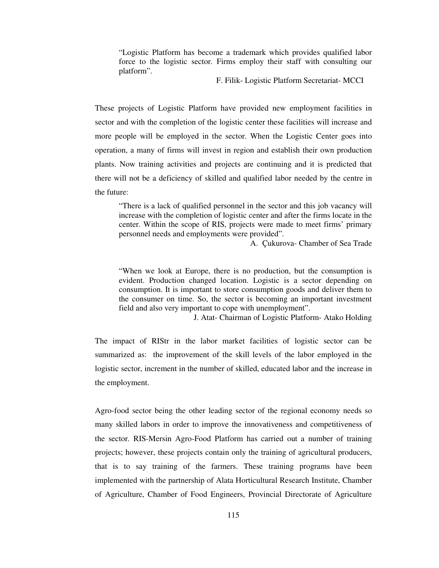"Logistic Platform has become a trademark which provides qualified labor force to the logistic sector. Firms employ their staff with consulting our platform".

F. Filik- Logistic Platform Secretariat- MCCI

These projects of Logistic Platform have provided new employment facilities in sector and with the completion of the logistic center these facilities will increase and more people will be employed in the sector. When the Logistic Center goes into operation, a many of firms will invest in region and establish their own production plants. Now training activities and projects are continuing and it is predicted that there will not be a deficiency of skilled and qualified labor needed by the centre in the future:

"There is a lack of qualified personnel in the sector and this job vacancy will increase with the completion of logistic center and after the firms locate in the center. Within the scope of RIS, projects were made to meet firms' primary personnel needs and employments were provided".

A. Çukurova- Chamber of Sea Trade

"When we look at Europe, there is no production, but the consumption is evident. Production changed location. Logistic is a sector depending on consumption. It is important to store consumption goods and deliver them to the consumer on time. So, the sector is becoming an important investment field and also very important to cope with unemployment".

J. Atat- Chairman of Logistic Platform- Atako Holding

The impact of RIStr in the labor market facilities of logistic sector can be summarized as: the improvement of the skill levels of the labor employed in the logistic sector, increment in the number of skilled, educated labor and the increase in the employment.

Agro-food sector being the other leading sector of the regional economy needs so many skilled labors in order to improve the innovativeness and competitiveness of the sector. RIS-Mersin Agro-Food Platform has carried out a number of training projects; however, these projects contain only the training of agricultural producers, that is to say training of the farmers. These training programs have been implemented with the partnership of Alata Horticultural Research Institute, Chamber of Agriculture, Chamber of Food Engineers, Provincial Directorate of Agriculture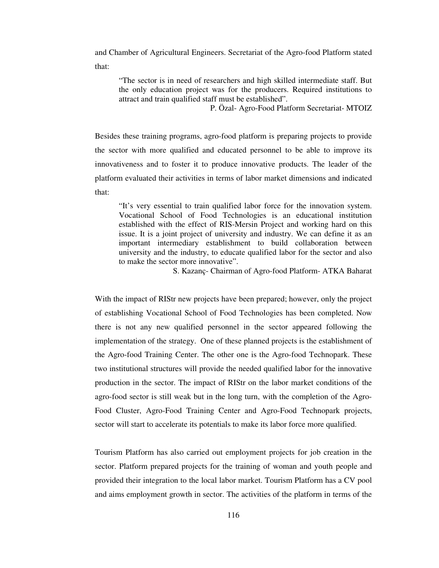and Chamber of Agricultural Engineers. Secretariat of the Agro-food Platform stated that:

"The sector is in need of researchers and high skilled intermediate staff. But the only education project was for the producers. Required institutions to attract and train qualified staff must be established".

P. Özal- Agro-Food Platform Secretariat- MTOIZ

Besides these training programs, agro-food platform is preparing projects to provide the sector with more qualified and educated personnel to be able to improve its innovativeness and to foster it to produce innovative products. The leader of the platform evaluated their activities in terms of labor market dimensions and indicated that:

"It's very essential to train qualified labor force for the innovation system. Vocational School of Food Technologies is an educational institution established with the effect of RIS-Mersin Project and working hard on this issue. It is a joint project of university and industry. We can define it as an important intermediary establishment to build collaboration between university and the industry, to educate qualified labor for the sector and also to make the sector more innovative".

S. Kazanç- Chairman of Agro-food Platform- ATKA Baharat

With the impact of RIStr new projects have been prepared; however, only the project of establishing Vocational School of Food Technologies has been completed. Now there is not any new qualified personnel in the sector appeared following the implementation of the strategy. One of these planned projects is the establishment of the Agro-food Training Center. The other one is the Agro-food Technopark. These two institutional structures will provide the needed qualified labor for the innovative production in the sector. The impact of RIStr on the labor market conditions of the agro-food sector is still weak but in the long turn, with the completion of the Agro-Food Cluster, Agro-Food Training Center and Agro-Food Technopark projects, sector will start to accelerate its potentials to make its labor force more qualified.

Tourism Platform has also carried out employment projects for job creation in the sector. Platform prepared projects for the training of woman and youth people and provided their integration to the local labor market. Tourism Platform has a CV pool and aims employment growth in sector. The activities of the platform in terms of the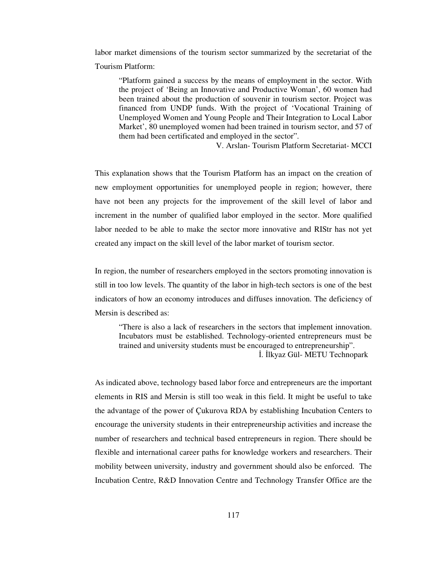labor market dimensions of the tourism sector summarized by the secretariat of the Tourism Platform:

"Platform gained a success by the means of employment in the sector. With the project of 'Being an Innovative and Productive Woman', 60 women had been trained about the production of souvenir in tourism sector. Project was financed from UNDP funds. With the project of 'Vocational Training of Unemployed Women and Young People and Their Integration to Local Labor Market', 80 unemployed women had been trained in tourism sector, and 57 of them had been certificated and employed in the sector".

V. Arslan- Tourism Platform Secretariat- MCCI

This explanation shows that the Tourism Platform has an impact on the creation of new employment opportunities for unemployed people in region; however, there have not been any projects for the improvement of the skill level of labor and increment in the number of qualified labor employed in the sector. More qualified labor needed to be able to make the sector more innovative and RIStr has not yet created any impact on the skill level of the labor market of tourism sector.

In region, the number of researchers employed in the sectors promoting innovation is still in too low levels. The quantity of the labor in high-tech sectors is one of the best indicators of how an economy introduces and diffuses innovation. The deficiency of Mersin is described as:

"There is also a lack of researchers in the sectors that implement innovation. Incubators must be established. Technology-oriented entrepreneurs must be trained and university students must be encouraged to entrepreneurship". İ. İlkyaz Gül- METU Technopark

As indicated above, technology based labor force and entrepreneurs are the important elements in RIS and Mersin is still too weak in this field. It might be useful to take the advantage of the power of Çukurova RDA by establishing Incubation Centers to encourage the university students in their entrepreneurship activities and increase the number of researchers and technical based entrepreneurs in region. There should be flexible and international career paths for knowledge workers and researchers. Their mobility between university, industry and government should also be enforced. The Incubation Centre, R&D Innovation Centre and Technology Transfer Office are the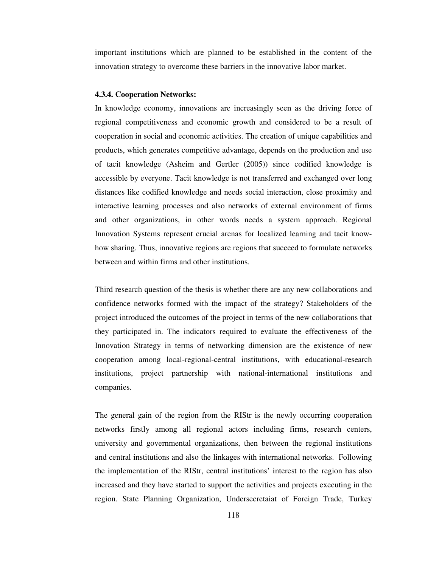important institutions which are planned to be established in the content of the innovation strategy to overcome these barriers in the innovative labor market.

## **4.3.4. Cooperation Networks:**

In knowledge economy, innovations are increasingly seen as the driving force of regional competitiveness and economic growth and considered to be a result of cooperation in social and economic activities. The creation of unique capabilities and products, which generates competitive advantage, depends on the production and use of tacit knowledge (Asheim and Gertler (2005)) since codified knowledge is accessible by everyone. Tacit knowledge is not transferred and exchanged over long distances like codified knowledge and needs social interaction, close proximity and interactive learning processes and also networks of external environment of firms and other organizations, in other words needs a system approach. Regional Innovation Systems represent crucial arenas for localized learning and tacit knowhow sharing. Thus, innovative regions are regions that succeed to formulate networks between and within firms and other institutions.

Third research question of the thesis is whether there are any new collaborations and confidence networks formed with the impact of the strategy? Stakeholders of the project introduced the outcomes of the project in terms of the new collaborations that they participated in. The indicators required to evaluate the effectiveness of the Innovation Strategy in terms of networking dimension are the existence of new cooperation among local-regional-central institutions, with educational-research institutions, project partnership with national-international institutions and companies.

The general gain of the region from the RIStr is the newly occurring cooperation networks firstly among all regional actors including firms, research centers, university and governmental organizations, then between the regional institutions and central institutions and also the linkages with international networks. Following the implementation of the RIStr, central institutions' interest to the region has also increased and they have started to support the activities and projects executing in the region. State Planning Organization, Undersecretaiat of Foreign Trade, Turkey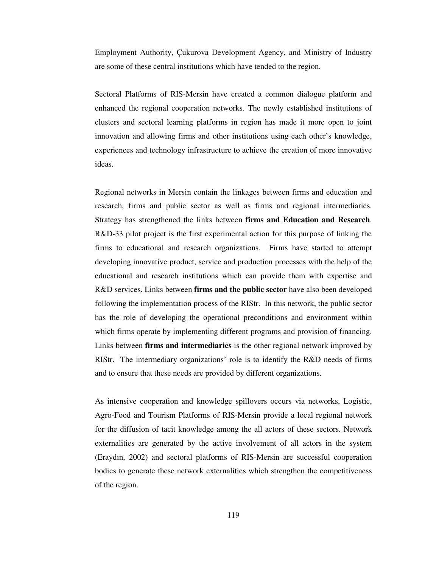Employment Authority, Çukurova Development Agency, and Ministry of Industry are some of these central institutions which have tended to the region.

Sectoral Platforms of RIS-Mersin have created a common dialogue platform and enhanced the regional cooperation networks. The newly established institutions of clusters and sectoral learning platforms in region has made it more open to joint innovation and allowing firms and other institutions using each other's knowledge, experiences and technology infrastructure to achieve the creation of more innovative ideas.

Regional networks in Mersin contain the linkages between firms and education and research, firms and public sector as well as firms and regional intermediaries. Strategy has strengthened the links between **firms and Education and Research**. R&D-33 pilot project is the first experimental action for this purpose of linking the firms to educational and research organizations. Firms have started to attempt developing innovative product, service and production processes with the help of the educational and research institutions which can provide them with expertise and R&D services. Links between **firms and the public sector** have also been developed following the implementation process of the RIStr. In this network, the public sector has the role of developing the operational preconditions and environment within which firms operate by implementing different programs and provision of financing. Links between **firms and intermediaries** is the other regional network improved by RIStr. The intermediary organizations' role is to identify the R&D needs of firms and to ensure that these needs are provided by different organizations.

As intensive cooperation and knowledge spillovers occurs via networks, Logistic, Agro-Food and Tourism Platforms of RIS-Mersin provide a local regional network for the diffusion of tacit knowledge among the all actors of these sectors. Network externalities are generated by the active involvement of all actors in the system (Eraydın, 2002) and sectoral platforms of RIS-Mersin are successful cooperation bodies to generate these network externalities which strengthen the competitiveness of the region.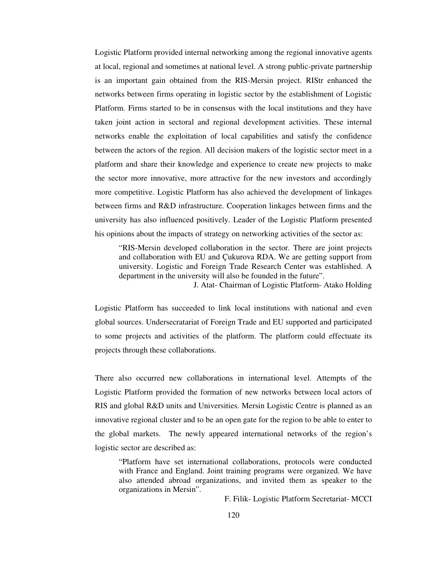Logistic Platform provided internal networking among the regional innovative agents at local, regional and sometimes at national level. A strong public-private partnership is an important gain obtained from the RIS-Mersin project. RIStr enhanced the networks between firms operating in logistic sector by the establishment of Logistic Platform. Firms started to be in consensus with the local institutions and they have taken joint action in sectoral and regional development activities. These internal networks enable the exploitation of local capabilities and satisfy the confidence between the actors of the region. All decision makers of the logistic sector meet in a platform and share their knowledge and experience to create new projects to make the sector more innovative, more attractive for the new investors and accordingly more competitive. Logistic Platform has also achieved the development of linkages between firms and R&D infrastructure. Cooperation linkages between firms and the university has also influenced positively. Leader of the Logistic Platform presented his opinions about the impacts of strategy on networking activities of the sector as:

"RIS-Mersin developed collaboration in the sector. There are joint projects and collaboration with EU and Çukurova RDA. We are getting support from university. Logistic and Foreign Trade Research Center was established. A department in the university will also be founded in the future".

J. Atat- Chairman of Logistic Platform- Atako Holding

Logistic Platform has succeeded to link local institutions with national and even global sources. Undersecratariat of Foreign Trade and EU supported and participated to some projects and activities of the platform. The platform could effectuate its projects through these collaborations.

There also occurred new collaborations in international level. Attempts of the Logistic Platform provided the formation of new networks between local actors of RIS and global R&D units and Universities. Mersin Logistic Centre is planned as an innovative regional cluster and to be an open gate for the region to be able to enter to the global markets. The newly appeared international networks of the region's logistic sector are described as:

"Platform have set international collaborations, protocols were conducted with France and England. Joint training programs were organized. We have also attended abroad organizations, and invited them as speaker to the organizations in Mersin".

F. Filik- Logistic Platform Secretariat- MCCI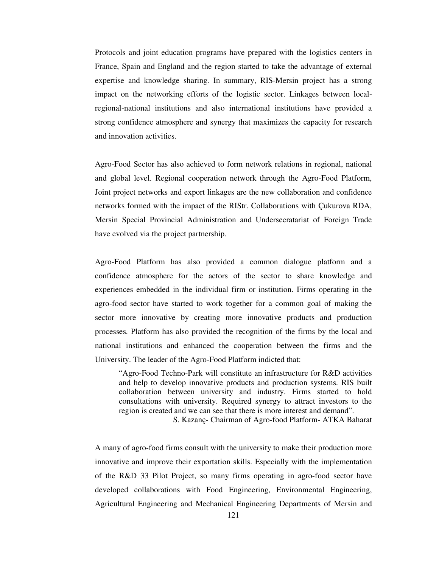Protocols and joint education programs have prepared with the logistics centers in France, Spain and England and the region started to take the advantage of external expertise and knowledge sharing. In summary, RIS-Mersin project has a strong impact on the networking efforts of the logistic sector. Linkages between localregional-national institutions and also international institutions have provided a strong confidence atmosphere and synergy that maximizes the capacity for research and innovation activities.

Agro-Food Sector has also achieved to form network relations in regional, national and global level. Regional cooperation network through the Agro-Food Platform, Joint project networks and export linkages are the new collaboration and confidence networks formed with the impact of the RIStr. Collaborations with Çukurova RDA, Mersin Special Provincial Administration and Undersecratariat of Foreign Trade have evolved via the project partnership.

Agro-Food Platform has also provided a common dialogue platform and a confidence atmosphere for the actors of the sector to share knowledge and experiences embedded in the individual firm or institution. Firms operating in the agro-food sector have started to work together for a common goal of making the sector more innovative by creating more innovative products and production processes. Platform has also provided the recognition of the firms by the local and national institutions and enhanced the cooperation between the firms and the University. The leader of the Agro-Food Platform indicted that:

"Agro-Food Techno-Park will constitute an infrastructure for R&D activities and help to develop innovative products and production systems. RIS built collaboration between university and industry. Firms started to hold consultations with university. Required synergy to attract investors to the region is created and we can see that there is more interest and demand".

S. Kazanç- Chairman of Agro-food Platform- ATKA Baharat

A many of agro-food firms consult with the university to make their production more innovative and improve their exportation skills. Especially with the implementation of the R&D 33 Pilot Project, so many firms operating in agro-food sector have developed collaborations with Food Engineering, Environmental Engineering, Agricultural Engineering and Mechanical Engineering Departments of Mersin and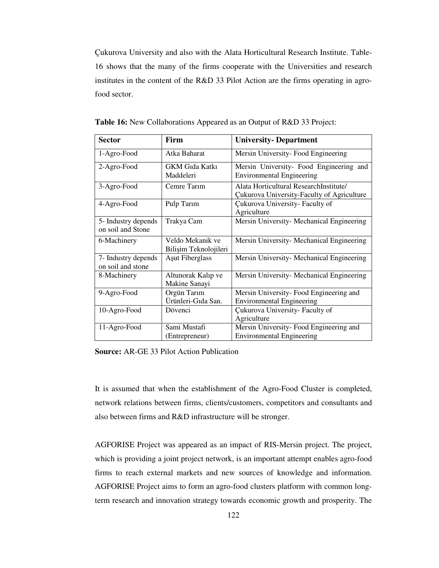Çukurova University and also with the Alata Horticultural Research Institute. Table-16 shows that the many of the firms cooperate with the Universities and research institutes in the content of the R&D 33 Pilot Action are the firms operating in agrofood sector.

| <b>Sector</b>                            | Firm                                      | <b>University- Department</b>                                                               |  |
|------------------------------------------|-------------------------------------------|---------------------------------------------------------------------------------------------|--|
| 1-Agro-Food                              | Atka Baharat                              | Mersin University-Food Engineering                                                          |  |
| 2-Agro-Food                              | GKM Gida Katki<br>Maddeleri               | Mersin University- Food Engineering and<br><b>Environmental Engineering</b>                 |  |
| 3-Agro-Food                              | Cemre Tarim                               | Alata Horticultural ResearchInstitute/<br><b>Cukurova University-Faculty of Agriculture</b> |  |
| 4-Agro-Food                              | Pulp Tarim                                | Cukurova University- Faculty of<br>Agriculture                                              |  |
| 5- Industry depends<br>on soil and Stone | Trakya Cam                                | Mersin University- Mechanical Engineering                                                   |  |
| 6-Machinery                              | Veldo Mekanik ve<br>Bilişim Teknolojileri | Mersin University- Mechanical Engineering                                                   |  |
| 7- Industry depends<br>on soil and stone | Asut Fiberglass                           | Mersin University- Mechanical Engineering                                                   |  |
| 8-Machinery                              | Altunorak Kalıp ve<br>Makine Sanayi       | Mersin University- Mechanical Engineering                                                   |  |
| 9-Agro-Food                              | Orgün Tarım<br>Ürünleri-Gıda San.         | Mersin University-Food Engineering and<br><b>Environmental Engineering</b>                  |  |
| 10-Agro-Food                             | Dövenci                                   | Cukurova University- Faculty of<br>Agriculture                                              |  |
| 11-Agro-Food                             | Sami Mustafi<br>(Entrepreneur)            | Mersin University-Food Engineering and<br><b>Environmental Engineering</b>                  |  |

**Table 16:** New Collaborations Appeared as an Output of R&D 33 Project:

**Source:** AR-GE 33 Pilot Action Publication

It is assumed that when the establishment of the Agro-Food Cluster is completed, network relations between firms, clients/customers, competitors and consultants and also between firms and R&D infrastructure will be stronger.

AGFORISE Project was appeared as an impact of RIS-Mersin project. The project, which is providing a joint project network, is an important attempt enables agro-food firms to reach external markets and new sources of knowledge and information. AGFORISE Project aims to form an agro-food clusters platform with common longterm research and innovation strategy towards economic growth and prosperity. The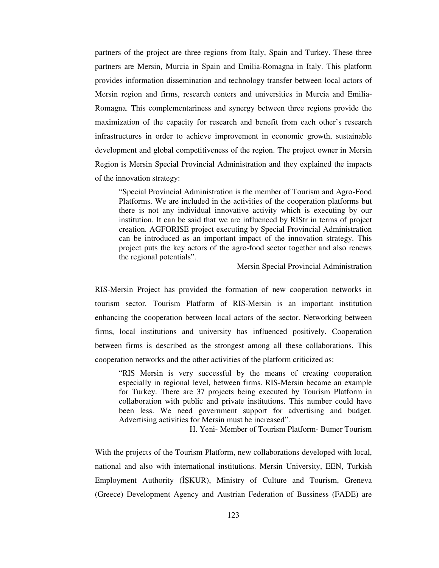partners of the project are three regions from Italy, Spain and Turkey. These three partners are Mersin, Murcia in Spain and Emilia-Romagna in Italy. This platform provides information dissemination and technology transfer between local actors of Mersin region and firms, research centers and universities in Murcia and Emilia-Romagna. This complementariness and synergy between three regions provide the maximization of the capacity for research and benefit from each other's research infrastructures in order to achieve improvement in economic growth, sustainable development and global competitiveness of the region. The project owner in Mersin Region is Mersin Special Provincial Administration and they explained the impacts of the innovation strategy:

"Special Provincial Administration is the member of Tourism and Agro-Food Platforms. We are included in the activities of the cooperation platforms but there is not any individual innovative activity which is executing by our institution. It can be said that we are influenced by RIStr in terms of project creation. AGFORISE project executing by Special Provincial Administration can be introduced as an important impact of the innovation strategy. This project puts the key actors of the agro-food sector together and also renews the regional potentials".

Mersin Special Provincial Administration

RIS-Mersin Project has provided the formation of new cooperation networks in tourism sector. Tourism Platform of RIS-Mersin is an important institution enhancing the cooperation between local actors of the sector. Networking between firms, local institutions and university has influenced positively. Cooperation between firms is described as the strongest among all these collaborations. This cooperation networks and the other activities of the platform criticized as:

"RIS Mersin is very successful by the means of creating cooperation especially in regional level, between firms. RIS-Mersin became an example for Turkey. There are 37 projects being executed by Tourism Platform in collaboration with public and private institutions. This number could have been less. We need government support for advertising and budget. Advertising activities for Mersin must be increased".

H. Yeni- Member of Tourism Platform- Bumer Tourism

With the projects of the Tourism Platform, new collaborations developed with local, national and also with international institutions. Mersin University, EEN, Turkish Employment Authority (İŞKUR), Ministry of Culture and Tourism, Greneva (Greece) Development Agency and Austrian Federation of Bussiness (FADE) are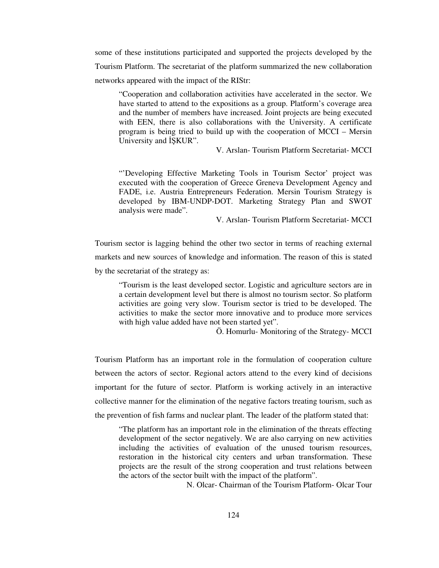some of these institutions participated and supported the projects developed by the Tourism Platform. The secretariat of the platform summarized the new collaboration networks appeared with the impact of the RIStr:

"Cooperation and collaboration activities have accelerated in the sector. We have started to attend to the expositions as a group. Platform's coverage area and the number of members have increased. Joint projects are being executed with EEN, there is also collaborations with the University. A certificate program is being tried to build up with the cooperation of MCCI – Mersin University and İŞKUR".

V. Arslan- Tourism Platform Secretariat- MCCI

"'Developing Effective Marketing Tools in Tourism Sector' project was executed with the cooperation of Greece Greneva Development Agency and FADE, i.e. Austria Entrepreneurs Federation. Mersin Tourism Strategy is developed by IBM-UNDP-DOT. Marketing Strategy Plan and SWOT analysis were made".

V. Arslan- Tourism Platform Secretariat- MCCI

Tourism sector is lagging behind the other two sector in terms of reaching external markets and new sources of knowledge and information. The reason of this is stated by the secretariat of the strategy as:

"Tourism is the least developed sector. Logistic and agriculture sectors are in a certain development level but there is almost no tourism sector. So platform activities are going very slow. Tourism sector is tried to be developed. The activities to make the sector more innovative and to produce more services with high value added have not been started yet".

Ö. Homurlu- Monitoring of the Strategy- MCCI

Tourism Platform has an important role in the formulation of cooperation culture between the actors of sector. Regional actors attend to the every kind of decisions important for the future of sector. Platform is working actively in an interactive collective manner for the elimination of the negative factors treating tourism, such as the prevention of fish farms and nuclear plant. The leader of the platform stated that:

"The platform has an important role in the elimination of the threats effecting development of the sector negatively. We are also carrying on new activities including the activities of evaluation of the unused tourism resources, restoration in the historical city centers and urban transformation. These projects are the result of the strong cooperation and trust relations between the actors of the sector built with the impact of the platform".

N. Olcar- Chairman of the Tourism Platform- Olcar Tour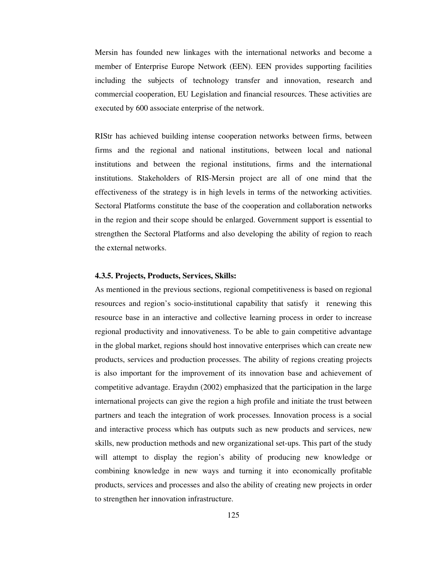Mersin has founded new linkages with the international networks and become a member of Enterprise Europe Network (EEN). EEN provides supporting facilities including the subjects of technology transfer and innovation, research and commercial cooperation, EU Legislation and financial resources. These activities are executed by 600 associate enterprise of the network.

RIStr has achieved building intense cooperation networks between firms, between firms and the regional and national institutions, between local and national institutions and between the regional institutions, firms and the international institutions. Stakeholders of RIS-Mersin project are all of one mind that the effectiveness of the strategy is in high levels in terms of the networking activities. Sectoral Platforms constitute the base of the cooperation and collaboration networks in the region and their scope should be enlarged. Government support is essential to strengthen the Sectoral Platforms and also developing the ability of region to reach the external networks.

# **4.3.5. Projects, Products, Services, Skills:**

As mentioned in the previous sections, regional competitiveness is based on regional resources and region's socio-institutional capability that satisfy it renewing this resource base in an interactive and collective learning process in order to increase regional productivity and innovativeness. To be able to gain competitive advantage in the global market, regions should host innovative enterprises which can create new products, services and production processes. The ability of regions creating projects is also important for the improvement of its innovation base and achievement of competitive advantage. Eraydın (2002) emphasized that the participation in the large international projects can give the region a high profile and initiate the trust between partners and teach the integration of work processes. Innovation process is a social and interactive process which has outputs such as new products and services, new skills, new production methods and new organizational set-ups. This part of the study will attempt to display the region's ability of producing new knowledge or combining knowledge in new ways and turning it into economically profitable products, services and processes and also the ability of creating new projects in order to strengthen her innovation infrastructure.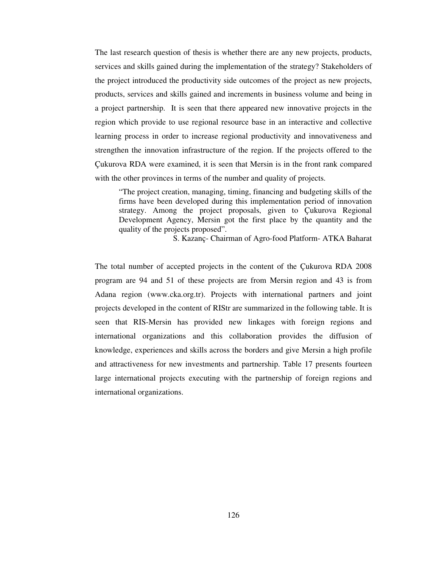The last research question of thesis is whether there are any new projects, products, services and skills gained during the implementation of the strategy? Stakeholders of the project introduced the productivity side outcomes of the project as new projects, products, services and skills gained and increments in business volume and being in a project partnership. It is seen that there appeared new innovative projects in the region which provide to use regional resource base in an interactive and collective learning process in order to increase regional productivity and innovativeness and strengthen the innovation infrastructure of the region. If the projects offered to the Çukurova RDA were examined, it is seen that Mersin is in the front rank compared with the other provinces in terms of the number and quality of projects.

"The project creation, managing, timing, financing and budgeting skills of the firms have been developed during this implementation period of innovation strategy. Among the project proposals, given to Çukurova Regional Development Agency, Mersin got the first place by the quantity and the quality of the projects proposed".

S. Kazanç- Chairman of Agro-food Platform- ATKA Baharat

The total number of accepted projects in the content of the Çukurova RDA 2008 program are 94 and 51 of these projects are from Mersin region and 43 is from Adana region (www.cka.org.tr). Projects with international partners and joint projects developed in the content of RIStr are summarized in the following table. It is seen that RIS-Mersin has provided new linkages with foreign regions and international organizations and this collaboration provides the diffusion of knowledge, experiences and skills across the borders and give Mersin a high profile and attractiveness for new investments and partnership. Table 17 presents fourteen large international projects executing with the partnership of foreign regions and international organizations.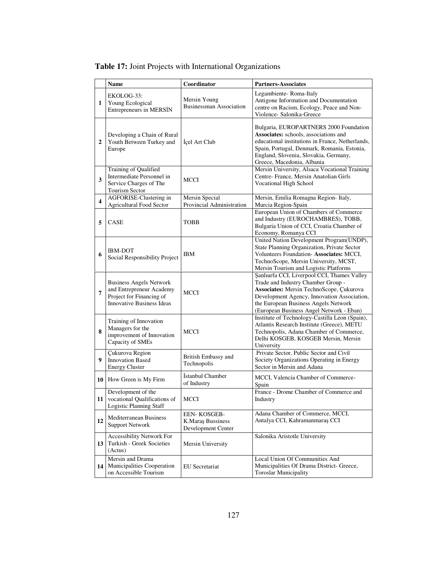|                         | <b>Name</b>                                                                                                         | Coordinator                                                    | <b>Partners-Associates</b>                                                                                                                                                                                                                                       |
|-------------------------|---------------------------------------------------------------------------------------------------------------------|----------------------------------------------------------------|------------------------------------------------------------------------------------------------------------------------------------------------------------------------------------------------------------------------------------------------------------------|
| 1                       | EKOLOG-33:<br>Young Ecological<br>Entrepreneurs in MERSİN                                                           | Mersin Young<br><b>Businessman Association</b>                 | Legambiente-Roma-Italy<br>Antigone Information and Documentation<br>centre on Racism, Ecology, Peace and Non-<br>Violence- Salonika-Greece                                                                                                                       |
| $\overline{2}$          | Developing a Chain of Rural<br>Youth Between Turkey and<br>Europe                                                   | Içel Art Club                                                  | Bulgaria, EUROPARTNERS 2000 Foundation<br>Associates: schools, associations and<br>educational institutions in France, Netherlands,<br>Spain, Portugal, Denmark, Romania, Estonia,<br>England, Slovenia, Slovakia, Germany,<br>Greece, Macedonia, Albania        |
| 3                       | Training of Qualified<br>Intermediate Personnel in<br>Service Charges of The<br>Tourism Sector                      | MCCI                                                           | Mersin University, Alsaca Vocational Training<br>Centre- France, Mersin Anatolian Girls<br>Vocational High School                                                                                                                                                |
| $\overline{\mathbf{4}}$ | <b>AGFORISE-Clustering in</b><br><b>Agricultural Food Sector</b>                                                    | Mersin Special<br>Provincial Administration                    | Mersin, Emilia Romagna Region- Italy,<br>Murcia Region-Spain                                                                                                                                                                                                     |
| 5                       | <b>CASE</b>                                                                                                         | <b>TOBB</b>                                                    | European Union of Chambers of Commerce<br>and Industry (EUROCHAMBRES), TOBB,<br>Bulgaria Union of CCI, Croatia Chamber of<br>Economy, Romanya CCI                                                                                                                |
| 6                       | <b>IBM-DOT</b><br>Social Responsibility Project                                                                     | IBM                                                            | United Nation Development Program(UNDP),<br>State Planning Organization, Private Sector<br>Volunteers Foundation- Associates: MCCI,<br>TechnoScope, Mersin University, MCST,<br>Mersin Tourism and Logistic Platforms                                            |
| 7                       | <b>Business Angels Network</b><br>and Entrepreneur Academy<br>Project for Financing of<br>Innovative Business Ideas | MCCI                                                           | Şanlıurfa CCI, Liverpool CCI, Thames Valley<br>Trade and Industry Chamber Group -<br>Associates: Mersin TechnoScope, Çukurova<br>Development Agency, Innovation Association,<br>the European Business Angels Network<br>(European Business Angel Network - Eban) |
| 8                       | Training of Innovation<br>Managers for the<br>improvement of Innovation<br>Capacity of SMEs                         | MCCI                                                           | Institute of Technology-Castilla Leon (Spain),<br>Atlantis Research Institute (Greece), METU<br>Technopolis, Adana Chamber of Commerce,<br>Delhi KOSGEB, KOSGEB Mersin, Mersin<br>University                                                                     |
| 9                       | Cukurova Region<br><b>Innovation Based</b><br><b>Energy Cluster</b>                                                 | British Embassy and<br>Technopolis                             | Private Sector, Public Sector and Civil<br>Society Organizations Operating in Energy<br>Sector in Mersin and Adana                                                                                                                                               |
| 10                      | How Green is My Firm                                                                                                | İstanbul Chamber<br>of Industry                                | MCCI, Valencia Chamber of Commerce-<br>Spain                                                                                                                                                                                                                     |
| 11                      | Development of the<br>vocational Qualifications of<br>Logistic Planning Staff                                       | MCCI                                                           | France - Drome Chamber of Commerce and<br>Industry                                                                                                                                                                                                               |
| 12                      | <b>Mediterranean Business</b><br><b>Support Network</b>                                                             | <b>EEN- KOSGEB-</b><br>K.Maraș Bussiness<br>Development Center | Adana Chamber of Commerce, MCCI,<br>Antalya CCI, Kahramanmaraş CCI                                                                                                                                                                                               |
| 13                      | Accessibility Network For<br>Turkish - Greek Societies<br>(Actus)                                                   | Mersin University                                              | Salonika Aristotle University                                                                                                                                                                                                                                    |
| 14                      | Mersin and Drama<br>Municipalities Cooperation<br>on Accessible Tourism                                             | EU Secretariat                                                 | Local Union Of Communities And<br>Municipalities Of Drama District- Greece,<br>Toroslar Municipality                                                                                                                                                             |

# **Table 17:** Joint Projects with International Organizations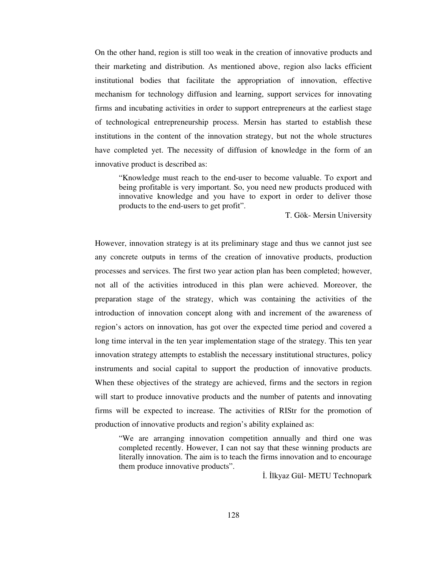On the other hand, region is still too weak in the creation of innovative products and their marketing and distribution. As mentioned above, region also lacks efficient institutional bodies that facilitate the appropriation of innovation, effective mechanism for technology diffusion and learning, support services for innovating firms and incubating activities in order to support entrepreneurs at the earliest stage of technological entrepreneurship process. Mersin has started to establish these institutions in the content of the innovation strategy, but not the whole structures have completed yet. The necessity of diffusion of knowledge in the form of an innovative product is described as:

"Knowledge must reach to the end-user to become valuable. To export and being profitable is very important. So, you need new products produced with innovative knowledge and you have to export in order to deliver those products to the end-users to get profit".

T. Gök- Mersin University

However, innovation strategy is at its preliminary stage and thus we cannot just see any concrete outputs in terms of the creation of innovative products, production processes and services. The first two year action plan has been completed; however, not all of the activities introduced in this plan were achieved. Moreover, the preparation stage of the strategy, which was containing the activities of the introduction of innovation concept along with and increment of the awareness of region's actors on innovation, has got over the expected time period and covered a long time interval in the ten year implementation stage of the strategy. This ten year innovation strategy attempts to establish the necessary institutional structures, policy instruments and social capital to support the production of innovative products. When these objectives of the strategy are achieved, firms and the sectors in region will start to produce innovative products and the number of patents and innovating firms will be expected to increase. The activities of RIStr for the promotion of production of innovative products and region's ability explained as:

"We are arranging innovation competition annually and third one was completed recently. However, I can not say that these winning products are literally innovation. The aim is to teach the firms innovation and to encourage them produce innovative products".

İ. İlkyaz Gül- METU Technopark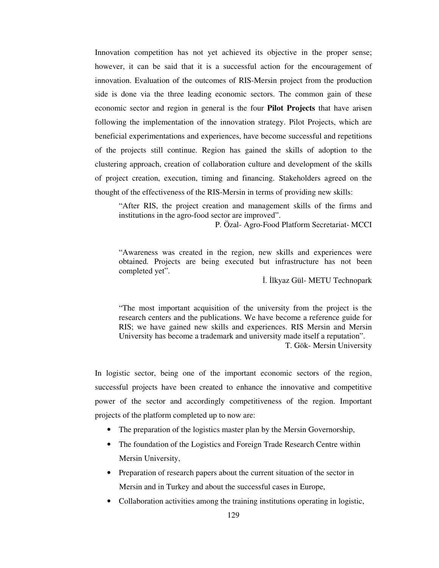Innovation competition has not yet achieved its objective in the proper sense; however, it can be said that it is a successful action for the encouragement of innovation. Evaluation of the outcomes of RIS-Mersin project from the production side is done via the three leading economic sectors. The common gain of these economic sector and region in general is the four **Pilot Projects** that have arisen following the implementation of the innovation strategy. Pilot Projects, which are beneficial experimentations and experiences, have become successful and repetitions of the projects still continue. Region has gained the skills of adoption to the clustering approach, creation of collaboration culture and development of the skills of project creation, execution, timing and financing. Stakeholders agreed on the thought of the effectiveness of the RIS-Mersin in terms of providing new skills:

"After RIS, the project creation and management skills of the firms and institutions in the agro-food sector are improved".

P. Özal- Agro-Food Platform Secretariat- MCCI

"Awareness was created in the region, new skills and experiences were obtained. Projects are being executed but infrastructure has not been completed yet".

İ. İlkyaz Gül- METU Technopark

"The most important acquisition of the university from the project is the research centers and the publications. We have become a reference guide for RIS; we have gained new skills and experiences. RIS Mersin and Mersin University has become a trademark and university made itself a reputation". T. Gök- Mersin University

In logistic sector, being one of the important economic sectors of the region, successful projects have been created to enhance the innovative and competitive power of the sector and accordingly competitiveness of the region. Important projects of the platform completed up to now are:

- The preparation of the logistics master plan by the Mersin Governorship,
- The foundation of the Logistics and Foreign Trade Research Centre within Mersin University,
- Preparation of research papers about the current situation of the sector in Mersin and in Turkey and about the successful cases in Europe,
- Collaboration activities among the training institutions operating in logistic,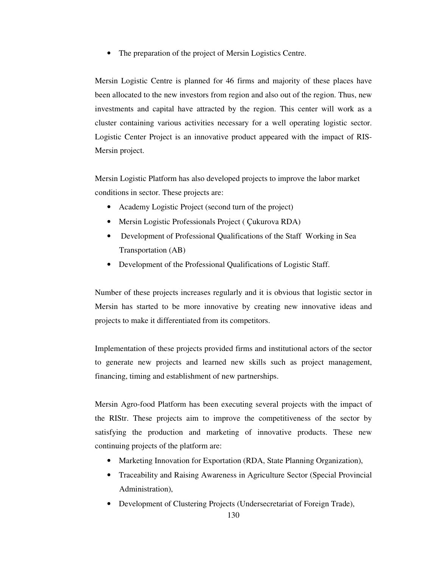• The preparation of the project of Mersin Logistics Centre.

Mersin Logistic Centre is planned for 46 firms and majority of these places have been allocated to the new investors from region and also out of the region. Thus, new investments and capital have attracted by the region. This center will work as a cluster containing various activities necessary for a well operating logistic sector. Logistic Center Project is an innovative product appeared with the impact of RIS-Mersin project.

Mersin Logistic Platform has also developed projects to improve the labor market conditions in sector. These projects are:

- Academy Logistic Project (second turn of the project)
- Mersin Logistic Professionals Project ( Çukurova RDA)
- Development of Professional Qualifications of the Staff Working in Sea Transportation (AB)
- Development of the Professional Qualifications of Logistic Staff.

Number of these projects increases regularly and it is obvious that logistic sector in Mersin has started to be more innovative by creating new innovative ideas and projects to make it differentiated from its competitors.

Implementation of these projects provided firms and institutional actors of the sector to generate new projects and learned new skills such as project management, financing, timing and establishment of new partnerships.

Mersin Agro-food Platform has been executing several projects with the impact of the RIStr. These projects aim to improve the competitiveness of the sector by satisfying the production and marketing of innovative products. These new continuing projects of the platform are:

- Marketing Innovation for Exportation (RDA, State Planning Organization),
- Traceability and Raising Awareness in Agriculture Sector (Special Provincial Administration),
- Development of Clustering Projects (Undersecretariat of Foreign Trade),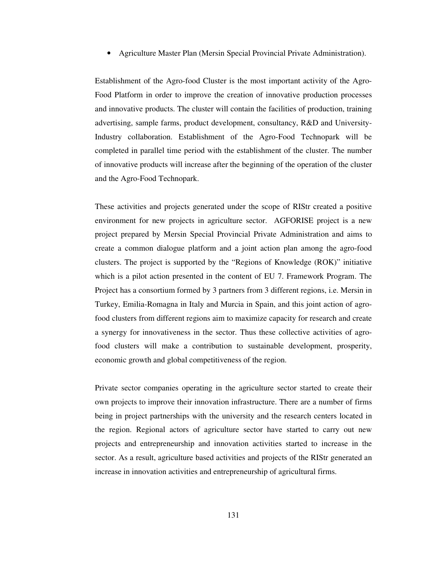• Agriculture Master Plan (Mersin Special Provincial Private Administration).

Establishment of the Agro-food Cluster is the most important activity of the Agro-Food Platform in order to improve the creation of innovative production processes and innovative products. The cluster will contain the facilities of production, training advertising, sample farms, product development, consultancy, R&D and University-Industry collaboration. Establishment of the Agro-Food Technopark will be completed in parallel time period with the establishment of the cluster. The number of innovative products will increase after the beginning of the operation of the cluster and the Agro-Food Technopark.

These activities and projects generated under the scope of RIStr created a positive environment for new projects in agriculture sector. AGFORISE project is a new project prepared by Mersin Special Provincial Private Administration and aims to create a common dialogue platform and a joint action plan among the agro-food clusters. The project is supported by the "Regions of Knowledge (ROK)" initiative which is a pilot action presented in the content of EU 7. Framework Program. The Project has a consortium formed by 3 partners from 3 different regions, i.e. Mersin in Turkey, Emilia-Romagna in Italy and Murcia in Spain, and this joint action of agrofood clusters from different regions aim to maximize capacity for research and create a synergy for innovativeness in the sector. Thus these collective activities of agrofood clusters will make a contribution to sustainable development, prosperity, economic growth and global competitiveness of the region.

Private sector companies operating in the agriculture sector started to create their own projects to improve their innovation infrastructure. There are a number of firms being in project partnerships with the university and the research centers located in the region. Regional actors of agriculture sector have started to carry out new projects and entrepreneurship and innovation activities started to increase in the sector. As a result, agriculture based activities and projects of the RIStr generated an increase in innovation activities and entrepreneurship of agricultural firms.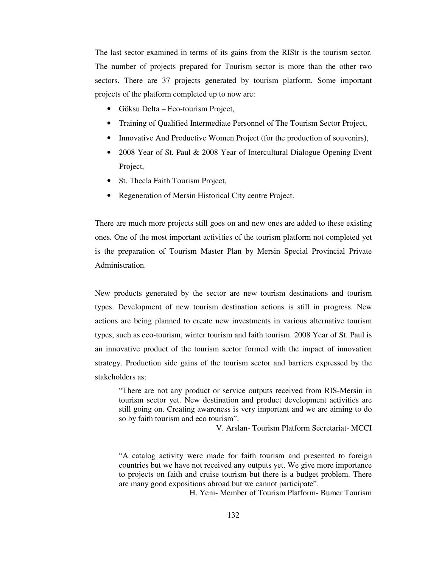The last sector examined in terms of its gains from the RIStr is the tourism sector. The number of projects prepared for Tourism sector is more than the other two sectors. There are 37 projects generated by tourism platform. Some important projects of the platform completed up to now are:

- Göksu Delta Eco-tourism Project,
- Training of Qualified Intermediate Personnel of The Tourism Sector Project,
- Innovative And Productive Women Project (for the production of souvenirs),
- 2008 Year of St. Paul & 2008 Year of Intercultural Dialogue Opening Event Project,
- St. Thecla Faith Tourism Project,
- Regeneration of Mersin Historical City centre Project.

There are much more projects still goes on and new ones are added to these existing ones. One of the most important activities of the tourism platform not completed yet is the preparation of Tourism Master Plan by Mersin Special Provincial Private Administration.

New products generated by the sector are new tourism destinations and tourism types. Development of new tourism destination actions is still in progress. New actions are being planned to create new investments in various alternative tourism types, such as eco-tourism, winter tourism and faith tourism. 2008 Year of St. Paul is an innovative product of the tourism sector formed with the impact of innovation strategy. Production side gains of the tourism sector and barriers expressed by the stakeholders as:

"There are not any product or service outputs received from RIS-Mersin in tourism sector yet. New destination and product development activities are still going on. Creating awareness is very important and we are aiming to do so by faith tourism and eco tourism".

V. Arslan- Tourism Platform Secretariat- MCCI

"A catalog activity were made for faith tourism and presented to foreign countries but we have not received any outputs yet. We give more importance to projects on faith and cruise tourism but there is a budget problem. There are many good expositions abroad but we cannot participate".

H. Yeni- Member of Tourism Platform- Bumer Tourism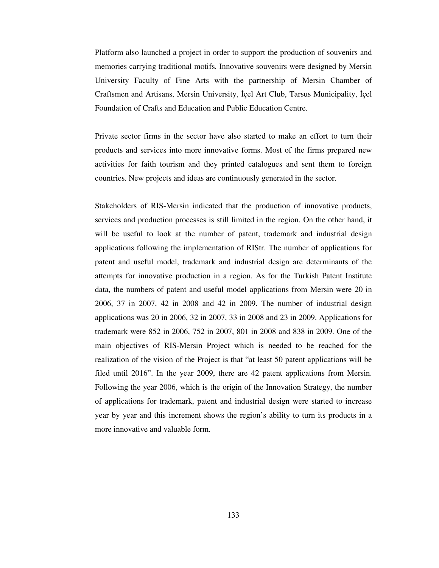Platform also launched a project in order to support the production of souvenirs and memories carrying traditional motifs. Innovative souvenirs were designed by Mersin University Faculty of Fine Arts with the partnership of Mersin Chamber of Craftsmen and Artisans, Mersin University, İçel Art Club, Tarsus Municipality, İçel Foundation of Crafts and Education and Public Education Centre.

Private sector firms in the sector have also started to make an effort to turn their products and services into more innovative forms. Most of the firms prepared new activities for faith tourism and they printed catalogues and sent them to foreign countries. New projects and ideas are continuously generated in the sector.

Stakeholders of RIS-Mersin indicated that the production of innovative products, services and production processes is still limited in the region. On the other hand, it will be useful to look at the number of patent, trademark and industrial design applications following the implementation of RIStr. The number of applications for patent and useful model, trademark and industrial design are determinants of the attempts for innovative production in a region. As for the Turkish Patent Institute data, the numbers of patent and useful model applications from Mersin were 20 in 2006, 37 in 2007, 42 in 2008 and 42 in 2009. The number of industrial design applications was 20 in 2006, 32 in 2007, 33 in 2008 and 23 in 2009. Applications for trademark were 852 in 2006, 752 in 2007, 801 in 2008 and 838 in 2009. One of the main objectives of RIS-Mersin Project which is needed to be reached for the realization of the vision of the Project is that "at least 50 patent applications will be filed until 2016". In the year 2009, there are 42 patent applications from Mersin. Following the year 2006, which is the origin of the Innovation Strategy, the number of applications for trademark, patent and industrial design were started to increase year by year and this increment shows the region's ability to turn its products in a more innovative and valuable form.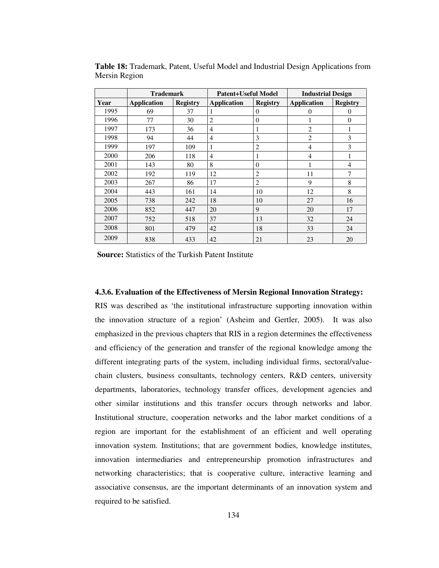|      | <b>Trademark</b>   |                 | <b>Patent+Useful Model</b> |                 | <b>Industrial Design</b> |                  |
|------|--------------------|-----------------|----------------------------|-----------------|--------------------------|------------------|
| Year | <b>Application</b> | <b>Registry</b> | <b>Application</b>         | <b>Registry</b> | <b>Application</b>       | <b>Registry</b>  |
| 1995 | 69                 | 37              |                            | $\Omega$        | $\theta$                 | $\overline{0}$   |
| 1996 | 77                 | 30              | $\overline{c}$             | $\theta$        |                          | $\boldsymbol{0}$ |
| 1997 | 173                | 36              | 4                          | 1               | $\overline{c}$           | 1                |
| 1998 | 94                 | 44              | 4                          | 3               | $\overline{2}$           | 3                |
| 1999 | 197                | 109             | 1                          | $\mathfrak{2}$  | 4                        | 3                |
| 2000 | 206                | 118             | $\overline{4}$             | 1               | 4                        |                  |
| 2001 | 143                | 80              | 8                          | $\Omega$        |                          | 4                |
| 2002 | 192                | 119             | 12                         | $\overline{2}$  | 11                       | 7                |
| 2003 | 267                | 86              | 17                         | $\overline{c}$  | 9                        | 8                |
| 2004 | 443                | 161             | 14                         | 10              | 12                       | 8                |
| 2005 | 738                | 242             | 18                         | 10              | 27                       | 16               |
| 2006 | 852                | 447             | 20                         | 9               | 20                       | 17               |
| 2007 | 752                | 518             | 37                         | 13              | 32                       | 24               |
| 2008 | 801                | 479             | 42                         | 18              | 33                       | 24               |
| 2009 | 838                | 433             | 42                         | 21              | 23                       | 20               |

**Table 18:** Trademark, Patent, Useful Model and Industrial Design Applications from Mersin Region

**Source:** Statistics of the Turkish Patent Institute

### **4.3.6. Evaluation of the Effectiveness of Mersin Regional Innovation Strategy:**

RIS was described as 'the institutional infrastructure supporting innovation within the innovation structure of a region' (Asheim and Gertler, 2005). It was also emphasized in the previous chapters that RIS in a region determines the effectiveness and efficiency of the generation and transfer of the regional knowledge among the different integrating parts of the system, including individual firms, sectoral/valuechain clusters, business consultants, technology centers, R&D centers, university departments, laboratories, technology transfer offices, development agencies and other similar institutions and this transfer occurs through networks and labor. Institutional structure, cooperation networks and the labor market conditions of a region are important for the establishment of an efficient and well operating innovation system. Institutions; that are government bodies, knowledge institutes, innovation intermediaries and entrepreneurship promotion infrastructures and networking characteristics; that is cooperative culture, interactive learning and associative consensus, are the important determinants of an innovation system and required to be satisfied.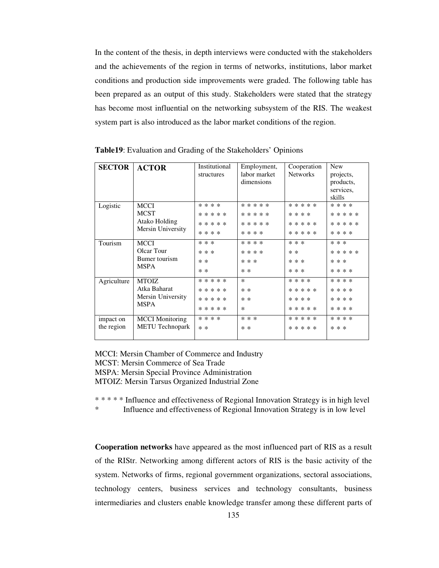In the content of the thesis, in depth interviews were conducted with the stakeholders and the achievements of the region in terms of networks, institutions, labor market conditions and production side improvements were graded. The following table has been prepared as an output of this study. Stakeholders were stated that the strategy has become most influential on the networking subsystem of the RIS. The weakest system part is also introduced as the labor market conditions of the region.

| <b>SECTOR</b> | <b>ACTOR</b>           | Institutional | Employment,  | Cooperation     | <b>New</b> |
|---------------|------------------------|---------------|--------------|-----------------|------------|
|               |                        | structures    | labor market | <b>Networks</b> | projects,  |
|               |                        |               | dimensions   |                 | products,  |
|               |                        |               |              |                 | services,  |
|               |                        |               |              |                 | skills     |
| Logistic      | <b>MCCI</b>            | * * * *       | * * * * *    | * * * * *       | * * * *    |
|               | <b>MCST</b>            | * * * * *     | * * * * *    | * * * *         | * * * * *  |
|               | Atako Holding          | * * * * *     | * * * * *    | * * * * *       | * * * * *  |
|               | Mersin University      | * * * *       | * * * *      | * * * * *       | * * * *    |
| Tourism       | <b>MCCI</b>            | * * *         | * * * *      | * * *           | * * *      |
|               | Olcar Tour             | * * *         | * * * *      | $* *$           | * * * * *  |
|               | Bumer tourism          | $* *$         | * * *        | * * *           | * * *      |
|               | <b>MSPA</b>            | $* *$         | $* *$        | * * *           | * * * *    |
| Agriculture   | <b>MTOIZ</b>           | * * * * *     | $\ast$       | * * * *         | * * * *    |
|               | Atka Baharat           | * * * * *     | $* *$        | * * * * *       | * * * *    |
|               | Mersin University      | * * * * *     | $* *$        | * * * *         | * * * *    |
|               | <b>MSPA</b>            | * * * * *     | $\ast$       | * * * * *       | * * * *    |
| impact on     | <b>MCCI</b> Monitoring | * * * *       | * * *        | * * * * *       | * * * *    |
| the region    | <b>METU Technopark</b> | $* *$         | $* *$        | * * * * *       | * * *      |
|               |                        |               |              |                 |            |

**Table19**: Evaluation and Grading of the Stakeholders' Opinions

MCCI: Mersin Chamber of Commerce and Industry MCST: Mersin Commerce of Sea Trade MSPA: Mersin Special Province Administration MTOIZ: Mersin Tarsus Organized Industrial Zone

\* \* \* \* \* Influence and effectiveness of Regional Innovation Strategy is in high level

\* Influence and effectiveness of Regional Innovation Strategy is in low level

**Cooperation networks** have appeared as the most influenced part of RIS as a result of the RIStr. Networking among different actors of RIS is the basic activity of the system. Networks of firms, regional government organizations, sectoral associations, technology centers, business services and technology consultants, business intermediaries and clusters enable knowledge transfer among these different parts of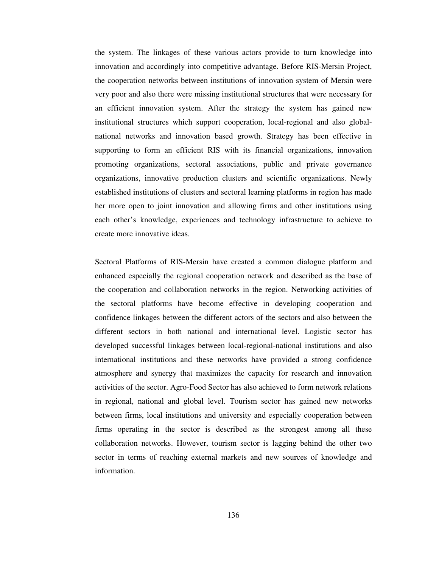the system. The linkages of these various actors provide to turn knowledge into innovation and accordingly into competitive advantage. Before RIS-Mersin Project, the cooperation networks between institutions of innovation system of Mersin were very poor and also there were missing institutional structures that were necessary for an efficient innovation system. After the strategy the system has gained new institutional structures which support cooperation, local-regional and also globalnational networks and innovation based growth. Strategy has been effective in supporting to form an efficient RIS with its financial organizations, innovation promoting organizations, sectoral associations, public and private governance organizations, innovative production clusters and scientific organizations. Newly established institutions of clusters and sectoral learning platforms in region has made her more open to joint innovation and allowing firms and other institutions using each other's knowledge, experiences and technology infrastructure to achieve to create more innovative ideas.

Sectoral Platforms of RIS-Mersin have created a common dialogue platform and enhanced especially the regional cooperation network and described as the base of the cooperation and collaboration networks in the region. Networking activities of the sectoral platforms have become effective in developing cooperation and confidence linkages between the different actors of the sectors and also between the different sectors in both national and international level. Logistic sector has developed successful linkages between local-regional-national institutions and also international institutions and these networks have provided a strong confidence atmosphere and synergy that maximizes the capacity for research and innovation activities of the sector. Agro-Food Sector has also achieved to form network relations in regional, national and global level. Tourism sector has gained new networks between firms, local institutions and university and especially cooperation between firms operating in the sector is described as the strongest among all these collaboration networks. However, tourism sector is lagging behind the other two sector in terms of reaching external markets and new sources of knowledge and information.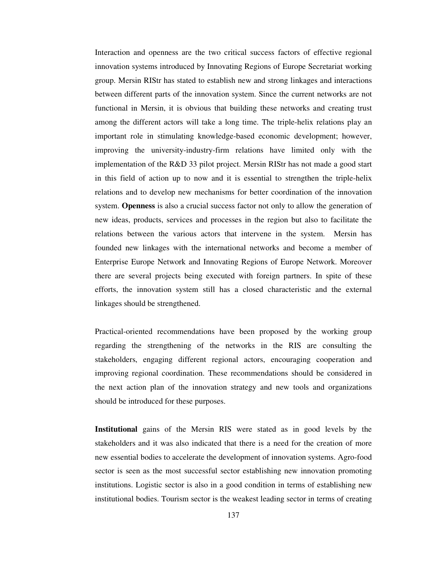Interaction and openness are the two critical success factors of effective regional innovation systems introduced by Innovating Regions of Europe Secretariat working group. Mersin RIStr has stated to establish new and strong linkages and interactions between different parts of the innovation system. Since the current networks are not functional in Mersin, it is obvious that building these networks and creating trust among the different actors will take a long time. The triple-helix relations play an important role in stimulating knowledge-based economic development; however, improving the university-industry-firm relations have limited only with the implementation of the R&D 33 pilot project. Mersin RIStr has not made a good start in this field of action up to now and it is essential to strengthen the triple-helix relations and to develop new mechanisms for better coordination of the innovation system. **Openness** is also a crucial success factor not only to allow the generation of new ideas, products, services and processes in the region but also to facilitate the relations between the various actors that intervene in the system. Mersin has founded new linkages with the international networks and become a member of Enterprise Europe Network and Innovating Regions of Europe Network. Moreover there are several projects being executed with foreign partners. In spite of these efforts, the innovation system still has a closed characteristic and the external linkages should be strengthened.

Practical-oriented recommendations have been proposed by the working group regarding the strengthening of the networks in the RIS are consulting the stakeholders, engaging different regional actors, encouraging cooperation and improving regional coordination. These recommendations should be considered in the next action plan of the innovation strategy and new tools and organizations should be introduced for these purposes.

**Institutional** gains of the Mersin RIS were stated as in good levels by the stakeholders and it was also indicated that there is a need for the creation of more new essential bodies to accelerate the development of innovation systems. Agro-food sector is seen as the most successful sector establishing new innovation promoting institutions. Logistic sector is also in a good condition in terms of establishing new institutional bodies. Tourism sector is the weakest leading sector in terms of creating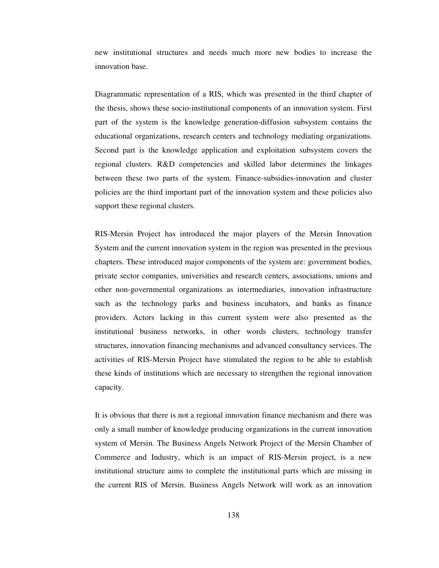new institutional structures and needs much more new bodies to increase the innovation base.

Diagrammatic representation of a RIS, which was presented in the third chapter of the thesis, shows these socio-institutional components of an innovation system. First part of the system is the knowledge generation-diffusion subsystem contains the educational organizations, research centers and technology mediating organizations. Second part is the knowledge application and exploitation subsystem covers the regional clusters. R&D competencies and skilled labor determines the linkages between these two parts of the system. Finance-subsidies-innovation and cluster policies are the third important part of the innovation system and these policies also support these regional clusters.

RIS-Mersin Project has introduced the major players of the Mersin Innovation System and the current innovation system in the region was presented in the previous chapters. These introduced major components of the system are: government bodies, private sector companies, universities and research centers, associations, unions and other non-governmental organizations as intermediaries, innovation infrastructure such as the technology parks and business incubators, and banks as finance providers. Actors lacking in this current system were also presented as the institutional business networks, in other words clusters, technology transfer structures, innovation financing mechanisms and advanced consultancy services. The activities of RIS-Mersin Project have stimulated the region to be able to establish these kinds of institutions which are necessary to strengthen the regional innovation capacity.

It is obvious that there is not a regional innovation finance mechanism and there was only a small number of knowledge producing organizations in the current innovation system of Mersin. The Business Angels Network Project of the Mersin Chamber of Commerce and Industry, which is an impact of RIS-Mersin project, is a new institutional structure aims to complete the institutional parts which are missing in the current RIS of Mersin. Business Angels Network will work as an innovation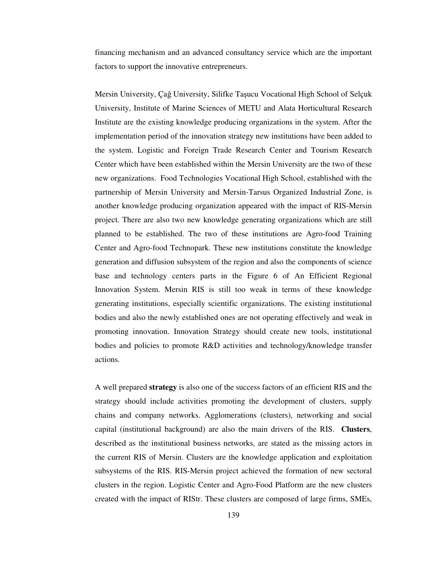financing mechanism and an advanced consultancy service which are the important factors to support the innovative entrepreneurs.

Mersin University, Çağ University, Silifke Taşucu Vocational High School of Selçuk University, Institute of Marine Sciences of METU and Alata Horticultural Research Institute are the existing knowledge producing organizations in the system. After the implementation period of the innovation strategy new institutions have been added to the system. Logistic and Foreign Trade Research Center and Tourism Research Center which have been established within the Mersin University are the two of these new organizations. Food Technologies Vocational High School, established with the partnership of Mersin University and Mersin-Tarsus Organized Industrial Zone, is another knowledge producing organization appeared with the impact of RIS-Mersin project. There are also two new knowledge generating organizations which are still planned to be established. The two of these institutions are Agro-food Training Center and Agro-food Technopark. These new institutions constitute the knowledge generation and diffusion subsystem of the region and also the components of science base and technology centers parts in the Figure 6 of An Efficient Regional Innovation System. Mersin RIS is still too weak in terms of these knowledge generating institutions, especially scientific organizations. The existing institutional bodies and also the newly established ones are not operating effectively and weak in promoting innovation. Innovation Strategy should create new tools, institutional bodies and policies to promote R&D activities and technology/knowledge transfer actions.

A well prepared **strategy** is also one of the success factors of an efficient RIS and the strategy should include activities promoting the development of clusters, supply chains and company networks. Agglomerations (clusters), networking and social capital (institutional background) are also the main drivers of the RIS. **Clusters**, described as the institutional business networks, are stated as the missing actors in the current RIS of Mersin. Clusters are the knowledge application and exploitation subsystems of the RIS. RIS-Mersin project achieved the formation of new sectoral clusters in the region. Logistic Center and Agro-Food Platform are the new clusters created with the impact of RIStr. These clusters are composed of large firms, SMEs,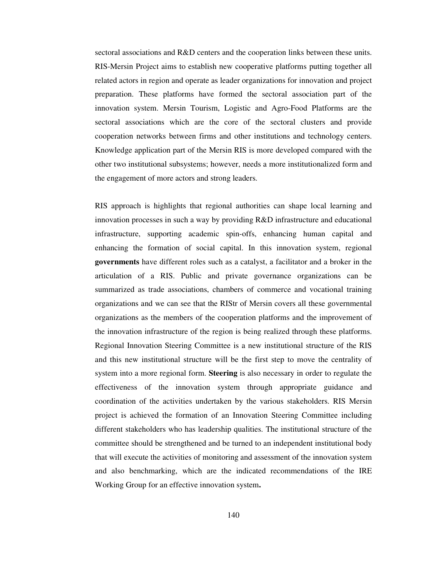sectoral associations and R&D centers and the cooperation links between these units. RIS-Mersin Project aims to establish new cooperative platforms putting together all related actors in region and operate as leader organizations for innovation and project preparation. These platforms have formed the sectoral association part of the innovation system. Mersin Tourism, Logistic and Agro-Food Platforms are the sectoral associations which are the core of the sectoral clusters and provide cooperation networks between firms and other institutions and technology centers. Knowledge application part of the Mersin RIS is more developed compared with the other two institutional subsystems; however, needs a more institutionalized form and the engagement of more actors and strong leaders.

RIS approach is highlights that regional authorities can shape local learning and innovation processes in such a way by providing R&D infrastructure and educational infrastructure, supporting academic spin-offs, enhancing human capital and enhancing the formation of social capital. In this innovation system, regional **governments** have different roles such as a catalyst, a facilitator and a broker in the articulation of a RIS. Public and private governance organizations can be summarized as trade associations, chambers of commerce and vocational training organizations and we can see that the RIStr of Mersin covers all these governmental organizations as the members of the cooperation platforms and the improvement of the innovation infrastructure of the region is being realized through these platforms. Regional Innovation Steering Committee is a new institutional structure of the RIS and this new institutional structure will be the first step to move the centrality of system into a more regional form. **Steering** is also necessary in order to regulate the effectiveness of the innovation system through appropriate guidance and coordination of the activities undertaken by the various stakeholders. RIS Mersin project is achieved the formation of an Innovation Steering Committee including different stakeholders who has leadership qualities. The institutional structure of the committee should be strengthened and be turned to an independent institutional body that will execute the activities of monitoring and assessment of the innovation system and also benchmarking, which are the indicated recommendations of the IRE Working Group for an effective innovation system**.**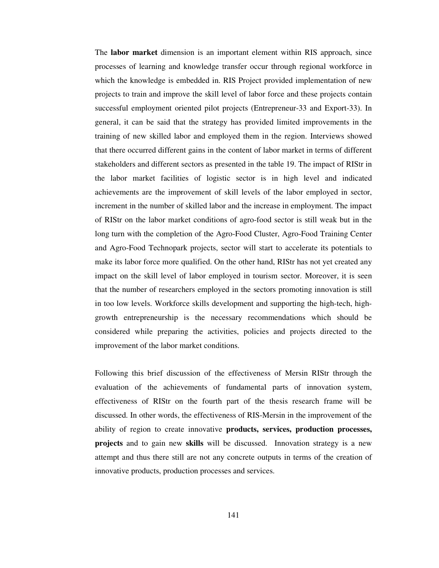The **labor market** dimension is an important element within RIS approach, since processes of learning and knowledge transfer occur through regional workforce in which the knowledge is embedded in. RIS Project provided implementation of new projects to train and improve the skill level of labor force and these projects contain successful employment oriented pilot projects (Entrepreneur-33 and Export-33). In general, it can be said that the strategy has provided limited improvements in the training of new skilled labor and employed them in the region. Interviews showed that there occurred different gains in the content of labor market in terms of different stakeholders and different sectors as presented in the table 19. The impact of RIStr in the labor market facilities of logistic sector is in high level and indicated achievements are the improvement of skill levels of the labor employed in sector, increment in the number of skilled labor and the increase in employment. The impact of RIStr on the labor market conditions of agro-food sector is still weak but in the long turn with the completion of the Agro-Food Cluster, Agro-Food Training Center and Agro-Food Technopark projects, sector will start to accelerate its potentials to make its labor force more qualified. On the other hand, RIStr has not yet created any impact on the skill level of labor employed in tourism sector. Moreover, it is seen that the number of researchers employed in the sectors promoting innovation is still in too low levels. Workforce skills development and supporting the high-tech, highgrowth entrepreneurship is the necessary recommendations which should be considered while preparing the activities, policies and projects directed to the improvement of the labor market conditions.

Following this brief discussion of the effectiveness of Mersin RIStr through the evaluation of the achievements of fundamental parts of innovation system, effectiveness of RIStr on the fourth part of the thesis research frame will be discussed. In other words, the effectiveness of RIS-Mersin in the improvement of the ability of region to create innovative **products, services, production processes, projects** and to gain new **skills** will be discussed. Innovation strategy is a new attempt and thus there still are not any concrete outputs in terms of the creation of innovative products, production processes and services.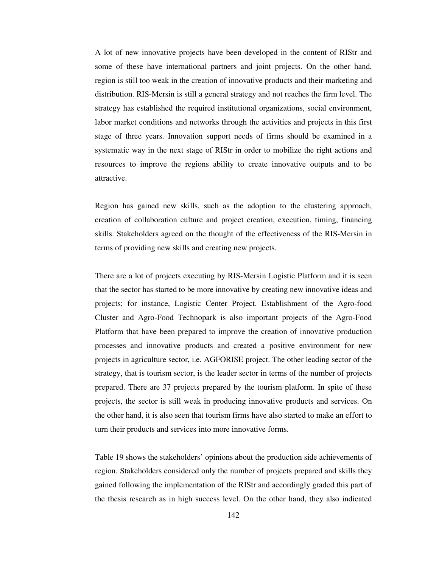A lot of new innovative projects have been developed in the content of RIStr and some of these have international partners and joint projects. On the other hand, region is still too weak in the creation of innovative products and their marketing and distribution. RIS-Mersin is still a general strategy and not reaches the firm level. The strategy has established the required institutional organizations, social environment, labor market conditions and networks through the activities and projects in this first stage of three years. Innovation support needs of firms should be examined in a systematic way in the next stage of RIStr in order to mobilize the right actions and resources to improve the regions ability to create innovative outputs and to be attractive.

Region has gained new skills, such as the adoption to the clustering approach, creation of collaboration culture and project creation, execution, timing, financing skills. Stakeholders agreed on the thought of the effectiveness of the RIS-Mersin in terms of providing new skills and creating new projects.

There are a lot of projects executing by RIS-Mersin Logistic Platform and it is seen that the sector has started to be more innovative by creating new innovative ideas and projects; for instance, Logistic Center Project. Establishment of the Agro-food Cluster and Agro-Food Technopark is also important projects of the Agro-Food Platform that have been prepared to improve the creation of innovative production processes and innovative products and created a positive environment for new projects in agriculture sector, i.e. AGFORISE project. The other leading sector of the strategy, that is tourism sector, is the leader sector in terms of the number of projects prepared. There are 37 projects prepared by the tourism platform. In spite of these projects, the sector is still weak in producing innovative products and services. On the other hand, it is also seen that tourism firms have also started to make an effort to turn their products and services into more innovative forms.

Table 19 shows the stakeholders' opinions about the production side achievements of region. Stakeholders considered only the number of projects prepared and skills they gained following the implementation of the RIStr and accordingly graded this part of the thesis research as in high success level. On the other hand, they also indicated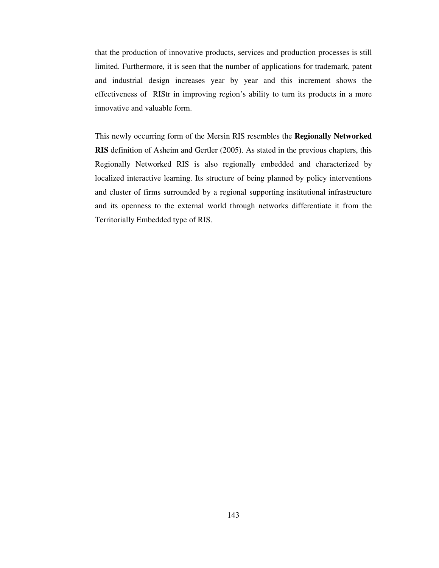that the production of innovative products, services and production processes is still limited. Furthermore, it is seen that the number of applications for trademark, patent and industrial design increases year by year and this increment shows the effectiveness of RIStr in improving region's ability to turn its products in a more innovative and valuable form.

This newly occurring form of the Mersin RIS resembles the **Regionally Networked RIS** definition of Asheim and Gertler (2005). As stated in the previous chapters, this Regionally Networked RIS is also regionally embedded and characterized by localized interactive learning. Its structure of being planned by policy interventions and cluster of firms surrounded by a regional supporting institutional infrastructure and its openness to the external world through networks differentiate it from the Territorially Embedded type of RIS.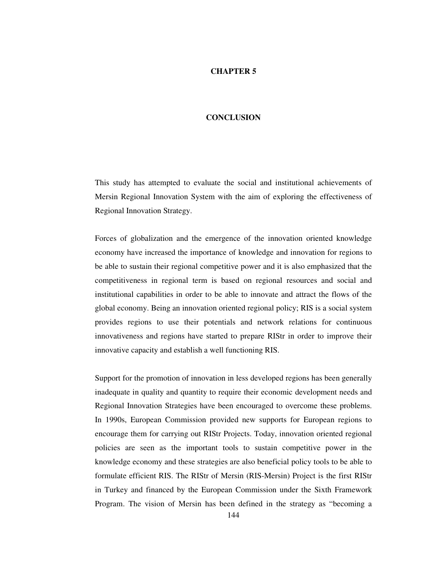#### **CHAPTER 5**

#### **CONCLUSION**

This study has attempted to evaluate the social and institutional achievements of Mersin Regional Innovation System with the aim of exploring the effectiveness of Regional Innovation Strategy.

Forces of globalization and the emergence of the innovation oriented knowledge economy have increased the importance of knowledge and innovation for regions to be able to sustain their regional competitive power and it is also emphasized that the competitiveness in regional term is based on regional resources and social and institutional capabilities in order to be able to innovate and attract the flows of the global economy. Being an innovation oriented regional policy; RIS is a social system provides regions to use their potentials and network relations for continuous innovativeness and regions have started to prepare RIStr in order to improve their innovative capacity and establish a well functioning RIS.

Support for the promotion of innovation in less developed regions has been generally inadequate in quality and quantity to require their economic development needs and Regional Innovation Strategies have been encouraged to overcome these problems. In 1990s, European Commission provided new supports for European regions to encourage them for carrying out RIStr Projects. Today, innovation oriented regional policies are seen as the important tools to sustain competitive power in the knowledge economy and these strategies are also beneficial policy tools to be able to formulate efficient RIS. The RIStr of Mersin (RIS-Mersin) Project is the first RIStr in Turkey and financed by the European Commission under the Sixth Framework Program. The vision of Mersin has been defined in the strategy as "becoming a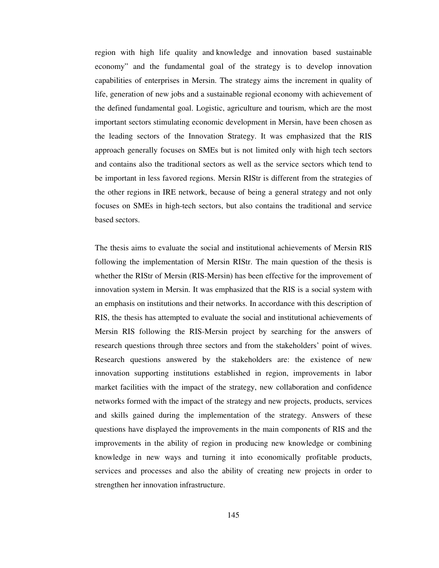region with high life quality and knowledge and innovation based sustainable economy" and the fundamental goal of the strategy is to develop innovation capabilities of enterprises in Mersin. The strategy aims the increment in quality of life, generation of new jobs and a sustainable regional economy with achievement of the defined fundamental goal. Logistic, agriculture and tourism, which are the most important sectors stimulating economic development in Mersin, have been chosen as the leading sectors of the Innovation Strategy. It was emphasized that the RIS approach generally focuses on SMEs but is not limited only with high tech sectors and contains also the traditional sectors as well as the service sectors which tend to be important in less favored regions. Mersin RIStr is different from the strategies of the other regions in IRE network, because of being a general strategy and not only focuses on SMEs in high-tech sectors, but also contains the traditional and service based sectors.

The thesis aims to evaluate the social and institutional achievements of Mersin RIS following the implementation of Mersin RIStr. The main question of the thesis is whether the RIStr of Mersin (RIS-Mersin) has been effective for the improvement of innovation system in Mersin. It was emphasized that the RIS is a social system with an emphasis on institutions and their networks. In accordance with this description of RIS, the thesis has attempted to evaluate the social and institutional achievements of Mersin RIS following the RIS-Mersin project by searching for the answers of research questions through three sectors and from the stakeholders' point of wives. Research questions answered by the stakeholders are: the existence of new innovation supporting institutions established in region, improvements in labor market facilities with the impact of the strategy, new collaboration and confidence networks formed with the impact of the strategy and new projects, products, services and skills gained during the implementation of the strategy. Answers of these questions have displayed the improvements in the main components of RIS and the improvements in the ability of region in producing new knowledge or combining knowledge in new ways and turning it into economically profitable products, services and processes and also the ability of creating new projects in order to strengthen her innovation infrastructure.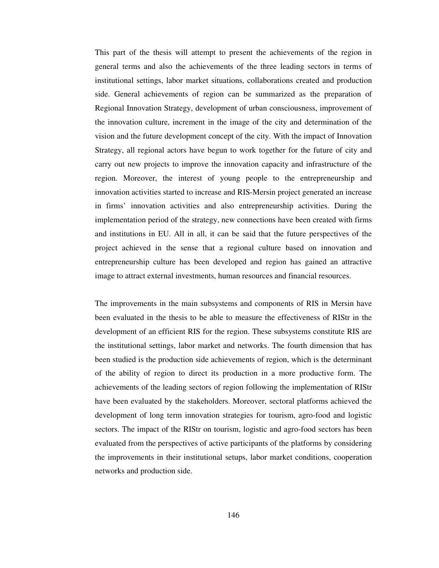This part of the thesis will attempt to present the achievements of the region in general terms and also the achievements of the three leading sectors in terms of institutional settings, labor market situations, collaborations created and production side. General achievements of region can be summarized as the preparation of Regional Innovation Strategy, development of urban consciousness, improvement of the innovation culture, increment in the image of the city and determination of the vision and the future development concept of the city. With the impact of Innovation Strategy, all regional actors have begun to work together for the future of city and carry out new projects to improve the innovation capacity and infrastructure of the region. Moreover, the interest of young people to the entrepreneurship and innovation activities started to increase and RIS-Mersin project generated an increase in firms' innovation activities and also entrepreneurship activities. During the implementation period of the strategy, new connections have been created with firms and institutions in EU. All in all, it can be said that the future perspectives of the project achieved in the sense that a regional culture based on innovation and entrepreneurship culture has been developed and region has gained an attractive image to attract external investments, human resources and financial resources.

The improvements in the main subsystems and components of RIS in Mersin have been evaluated in the thesis to be able to measure the effectiveness of RIStr in the development of an efficient RIS for the region. These subsystems constitute RIS are the institutional settings, labor market and networks. The fourth dimension that has been studied is the production side achievements of region, which is the determinant of the ability of region to direct its production in a more productive form. The achievements of the leading sectors of region following the implementation of RIStr have been evaluated by the stakeholders. Moreover, sectoral platforms achieved the development of long term innovation strategies for tourism, agro-food and logistic sectors. The impact of the RIStr on tourism, logistic and agro-food sectors has been evaluated from the perspectives of active participants of the platforms by considering the improvements in their institutional setups, labor market conditions, cooperation networks and production side.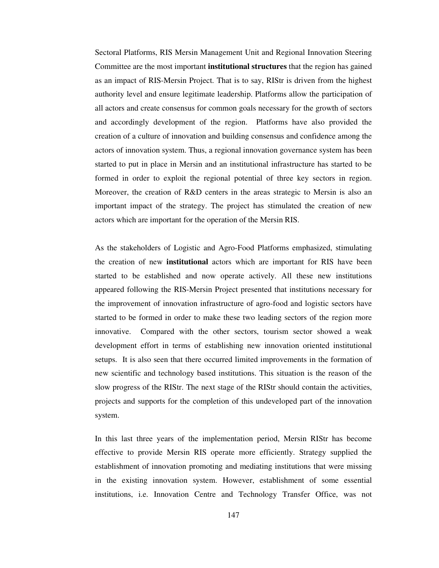Sectoral Platforms, RIS Mersin Management Unit and Regional Innovation Steering Committee are the most important **institutional structures** that the region has gained as an impact of RIS-Mersin Project. That is to say, RIStr is driven from the highest authority level and ensure legitimate leadership. Platforms allow the participation of all actors and create consensus for common goals necessary for the growth of sectors and accordingly development of the region. Platforms have also provided the creation of a culture of innovation and building consensus and confidence among the actors of innovation system. Thus, a regional innovation governance system has been started to put in place in Mersin and an institutional infrastructure has started to be formed in order to exploit the regional potential of three key sectors in region. Moreover, the creation of R&D centers in the areas strategic to Mersin is also an important impact of the strategy. The project has stimulated the creation of new actors which are important for the operation of the Mersin RIS.

As the stakeholders of Logistic and Agro-Food Platforms emphasized, stimulating the creation of new **institutional** actors which are important for RIS have been started to be established and now operate actively. All these new institutions appeared following the RIS-Mersin Project presented that institutions necessary for the improvement of innovation infrastructure of agro-food and logistic sectors have started to be formed in order to make these two leading sectors of the region more innovative. Compared with the other sectors, tourism sector showed a weak development effort in terms of establishing new innovation oriented institutional setups. It is also seen that there occurred limited improvements in the formation of new scientific and technology based institutions. This situation is the reason of the slow progress of the RIStr. The next stage of the RIStr should contain the activities, projects and supports for the completion of this undeveloped part of the innovation system.

In this last three years of the implementation period, Mersin RIStr has become effective to provide Mersin RIS operate more efficiently. Strategy supplied the establishment of innovation promoting and mediating institutions that were missing in the existing innovation system. However, establishment of some essential institutions, i.e. Innovation Centre and Technology Transfer Office, was not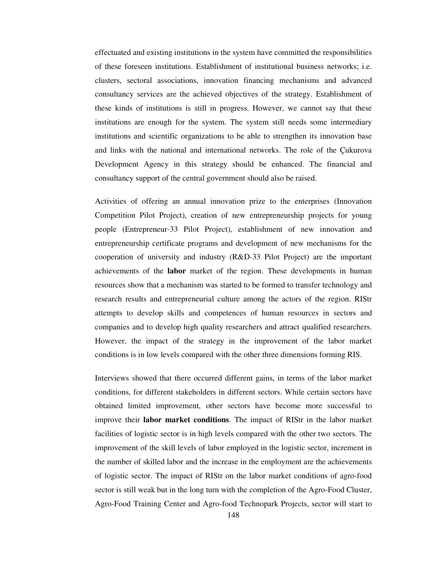effectuated and existing institutions in the system have committed the responsibilities of these foreseen institutions. Establishment of institutional business networks; i.e. clusters, sectoral associations, innovation financing mechanisms and advanced consultancy services are the achieved objectives of the strategy. Establishment of these kinds of institutions is still in progress. However, we cannot say that these institutions are enough for the system. The system still needs some intermediary institutions and scientific organizations to be able to strengthen its innovation base and links with the national and international networks. The role of the Çukurova Development Agency in this strategy should be enhanced. The financial and consultancy support of the central government should also be raised.

Activities of offering an annual innovation prize to the enterprises (Innovation Competition Pilot Project), creation of new entrepreneurship projects for young people (Entrepreneur-33 Pilot Project), establishment of new innovation and entrepreneurship certificate programs and development of new mechanisms for the cooperation of university and industry (R&D-33 Pilot Project) are the important achievements of the **labor** market of the region. These developments in human resources show that a mechanism was started to be formed to transfer technology and research results and entrepreneurial culture among the actors of the region. RIStr attempts to develop skills and competences of human resources in sectors and companies and to develop high quality researchers and attract qualified researchers. However, the impact of the strategy in the improvement of the labor market conditions is in low levels compared with the other three dimensions forming RIS.

Interviews showed that there occurred different gains, in terms of the labor market conditions, for different stakeholders in different sectors. While certain sectors have obtained limited improvement, other sectors have become more successful to improve their **labor market conditions**. The impact of RIStr in the labor market facilities of logistic sector is in high levels compared with the other two sectors. The improvement of the skill levels of labor employed in the logistic sector, increment in the number of skilled labor and the increase in the employment are the achievements of logistic sector. The impact of RIStr on the labor market conditions of agro-food sector is still weak but in the long turn with the completion of the Agro-Food Cluster, Agro-Food Training Center and Agro-food Technopark Projects, sector will start to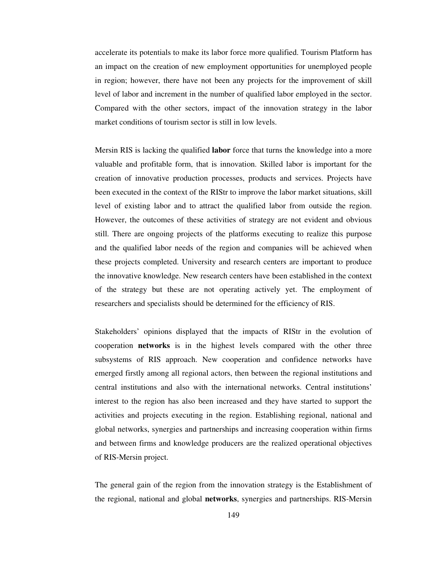accelerate its potentials to make its labor force more qualified. Tourism Platform has an impact on the creation of new employment opportunities for unemployed people in region; however, there have not been any projects for the improvement of skill level of labor and increment in the number of qualified labor employed in the sector. Compared with the other sectors, impact of the innovation strategy in the labor market conditions of tourism sector is still in low levels.

Mersin RIS is lacking the qualified **labor** force that turns the knowledge into a more valuable and profitable form, that is innovation. Skilled labor is important for the creation of innovative production processes, products and services. Projects have been executed in the context of the RIStr to improve the labor market situations, skill level of existing labor and to attract the qualified labor from outside the region. However, the outcomes of these activities of strategy are not evident and obvious still. There are ongoing projects of the platforms executing to realize this purpose and the qualified labor needs of the region and companies will be achieved when these projects completed. University and research centers are important to produce the innovative knowledge. New research centers have been established in the context of the strategy but these are not operating actively yet. The employment of researchers and specialists should be determined for the efficiency of RIS.

Stakeholders' opinions displayed that the impacts of RIStr in the evolution of cooperation **networks** is in the highest levels compared with the other three subsystems of RIS approach. New cooperation and confidence networks have emerged firstly among all regional actors, then between the regional institutions and central institutions and also with the international networks. Central institutions' interest to the region has also been increased and they have started to support the activities and projects executing in the region. Establishing regional, national and global networks, synergies and partnerships and increasing cooperation within firms and between firms and knowledge producers are the realized operational objectives of RIS-Mersin project.

The general gain of the region from the innovation strategy is the Establishment of the regional, national and global **networks**, synergies and partnerships. RIS-Mersin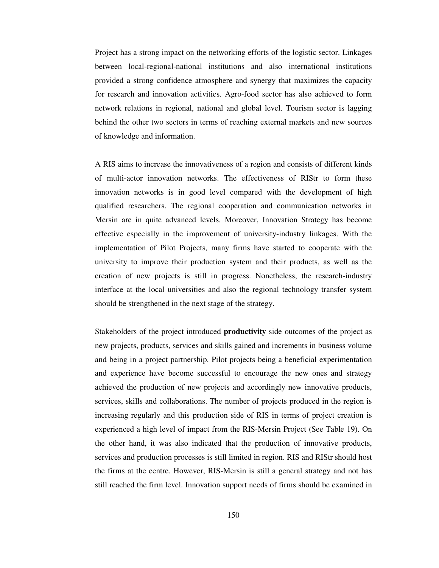Project has a strong impact on the networking efforts of the logistic sector. Linkages between local-regional-national institutions and also international institutions provided a strong confidence atmosphere and synergy that maximizes the capacity for research and innovation activities. Agro-food sector has also achieved to form network relations in regional, national and global level. Tourism sector is lagging behind the other two sectors in terms of reaching external markets and new sources of knowledge and information.

A RIS aims to increase the innovativeness of a region and consists of different kinds of multi-actor innovation networks. The effectiveness of RIStr to form these innovation networks is in good level compared with the development of high qualified researchers. The regional cooperation and communication networks in Mersin are in quite advanced levels. Moreover, Innovation Strategy has become effective especially in the improvement of university-industry linkages. With the implementation of Pilot Projects, many firms have started to cooperate with the university to improve their production system and their products, as well as the creation of new projects is still in progress. Nonetheless, the research-industry interface at the local universities and also the regional technology transfer system should be strengthened in the next stage of the strategy.

Stakeholders of the project introduced **productivity** side outcomes of the project as new projects, products, services and skills gained and increments in business volume and being in a project partnership. Pilot projects being a beneficial experimentation and experience have become successful to encourage the new ones and strategy achieved the production of new projects and accordingly new innovative products, services, skills and collaborations. The number of projects produced in the region is increasing regularly and this production side of RIS in terms of project creation is experienced a high level of impact from the RIS-Mersin Project (See Table 19). On the other hand, it was also indicated that the production of innovative products, services and production processes is still limited in region. RIS and RIStr should host the firms at the centre. However, RIS-Mersin is still a general strategy and not has still reached the firm level. Innovation support needs of firms should be examined in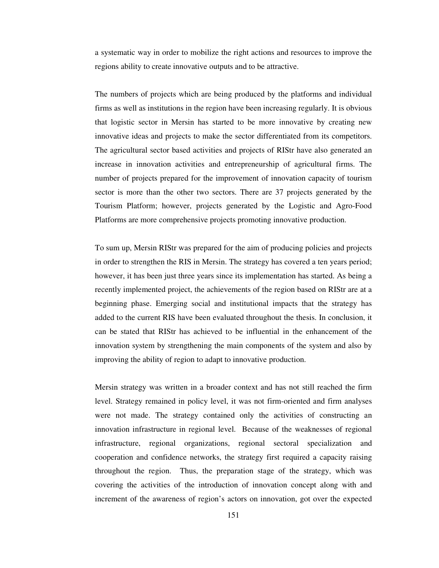a systematic way in order to mobilize the right actions and resources to improve the regions ability to create innovative outputs and to be attractive.

The numbers of projects which are being produced by the platforms and individual firms as well as institutions in the region have been increasing regularly. It is obvious that logistic sector in Mersin has started to be more innovative by creating new innovative ideas and projects to make the sector differentiated from its competitors. The agricultural sector based activities and projects of RIStr have also generated an increase in innovation activities and entrepreneurship of agricultural firms. The number of projects prepared for the improvement of innovation capacity of tourism sector is more than the other two sectors. There are 37 projects generated by the Tourism Platform; however, projects generated by the Logistic and Agro-Food Platforms are more comprehensive projects promoting innovative production.

To sum up, Mersin RIStr was prepared for the aim of producing policies and projects in order to strengthen the RIS in Mersin. The strategy has covered a ten years period; however, it has been just three years since its implementation has started. As being a recently implemented project, the achievements of the region based on RIStr are at a beginning phase. Emerging social and institutional impacts that the strategy has added to the current RIS have been evaluated throughout the thesis. In conclusion, it can be stated that RIStr has achieved to be influential in the enhancement of the innovation system by strengthening the main components of the system and also by improving the ability of region to adapt to innovative production.

Mersin strategy was written in a broader context and has not still reached the firm level. Strategy remained in policy level, it was not firm-oriented and firm analyses were not made. The strategy contained only the activities of constructing an innovation infrastructure in regional level. Because of the weaknesses of regional infrastructure, regional organizations, regional sectoral specialization and cooperation and confidence networks, the strategy first required a capacity raising throughout the region. Thus, the preparation stage of the strategy, which was covering the activities of the introduction of innovation concept along with and increment of the awareness of region's actors on innovation, got over the expected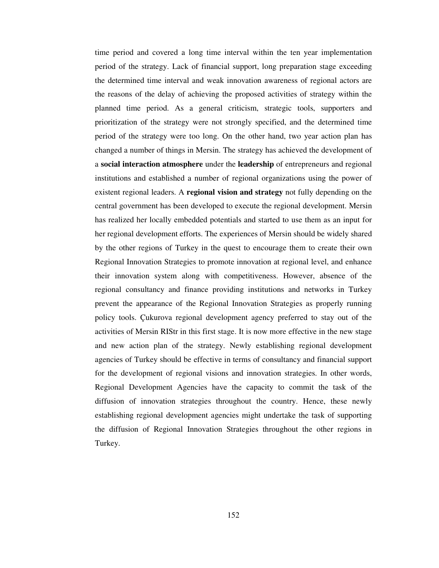time period and covered a long time interval within the ten year implementation period of the strategy. Lack of financial support, long preparation stage exceeding the determined time interval and weak innovation awareness of regional actors are the reasons of the delay of achieving the proposed activities of strategy within the planned time period. As a general criticism, strategic tools, supporters and prioritization of the strategy were not strongly specified, and the determined time period of the strategy were too long. On the other hand, two year action plan has changed a number of things in Mersin. The strategy has achieved the development of a **social interaction atmosphere** under the **leadership** of entrepreneurs and regional institutions and established a number of regional organizations using the power of existent regional leaders. A **regional vision and strategy** not fully depending on the central government has been developed to execute the regional development. Mersin has realized her locally embedded potentials and started to use them as an input for her regional development efforts. The experiences of Mersin should be widely shared by the other regions of Turkey in the quest to encourage them to create their own Regional Innovation Strategies to promote innovation at regional level, and enhance their innovation system along with competitiveness. However, absence of the regional consultancy and finance providing institutions and networks in Turkey prevent the appearance of the Regional Innovation Strategies as properly running policy tools. Çukurova regional development agency preferred to stay out of the activities of Mersin RIStr in this first stage. It is now more effective in the new stage and new action plan of the strategy. Newly establishing regional development agencies of Turkey should be effective in terms of consultancy and financial support for the development of regional visions and innovation strategies. In other words, Regional Development Agencies have the capacity to commit the task of the diffusion of innovation strategies throughout the country. Hence, these newly establishing regional development agencies might undertake the task of supporting the diffusion of Regional Innovation Strategies throughout the other regions in Turkey.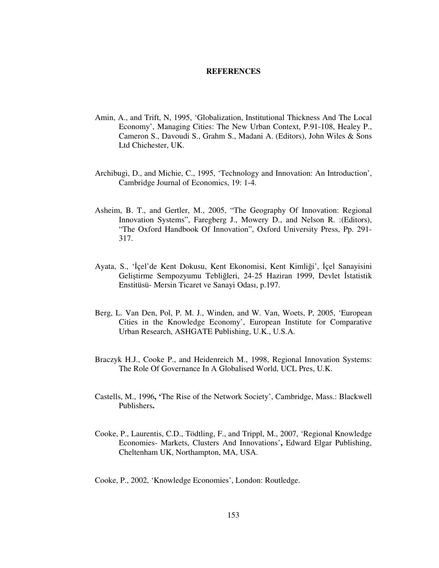#### **REFERENCES**

- Amin, A., and Trift, N, 1995, 'Globalization, Institutional Thickness And The Local Economy', Managing Cities: The New Urban Context, P.91-108, Healey P., Cameron S., Davoudi S., Grahm S., Madani A. (Editors), John Wiles & Sons Ltd Chichester, UK.
- Archibugi, D., and Michie, C., 1995, 'Technology and Innovation: An Introduction', Cambridge Journal of Economics, 19: 1-4.
- Asheim, B. T., and Gertler, M., 2005, "The Geography Of Innovation: Regional Innovation Systems", Faregberg J., Mowery D., and Nelson R. :(Editors), "The Oxford Handbook Of Innovation", Oxford University Press, Pp. 291- 317.
- Ayata, S., 'İçel'de Kent Dokusu, Kent Ekonomisi, Kent Kimliği', İçel Sanayisini Geliştirme Sempozyumu Tebliğleri, 24-25 Haziran 1999, Devlet İstatistik Enstitüsü- Mersin Ticaret ve Sanayi Odası, p.197.
- Berg, L. Van Den, Pol, P. M. J., Winden, and W. Van, Woets, P, 2005, 'European Cities in the Knowledge Economy', European Institute for Comparative Urban Research, ASHGATE Publishing, U.K., U.S.A.
- Braczyk H.J., Cooke P., and Heidenreich M., 1998, Regional Innovation Systems: The Role Of Governance In A Globalised World, UCL Pres, U.K.
- Castells, M., 1996**, '**The Rise of the Network Society', Cambridge, Mass.: Blackwell Publishers**.**
- Cooke, P., Laurentis, C.D., Tödtling, F., and Trippl, M., 2007, 'Regional Knowledge Economies- Markets, Clusters And Innovations'**,** Edward Elgar Publishing, Cheltenham UK, Northampton, MA, USA.
- Cooke, P., 2002, 'Knowledge Economies', London: Routledge.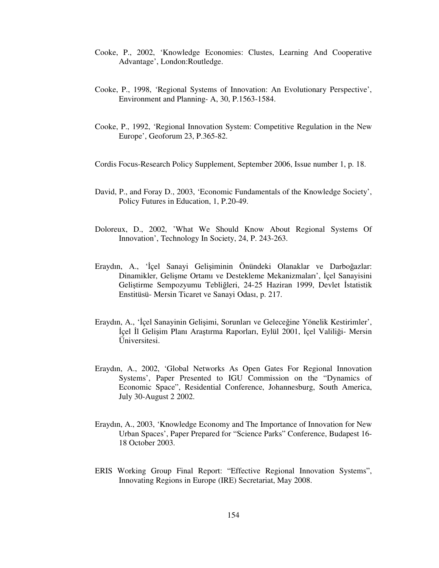- Cooke, P., 2002, 'Knowledge Economies: Clustes, Learning And Cooperative Advantage', London:Routledge.
- Cooke, P., 1998, 'Regional Systems of Innovation: An Evolutionary Perspective', Environment and Planning- A, 30, P.1563-1584.
- Cooke, P., 1992, 'Regional Innovation System: Competitive Regulation in the New Europe', Geoforum 23, P.365-82.
- Cordis Focus-Research Policy Supplement, September 2006, Issue number 1, p. 18.
- David, P., and Foray D., 2003, 'Economic Fundamentals of the Knowledge Society', Policy Futures in Education, 1, P.20-49.
- Doloreux, D., 2002, 'What We Should Know About Regional Systems Of Innovation', Technology In Society, 24, P. 243-263.
- Eraydın, A., 'İçel Sanayi Gelişiminin Önündeki Olanaklar ve Darboğazlar: Dinamikler, Gelişme Ortamı ve Destekleme Mekanizmaları', İçel Sanayisini Geliştirme Sempozyumu Tebliğleri, 24-25 Haziran 1999, Devlet İstatistik Enstitüsü- Mersin Ticaret ve Sanayi Odası, p. 217.
- Eraydın, A., 'İçel Sanayinin Gelişimi, Sorunları ve Geleceğine Yönelik Kestirimler', İçel İl Gelişim Planı Araştırma Raporları, Eylül 2001, İçel Valiliği- Mersin Üniversitesi.
- Eraydın, A., 2002, 'Global Networks As Open Gates For Regional Innovation Systems', Paper Presented to IGU Commission on the "Dynamics of Economic Space", Residential Conference, Johannesburg, South America, July 30-August 2 2002.
- Eraydın, A., 2003, 'Knowledge Economy and The Importance of Innovation for New Urban Spaces', Paper Prepared for "Science Parks" Conference, Budapest 16- 18 October 2003.
- ERIS Working Group Final Report: "Effective Regional Innovation Systems", Innovating Regions in Europe (IRE) Secretariat, May 2008.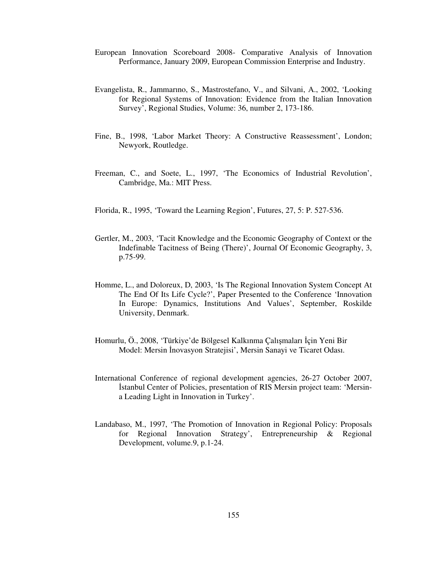- European Innovation Scoreboard 2008- Comparative Analysis of Innovation Performance, January 2009, European Commission Enterprise and Industry.
- Evangelista, R., Jammarıno, S., Mastrostefano, V., and Silvani, A., 2002, 'Looking for Regional Systems of Innovation: Evidence from the Italian Innovation Survey', Regional Studies, Volume: 36, number 2, 173-186.
- Fine, B., 1998, 'Labor Market Theory: A Constructive Reassessment', London; Newyork, Routledge.
- Freeman, C., and Soete, L., 1997, 'The Economics of Industrial Revolution', Cambridge, Ma.: MIT Press.
- Florida, R., 1995, 'Toward the Learning Region', Futures, 27, 5: P. 527-536.
- Gertler, M., 2003, 'Tacit Knowledge and the Economic Geography of Context or the Indefinable Tacitness of Being (There)', Journal Of Economic Geography, 3, p.75-99.
- Homme, L., and Doloreux, D, 2003, 'Is The Regional Innovation System Concept At The End Of Its Life Cycle?', Paper Presented to the Conference 'Innovation In Europe: Dynamics, Institutions And Values', September, Roskilde University, Denmark.
- Homurlu, Ö., 2008, 'Türkiye'de Bölgesel Kalkınma Çalışmaları İçin Yeni Bir Model: Mersin İnovasyon Stratejisi', Mersin Sanayi ve Ticaret Odası.
- International Conference of regional development agencies, 26-27 October 2007, İstanbul Center of Policies, presentation of RIS Mersin project team: 'Mersina Leading Light in Innovation in Turkey'.
- Landabaso, M., 1997, 'The Promotion of Innovation in Regional Policy: Proposals for Regional Innovation Strategy', Entrepreneurship & Regional Development, volume.9, p.1-24.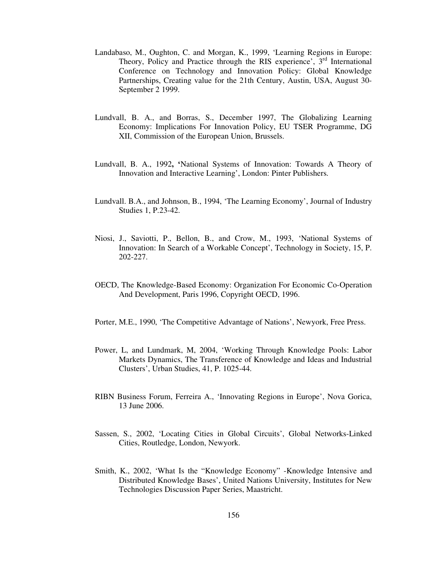- Landabaso, M., Oughton, C. and Morgan, K., 1999, 'Learning Regions in Europe: Theory, Policy and Practice through the RIS experience',  $3<sup>rd</sup>$  International Conference on Technology and Innovation Policy: Global Knowledge Partnerships, Creating value for the 21th Century, Austin, USA, August 30- September 2 1999.
- Lundvall, B. A., and Borras, S., December 1997, The Globalizing Learning Economy: Implications For Innovation Policy, EU TSER Programme, DG XII, Commission of the European Union, Brussels.
- Lundvall, B. A., 1992**, '**National Systems of Innovation: Towards A Theory of Innovation and Interactive Learning', London: Pinter Publishers.
- Lundvall. B.A., and Johnson, B., 1994, 'The Learning Economy', Journal of Industry Studies 1, P.23-42.
- Niosi, J., Saviotti, P., Bellon, B., and Crow, M., 1993, 'National Systems of Innovation: In Search of a Workable Concept', Technology in Society, 15, P. 202-227.
- OECD, The Knowledge-Based Economy: Organization For Economic Co-Operation And Development, Paris 1996, Copyright OECD, 1996.
- Porter, M.E., 1990, 'The Competitive Advantage of Nations', Newyork, Free Press.
- Power, L, and Lundmark, M, 2004, 'Working Through Knowledge Pools: Labor Markets Dynamics, The Transference of Knowledge and Ideas and Industrial Clusters', Urban Studies, 41, P. 1025-44.
- RIBN Business Forum, Ferreira A., 'Innovating Regions in Europe', Nova Gorica, 13 June 2006.
- Sassen, S., 2002, 'Locating Cities in Global Circuits', Global Networks-Linked Cities, Routledge, London, Newyork.
- Smith, K., 2002, 'What Is the "Knowledge Economy" -Knowledge Intensive and Distributed Knowledge Bases', United Nations University, Institutes for New Technologies Discussion Paper Series, Maastricht.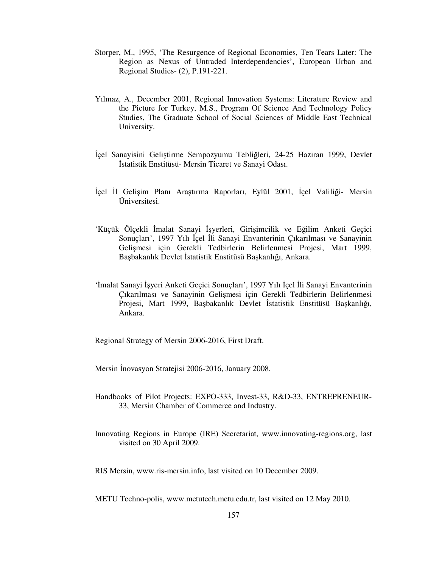- Storper, M., 1995, 'The Resurgence of Regional Economies, Ten Tears Later: The Region as Nexus of Untraded Interdependencies', European Urban and Regional Studies- (2), P.191-221.
- Yılmaz, A., December 2001, Regional Innovation Systems: Literature Review and the Picture for Turkey, M.S., Program Of Science And Technology Policy Studies, The Graduate School of Social Sciences of Middle East Technical University.
- İçel Sanayisini Geliştirme Sempozyumu Tebliğleri, 24-25 Haziran 1999, Devlet İstatistik Enstitüsü- Mersin Ticaret ve Sanayi Odası.
- İçel İl Gelişim Planı Araştırma Raporları, Eylül 2001, İçel Valiliği- Mersin Üniversitesi.
- 'Küçük Ölçekli İmalat Sanayi İşyerleri, Girişimcilik ve Eğilim Anketi Geçici Sonuçları', 1997 Yılı İçel İli Sanayi Envanterinin Çıkarılması ve Sanayinin Gelişmesi için Gerekli Tedbirlerin Belirlenmesi Projesi, Mart 1999, Başbakanlık Devlet İstatistik Enstitüsü Başkanlığı, Ankara.
- 'İmalat Sanayi İşyeri Anketi Geçici Sonuçları', 1997 Yılı İçel İli Sanayi Envanterinin Çıkarılması ve Sanayinin Gelişmesi için Gerekli Tedbirlerin Belirlenmesi Projesi, Mart 1999, Başbakanlık Devlet İstatistik Enstitüsü Başkanlığı, Ankara.

Regional Strategy of Mersin 2006-2016, First Draft.

Mersin İnovasyon Stratejisi 2006-2016, January 2008.

- Handbooks of Pilot Projects: EXPO-333, Invest-33, R&D-33, ENTREPRENEUR-33, Mersin Chamber of Commerce and Industry.
- Innovating Regions in Europe (IRE) Secretariat, www.innovating-regions.org, last visited on 30 April 2009.

RIS Mersin, www.ris-mersin.info, last visited on 10 December 2009.

METU Techno-polis, www.metutech.metu.edu.tr, last visited on 12 May 2010.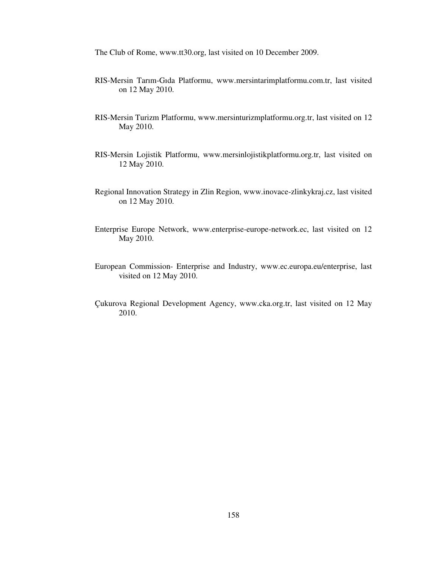The Club of Rome, www.tt30.org, last visited on 10 December 2009.

- RIS-Mersin Tarım-Gıda Platformu, www.mersintarimplatformu.com.tr, last visited on 12 May 2010.
- RIS-Mersin Turizm Platformu, www.mersinturizmplatformu.org.tr, last visited on 12 May 2010.
- RIS-Mersin Lojistik Platformu, www.mersinlojistikplatformu.org.tr, last visited on 12 May 2010.
- Regional Innovation Strategy in Zlin Region, www.inovace-zlinkykraj.cz, last visited on 12 May 2010.
- Enterprise Europe Network, www.enterprise-europe-network.ec, last visited on 12 May 2010.
- European Commission- Enterprise and Industry, www.ec.europa.eu/enterprise, last visited on 12 May 2010.
- Çukurova Regional Development Agency, www.cka.org.tr, last visited on 12 May 2010.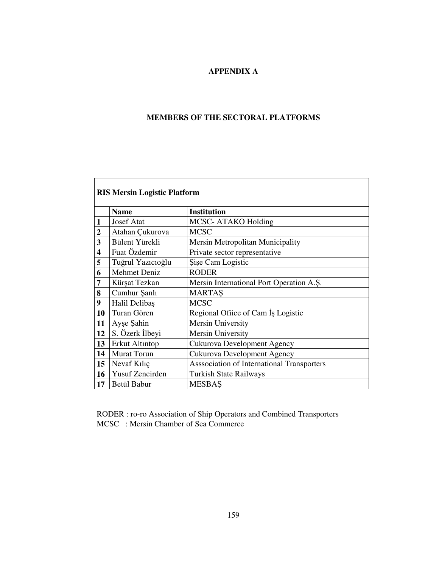# **APPENDIX A**

# **MEMBERS OF THE SECTORAL PLATFORMS**

Ē.

|                | <b>RIS Mersin Logistic Platform</b> |                                            |  |  |
|----------------|-------------------------------------|--------------------------------------------|--|--|
|                | <b>Name</b>                         | <b>Institution</b>                         |  |  |
| 1              | <b>Josef Atat</b>                   | MCSC-ATAKO Holding                         |  |  |
| $\overline{2}$ | Atahan Çukurova                     | <b>MCSC</b>                                |  |  |
| 3              | Bülent Yürekli                      | Mersin Metropolitan Municipality           |  |  |
| 4              | Fuat Özdemir                        | Private sector representative              |  |  |
| 5              | Tuğrul Yazıcıoğlu                   | Sise Cam Logistic                          |  |  |
| 6              | <b>Mehmet Deniz</b>                 | <b>RODER</b>                               |  |  |
| 7              | Kürşat Tezkan                       | Mersin International Port Operation A.S.   |  |  |
| 8              | Cumhur Şanlı                        | <b>MARTAS</b>                              |  |  |
| 9              | Halil Delibaş                       | <b>MCSC</b>                                |  |  |
| 10             | Turan Gören                         | Regional Office of Cam Is Logistic         |  |  |
| 11             | Ayse Sahin                          | Mersin University                          |  |  |
| 12             | S. Özerk İlbeyi                     | <b>Mersin University</b>                   |  |  |
| 13             | Erkut Altıntop                      | <b>Cukurova Development Agency</b>         |  |  |
| 14             | <b>Murat Torun</b>                  | <b>Cukurova Development Agency</b>         |  |  |
| 15             | Nevaf Kılıç                         | Asssociation of International Transporters |  |  |
| 16             | Yusuf Zencirden                     | <b>Turkish State Railways</b>              |  |  |
| 17             | <b>Betül Babur</b>                  | <b>MESBAS</b>                              |  |  |

RODER : ro-ro Association of Ship Operators and Combined Transporters MCSC : Mersin Chamber of Sea Commerce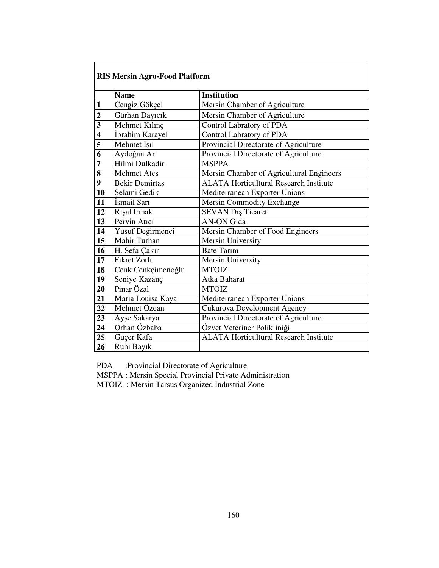|                         | <b>RIS Mersin Agro-Food Platform</b>        |                                               |  |  |
|-------------------------|---------------------------------------------|-----------------------------------------------|--|--|
|                         | <b>Institution</b><br><b>Name</b>           |                                               |  |  |
| 1                       | Cengiz Gökçel                               | Mersin Chamber of Agriculture                 |  |  |
|                         |                                             |                                               |  |  |
| $\overline{2}$          | Gürhan Dayıcık                              | Mersin Chamber of Agriculture                 |  |  |
| $\overline{\mathbf{3}}$ | Mehmet Kılınç                               | <b>Control Labratory of PDA</b>               |  |  |
| $\overline{\bf{4}}$     | İbrahim Karayel                             | Control Labratory of PDA                      |  |  |
| 5                       | Mehmet Isıl                                 | Provincial Directorate of Agriculture         |  |  |
| 6                       | Aydoğan Arı                                 | Provincial Directorate of Agriculture         |  |  |
| 7                       | Hilmi Dulkadir                              | <b>MSPPA</b>                                  |  |  |
| 8                       | Mehmet Ateş                                 | Mersin Chamber of Agricultural Engineers      |  |  |
| 9                       | Bekir Demirtaş                              | <b>ALATA Horticultural Research Institute</b> |  |  |
| 10                      | Selami Gedik                                | Mediterranean Exporter Unions                 |  |  |
| 11                      | İsmail Sarı                                 | <b>Mersin Commodity Exchange</b>              |  |  |
| 12                      | Rişal Irmak                                 | SEVAN Dış Ticaret                             |  |  |
| 13                      | Pervin Atıcı                                | <b>AN-ON Gida</b>                             |  |  |
| 14                      | Yusuf Değirmenci                            | Mersin Chamber of Food Engineers              |  |  |
| 15                      | Mahir Turhan                                | Mersin University                             |  |  |
| 16                      | H. Sefa Çakır                               | <b>Bate Tarim</b>                             |  |  |
| 17                      | Fikret Zorlu                                | <b>Mersin University</b>                      |  |  |
| 18                      | Cenk Cenkçimenoğlu                          | <b>MTOIZ</b>                                  |  |  |
| 19                      | Seniye Kazanç                               | Atka Baharat                                  |  |  |
| 20                      | Pınar Özal                                  | <b>MTOIZ</b>                                  |  |  |
| 21                      | Maria Louisa Kaya                           | Mediterranean Exporter Unions                 |  |  |
| 22                      | Mehmet Özcan<br>Cukurova Development Agency |                                               |  |  |
| 23                      | Ayşe Sakarya                                | Provincial Directorate of Agriculture         |  |  |
| 24                      | Orhan Özbaba<br>Özvet Veteriner Polikliniği |                                               |  |  |
| 25                      | Güçer Kafa                                  | <b>ALATA Horticultural Research Institute</b> |  |  |
| 26                      | Ruhi Bayık                                  |                                               |  |  |

PDA :Provincial Directorate of Agriculture

MSPPA : Mersin Special Provincial Private Administration

MTOIZ : Mersin Tarsus Organized Industrial Zone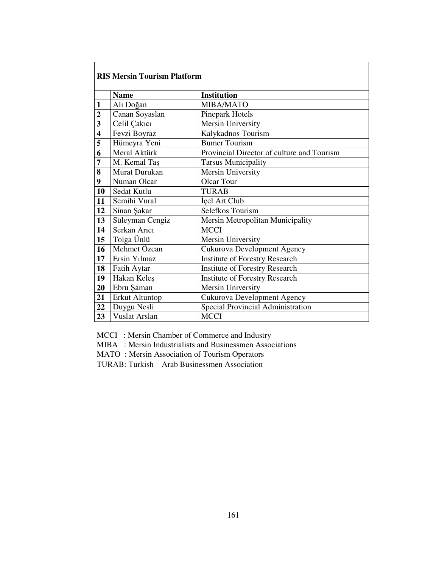|                         | <b>RIS Mersin Tourism Platform</b> |                                            |  |  |
|-------------------------|------------------------------------|--------------------------------------------|--|--|
|                         | <b>Name</b>                        | <b>Institution</b>                         |  |  |
| $\mathbf{1}$            | Ali Doğan                          | MIBA/MATO                                  |  |  |
| $\overline{2}$          | Canan Soyaslan                     | <b>Pinepark Hotels</b>                     |  |  |
| $\overline{\mathbf{3}}$ | Celil Çakıcı                       | <b>Mersin University</b>                   |  |  |
| $\overline{\mathbf{4}}$ | Fevzi Boyraz                       | Kalykadnos Tourism                         |  |  |
| 5                       | Hümeyra Yeni                       | <b>Bumer Tourism</b>                       |  |  |
| 6                       | Meral Aktürk                       | Provincial Director of culture and Tourism |  |  |
| $\overline{7}$          | M. Kemal Taş                       | <b>Tarsus Municipality</b>                 |  |  |
| 8                       | Murat Durukan                      | Mersin University                          |  |  |
| 9                       | Numan Olcar                        | <b>Olcar Tour</b>                          |  |  |
| 10                      | Sedat Kutlu                        | <b>TURAB</b>                               |  |  |
| 11                      | Semihi Vural                       | İçel Art Club                              |  |  |
| 12                      | Sinan Sakar                        | Selefkos Tourism                           |  |  |
| 13                      | Süleyman Cengiz                    | Mersin Metropolitan Municipality           |  |  |
| 14                      | Serkan Arici                       | <b>MCCI</b>                                |  |  |
| 15                      | Tolga Ünlü                         | Mersin University                          |  |  |
| 16                      | Mehmet Özcan                       | Cukurova Development Agency                |  |  |
| 17                      | Ersin Yılmaz                       | <b>Institute of Forestry Research</b>      |  |  |
| 18                      | Fatih Aytar                        | <b>Institute of Forestry Research</b>      |  |  |
| 19                      | Hakan Keleş                        | <b>Institute of Forestry Research</b>      |  |  |
| 20                      | Ebru Şaman                         | Mersin University                          |  |  |
| 21                      | Erkut Altuntop                     | Cukurova Development Agency                |  |  |
| 22                      | Duygu Nesli                        | Special Provincial Administration          |  |  |
| 23                      | <b>Vuslat Arslan</b>               | <b>MCCI</b>                                |  |  |

MCCI : Mersin Chamber of Commerce and Industry

MIBA : Mersin Industrialists and Businessmen Associations

MATO : Mersin Association of Tourism Operators

TURAB: Turkish‐Arab Businessmen Association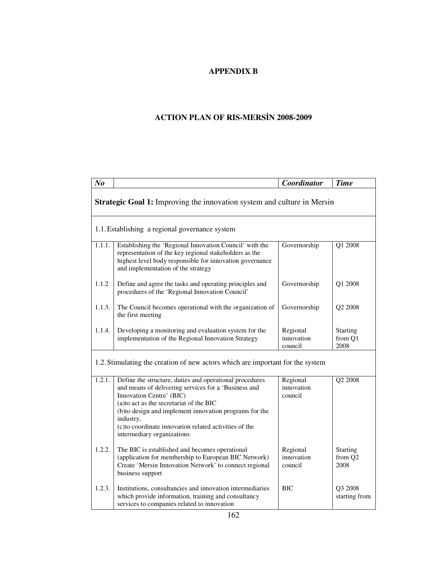# **APPENDIX B**

# **ACTION PLAN OF RIS-MERS**İ**N 2008-2009**

| N <sub>o</sub> |                                                                                                                                                                                                                                                                                                                                                       | Coordinator                       | <b>Time</b>                        |  |  |
|----------------|-------------------------------------------------------------------------------------------------------------------------------------------------------------------------------------------------------------------------------------------------------------------------------------------------------------------------------------------------------|-----------------------------------|------------------------------------|--|--|
|                | Strategic Goal 1: Improving the innovation system and culture in Mersin                                                                                                                                                                                                                                                                               |                                   |                                    |  |  |
|                | 1.1. Establishing a regional governance system                                                                                                                                                                                                                                                                                                        |                                   |                                    |  |  |
| 1.1.1.         | Establishing the 'Regional Innovation Council' with the<br>representation of the key regional stakeholders as the<br>highest level body responsible for innovation governance<br>and implementation of the strategy                                                                                                                                   | Governorship                      | Q1 2008                            |  |  |
| 1.1.2          | Define and agree the tasks and operating principles and<br>procedures of the 'Regional Innovation Council'                                                                                                                                                                                                                                            | Governorship                      | Q1 2008                            |  |  |
| 1.1.3.         | The Council becomes operational with the organization of<br>the first meeting                                                                                                                                                                                                                                                                         | Governorship                      | Q2 2008                            |  |  |
| 1.1.4.         | Developing a monitoring and evaluation system for the<br>implementation of the Regional Innovation Strategy                                                                                                                                                                                                                                           | Regional<br>innovation<br>council | Starting<br>from Q1<br>2008        |  |  |
|                | 1.2. Stimulating the creation of new actors which are important for the system                                                                                                                                                                                                                                                                        |                                   |                                    |  |  |
| 1.2.1.         | Define the structure, duties and operational procedures<br>and means of delivering services for a 'Business and<br>Innovation Centre' (BIC)<br>(a)to act as the secretariat of the BIC<br>(b)to design and implement innovation programs for the<br>industry,<br>(c) to coordinate innovation related activities of the<br>intermediary organizations | Regional<br>innovation<br>council | Q2 2008                            |  |  |
| 1.2.2.         | The BIC is established and becomes operational<br>(application for membership to European BIC Network)<br>Create 'Mersin Innovation Network' to connect regional<br>business support                                                                                                                                                                  | Regional<br>innovation<br>council | <b>Starting</b><br>from Q2<br>2008 |  |  |
| 1.2.3.         | Institutions, consultancies and innovation intermediaries<br>which provide information, training and consultancy<br>services to companies related to innovation                                                                                                                                                                                       | <b>BIC</b>                        | Q3 2008<br>starting from           |  |  |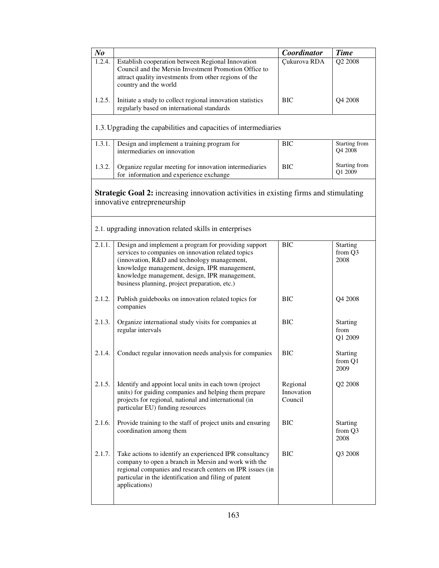| N <sub>o</sub> |                                                                                                                                                                                                                                                                                                              | Coordinator                       | <b>Time</b>                        |
|----------------|--------------------------------------------------------------------------------------------------------------------------------------------------------------------------------------------------------------------------------------------------------------------------------------------------------------|-----------------------------------|------------------------------------|
| 1.2.4.         | Establish cooperation between Regional Innovation<br>Council and the Mersin Investment Promotion Office to<br>attract quality investments from other regions of the<br>country and the world                                                                                                                 | Çukurova RDA                      | Q <sub>2</sub> 2008                |
| 1.2.5.         | Initiate a study to collect regional innovation statistics<br>regularly based on international standards                                                                                                                                                                                                     | <b>BIC</b>                        | Q4 2008                            |
|                | 1.3. Upgrading the capabilities and capacities of intermediaries                                                                                                                                                                                                                                             |                                   |                                    |
| 1.3.1.         | Design and implement a training program for<br>intermediaries on innovation                                                                                                                                                                                                                                  | <b>BIC</b>                        | Starting from<br>Q4 2008           |
| 1.3.2.         | Organize regular meeting for innovation intermediaries<br>for information and experience exchange                                                                                                                                                                                                            | <b>BIC</b>                        | Starting from<br>Q1 2009           |
|                | Strategic Goal 2: increasing innovation activities in existing firms and stimulating<br>innovative entrepreneurship                                                                                                                                                                                          |                                   |                                    |
|                | 2.1. upgrading innovation related skills in enterprises                                                                                                                                                                                                                                                      |                                   |                                    |
| 2.1.1.         | Design and implement a program for providing support<br>services to companies on innovation related topics<br>(innovation, R&D and technology management,<br>knowledge management, design, IPR management,<br>knowledge management, design, IPR management,<br>business planning, project preparation, etc.) | <b>BIC</b>                        | <b>Starting</b><br>from Q3<br>2008 |
| 2.1.2.         | Publish guidebooks on innovation related topics for<br>companies                                                                                                                                                                                                                                             | <b>BIC</b>                        | Q4 2008                            |
| 2.1.3.         | Organize international study visits for companies at<br>regular intervals                                                                                                                                                                                                                                    | <b>BIC</b>                        | <b>Starting</b><br>from<br>Q1 2009 |
| 2.1.4.         | Conduct regular innovation needs analysis for companies                                                                                                                                                                                                                                                      | BIC                               | <b>Starting</b><br>from Q1<br>2009 |
| 2.1.5.         | Identify and appoint local units in each town (project<br>units) for guiding companies and helping them prepare<br>projects for regional, national and international (in<br>particular EU) funding resources                                                                                                 | Regional<br>Innovation<br>Council | Q <sub>2</sub> 2008                |
| 2.1.6.         | Provide training to the staff of project units and ensuring<br>coordination among them                                                                                                                                                                                                                       | <b>BIC</b>                        | <b>Starting</b><br>from Q3<br>2008 |
| 2.1.7.         | Take actions to identify an experienced IPR consultancy<br>company to open a branch in Mersin and work with the<br>regional companies and research centers on IPR issues (in<br>particular in the identification and filing of patent<br>applications)                                                       | <b>BIC</b>                        | Q3 2008                            |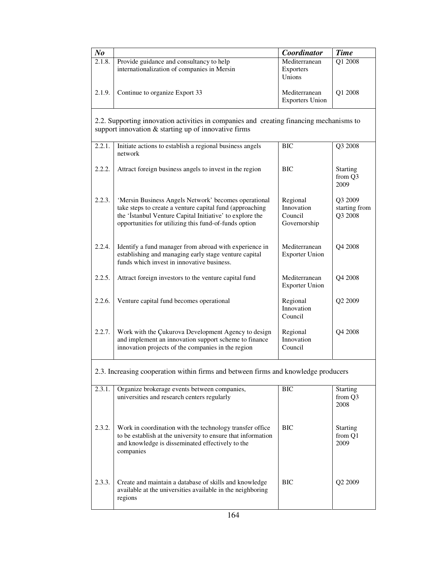| $N_{0}$ |                                                                                         | Coordinator                             | <b>Time</b>         |
|---------|-----------------------------------------------------------------------------------------|-----------------------------------------|---------------------|
| 2.1.8.  | Provide guidance and consultancy to help<br>internationalization of companies in Mersin | Mediterranean<br>Exporters<br>Unions    | O1 2008             |
| 2.1.9.  | Continue to organize Export 33                                                          | Mediterranean<br><b>Exporters Union</b> | O <sub>1</sub> 2008 |

2.2. Supporting innovation activities in companies and creating financing mechanisms to support innovation & starting up of innovative firms

| 2.2.1. | Initiate actions to establish a regional business angels<br>network                                                                                                                                                                   | <b>BIC</b>                                        | Q3 2008                             |
|--------|---------------------------------------------------------------------------------------------------------------------------------------------------------------------------------------------------------------------------------------|---------------------------------------------------|-------------------------------------|
| 2.2.2. | Attract foreign business angels to invest in the region                                                                                                                                                                               | <b>BIC</b>                                        | <b>Starting</b><br>from Q3<br>2009  |
| 2.2.3. | 'Mersin Business Angels Network' becomes operational<br>take steps to create a venture capital fund (approaching<br>the 'İstanbul Venture Capital Initiative' to explore the<br>opportunities for utilizing this fund-of-funds option | Regional<br>Innovation<br>Council<br>Governorship | Q3 2009<br>starting from<br>Q3 2008 |
| 2.2.4. | Identify a fund manager from abroad with experience in<br>establishing and managing early stage venture capital<br>funds which invest in innovative business.                                                                         | Mediterranean<br><b>Exporter Union</b>            | Q4 2008                             |
| 2.2.5. | Attract foreign investors to the venture capital fund                                                                                                                                                                                 | Mediterranean<br><b>Exporter Union</b>            | O <sub>4</sub> 2008                 |
| 2.2.6. | Venture capital fund becomes operational                                                                                                                                                                                              | Regional<br>Innovation<br>Council                 | Q <sub>2</sub> 2009                 |
| 2.2.7. | Work with the Cukurova Development Agency to design<br>and implement an innovation support scheme to finance<br>innovation projects of the companies in the region                                                                    | Regional<br>Innovation<br>Council                 | Q4 2008                             |

2.3. Increasing cooperation within firms and between firms and knowledge producers

| 2.3.1. | Organize brokerage events between companies,<br>universities and research centers regularly                                                                                               | <b>BIC</b> | <b>Starting</b><br>from Q3<br>2008 |
|--------|-------------------------------------------------------------------------------------------------------------------------------------------------------------------------------------------|------------|------------------------------------|
| 2.3.2. | Work in coordination with the technology transfer office<br>to be establish at the university to ensure that information<br>and knowledge is disseminated effectively to the<br>companies | <b>BIC</b> | <b>Starting</b><br>from Q1<br>2009 |
| 2.3.3. | Create and maintain a database of skills and knowledge<br>available at the universities available in the neighboring<br>regions                                                           | <b>BIC</b> | O <sub>2</sub> 2009                |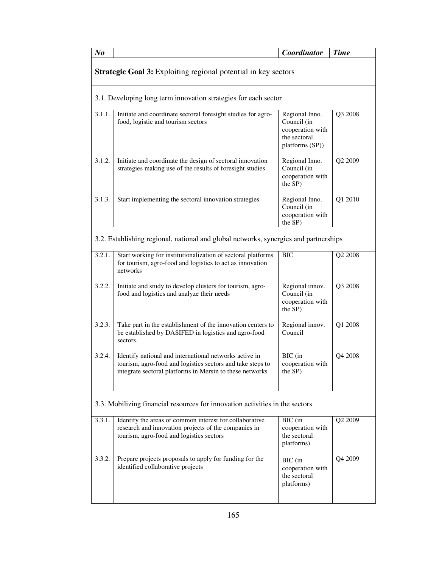| N <sub>o</sub> |                                                                                                                                                                                  | Coordinator                                                                          | <b>Time</b> |  |  |
|----------------|----------------------------------------------------------------------------------------------------------------------------------------------------------------------------------|--------------------------------------------------------------------------------------|-------------|--|--|
|                | Strategic Goal 3: Exploiting regional potential in key sectors                                                                                                                   |                                                                                      |             |  |  |
|                | 3.1. Developing long term innovation strategies for each sector                                                                                                                  |                                                                                      |             |  |  |
| 3.1.1.         | Initiate and coordinate sectoral foresight studies for agro-<br>food, logistic and tourism sectors                                                                               | Regional Inno.<br>Council (in<br>cooperation with<br>the sectoral<br>platforms (SP)) | Q3 2008     |  |  |
| 3.1.2.         | Initiate and coordinate the design of sectoral innovation<br>strategies making use of the results of foresight studies                                                           | Regional Inno.<br>Council (in<br>cooperation with<br>the SP)                         | Q2 2009     |  |  |
| 3.1.3.         | Start implementing the sectoral innovation strategies                                                                                                                            | Regional Inno.<br>Council (in<br>cooperation with<br>the SP)                         | Q1 2010     |  |  |
|                | 3.2. Establishing regional, national and global networks, synergies and partnerships                                                                                             |                                                                                      |             |  |  |
| 3.2.1.         | Start working for institutionalization of sectoral platforms<br>for tourism, agro-food and logistics to act as innovation<br>networks                                            | <b>BIC</b>                                                                           | Q2 2008     |  |  |
| 3.2.2.         | Initiate and study to develop clusters for tourism, agro-<br>food and logistics and analyze their needs                                                                          | Regional innov.<br>Council (in<br>cooperation with<br>the SP)                        | Q3 2008     |  |  |
| 3.2.3.         | Take part in the establishment of the innovation centers to<br>be established by DASIFED in logistics and agro-food<br>sectors.                                                  | Regional innov.<br>Council                                                           | Q1 2008     |  |  |
| 3.2.4.         | Identify national and international networks active in<br>tourism, agro-food and logistics sectors and take steps to<br>integrate sectoral platforms in Mersin to these networks | BIC (in<br>cooperation with<br>the SP)                                               | Q4 2008     |  |  |
|                | 3.3. Mobilizing financial resources for innovation activities in the sectors                                                                                                     |                                                                                      |             |  |  |
| 3.3.1.         | Identify the areas of common interest for collaborative<br>research and innovation projects of the companies in<br>tourism, agro-food and logistics sectors                      | BIC (in<br>cooperation with<br>the sectoral<br>platforms)                            | Q2 2009     |  |  |
| 3.3.2.         | Prepare projects proposals to apply for funding for the<br>identified collaborative projects                                                                                     | BIC (in<br>cooperation with<br>the sectoral<br>platforms)                            | Q4 2009     |  |  |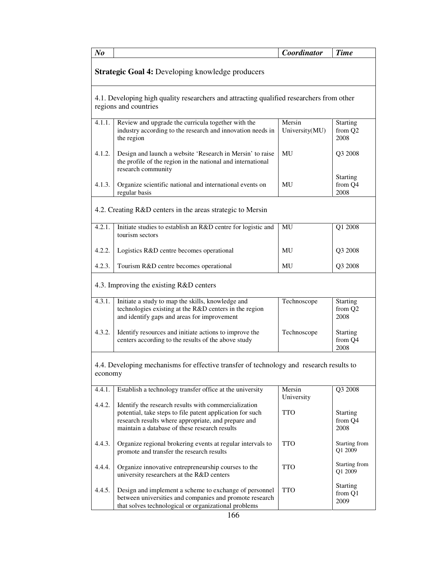| N <sub>o</sub>                                                                                                    |                                                                                                                                                                                                                           | Coordinator              | <b>Time</b>                                    |
|-------------------------------------------------------------------------------------------------------------------|---------------------------------------------------------------------------------------------------------------------------------------------------------------------------------------------------------------------------|--------------------------|------------------------------------------------|
| Strategic Goal 4: Developing knowledge producers                                                                  |                                                                                                                                                                                                                           |                          |                                                |
| 4.1. Developing high quality researchers and attracting qualified researchers from other<br>regions and countries |                                                                                                                                                                                                                           |                          |                                                |
| 4.1.1.                                                                                                            | Review and upgrade the curricula together with the<br>industry according to the research and innovation needs in<br>the region                                                                                            | Mersin<br>University(MU) | <b>Starting</b><br>from Q <sub>2</sub><br>2008 |
| 4.1.2.                                                                                                            | Design and launch a website 'Research in Mersin' to raise<br>the profile of the region in the national and international<br>research community                                                                            | MU                       | Q3 2008                                        |
| 4.1.3.                                                                                                            | Organize scientific national and international events on<br>regular basis                                                                                                                                                 | MU                       | <b>Starting</b><br>from Q4<br>2008             |
|                                                                                                                   | 4.2. Creating R&D centers in the areas strategic to Mersin                                                                                                                                                                |                          |                                                |
| 4.2.1.                                                                                                            | Initiate studies to establish an R&D centre for logistic and<br>tourism sectors                                                                                                                                           | MU                       | Q1 2008                                        |
| 4.2.2.                                                                                                            | Logistics R&D centre becomes operational                                                                                                                                                                                  | MU                       | Q3 2008                                        |
| 4.2.3.                                                                                                            | Tourism R&D centre becomes operational                                                                                                                                                                                    | MU                       | Q3 2008                                        |
| 4.3. Improving the existing R&D centers                                                                           |                                                                                                                                                                                                                           |                          |                                                |
| 4.3.1.                                                                                                            | Initiate a study to map the skills, knowledge and<br>technologies existing at the R&D centers in the region<br>and identify gaps and areas for improvement                                                                | Technoscope              | <b>Starting</b><br>from Q2<br>2008             |
| 4.3.2.                                                                                                            | Identify resources and initiate actions to improve the<br>centers according to the results of the above study                                                                                                             | Technoscope              | <b>Starting</b><br>from Q4<br>2008             |
| 4.4. Developing mechanisms for effective transfer of technology and research results to<br>economy                |                                                                                                                                                                                                                           |                          |                                                |
| 4.4.1.                                                                                                            | Establish a technology transfer office at the university                                                                                                                                                                  | Mersin<br>University     | Q3 2008                                        |
| 4.4.2.                                                                                                            | Identify the research results with commercialization<br>potential, take steps to file patent application for such<br>research results where appropriate, and prepare and<br>maintain a database of these research results | TTO                      | <b>Starting</b><br>from Q4<br>2008             |
| 4.4.3.                                                                                                            | Organize regional brokering events at regular intervals to<br>promote and transfer the research results                                                                                                                   | <b>TTO</b>               | Starting from<br>Q1 2009                       |
| 4.4.4.                                                                                                            | Organize innovative entrepreneurship courses to the<br>university researchers at the R&D centers                                                                                                                          | <b>TTO</b>               | Starting from<br>Q1 2009                       |
| 4.4.5.                                                                                                            | Design and implement a scheme to exchange of personnel<br>between universities and companies and promote research<br>that solves technological or organizational problems<br>166                                          | <b>TTO</b>               | <b>Starting</b><br>from Q1<br>2009             |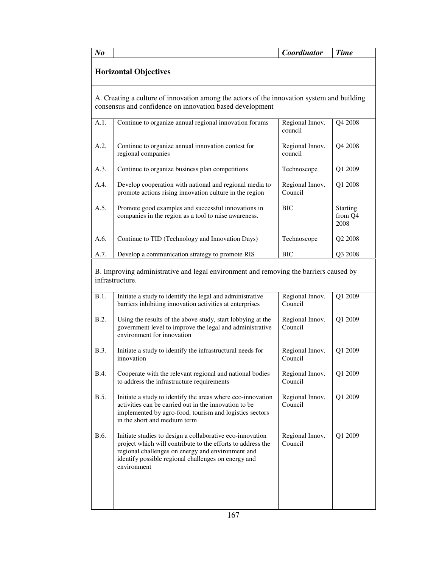| N <sub>o</sub>               |                                                                                                                                                        | Coordinator                | <b>Time</b>                        |
|------------------------------|--------------------------------------------------------------------------------------------------------------------------------------------------------|----------------------------|------------------------------------|
| <b>Horizontal Objectives</b> |                                                                                                                                                        |                            |                                    |
|                              | A. Creating a culture of innovation among the actors of the innovation system and building<br>consensus and confidence on innovation based development |                            |                                    |
| A.1.                         | Continue to organize annual regional innovation forums                                                                                                 | Regional Innov.<br>council | Q4 2008                            |
| A.2.                         | Continue to organize annual innovation contest for<br>regional companies                                                                               | Regional Innov.<br>council | Q4 2008                            |
| A.3.                         | Continue to organize business plan competitions                                                                                                        | Technoscope                | Q1 2009                            |
| A.4.                         | Develop cooperation with national and regional media to<br>promote actions rising innovation culture in the region                                     | Regional Innov.<br>Council | Q1 2008                            |
| A.5.                         | Promote good examples and successful innovations in<br>companies in the region as a tool to raise awareness.                                           | <b>BIC</b>                 | <b>Starting</b><br>from Q4<br>2008 |
| A.6.                         | Continue to TID (Technology and Innovation Days)                                                                                                       | Technoscope                | Q2 2008                            |
|                              | Develop a communication strategy to promote RIS                                                                                                        | <b>BIC</b>                 | Q3 2008                            |

| B.1.        | Initiate a study to identify the legal and administrative<br>barriers inhibiting innovation activities at enterprises                                                                                                                               | Regional Innov.<br>Council | Q1 2009 |
|-------------|-----------------------------------------------------------------------------------------------------------------------------------------------------------------------------------------------------------------------------------------------------|----------------------------|---------|
| B.2.        | Using the results of the above study, start lobbying at the<br>government level to improve the legal and administrative<br>environment for innovation                                                                                               | Regional Innov.<br>Council | Q1 2009 |
| <b>B.3.</b> | Initiate a study to identify the infrastructural needs for<br>innovation                                                                                                                                                                            | Regional Innov.<br>Council | Q1 2009 |
| <b>B.4.</b> | Cooperate with the relevant regional and national bodies<br>to address the infrastructure requirements                                                                                                                                              | Regional Innov.<br>Council | Q1 2009 |
| <b>B.5.</b> | Initiate a study to identify the areas where eco-innovation<br>activities can be carried out in the innovation to be<br>implemented by agro-food, tourism and logistics sectors<br>in the short and medium term                                     | Regional Innov.<br>Council | Q1 2009 |
| <b>B.6.</b> | Initiate studies to design a collaborative eco-innovation<br>project which will contribute to the efforts to address the<br>regional challenges on energy and environment and<br>identify possible regional challenges on energy and<br>environment | Regional Innov.<br>Council | Q1 2009 |
|             |                                                                                                                                                                                                                                                     |                            |         |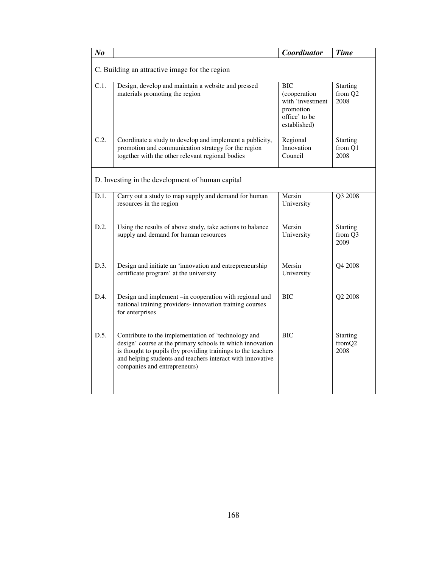| N <sub>o</sub>                                   |                                                                                                                                                                                                                                                                                | Coordinator                                                                           | <b>Time</b>                        |
|--------------------------------------------------|--------------------------------------------------------------------------------------------------------------------------------------------------------------------------------------------------------------------------------------------------------------------------------|---------------------------------------------------------------------------------------|------------------------------------|
| C. Building an attractive image for the region   |                                                                                                                                                                                                                                                                                |                                                                                       |                                    |
| C.1.                                             | Design, develop and maintain a website and pressed<br>materials promoting the region                                                                                                                                                                                           | BIC<br>(cooperation<br>with 'investment<br>promotion<br>office' to be<br>established) | <b>Starting</b><br>from Q2<br>2008 |
| C.2.                                             | Coordinate a study to develop and implement a publicity,<br>promotion and communication strategy for the region<br>together with the other relevant regional bodies                                                                                                            | Regional<br>Innovation<br>Council                                                     | <b>Starting</b><br>from Q1<br>2008 |
| D. Investing in the development of human capital |                                                                                                                                                                                                                                                                                |                                                                                       |                                    |
| D.1.                                             | Carry out a study to map supply and demand for human<br>resources in the region                                                                                                                                                                                                | Mersin<br>University                                                                  | Q3 2008                            |
| D.2.                                             | Using the results of above study, take actions to balance<br>supply and demand for human resources                                                                                                                                                                             | Mersin<br>University                                                                  | <b>Starting</b><br>from Q3<br>2009 |
| D.3.                                             | Design and initiate an 'innovation and entrepreneurship<br>certificate program' at the university                                                                                                                                                                              | Mersin<br>University                                                                  | Q4 2008                            |
| D.4.                                             | Design and implement –in cooperation with regional and<br>national training providers- innovation training courses<br>for enterprises                                                                                                                                          | <b>BIC</b>                                                                            | Q2 2008                            |
| D.5.                                             | Contribute to the implementation of 'technology and<br>design' course at the primary schools in which innovation<br>is thought to pupils (by providing trainings to the teachers<br>and helping students and teachers interact with innovative<br>companies and entrepreneurs) | <b>BIC</b>                                                                            | <b>Starting</b><br>fromQ2<br>2008  |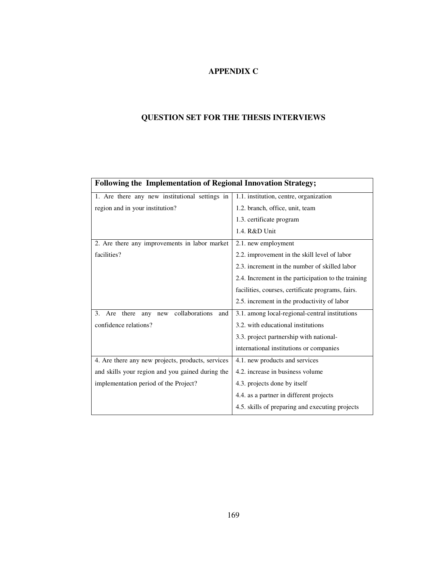## **APPENDIX C**

## **QUESTION SET FOR THE THESIS INTERVIEWS**

| <b>Following the Implementation of Regional Innovation Strategy;</b> |                                                     |  |
|----------------------------------------------------------------------|-----------------------------------------------------|--|
| 1. Are there any new institutional settings in                       | 1.1. institution, centre, organization              |  |
| region and in your institution?                                      | 1.2. branch, office, unit, team                     |  |
|                                                                      | 1.3. certificate program                            |  |
|                                                                      | 1.4. R&D Unit                                       |  |
| 2. Are there any improvements in labor market                        | 2.1. new employment                                 |  |
| facilities?                                                          | 2.2. improvement in the skill level of labor        |  |
|                                                                      | 2.3. increment in the number of skilled labor       |  |
|                                                                      | 2.4. Increment in the participation to the training |  |
|                                                                      | facilities, courses, certificate programs, fairs.   |  |
|                                                                      | 2.5. increment in the productivity of labor         |  |
| new collaborations<br>Are there<br>3.<br>any<br>and                  | 3.1. among local-regional-central institutions      |  |
| confidence relations?                                                | 3.2. with educational institutions                  |  |
|                                                                      | 3.3. project partnership with national-             |  |
|                                                                      | international institutions or companies             |  |
| 4. Are there any new projects, products, services                    | 4.1. new products and services                      |  |
| and skills your region and you gained during the                     | 4.2. increase in business volume                    |  |
| implementation period of the Project?                                | 4.3. projects done by itself                        |  |
|                                                                      | 4.4. as a partner in different projects             |  |
|                                                                      | 4.5. skills of preparing and executing projects     |  |